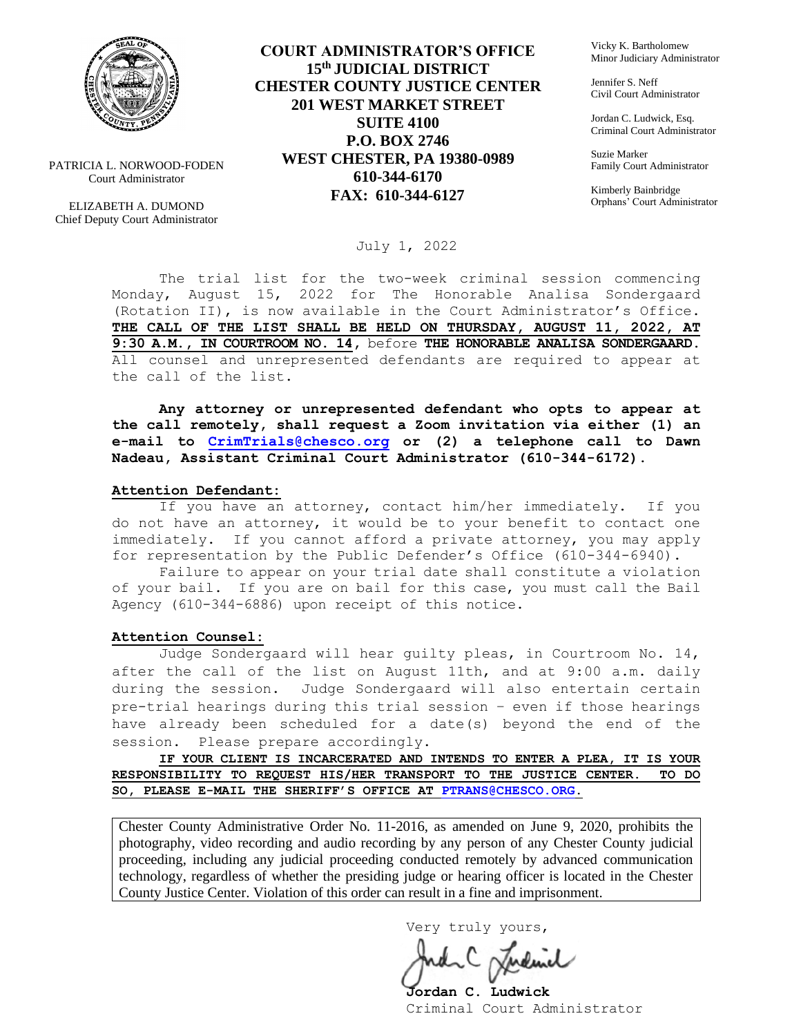

PATRICIA L. NORWOOD-FODEN Court Administrator

ELIZABETH A. DUMOND Chief Deputy Court Administrator

### **COURT ADMINISTRATOR'S OFFICE 15th JUDICIAL DISTRICT CHESTER COUNTY JUSTICE CENTER 201 WEST MARKET STREET SUITE 4100 P.O. BOX 2746 WEST CHESTER, PA 19380-0989 610-344-6170 FAX: 610-344-6127**

Vicky K. Bartholomew Minor Judiciary Administrator

Jennifer S. Neff Civil Court Administrator

Jordan C. Ludwick, Esq. Criminal Court Administrator

Suzie Marker Family Court Administrator

Kimberly Bainbridge Orphans' Court Administrator

#### July 1, 2022

The trial list for the two-week criminal session commencing Monday, August 15, 2022 for The Honorable Analisa Sondergaard (Rotation II), is now available in the Court Administrator's Office. **THE CALL OF THE LIST SHALL BE HELD ON THURSDAY, AUGUST 11, 2022, AT 9:30 A.M., IN COURTROOM NO. 14,** before **THE HONORABLE ANALISA SONDERGAARD.**  All counsel and unrepresented defendants are required to appear at the call of the list.

**Any attorney or unrepresented defendant who opts to appear at the call remotely, shall request a Zoom invitation via either (1) an e-mail to [CrimTrials@chesco.org](mailto:CrimTrials@chesco.org) or (2) a telephone call to Dawn Nadeau, Assistant Criminal Court Administrator (610-344-6172).** 

#### **Attention Defendant:**

If you have an attorney, contact him/her immediately. If you do not have an attorney, it would be to your benefit to contact one immediately. If you cannot afford a private attorney, you may apply for representation by the Public Defender's Office (610-344-6940).

Failure to appear on your trial date shall constitute a violation of your bail. If you are on bail for this case, you must call the Bail Agency (610-344-6886) upon receipt of this notice.

#### **Attention Counsel:**

Judge Sondergaard will hear guilty pleas, in Courtroom No. 14, after the call of the list on August 11th, and at 9:00 a.m. daily during the session. Judge Sondergaard will also entertain certain pre-trial hearings during this trial session – even if those hearings have already been scheduled for a date(s) beyond the end of the session. Please prepare accordingly.

**IF YOUR CLIENT IS INCARCERATED AND INTENDS TO ENTER A PLEA, IT IS YOUR RESPONSIBILITY TO REQUEST HIS/HER TRANSPORT TO THE JUSTICE CENTER. TO DO SO, PLEASE E-MAIL THE SHERIFF'S OFFICE AT [PTRANS@CHESCO.ORG.](mailto:PTRANS@CHESCO.ORG)**

Chester County Administrative Order No. 11-2016, as amended on June 9, 2020, prohibits the photography, video recording and audio recording by any person of any Chester County judicial proceeding, including any judicial proceeding conducted remotely by advanced communication technology, regardless of whether the presiding judge or hearing officer is located in the Chester County Justice Center. Violation of this order can result in a fine and imprisonment.

Very truly yours,

**Jordan C. Ludwick** Criminal Court Administrator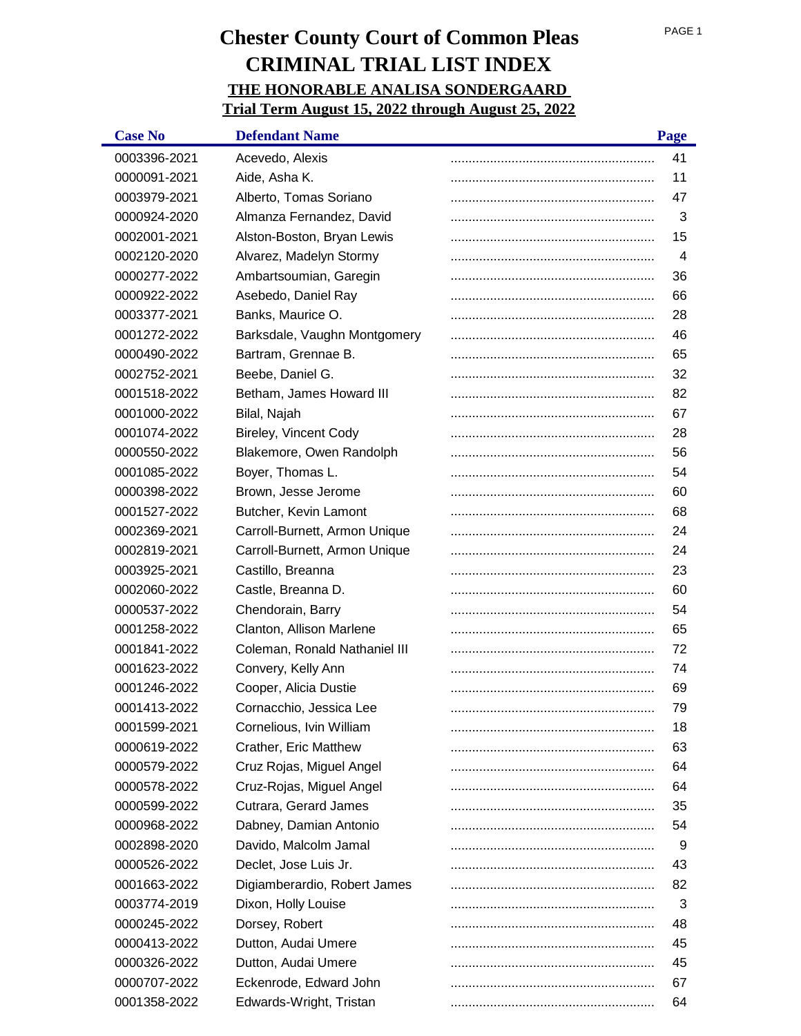| <b>Case No</b> | <b>Defendant Name</b>         | Page |
|----------------|-------------------------------|------|
| 0003396-2021   | Acevedo, Alexis               | 41   |
| 0000091-2021   | Aide, Asha K.                 | 11   |
| 0003979-2021   | Alberto, Tomas Soriano        | 47   |
| 0000924-2020   | Almanza Fernandez, David      | 3    |
| 0002001-2021   | Alston-Boston, Bryan Lewis    | 15   |
| 0002120-2020   | Alvarez, Madelyn Stormy       | 4    |
| 0000277-2022   | Ambartsoumian, Garegin        | 36   |
| 0000922-2022   | Asebedo, Daniel Ray           | 66   |
| 0003377-2021   | Banks, Maurice O.             | 28   |
| 0001272-2022   | Barksdale, Vaughn Montgomery  | 46   |
| 0000490-2022   | Bartram, Grennae B.           | 65   |
| 0002752-2021   | Beebe, Daniel G.              | 32   |
| 0001518-2022   | Betham, James Howard III      | 82   |
| 0001000-2022   | Bilal, Najah                  | 67   |
| 0001074-2022   | <b>Bireley, Vincent Cody</b>  | 28   |
| 0000550-2022   | Blakemore, Owen Randolph      | 56   |
| 0001085-2022   | Boyer, Thomas L.              | 54   |
| 0000398-2022   | Brown, Jesse Jerome           | 60   |
| 0001527-2022   | Butcher, Kevin Lamont         | 68   |
| 0002369-2021   | Carroll-Burnett, Armon Unique | 24   |
| 0002819-2021   | Carroll-Burnett, Armon Unique | 24   |
| 0003925-2021   | Castillo, Breanna             | 23   |
| 0002060-2022   | Castle, Breanna D.            | 60   |
| 0000537-2022   | Chendorain, Barry             | 54   |
| 0001258-2022   | Clanton, Allison Marlene      | 65   |
| 0001841-2022   | Coleman, Ronald Nathaniel III | 72   |
| 0001623-2022   | Convery, Kelly Ann            | 74   |
| 0001246-2022   | Cooper, Alicia Dustie         | 69   |
| 0001413-2022   | Cornacchio, Jessica Lee       | 79   |
| 0001599-2021   | Cornelious, Ivin William      | 18   |
| 0000619-2022   | Crather, Eric Matthew         | 63   |
| 0000579-2022   | Cruz Rojas, Miguel Angel      | 64   |
| 0000578-2022   | Cruz-Rojas, Miguel Angel      | 64   |
| 0000599-2022   | Cutrara, Gerard James         | 35   |
| 0000968-2022   | Dabney, Damian Antonio        | 54   |
| 0002898-2020   | Davido, Malcolm Jamal         | 9    |
| 0000526-2022   | Declet, Jose Luis Jr.         | 43   |
| 0001663-2022   | Digiamberardio, Robert James  | 82   |
| 0003774-2019   | Dixon, Holly Louise           | 3    |
| 0000245-2022   | Dorsey, Robert                | 48   |
| 0000413-2022   | Dutton, Audai Umere           | 45   |
| 0000326-2022   | Dutton, Audai Umere           | 45   |
| 0000707-2022   | Eckenrode, Edward John        | 67   |
| 0001358-2022   | Edwards-Wright, Tristan       | 64   |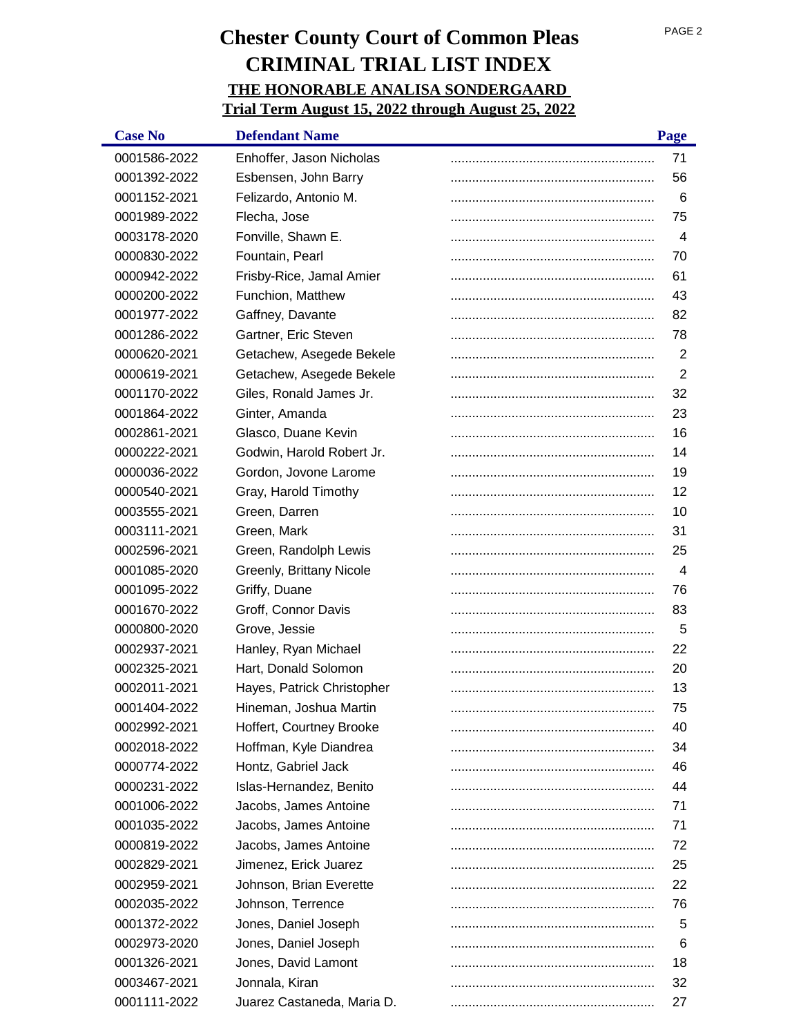| <b>Case No</b> | <b>Defendant Name</b>      | Page           |
|----------------|----------------------------|----------------|
| 0001586-2022   | Enhoffer, Jason Nicholas   | 71             |
| 0001392-2022   | Esbensen, John Barry       | 56             |
| 0001152-2021   | Felizardo, Antonio M.      | 6              |
| 0001989-2022   | Flecha, Jose               | 75             |
| 0003178-2020   | Fonville, Shawn E.         | 4              |
| 0000830-2022   | Fountain, Pearl            | 70             |
| 0000942-2022   | Frisby-Rice, Jamal Amier   | 61             |
| 0000200-2022   | Funchion, Matthew          | 43             |
| 0001977-2022   | Gaffney, Davante           | 82             |
| 0001286-2022   | Gartner, Eric Steven       | 78             |
| 0000620-2021   | Getachew, Asegede Bekele   | 2              |
| 0000619-2021   | Getachew, Asegede Bekele   | $\overline{2}$ |
| 0001170-2022   | Giles, Ronald James Jr.    | 32             |
| 0001864-2022   | Ginter, Amanda             | 23             |
| 0002861-2021   | Glasco, Duane Kevin        | 16             |
| 0000222-2021   | Godwin, Harold Robert Jr.  | 14             |
| 0000036-2022   | Gordon, Jovone Larome      | 19             |
| 0000540-2021   | Gray, Harold Timothy       | 12             |
| 0003555-2021   | Green, Darren              | 10             |
| 0003111-2021   | Green, Mark                | 31             |
| 0002596-2021   | Green, Randolph Lewis      | 25             |
| 0001085-2020   | Greenly, Brittany Nicole   | $\overline{4}$ |
| 0001095-2022   | Griffy, Duane              | 76             |
| 0001670-2022   | Groff, Connor Davis        | 83             |
| 0000800-2020   | Grove, Jessie              | 5              |
| 0002937-2021   | Hanley, Ryan Michael       | 22             |
| 0002325-2021   | Hart, Donald Solomon       | 20             |
| 0002011-2021   | Hayes, Patrick Christopher | 13             |
| 0001404-2022   | Hineman, Joshua Martin     | 75             |
| 0002992-2021   | Hoffert, Courtney Brooke   | 40             |
| 0002018-2022   | Hoffman, Kyle Diandrea     | 34             |
| 0000774-2022   | Hontz, Gabriel Jack        | 46             |
| 0000231-2022   | Islas-Hernandez, Benito    | 44             |
| 0001006-2022   | Jacobs, James Antoine      | 71             |
| 0001035-2022   | Jacobs, James Antoine      | 71             |
| 0000819-2022   | Jacobs, James Antoine      | 72             |
| 0002829-2021   | Jimenez, Erick Juarez      | 25             |
| 0002959-2021   | Johnson, Brian Everette    | 22             |
| 0002035-2022   | Johnson, Terrence          | 76             |
| 0001372-2022   | Jones, Daniel Joseph       | 5              |
| 0002973-2020   | Jones, Daniel Joseph       | 6              |
| 0001326-2021   | Jones, David Lamont        | 18             |
| 0003467-2021   | Jonnala, Kiran             | 32             |
| 0001111-2022   | Juarez Castaneda, Maria D. | 27             |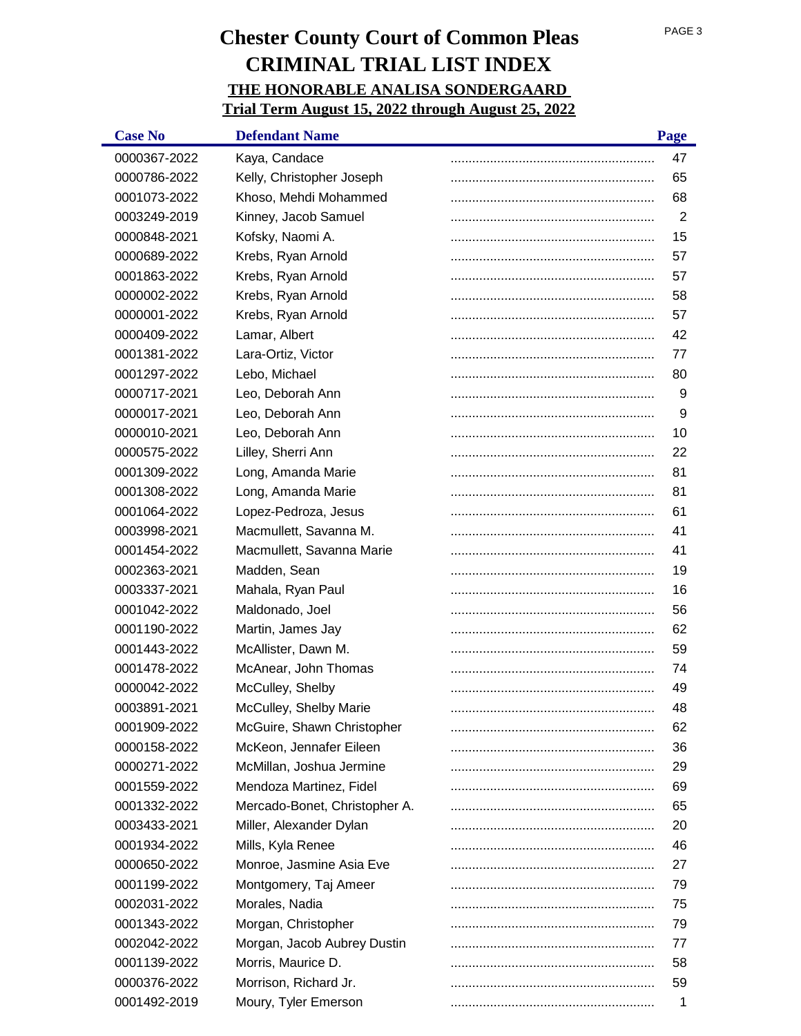| <b>Case No</b> | <b>Defendant Name</b>         | Page           |
|----------------|-------------------------------|----------------|
| 0000367-2022   | Kaya, Candace                 | 47             |
| 0000786-2022   | Kelly, Christopher Joseph     | 65             |
| 0001073-2022   | Khoso, Mehdi Mohammed         | 68             |
| 0003249-2019   | Kinney, Jacob Samuel          | $\overline{2}$ |
| 0000848-2021   | Kofsky, Naomi A.              | 15             |
| 0000689-2022   | Krebs, Ryan Arnold            | 57             |
| 0001863-2022   | Krebs, Ryan Arnold            | 57             |
| 0000002-2022   | Krebs, Ryan Arnold            | 58             |
| 0000001-2022   | Krebs, Ryan Arnold            | 57             |
| 0000409-2022   | Lamar, Albert                 | 42             |
| 0001381-2022   | Lara-Ortiz, Victor            | 77             |
| 0001297-2022   | Lebo, Michael                 | 80             |
| 0000717-2021   | Leo, Deborah Ann              | 9              |
| 0000017-2021   | Leo, Deborah Ann              | 9              |
| 0000010-2021   | Leo, Deborah Ann              | 10             |
| 0000575-2022   | Lilley, Sherri Ann            | 22             |
| 0001309-2022   | Long, Amanda Marie            | 81             |
| 0001308-2022   | Long, Amanda Marie            | 81             |
| 0001064-2022   | Lopez-Pedroza, Jesus          | 61             |
| 0003998-2021   | Macmullett, Savanna M.        | 41             |
| 0001454-2022   | Macmullett, Savanna Marie     | 41             |
| 0002363-2021   | Madden, Sean                  | 19             |
| 0003337-2021   | Mahala, Ryan Paul             | 16             |
| 0001042-2022   | Maldonado, Joel               | 56             |
| 0001190-2022   | Martin, James Jay             | 62             |
| 0001443-2022   | McAllister, Dawn M.           | 59             |
| 0001478-2022   | McAnear, John Thomas          | 74             |
| 0000042-2022   | McCulley, Shelby              | 49             |
| 0003891-2021   | McCulley, Shelby Marie        | 48             |
| 0001909-2022   | McGuire, Shawn Christopher    | 62             |
| 0000158-2022   | McKeon, Jennafer Eileen       | 36             |
| 0000271-2022   | McMillan, Joshua Jermine      | 29             |
| 0001559-2022   | Mendoza Martinez, Fidel       | 69             |
| 0001332-2022   | Mercado-Bonet, Christopher A. | 65             |
| 0003433-2021   | Miller, Alexander Dylan       | 20             |
| 0001934-2022   | Mills, Kyla Renee             | 46             |
| 0000650-2022   | Monroe, Jasmine Asia Eve      | 27             |
| 0001199-2022   | Montgomery, Taj Ameer         | 79             |
| 0002031-2022   | Morales, Nadia                | 75             |
| 0001343-2022   | Morgan, Christopher           | 79             |
| 0002042-2022   | Morgan, Jacob Aubrey Dustin   | 77             |
| 0001139-2022   | Morris, Maurice D.            | 58             |
| 0000376-2022   | Morrison, Richard Jr.         | 59             |
| 0001492-2019   | Moury, Tyler Emerson          | 1              |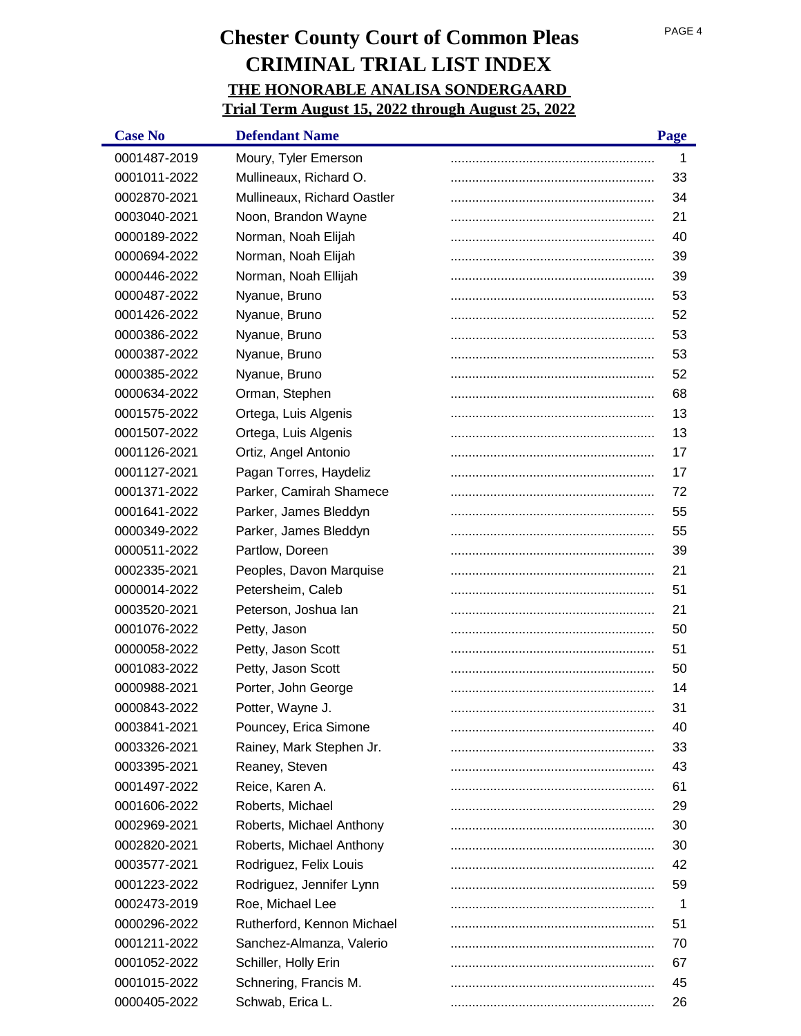| <b>Case No</b> | <b>Defendant Name</b>       | Page |
|----------------|-----------------------------|------|
| 0001487-2019   | Moury, Tyler Emerson        | 1    |
| 0001011-2022   | Mullineaux, Richard O.      | 33   |
| 0002870-2021   | Mullineaux, Richard Oastler | 34   |
| 0003040-2021   | Noon, Brandon Wayne         | 21   |
| 0000189-2022   | Norman, Noah Elijah         | 40   |
| 0000694-2022   | Norman, Noah Elijah         | 39   |
| 0000446-2022   | Norman, Noah Ellijah        | 39   |
| 0000487-2022   | Nyanue, Bruno               | 53   |
| 0001426-2022   | Nyanue, Bruno               | 52   |
| 0000386-2022   | Nyanue, Bruno               | 53   |
| 0000387-2022   | Nyanue, Bruno               | 53   |
| 0000385-2022   | Nyanue, Bruno               | 52   |
| 0000634-2022   | Orman, Stephen              | 68   |
| 0001575-2022   | Ortega, Luis Algenis        | 13   |
| 0001507-2022   | Ortega, Luis Algenis        | 13   |
| 0001126-2021   | Ortiz, Angel Antonio        | 17   |
| 0001127-2021   | Pagan Torres, Haydeliz      | 17   |
| 0001371-2022   | Parker, Camirah Shamece     | 72   |
| 0001641-2022   | Parker, James Bleddyn       | 55   |
| 0000349-2022   | Parker, James Bleddyn       | 55   |
| 0000511-2022   | Partlow, Doreen             | 39   |
| 0002335-2021   | Peoples, Davon Marquise     | 21   |
| 0000014-2022   | Petersheim, Caleb           | 51   |
| 0003520-2021   | Peterson, Joshua lan        | 21   |
| 0001076-2022   | Petty, Jason                | 50   |
| 0000058-2022   | Petty, Jason Scott          | 51   |
| 0001083-2022   | Petty, Jason Scott          | 50   |
| 0000988-2021   | Porter, John George         | 14   |
| 0000843-2022   | Potter, Wayne J.            | 31   |
| 0003841-2021   | Pouncey, Erica Simone       | 40   |
| 0003326-2021   | Rainey, Mark Stephen Jr.    | 33   |
| 0003395-2021   | Reaney, Steven              | 43   |
| 0001497-2022   | Reice, Karen A.             | 61   |
| 0001606-2022   | Roberts, Michael            | 29   |
| 0002969-2021   | Roberts, Michael Anthony    | 30   |
| 0002820-2021   | Roberts, Michael Anthony    | 30   |
| 0003577-2021   | Rodriguez, Felix Louis      | 42   |
| 0001223-2022   | Rodriguez, Jennifer Lynn    | 59   |
| 0002473-2019   | Roe, Michael Lee            | 1    |
| 0000296-2022   | Rutherford, Kennon Michael  | 51   |
| 0001211-2022   | Sanchez-Almanza, Valerio    | 70   |
| 0001052-2022   | Schiller, Holly Erin        | 67   |
| 0001015-2022   | Schnering, Francis M.       | 45   |
| 0000405-2022   | Schwab, Erica L.            | 26   |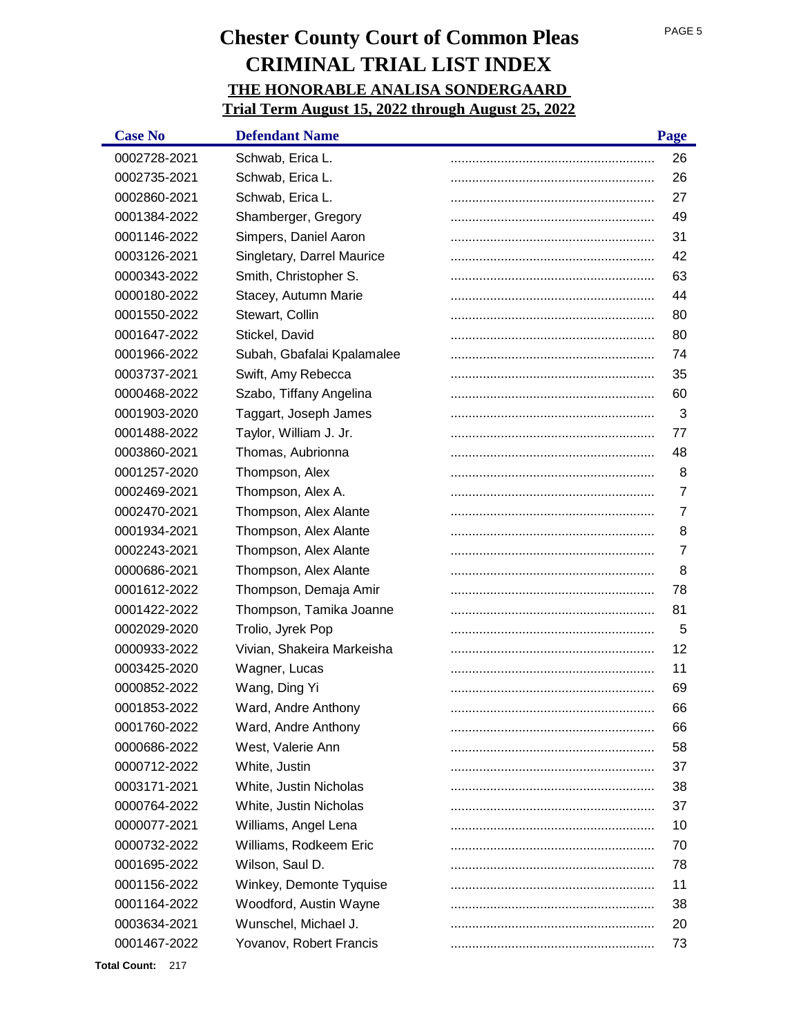| <b>Case No</b> | <b>Defendant Name</b>      | Page |
|----------------|----------------------------|------|
| 0002728-2021   | Schwab, Erica L.           | 26   |
| 0002735-2021   | Schwab, Erica L.           | 26   |
| 0002860-2021   | Schwab, Erica L.           | 27   |
| 0001384-2022   | Shamberger, Gregory        | 49   |
| 0001146-2022   | Simpers, Daniel Aaron      | 31   |
| 0003126-2021   | Singletary, Darrel Maurice | 42   |
| 0000343-2022   | Smith, Christopher S.      | 63   |
| 0000180-2022   | Stacey, Autumn Marie       | 44   |
| 0001550-2022   | Stewart, Collin            | 80   |
| 0001647-2022   | Stickel, David             | 80   |
| 0001966-2022   | Subah, Gbafalai Kpalamalee | 74   |
| 0003737-2021   | Swift, Amy Rebecca         | 35   |
| 0000468-2022   | Szabo, Tiffany Angelina    | 60   |
| 0001903-2020   | Taggart, Joseph James      | 3    |
| 0001488-2022   | Taylor, William J. Jr.     | 77   |
| 0003860-2021   | Thomas, Aubrionna          | 48   |
| 0001257-2020   | Thompson, Alex             | 8    |
| 0002469-2021   | Thompson, Alex A.          | 7    |
| 0002470-2021   | Thompson, Alex Alante      | 7    |
| 0001934-2021   | Thompson, Alex Alante      | 8    |
| 0002243-2021   | Thompson, Alex Alante      | 7    |
| 0000686-2021   | Thompson, Alex Alante      | 8    |
| 0001612-2022   | Thompson, Demaja Amir      | 78   |
| 0001422-2022   | Thompson, Tamika Joanne    | 81   |
| 0002029-2020   | Trolio, Jyrek Pop          | 5    |
| 0000933-2022   | Vivian, Shakeira Markeisha | 12   |
| 0003425-2020   | Wagner, Lucas              | 11   |
| 0000852-2022   | Wang, Ding Yi              | 69   |
| 0001853-2022   | Ward, Andre Anthony        | 66   |
| 0001760-2022   | Ward, Andre Anthony        | 66   |
| 0000686-2022   | West, Valerie Ann          | 58   |
| 0000712-2022   | White, Justin              | 37   |
| 0003171-2021   | White, Justin Nicholas     | 38   |
| 0000764-2022   | White, Justin Nicholas     | 37   |
| 0000077-2021   | Williams, Angel Lena       | 10   |
| 0000732-2022   | Williams, Rodkeem Eric     | 70   |
| 0001695-2022   | Wilson, Saul D.            | 78   |
| 0001156-2022   | Winkey, Demonte Tyquise    | 11   |
| 0001164-2022   | Woodford, Austin Wayne     | 38   |
| 0003634-2021   | Wunschel, Michael J.       | 20   |
| 0001467-2022   | Yovanov, Robert Francis    | 73   |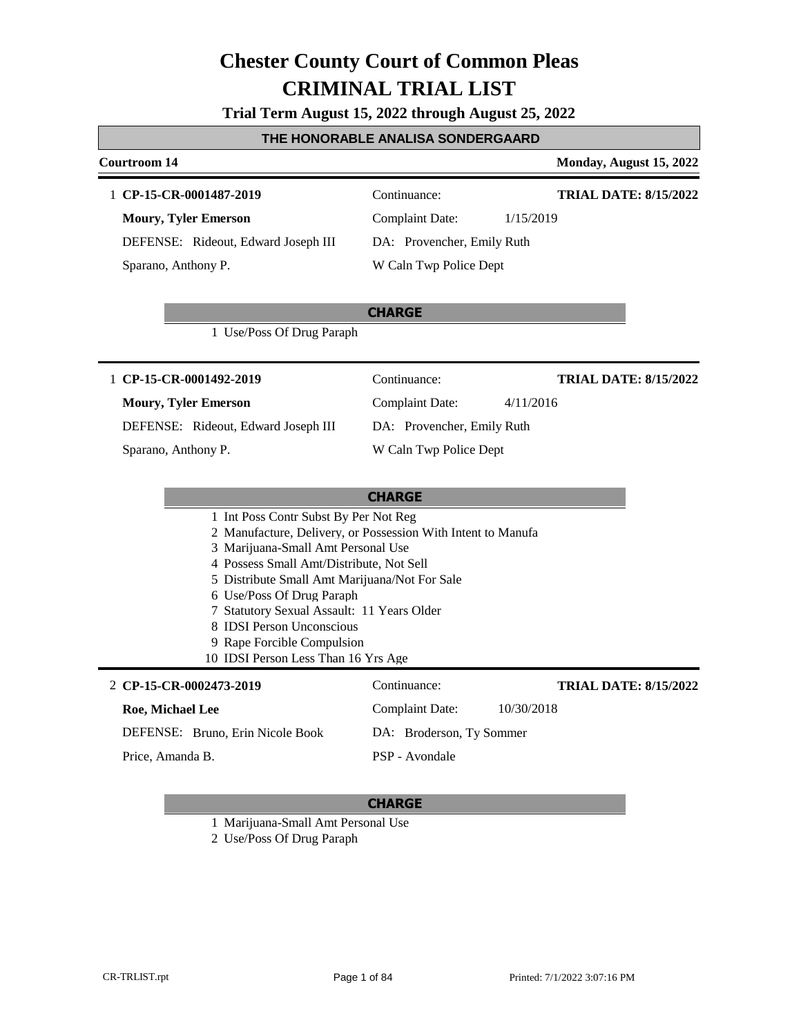|  |  | Trial Term August 15, 2022 through August 25, 2022 |
|--|--|----------------------------------------------------|
|--|--|----------------------------------------------------|

#### **THE HONORABLE ANALISA SONDERGAARD**

#### **Courtroom 14 Monday, August 15, 2022 CHARGE** 1 **CP-15-CR-0001487-2019** Continuance: **Moury, Tyler Emerson** DEFENSE: Rideout, Edward Joseph III Complaint Date: 1/15/2019 DA: Provencher, Emily Ruth W Caln Twp Police Dept **TRIAL DATE: 8/15/2022** Sparano, Anthony P. 1 Use/Poss Of Drug Paraph **CHARGE** 1 **CP-15-CR-0001492-2019** Continuance: **Moury, Tyler Emerson** DEFENSE: Rideout, Edward Joseph III Complaint Date: 4/11/2016 DA: Provencher, Emily Ruth W Caln Twp Police Dept **TRIAL DATE: 8/15/2022** Sparano, Anthony P. 1 Int Poss Contr Subst By Per Not Reg 2 Manufacture, Delivery, or Possession With Intent to Manufa 3 Marijuana-Small Amt Personal Use 4 Possess Small Amt/Distribute, Not Sell 5 Distribute Small Amt Marijuana/Not For Sale 6 Use/Poss Of Drug Paraph 7 Statutory Sexual Assault: 11 Years Older 8 IDSI Person Unconscious 9 Rape Forcible Compulsion 10 IDSI Person Less Than 16 Yrs Age **CP-15-CR-0002473-2019** 2 Continuance: **Roe, Michael Lee** DEFENSE: Bruno, Erin Nicole Book Complaint Date: 10/30/2018 DA: Broderson, Ty Sommer PSP - Avondale **TRIAL DATE: 8/15/2022** Price, Amanda B.

#### **CHARGE**

1 Marijuana-Small Amt Personal Use

2 Use/Poss Of Drug Paraph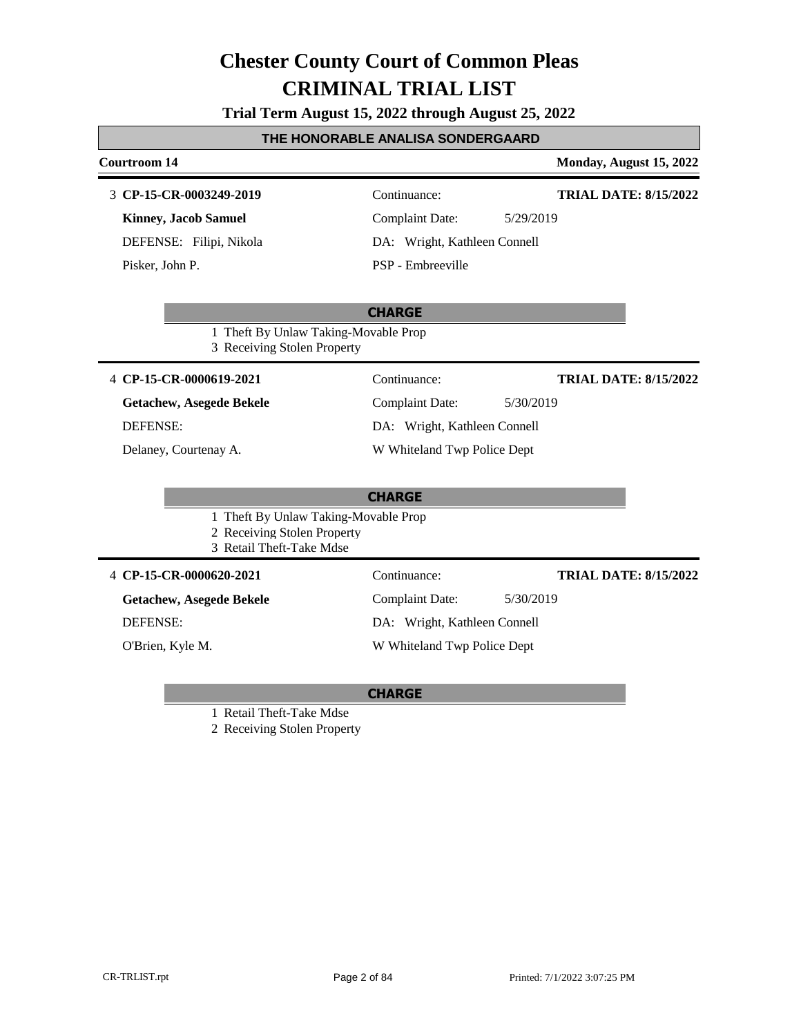**Trial Term August 15, 2022 through August 25, 2022**

#### **THE HONORABLE ANALISA SONDERGAARD**

### **Courtroom 14 Monday, August 15, 2022 CHARGE CP-15-CR-0003249-2019** 3 Continuance: **Kinney, Jacob Samuel** DEFENSE: Filipi, Nikola Complaint Date: 5/29/2019 DA: Wright, Kathleen Connell PSP - Embreeville **TRIAL DATE: 8/15/2022** Pisker, John P. 1 Theft By Unlaw Taking-Movable Prop 3 Receiving Stolen Property **CHARGE** 4 **CP-15-CR-0000619-2021** Continuance: **Getachew, Asegede Bekele** DEFENSE: Complaint Date: 5/30/2019 DA: Wright, Kathleen Connell W Whiteland Twp Police Dept **TRIAL DATE: 8/15/2022** Delaney, Courtenay A. 1 Theft By Unlaw Taking-Movable Prop 2 Receiving Stolen Property 3 Retail Theft-Take Mdse 4 **CP-15-CR-0000620-2021** Continuance: **Getachew, Asegede Bekele** DEFENSE: Complaint Date: 5/30/2019 DA: Wright, Kathleen Connell W Whiteland Twp Police Dept **TRIAL DATE: 8/15/2022** O'Brien, Kyle M.

#### **CHARGE**

1 Retail Theft-Take Mdse

2 Receiving Stolen Property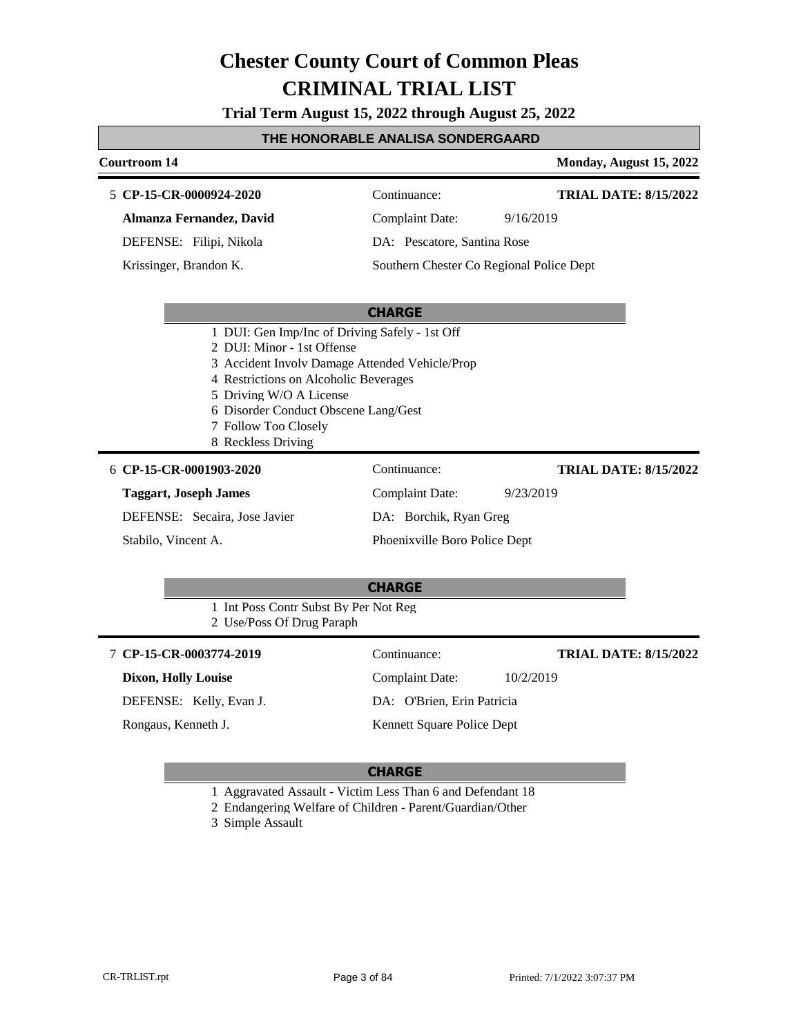**Trial Term August 15, 2022 through August 25, 2022**

#### **THE HONORABLE ANALISA SONDERGAARD**

#### **Courtroom 14 Monday, August 15, 2022 CP-15-CR-0000924-2020** 5 Continuance: **Almanza Fernandez, David** DEFENSE: Filipi, Nikola Complaint Date: 9/16/2019 DA: Pescatore, Santina Rose **TRIAL DATE: 8/15/2022**

Krissinger, Brandon K.

Southern Chester Co Regional Police Dept

#### **CHARGE**

- 1 DUI: Gen Imp/Inc of Driving Safely 1st Off
- 2 DUI: Minor 1st Offense
- 3 Accident Involv Damage Attended Vehicle/Prop
- 4 Restrictions on Alcoholic Beverages
- 5 Driving W/O A License
- 6 Disorder Conduct Obscene Lang/Gest
- 7 Follow Too Closely
- 8 Reckless Driving

#### **CP-15-CR-0001903-2020** 6 Continuance:

#### **Taggart, Joseph James**

DEFENSE: Secaira, Jose Javier

Stabilo, Vincent A.

Complaint Date: 9/23/2019 DA: Borchik, Ryan Greg Phoenixville Boro Police Dept

#### **TRIAL DATE: 8/15/2022**

#### **CHARGE**

- 1 Int Poss Contr Subst By Per Not Reg
- 2 Use/Poss Of Drug Paraph

#### **CP-15-CR-0003774-2019** 7 Continuance: **Dixon, Holly Louise** DEFENSE: Kelly, Evan J. Complaint Date: 10/2/2019 DA: O'Brien, Erin Patricia Kennett Square Police Dept **TRIAL DATE: 8/15/2022** Rongaus, Kenneth J.

- 1 Aggravated Assault Victim Less Than 6 and Defendant 18
- 2 Endangering Welfare of Children Parent/Guardian/Other
- 3 Simple Assault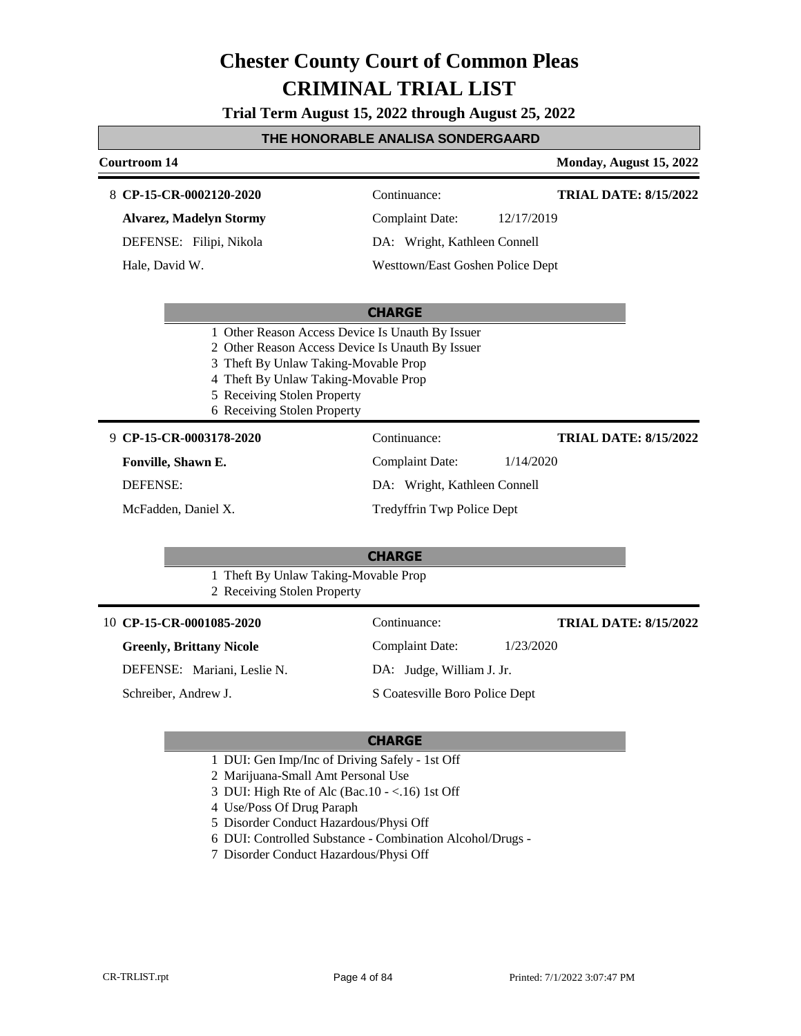**Trial Term August 15, 2022 through August 25, 2022**

#### **THE HONORABLE ANALISA SONDERGAARD**

#### **Courtroom 14 Monday, August 15, 2022 CP-15-CR-0002120-2020** 8 Continuance: **Alvarez, Madelyn Stormy** Complaint Date: 12/17/2019 **TRIAL DATE: 8/15/2022**

DEFENSE: Filipi, Nikola

Hale, David W.

DA: Wright, Kathleen Connell Westtown/East Goshen Police Dept

#### **CHARGE**

- 1 Other Reason Access Device Is Unauth By Issuer
- 2 Other Reason Access Device Is Unauth By Issuer
- 3 Theft By Unlaw Taking-Movable Prop
- 4 Theft By Unlaw Taking-Movable Prop
- 5 Receiving Stolen Property
- 6 Receiving Stolen Property

**CP-15-CR-0003178-2020** 9 Continuance:

**Fonville, Shawn E.**

DEFENSE:

McFadden, Daniel X.

**TRIAL DATE: 8/15/2022**

- Complaint Date: 1/14/2020
- DA: Wright, Kathleen Connell

Tredyffrin Twp Police Dept

#### **CHARGE**

1 Theft By Unlaw Taking-Movable Prop 2 Receiving Stolen Property

| 10 CP-15-CR-0001085-2020        | Continuance:                   | <b>TRIAL DATE: 8/15/2022</b> |
|---------------------------------|--------------------------------|------------------------------|
| <b>Greenly, Brittany Nicole</b> | <b>Complaint Date:</b>         | 1/23/2020                    |
| DEFENSE: Mariani, Leslie N.     | DA: Judge, William J. Jr.      |                              |
| Schreiber, Andrew J.            | S Coatesville Boro Police Dept |                              |
|                                 |                                |                              |

- 1 DUI: Gen Imp/Inc of Driving Safely 1st Off
- 2 Marijuana-Small Amt Personal Use
- 3 DUI: High Rte of Alc (Bac.10 <.16) 1st Off
- 4 Use/Poss Of Drug Paraph
- 5 Disorder Conduct Hazardous/Physi Off
- 6 DUI: Controlled Substance Combination Alcohol/Drugs -
- 7 Disorder Conduct Hazardous/Physi Off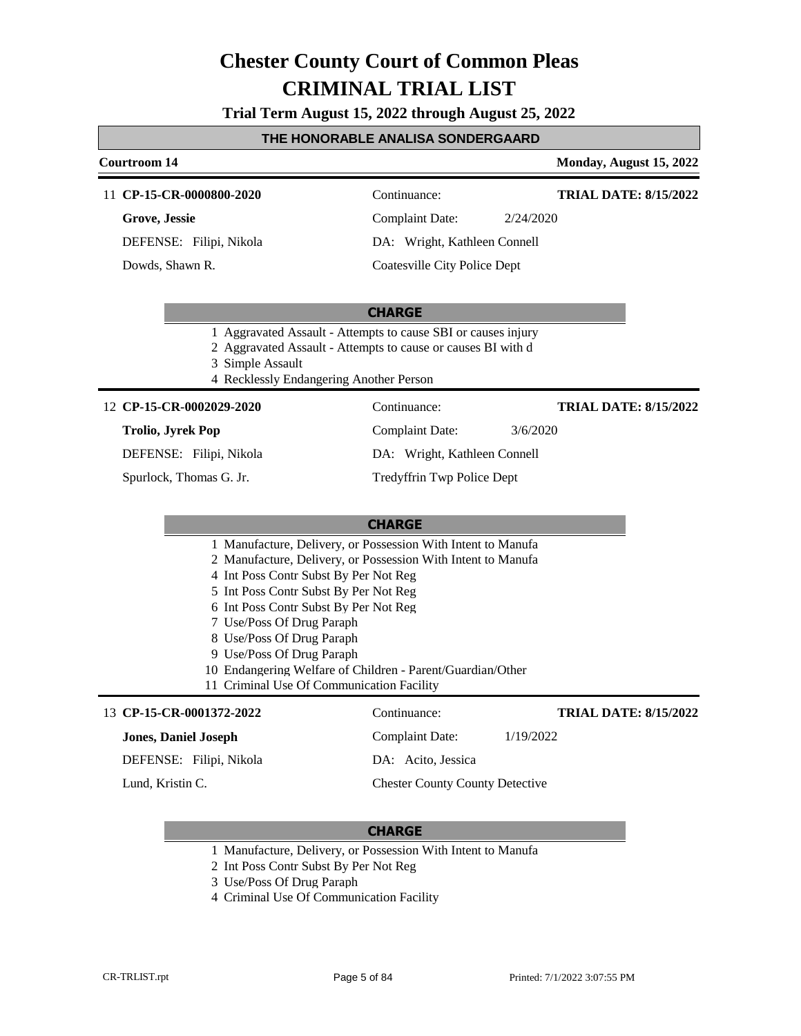**Trial Term August 15, 2022 through August 25, 2022**

#### **THE HONORABLE ANALISA SONDERGAARD**

### **Courtroom 14 Monday, August 15, 2022** 11 **CP-15-CR-0000800-2020** Continuance: **TRIAL DATE: 8/15/2022**

**Grove, Jessie** DEFENSE: Filipi, Nikola

Dowds, Shawn R.

Complaint Date: 2/24/2020 DA: Wright, Kathleen Connell

Coatesville City Police Dept

#### **CHARGE**

- 1 Aggravated Assault Attempts to cause SBI or causes injury
- 2 Aggravated Assault Attempts to cause or causes BI with d
- 3 Simple Assault
- 4 Recklessly Endangering Another Person

#### **CP-15-CR-0002029-2020** 12 Continuance:

#### **Trolio, Jyrek Pop**

DEFENSE: Filipi, Nikola

Spurlock, Thomas G. Jr.

**TRIAL DATE: 8/15/2022**

Complaint Date: 3/6/2020

DA: Wright, Kathleen Connell Tredyffrin Twp Police Dept

#### **CHARGE**

- 1 Manufacture, Delivery, or Possession With Intent to Manufa
- 2 Manufacture, Delivery, or Possession With Intent to Manufa
- 4 Int Poss Contr Subst By Per Not Reg
- 5 Int Poss Contr Subst By Per Not Reg
- 6 Int Poss Contr Subst By Per Not Reg
- 7 Use/Poss Of Drug Paraph
- 8 Use/Poss Of Drug Paraph
- 9 Use/Poss Of Drug Paraph
- 10 Endangering Welfare of Children Parent/Guardian/Other

#### 11 Criminal Use Of Communication Facility

| 13 CP-15-CR-0001372-2022    | Continuance:                           | <b>TRIAL DATE: 8/15/2022</b> |
|-----------------------------|----------------------------------------|------------------------------|
| <b>Jones, Daniel Joseph</b> | Complaint Date:                        | 1/19/2022                    |
| DEFENSE: Filipi, Nikola     | DA: Acito, Jessica                     |                              |
| Lund, Kristin C.            | <b>Chester County County Detective</b> |                              |

- 1 Manufacture, Delivery, or Possession With Intent to Manufa
- 2 Int Poss Contr Subst By Per Not Reg
- 3 Use/Poss Of Drug Paraph
- 4 Criminal Use Of Communication Facility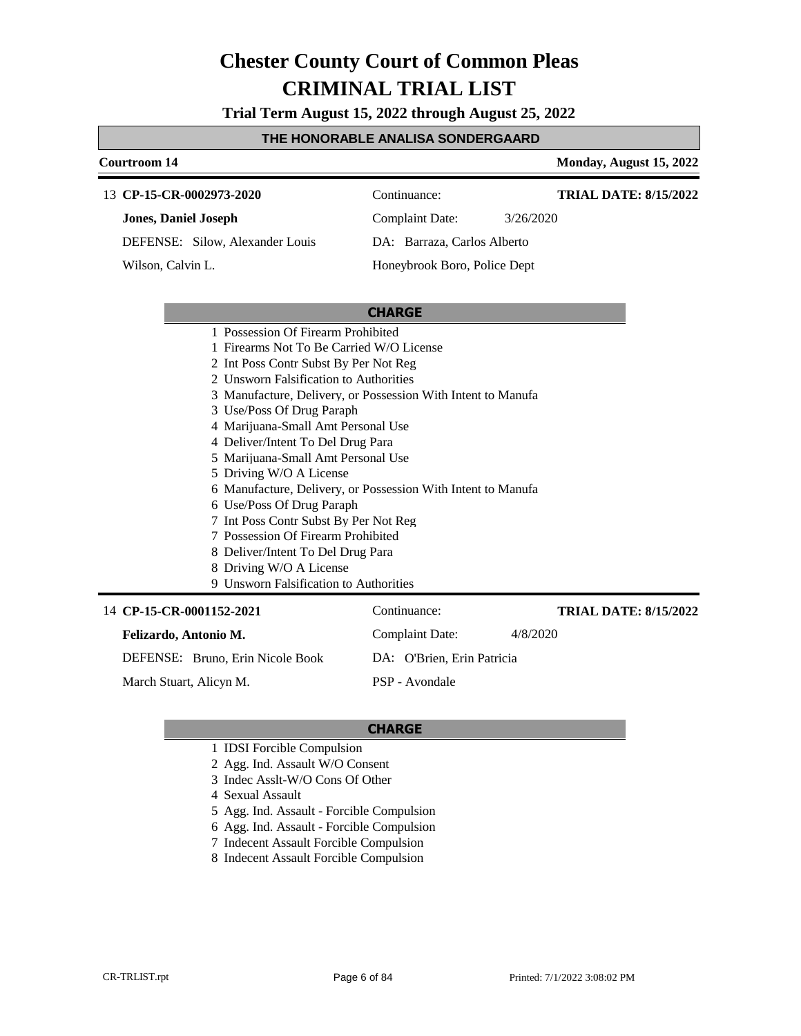**Trial Term August 15, 2022 through August 25, 2022**

#### **THE HONORABLE ANALISA SONDERGAARD**

#### **Courtroom 14 Monday, August 15, 2022** 13 **CP-15-CR-0002973-2020** Continuance: **Jones, Daniel Joseph** DEFENSE: Silow, Alexander Louis Complaint Date: 3/26/2020 DA: Barraza, Carlos Alberto Honeybrook Boro, Police Dept **TRIAL DATE: 8/15/2022** Wilson, Calvin L.

#### **CHARGE**

- 1 Possession Of Firearm Prohibited
- 1 Firearms Not To Be Carried W/O License
- 2 Int Poss Contr Subst By Per Not Reg
- 2 Unsworn Falsification to Authorities
- 3 Manufacture, Delivery, or Possession With Intent to Manufa
- 3 Use/Poss Of Drug Paraph
- 4 Marijuana-Small Amt Personal Use
- 4 Deliver/Intent To Del Drug Para
- 5 Marijuana-Small Amt Personal Use
- 5 Driving W/O A License
- 6 Manufacture, Delivery, or Possession With Intent to Manufa
- 6 Use/Poss Of Drug Paraph
- 7 Int Poss Contr Subst By Per Not Reg
- 7 Possession Of Firearm Prohibited
- 8 Deliver/Intent To Del Drug Para
- 8 Driving W/O A License
- 9 Unsworn Falsification to Authorities

| 14 CP-15-CR-0001152-2021         | Continuance:               | <b>TRIAL DATE: 8/15/2022</b> |
|----------------------------------|----------------------------|------------------------------|
| Felizardo, Antonio M.            | Complaint Date:            | 4/8/2020                     |
| DEFENSE: Bruno, Erin Nicole Book | DA: O'Brien, Erin Patricia |                              |
| March Stuart, Alicyn M.          | PSP - Avondale             |                              |

- 1 IDSI Forcible Compulsion
- 2 Agg. Ind. Assault W/O Consent
- 3 Indec Asslt-W/O Cons Of Other
- 4 Sexual Assault
- 5 Agg. Ind. Assault Forcible Compulsion
- 6 Agg. Ind. Assault Forcible Compulsion
- 7 Indecent Assault Forcible Compulsion
- 8 Indecent Assault Forcible Compulsion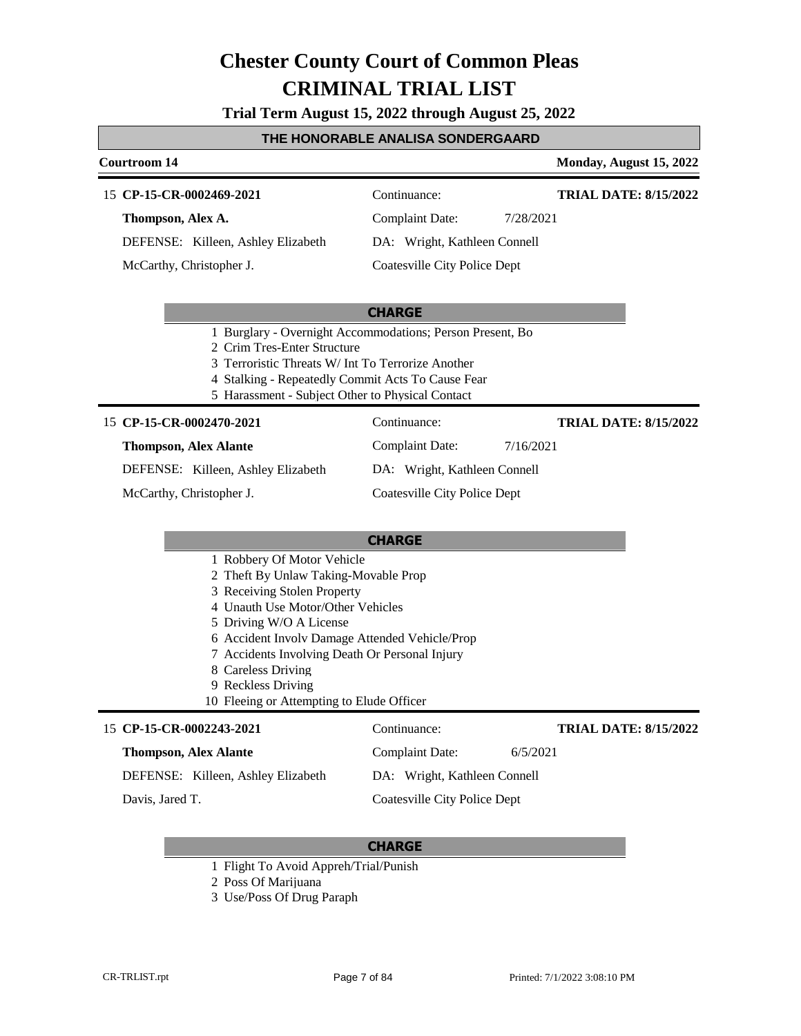**Trial Term August 15, 2022 through August 25, 2022**

#### **THE HONORABLE ANALISA SONDERGAARD**

**Courtroom 14 Monday, August 15, 2022** 

#### 15 **CP-15-CR-0002469-2021** Continuance:

**Thompson, Alex A.** DEFENSE: Killeen, Ashley Elizabeth

McCarthy, Christopher J.

Complaint Date: 7/28/2021

**TRIAL DATE: 8/15/2022**

DA: Wright, Kathleen Connell

Coatesville City Police Dept

#### **CHARGE**

- 1 Burglary Overnight Accommodations; Person Present, Bo
- 2 Crim Tres-Enter Structure
- 3 Terroristic Threats W/ Int To Terrorize Another
- 4 Stalking Repeatedly Commit Acts To Cause Fear
- 5 Harassment Subject Other to Physical Contact

#### 15 **CP-15-CR-0002470-2021** Continuance:

#### **Thompson, Alex Alante**

DEFENSE: Killeen, Ashley Elizabeth

McCarthy, Christopher J.

#### **CHARGE**

- 1 Robbery Of Motor Vehicle
- 2 Theft By Unlaw Taking-Movable Prop
- 3 Receiving Stolen Property
- 4 Unauth Use Motor/Other Vehicles
- 5 Driving W/O A License
- 6 Accident Involv Damage Attended Vehicle/Prop
- 7 Accidents Involving Death Or Personal Injury
- 8 Careless Driving
- 9 Reckless Driving
- 10 Fleeing or Attempting to Elude Officer

#### 15 **CP-15-CR-0002243-2021** Continuance: **Thompson, Alex Alante** DEFENSE: Killeen, Ashley Elizabeth Complaint Date: 6/5/2021 DA: Wright, Kathleen Connell Coatesville City Police Dept **TRIAL DATE: 8/15/2022** Davis, Jared T.

#### **CHARGE**

- 1 Flight To Avoid Appreh/Trial/Punish
- 2 Poss Of Marijuana
- 3 Use/Poss Of Drug Paraph

Complaint Date: 7/16/2021 DA: Wright, Kathleen Connell

Coatesville City Police Dept

**TRIAL DATE: 8/15/2022**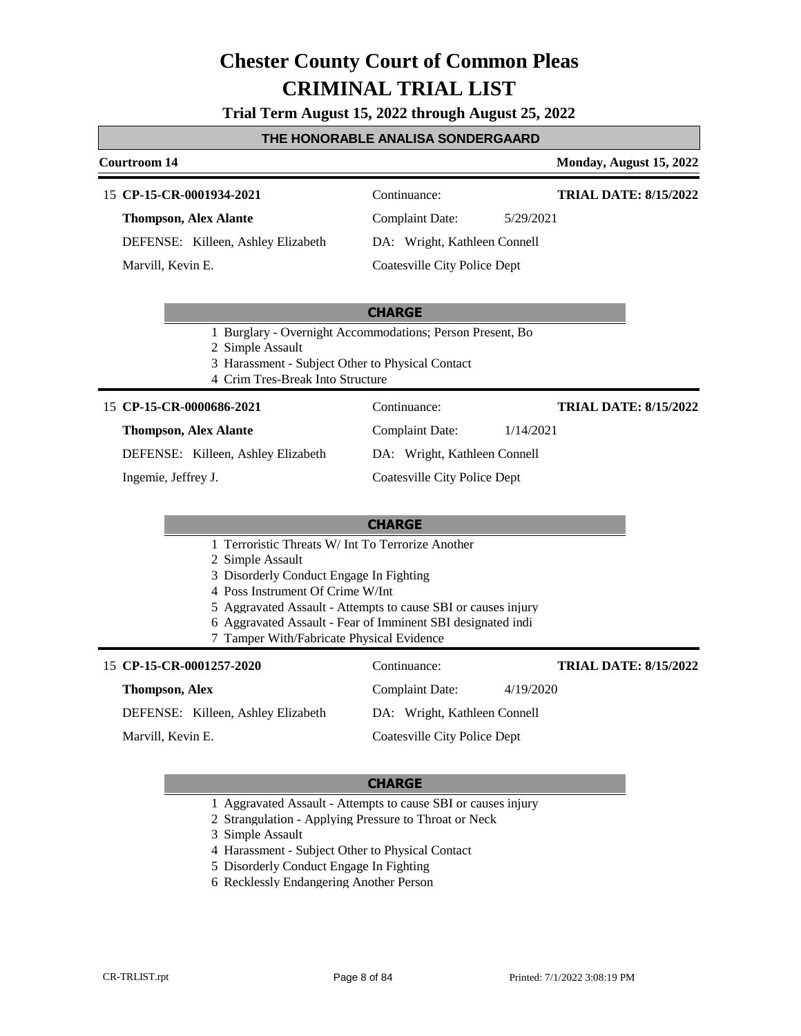**Trial Term August 15, 2022 through August 25, 2022**

#### **THE HONORABLE ANALISA SONDERGAARD**

#### **Courtroom 14 Monday, August 15, 2022**

#### 15 **CP-15-CR-0001934-2021** Continuance:

**Thompson, Alex Alante**

DEFENSE: Killeen, Ashley Elizabeth Marvill, Kevin E.

**TRIAL DATE: 8/15/2022**

**TRIAL DATE: 8/15/2022**

Complaint Date: 5/29/2021 DA: Wright, Kathleen Connell

Coatesville City Police Dept

#### **CHARGE**

- 1 Burglary Overnight Accommodations; Person Present, Bo
- 2 Simple Assault
- 3 Harassment Subject Other to Physical Contact
- 4 Crim Tres-Break Into Structure

### 15 **CP-15-CR-0000686-2021** Continuance:

#### **Thompson, Alex Alante**

DEFENSE: Killeen, Ashley Elizabeth

Ingemie, Jeffrey J.

Coatesville City Police Dept

Complaint Date: 1/14/2021 DA: Wright, Kathleen Connell

#### **CHARGE**

- 1 Terroristic Threats W/ Int To Terrorize Another
- 2 Simple Assault
- 3 Disorderly Conduct Engage In Fighting
- 4 Poss Instrument Of Crime W/Int
- 5 Aggravated Assault Attempts to cause SBI or causes injury
- 6 Aggravated Assault Fear of Imminent SBI designated indi
- 7 Tamper With/Fabricate Physical Evidence

#### 15 **CP-15-CR-0001257-2020** Continuance: **Thompson, Alex** DEFENSE: Killeen, Ashley Elizabeth Complaint Date: 4/19/2020 DA: Wright, Kathleen Connell Coatesville City Police Dept **TRIAL DATE: 8/15/2022** Marvill, Kevin E.

- 1 Aggravated Assault Attempts to cause SBI or causes injury
- 2 Strangulation Applying Pressure to Throat or Neck
- 3 Simple Assault
- 4 Harassment Subject Other to Physical Contact
- 5 Disorderly Conduct Engage In Fighting
- 6 Recklessly Endangering Another Person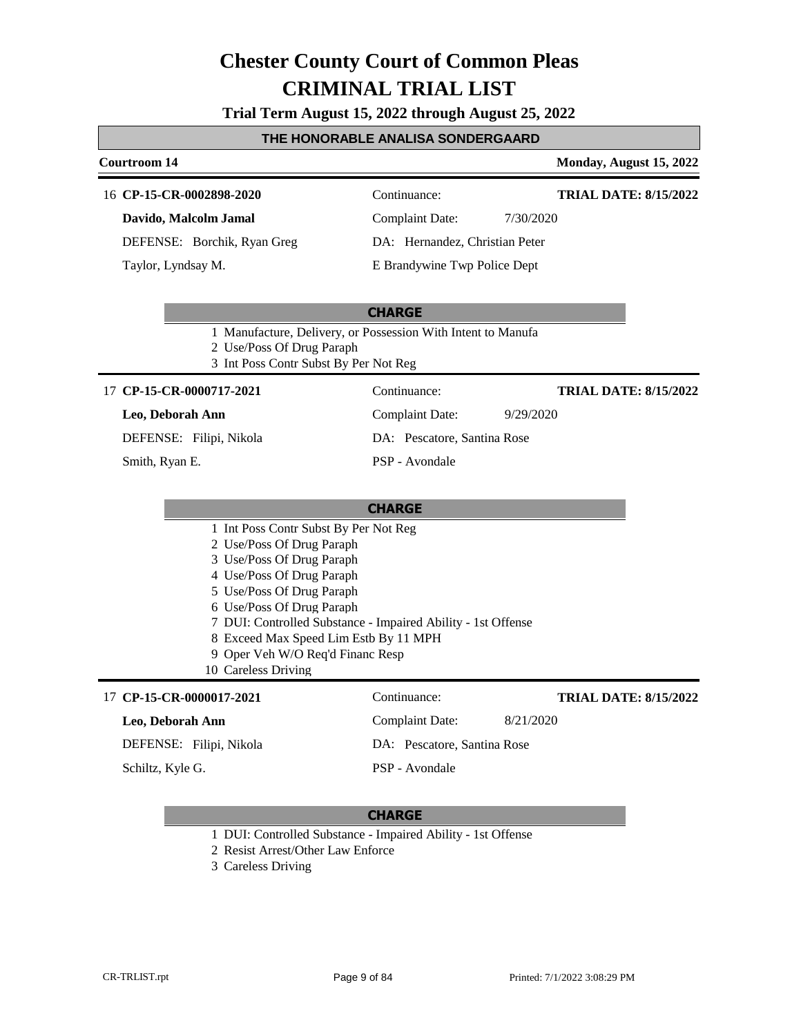**Trial Term August 15, 2022 through August 25, 2022**

#### **THE HONORABLE ANALISA SONDERGAARD**

### **Courtroom 14 Monday, August 15, 2022 CHARGE** 16 **CP-15-CR-0002898-2020** Continuance: **Davido, Malcolm Jamal** DEFENSE: Borchik, Ryan Greg Complaint Date: 7/30/2020 DA: Hernandez, Christian Peter E Brandywine Twp Police Dept **TRIAL DATE: 8/15/2022** Taylor, Lyndsay M. 1 Manufacture, Delivery, or Possession With Intent to Manufa 2 Use/Poss Of Drug Paraph 3 Int Poss Contr Subst By Per Not Reg **CHARGE** 17 **CP-15-CR-0000717-2021** Continuance: **Leo, Deborah Ann** DEFENSE: Filipi, Nikola Complaint Date: 9/29/2020 DA: Pescatore, Santina Rose PSP - Avondale **TRIAL DATE: 8/15/2022** Smith, Ryan E. 1 Int Poss Contr Subst By Per Not Reg 2 Use/Poss Of Drug Paraph 3 Use/Poss Of Drug Paraph 4 Use/Poss Of Drug Paraph 5 Use/Poss Of Drug Paraph

- 6 Use/Poss Of Drug Paraph
- 7 DUI: Controlled Substance Impaired Ability 1st Offense
- 8 Exceed Max Speed Lim Estb By 11 MPH
- 9 Oper Veh W/O Req'd Financ Resp
- 10 Careless Driving

#### 17 **CP-15-CR-0000017-2021** Continuance:

#### **Leo, Deborah Ann**

DEFENSE: Filipi, Nikola

Schiltz, Kyle G.

### **CHARGE**

PSP - Avondale

Complaint Date: 8/21/2020

DA: Pescatore, Santina Rose

- 1 DUI: Controlled Substance Impaired Ability 1st Offense
- 2 Resist Arrest/Other Law Enforce
- 3 Careless Driving

**TRIAL DATE: 8/15/2022**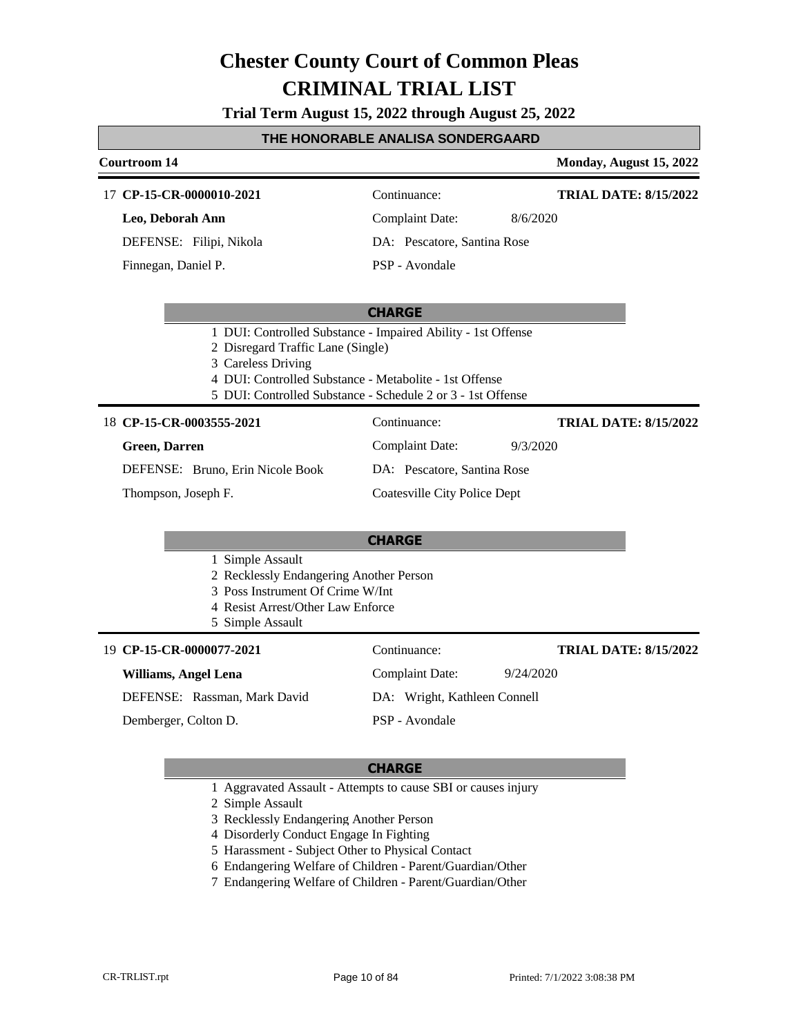**Trial Term August 15, 2022 through August 25, 2022**

#### **THE HONORABLE ANALISA SONDERGAARD**

#### **Courtroom 14 Monday, August 15, 2022** 17 **CP-15-CR-0000010-2021** Continuance: **Leo, Deborah Ann** Complaint Date: 8/6/2020 **TRIAL DATE: 8/15/2022**

DEFENSE: Filipi, Nikola

Finnegan, Daniel P.

DA: Pescatore, Santina Rose

PSP - Avondale

#### **CHARGE**

- 1 DUI: Controlled Substance Impaired Ability 1st Offense
- 2 Disregard Traffic Lane (Single)
- 3 Careless Driving
- 4 DUI: Controlled Substance Metabolite 1st Offense
- 5 DUI: Controlled Substance Schedule 2 or 3 1st Offense

#### **CP-15-CR-0003555-2021** 18 Continuance:

### **Green, Darren**

**TRIAL DATE: 8/15/2022**

DEFENSE: Bruno, Erin Nicole Book

Thompson, Joseph F.

#### **CHARGE**

- 1 Simple Assault
- 2 Recklessly Endangering Another Person
- 3 Poss Instrument Of Crime W/Int
- 4 Resist Arrest/Other Law Enforce
- 5 Simple Assault

| 19 CP-15-CR-0000077-2021     | Continuance:                 | <b>TRIAL DATE: 8/15/2022</b> |
|------------------------------|------------------------------|------------------------------|
| <b>Williams, Angel Lena</b>  | Complaint Date:              | 9/24/2020                    |
| DEFENSE: Rassman, Mark David | DA: Wright, Kathleen Connell |                              |
| Demberger, Colton D.         | PSP - Avondale               |                              |

#### **CHARGE**

- 1 Aggravated Assault Attempts to cause SBI or causes injury
- 2 Simple Assault
- 3 Recklessly Endangering Another Person
- 4 Disorderly Conduct Engage In Fighting
- 5 Harassment Subject Other to Physical Contact
- 6 Endangering Welfare of Children Parent/Guardian/Other
- 7 Endangering Welfare of Children Parent/Guardian/Other

Complaint Date: 9/3/2020

DA: Pescatore, Santina Rose Coatesville City Police Dept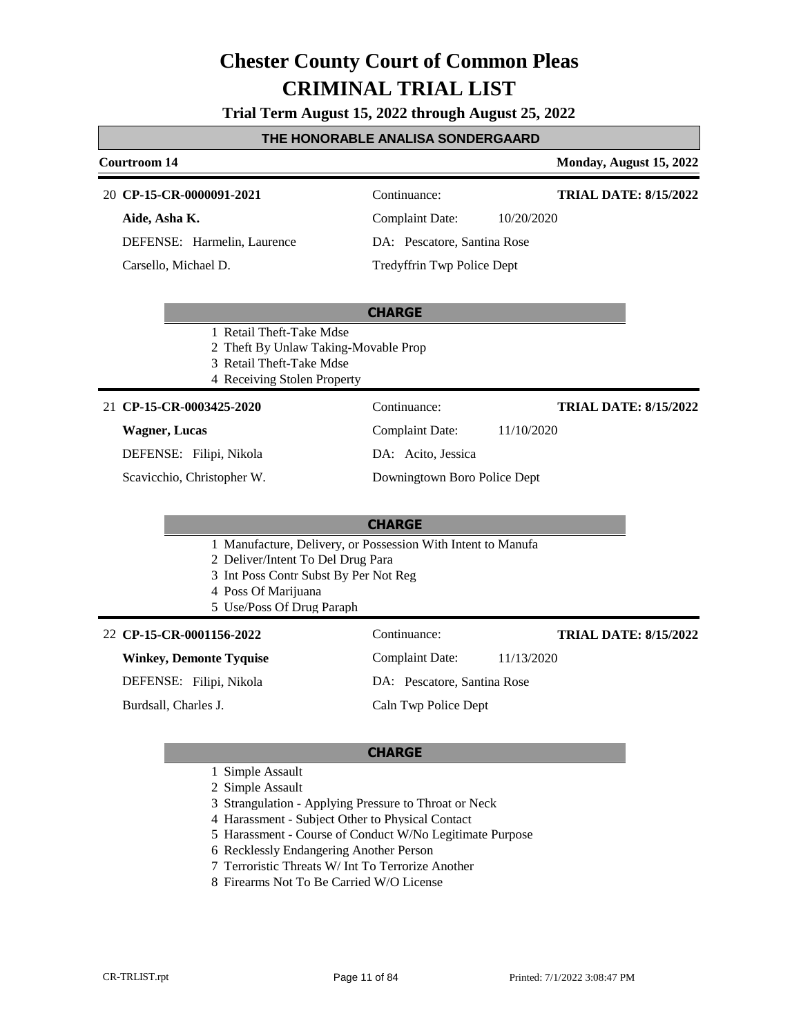**Trial Term August 15, 2022 through August 25, 2022**

#### **THE HONORABLE ANALISA SONDERGAARD**

# **Courtroom 14 Monday, August 15, 2022**

#### **CP-15-CR-0000091-2021** 20 Continuance:

**Aide, Asha K.** DEFENSE: Harmelin, Laurence

Carsello, Michael D.

**TRIAL DATE: 8/15/2022**

**TRIAL DATE: 8/15/2022**

Complaint Date: 10/20/2020

### DA: Pescatore, Santina Rose Tredyffrin Twp Police Dept

#### **CHARGE**

- 1 Retail Theft-Take Mdse
- 2 Theft By Unlaw Taking-Movable Prop
- 3 Retail Theft-Take Mdse
- 4 Receiving Stolen Property

#### **CP-15-CR-0003425-2020** 21 Continuance:

#### **Wagner, Lucas**

DEFENSE: Filipi, Nikola

Scavicchio, Christopher W.

Complaint Date: 11/10/2020 DA: Acito, Jessica

#### Downingtown Boro Police Dept

#### **CHARGE**

- 1 Manufacture, Delivery, or Possession With Intent to Manufa
- 2 Deliver/Intent To Del Drug Para
- 3 Int Poss Contr Subst By Per Not Reg
- 4 Poss Of Marijuana
- 5 Use/Poss Of Drug Paraph

#### **CP-15-CR-0001156-2022** 22 Continuance:

#### **Winkey, Demonte Tyquise**

DEFENSE: Filipi, Nikola

Burdsall, Charles J.

Caln Twp Police Dept

#### **CHARGE**

- 1 Simple Assault
- 2 Simple Assault
- 3 Strangulation Applying Pressure to Throat or Neck
- 4 Harassment Subject Other to Physical Contact
- 5 Harassment Course of Conduct W/No Legitimate Purpose
- 6 Recklessly Endangering Another Person
- 7 Terroristic Threats W/ Int To Terrorize Another
- 8 Firearms Not To Be Carried W/O License

Complaint Date: 11/13/2020 DA: Pescatore, Santina Rose

# **TRIAL DATE: 8/15/2022**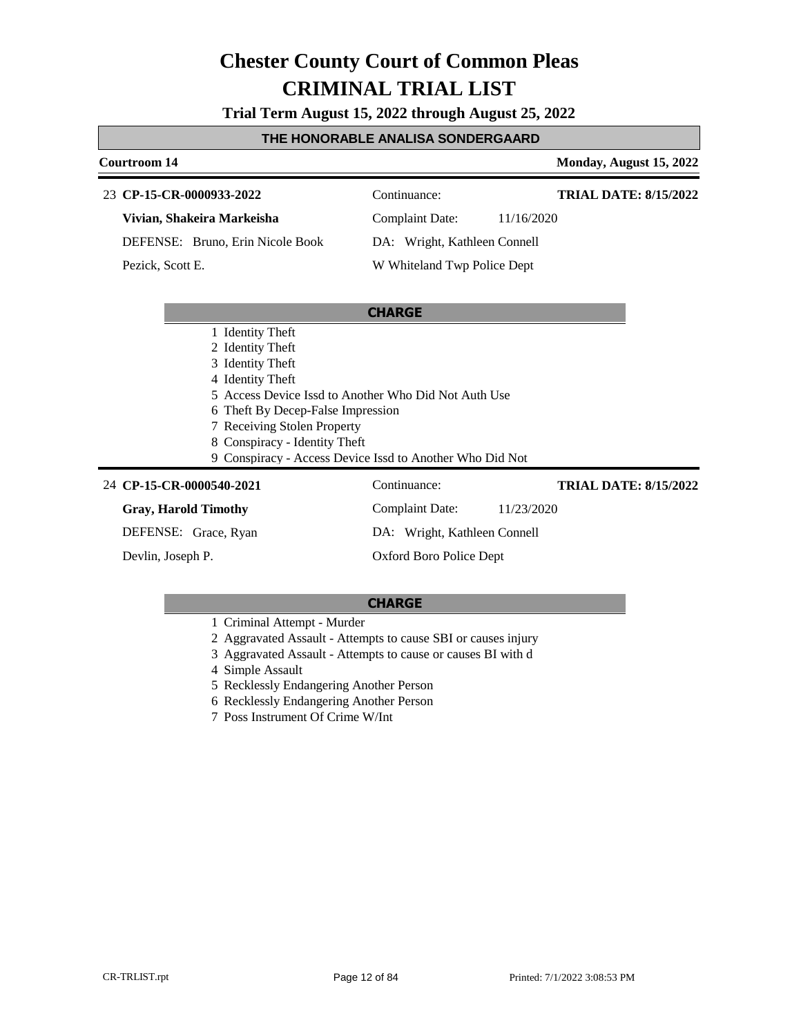**Trial Term August 15, 2022 through August 25, 2022**

#### **THE HONORABLE ANALISA SONDERGAARD**

**Courtroom 14 Monday, August 15, 2022** 

### **CP-15-CR-0000933-2022** 23 Continuance: **Vivian, Shakeira Markeisha**

DEFENSE: Bruno, Erin Nicole Book

Pezick, Scott E.

# DA: Wright, Kathleen Connell

W Whiteland Twp Police Dept

#### **CHARGE**

- 1 Identity Theft
- 2 Identity Theft
- 3 Identity Theft
- 4 Identity Theft
- 5 Access Device Issd to Another Who Did Not Auth Use
- 6 Theft By Decep-False Impression
- 7 Receiving Stolen Property
- 8 Conspiracy Identity Theft
- 9 Conspiracy Access Device Issd to Another Who Did Not

#### **CP-15-CR-0000540-2021** 24 Continuance:

### **Gray, Harold Timothy**

DEFENSE: Grace, Ryan

Devlin, Joseph P.

### Complaint Date: 11/23/2020 DA: Wright, Kathleen Connell Oxford Boro Police Dept **TRIAL DATE: 8/15/2022**

### **CHARGE**

- 1 Criminal Attempt Murder
- 2 Aggravated Assault Attempts to cause SBI or causes injury
- 3 Aggravated Assault Attempts to cause or causes BI with d
- 4 Simple Assault
- 5 Recklessly Endangering Another Person
- 6 Recklessly Endangering Another Person
- 7 Poss Instrument Of Crime W/Int

Complaint Date: 11/16/2020

**TRIAL DATE: 8/15/2022**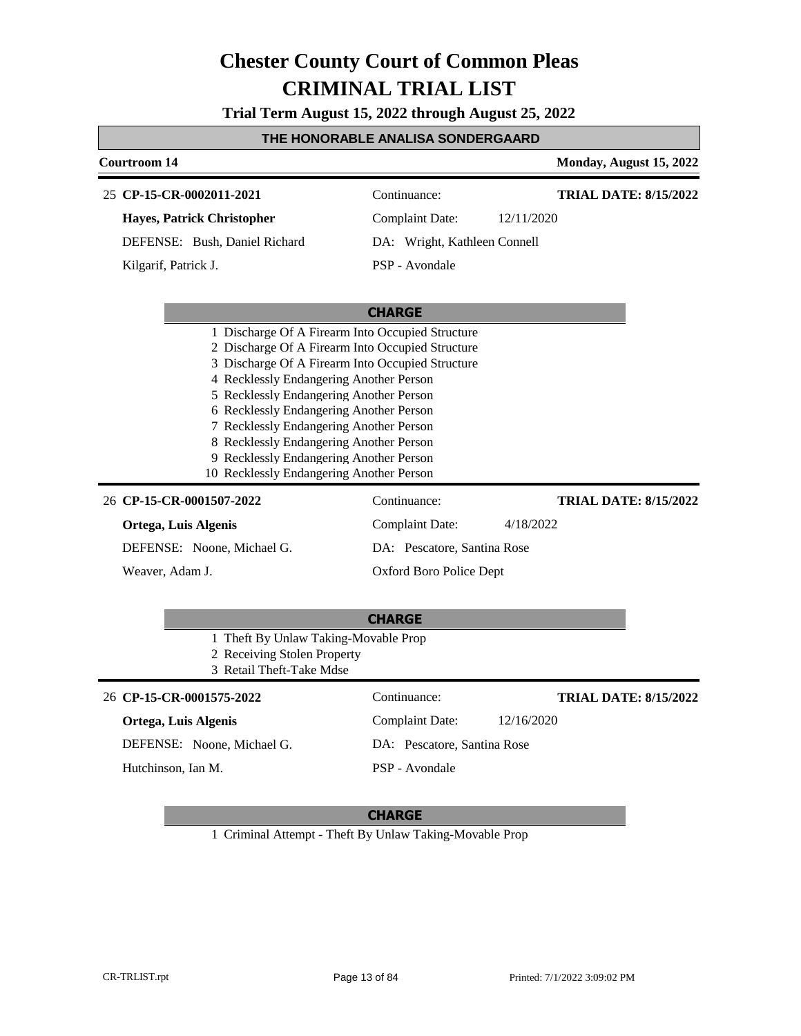**Trial Term August 15, 2022 through August 25, 2022**

#### **THE HONORABLE ANALISA SONDERGAARD**

| <b>Courtroom 14</b>                                                                                                                                                                                                                                                                                                                                                                                                                                                                                                                                                  |                              | Monday, August 15, 2022                                                  |
|----------------------------------------------------------------------------------------------------------------------------------------------------------------------------------------------------------------------------------------------------------------------------------------------------------------------------------------------------------------------------------------------------------------------------------------------------------------------------------------------------------------------------------------------------------------------|------------------------------|--------------------------------------------------------------------------|
| 25 CP-15-CR-0002011-2021                                                                                                                                                                                                                                                                                                                                                                                                                                                                                                                                             | Continuance:                 | <b>TRIAL DATE: 8/15/2022</b>                                             |
| Hayes, Patrick Christopher                                                                                                                                                                                                                                                                                                                                                                                                                                                                                                                                           | <b>Complaint Date:</b>       | 12/11/2020                                                               |
| DEFENSE: Bush, Daniel Richard                                                                                                                                                                                                                                                                                                                                                                                                                                                                                                                                        | DA: Wright, Kathleen Connell |                                                                          |
| Kilgarif, Patrick J.                                                                                                                                                                                                                                                                                                                                                                                                                                                                                                                                                 | PSP - Avondale               |                                                                          |
|                                                                                                                                                                                                                                                                                                                                                                                                                                                                                                                                                                      | <b>CHARGE</b>                |                                                                          |
| 1 Discharge Of A Firearm Into Occupied Structure<br>2 Discharge Of A Firearm Into Occupied Structure<br>3 Discharge Of A Firearm Into Occupied Structure<br>4 Recklessly Endangering Another Person<br>5 Recklessly Endangering Another Person<br>6 Recklessly Endangering Another Person<br>7 Recklessly Endangering Another Person<br>8 Recklessly Endangering Another Person<br>9 Recklessly Endangering Another Person<br>10 Recklessly Endangering Another Person<br>26 CP-15-CR-0001507-2022<br>Continuance:<br><b>Complaint Date:</b><br>Ortega, Luis Algenis |                              | <b>TRIAL DATE: 8/15/2022</b><br>4/18/2022<br>DA: Pescatore, Santina Rose |
| Weaver, Adam J.                                                                                                                                                                                                                                                                                                                                                                                                                                                                                                                                                      | Oxford Boro Police Dept      |                                                                          |
|                                                                                                                                                                                                                                                                                                                                                                                                                                                                                                                                                                      | <b>CHARGE</b>                |                                                                          |
| 1 Theft By Unlaw Taking-Movable Prop<br>2 Receiving Stolen Property<br>3 Retail Theft-Take Mdse                                                                                                                                                                                                                                                                                                                                                                                                                                                                      |                              |                                                                          |
| 26 CP-15-CR-0001575-2022                                                                                                                                                                                                                                                                                                                                                                                                                                                                                                                                             | Continuance:                 | <b>TRIAL DATE: 8/15/2022</b>                                             |
| Ortega, Luis Algenis                                                                                                                                                                                                                                                                                                                                                                                                                                                                                                                                                 | <b>Complaint Date:</b>       | 12/16/2020                                                               |

DEFENSE: Noone, Michael G.

Hutchinson, Ian M.

## **CHARGE**

PSP - Avondale

DA: Pescatore, Santina Rose

1 Criminal Attempt - Theft By Unlaw Taking-Movable Prop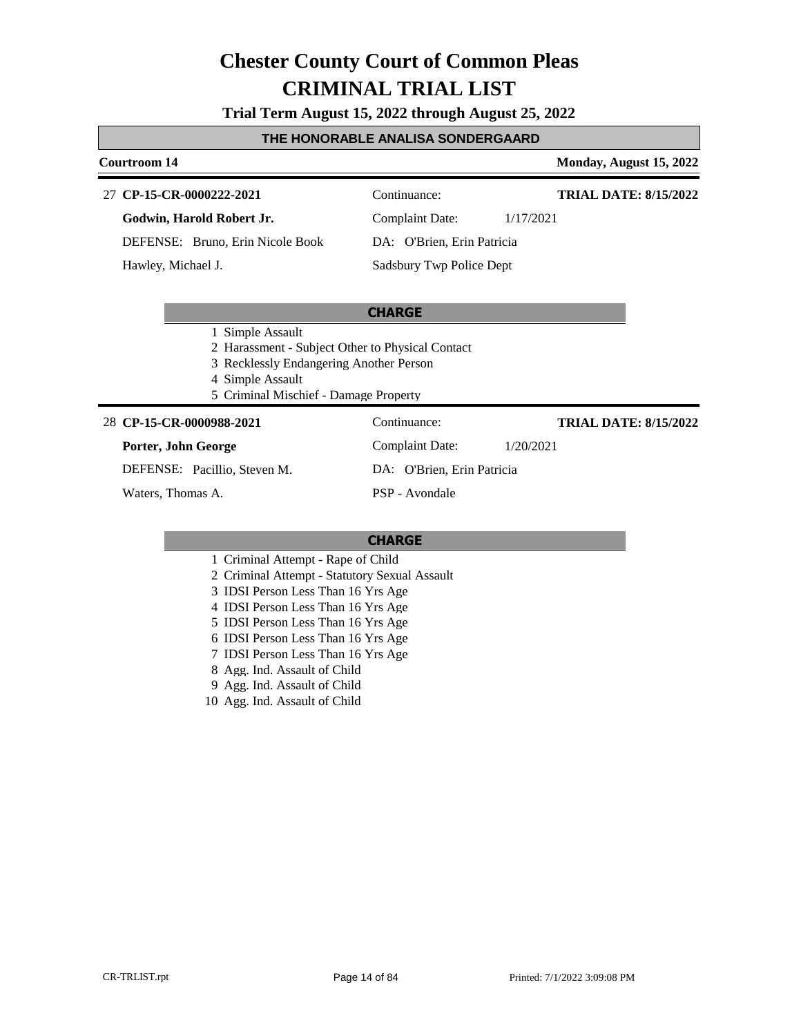#### **Trial Term August 15, 2022 through August 25, 2022**

#### **THE HONORABLE ANALISA SONDERGAARD**

#### **Courtroom 14 Monday, August 15, 2022**

#### **CP-15-CR-0000222-2021** 27 Continuance:

**TRIAL DATE: 8/15/2022**

**Godwin, Harold Robert Jr.**

DEFENSE: Bruno, Erin Nicole Book

Hawley, Michael J.

### Complaint Date: 1/17/2021

### DA: O'Brien, Erin Patricia Sadsbury Twp Police Dept

#### **CHARGE**

- 1 Simple Assault
- 2 Harassment Subject Other to Physical Contact
- 3 Recklessly Endangering Another Person
- 4 Simple Assault
- 5 Criminal Mischief Damage Property

#### **CP-15-CR-0000988-2021** 28 Continuance:

#### **Porter, John George**

DEFENSE: Pacillio, Steven M.

Waters, Thomas A.

Complaint Date: 1/20/2021

**TRIAL DATE: 8/15/2022**

PSP - Avondale

#### **CHARGE**

- 1 Criminal Attempt Rape of Child
- 2 Criminal Attempt Statutory Sexual Assault
- 3 IDSI Person Less Than 16 Yrs Age
- 4 IDSI Person Less Than 16 Yrs Age
- 5 IDSI Person Less Than 16 Yrs Age
- 6 IDSI Person Less Than 16 Yrs Age
- 7 IDSI Person Less Than 16 Yrs Age
- 8 Agg. Ind. Assault of Child
- 9 Agg. Ind. Assault of Child
- 10 Agg. Ind. Assault of Child

### DA: O'Brien, Erin Patricia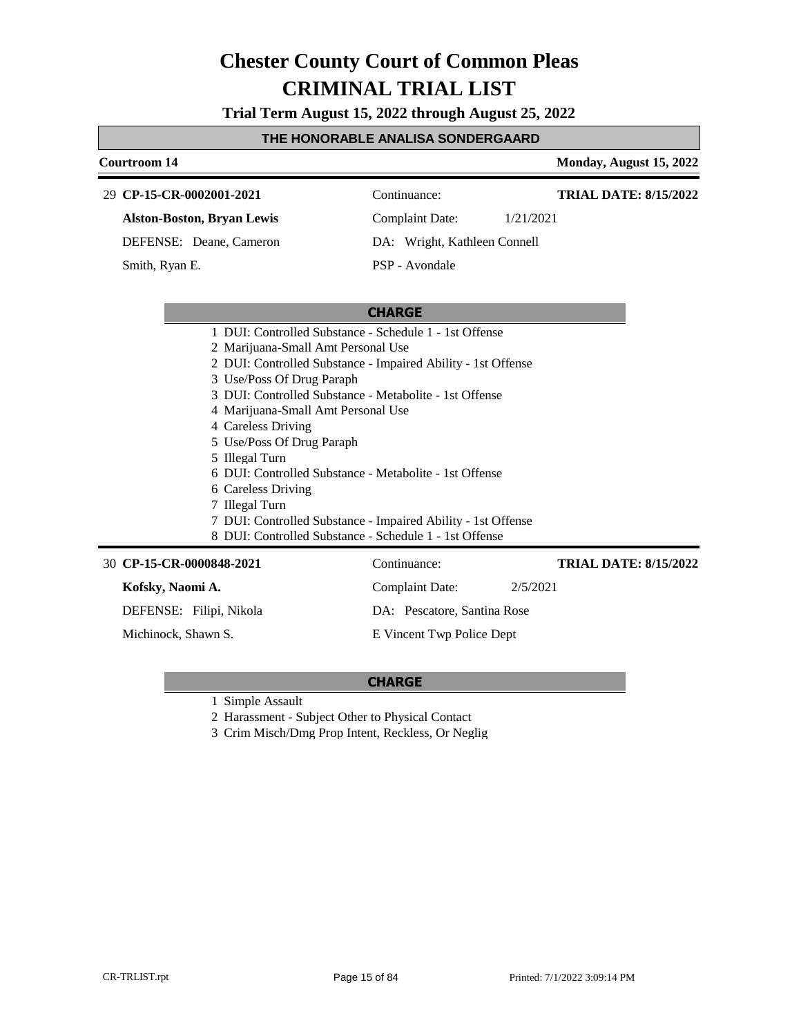**Trial Term August 15, 2022 through August 25, 2022**

#### **THE HONORABLE ANALISA SONDERGAARD**

# **Courtroom 14 Monday, August 15, 2022**

**TRIAL DATE: 8/15/2022**

#### **CP-15-CR-0002001-2021** 29 Continuance:

**Alston-Boston, Bryan Lewis**

DEFENSE: Deane, Cameron

Smith, Ryan E.

Complaint Date: 1/21/2021

**TRIAL DATE: 8/15/2022**

DA: Wright, Kathleen Connell

Complaint Date: 2/5/2021

DA: Pescatore, Santina Rose E Vincent Twp Police Dept

### **CHARGE**

- 1 DUI: Controlled Substance Schedule 1 1st Offense
- 2 Marijuana-Small Amt Personal Use
- 2 DUI: Controlled Substance Impaired Ability 1st Offense
- 3 Use/Poss Of Drug Paraph
- 3 DUI: Controlled Substance Metabolite 1st Offense
- 4 Marijuana-Small Amt Personal Use
- 4 Careless Driving
- 5 Use/Poss Of Drug Paraph
- 5 Illegal Turn
- 6 DUI: Controlled Substance Metabolite 1st Offense
- 6 Careless Driving
- 7 Illegal Turn
- 7 DUI: Controlled Substance Impaired Ability 1st Offense
- 8 DUI: Controlled Substance Schedule 1 1st Offense

**CP-15-CR-0000848-2021** 30 Continuance:

#### **Kofsky, Naomi A.**

DEFENSE: Filipi, Nikola

Michinock, Shawn S.

**CHARGE**

1 Simple Assault

2 Harassment - Subject Other to Physical Contact

3 Crim Misch/Dmg Prop Intent, Reckless, Or Neglig

PSP - Avondale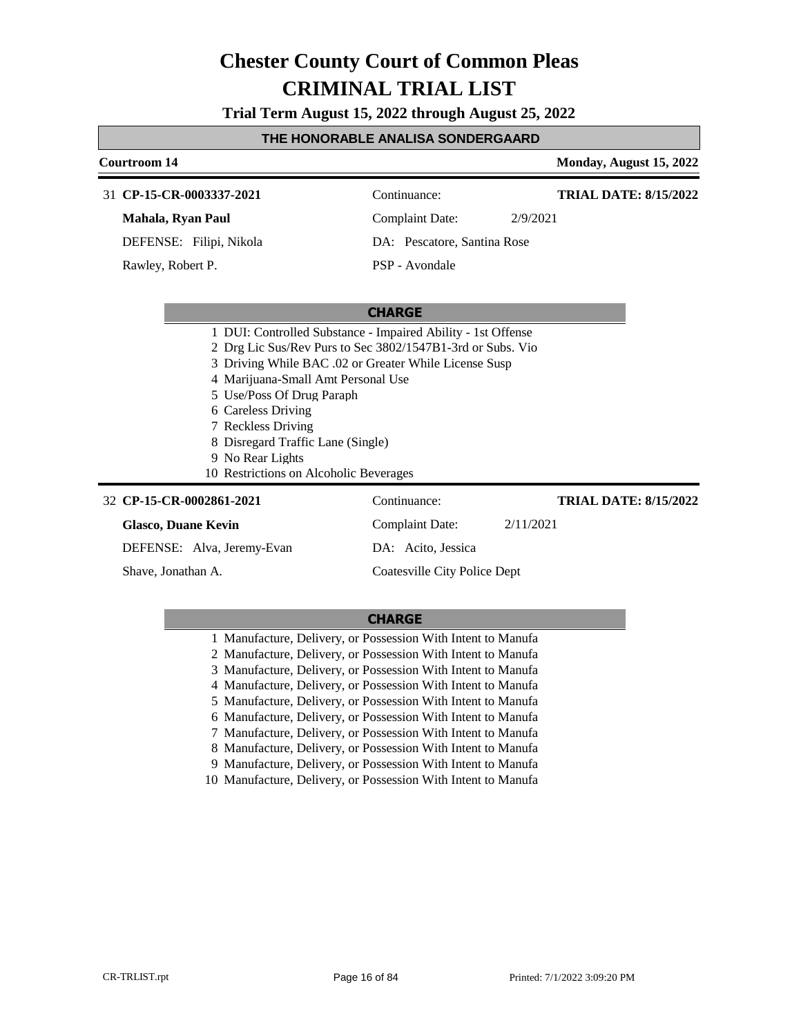**Trial Term August 15, 2022 through August 25, 2022**

#### **THE HONORABLE ANALISA SONDERGAARD**

#### **Courtroom 14 Monday, August 15, 2022 CHARGE CP-15-CR-0003337-2021** 31 Continuance: **Mahala, Ryan Paul** DEFENSE: Filipi, Nikola Complaint Date: 2/9/2021 DA: Pescatore, Santina Rose PSP - Avondale **TRIAL DATE: 8/15/2022** Rawley, Robert P. 1 DUI: Controlled Substance - Impaired Ability - 1st Offense 2 Drg Lic Sus/Rev Purs to Sec 3802/1547B1-3rd or Subs. Vio 3 Driving While BAC .02 or Greater While License Susp 4 Marijuana-Small Amt Personal Use 5 Use/Poss Of Drug Paraph 6 Careless Driving 7 Reckless Driving 8 Disregard Traffic Lane (Single) 9 No Rear Lights 10 Restrictions on Alcoholic Beverages **CP-15-CR-0002861-2021** 32 Continuance: **Glasco, Duane Kevin** Complaint Date: 2/11/2021 **TRIAL DATE: 8/15/2022**

DEFENSE: Alva, Jeremy-Evan

Shave, Jonathan A.

#### **CHARGE**

DA: Acito, Jessica

Coatesville City Police Dept

1 Manufacture, Delivery, or Possession With Intent to Manufa

2 Manufacture, Delivery, or Possession With Intent to Manufa

3 Manufacture, Delivery, or Possession With Intent to Manufa 4 Manufacture, Delivery, or Possession With Intent to Manufa

5 Manufacture, Delivery, or Possession With Intent to Manufa

6 Manufacture, Delivery, or Possession With Intent to Manufa

7 Manufacture, Delivery, or Possession With Intent to Manufa

8 Manufacture, Delivery, or Possession With Intent to Manufa

9 Manufacture, Delivery, or Possession With Intent to Manufa

10 Manufacture, Delivery, or Possession With Intent to Manufa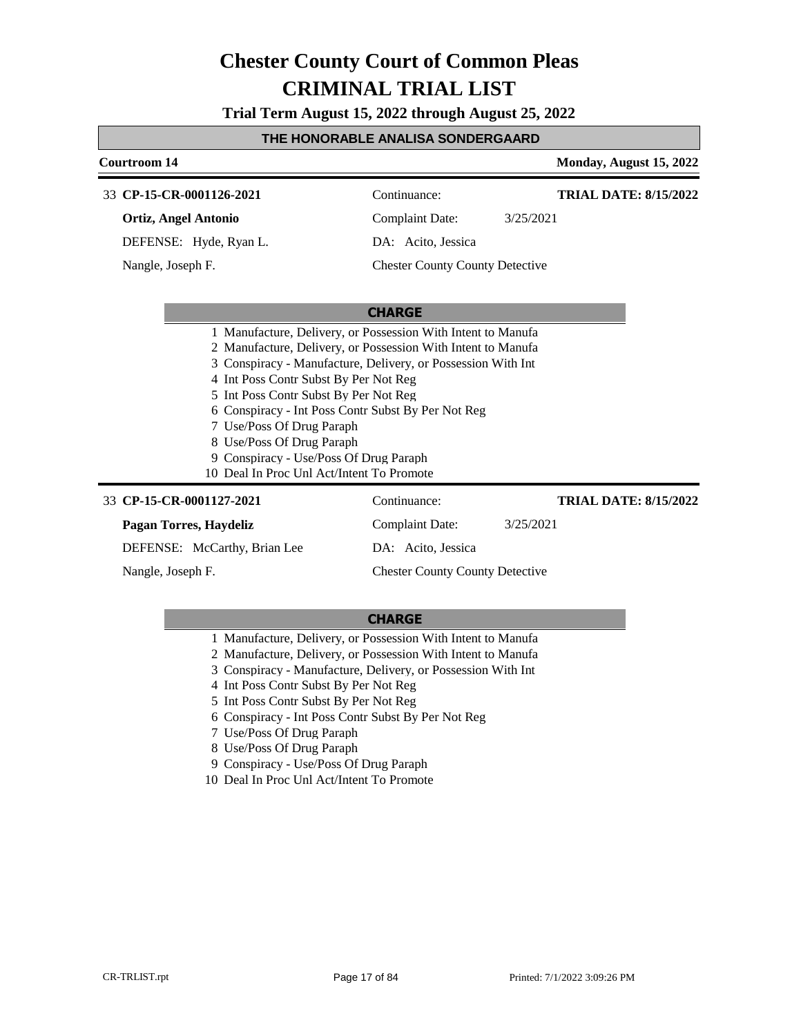**Trial Term August 15, 2022 through August 25, 2022**

#### **THE HONORABLE ANALISA SONDERGAARD**

### **Courtroom 14 Monday, August 15, 2022 CHARGE** 33 **CP-15-CR-0001126-2021** Continuance: **Ortiz, Angel Antonio** DEFENSE: Hyde, Ryan L. Complaint Date: 3/25/2021 DA: Acito, Jessica Chester County County Detective **TRIAL DATE: 8/15/2022** Nangle, Joseph F. 1 Manufacture, Delivery, or Possession With Intent to Manufa 2 Manufacture, Delivery, or Possession With Intent to Manufa 3 Conspiracy - Manufacture, Delivery, or Possession With Int 4 Int Poss Contr Subst By Per Not Reg 5 Int Poss Contr Subst By Per Not Reg 6 Conspiracy - Int Poss Contr Subst By Per Not Reg 7 Use/Poss Of Drug Paraph 8 Use/Poss Of Drug Paraph 9 Conspiracy - Use/Poss Of Drug Paraph 10 Deal In Proc Unl Act/Intent To Promote 33 **CP-15-CR-0001127-2021** Continuance: **Pagan Torres, Haydeliz** Complaint Date: 3/25/2021 **TRIAL DATE: 8/15/2022**

DEFENSE: McCarthy, Brian Lee DA: Acito, Jessica Chester County County Detective Nangle, Joseph F.

- 1 Manufacture, Delivery, or Possession With Intent to Manufa
- 2 Manufacture, Delivery, or Possession With Intent to Manufa
- 3 Conspiracy Manufacture, Delivery, or Possession With Int
- 4 Int Poss Contr Subst By Per Not Reg
- 5 Int Poss Contr Subst By Per Not Reg
- 6 Conspiracy Int Poss Contr Subst By Per Not Reg
- 7 Use/Poss Of Drug Paraph
- 8 Use/Poss Of Drug Paraph
- 9 Conspiracy Use/Poss Of Drug Paraph
- 10 Deal In Proc Unl Act/Intent To Promote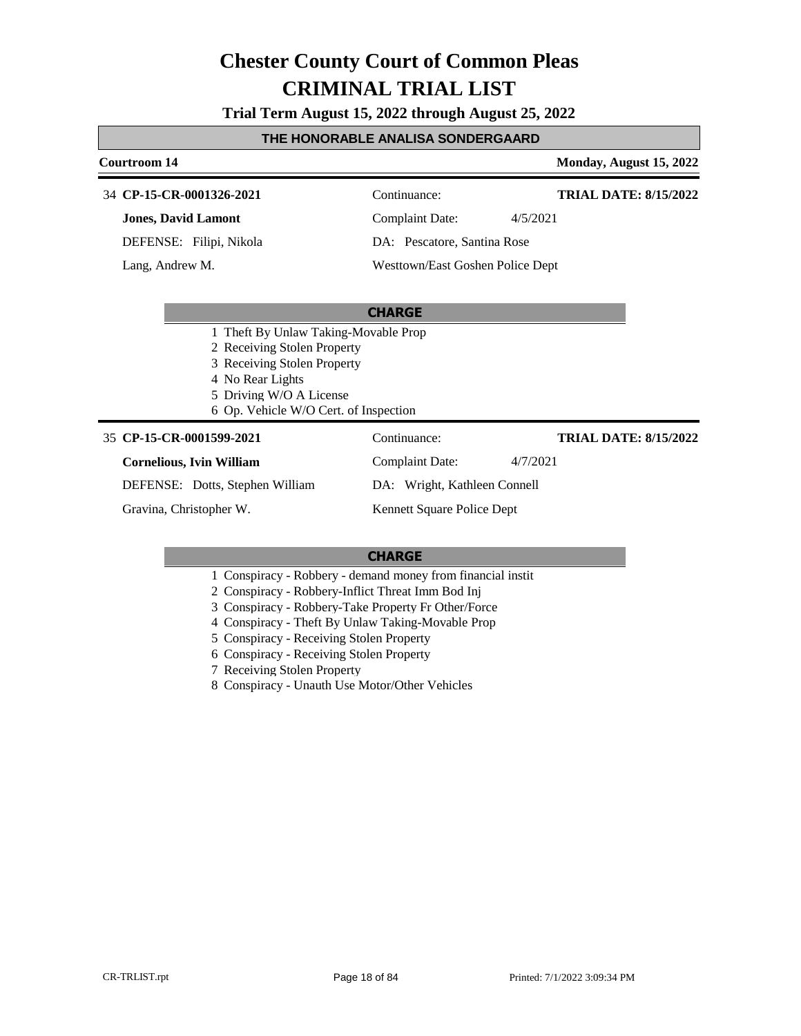**Trial Term August 15, 2022 through August 25, 2022**

#### **THE HONORABLE ANALISA SONDERGAARD**

#### **Courtroom 14 Monday, August 15, 2022 CP-15-CR-0001326-2021** 34 Continuance: **Jones, David Lamont** DEFENSE: Filipi, Nikola Complaint Date: 4/5/2021 **TRIAL DATE: 8/15/2022**

Lang, Andrew M.

DA: Pescatore, Santina Rose

Westtown/East Goshen Police Dept

#### **CHARGE**

- 1 Theft By Unlaw Taking-Movable Prop
- 2 Receiving Stolen Property
- 3 Receiving Stolen Property
- 4 No Rear Lights
- 5 Driving W/O A License
- 6 Op. Vehicle W/O Cert. of Inspection

#### **CP-15-CR-0001599-2021** 35 Continuance:

#### **Cornelious, Ivin William**

DEFENSE: Dotts, Stephen William

Gravina, Christopher W.

Complaint Date: 4/7/2021

**TRIAL DATE: 8/15/2022**

DA: Wright, Kathleen Connell

Kennett Square Police Dept

#### **CHARGE**

- 1 Conspiracy Robbery demand money from financial instit
- 2 Conspiracy Robbery-Inflict Threat Imm Bod Inj
- 3 Conspiracy Robbery-Take Property Fr Other/Force
- 4 Conspiracy Theft By Unlaw Taking-Movable Prop
- 5 Conspiracy Receiving Stolen Property
- 6 Conspiracy Receiving Stolen Property

7 Receiving Stolen Property

8 Conspiracy - Unauth Use Motor/Other Vehicles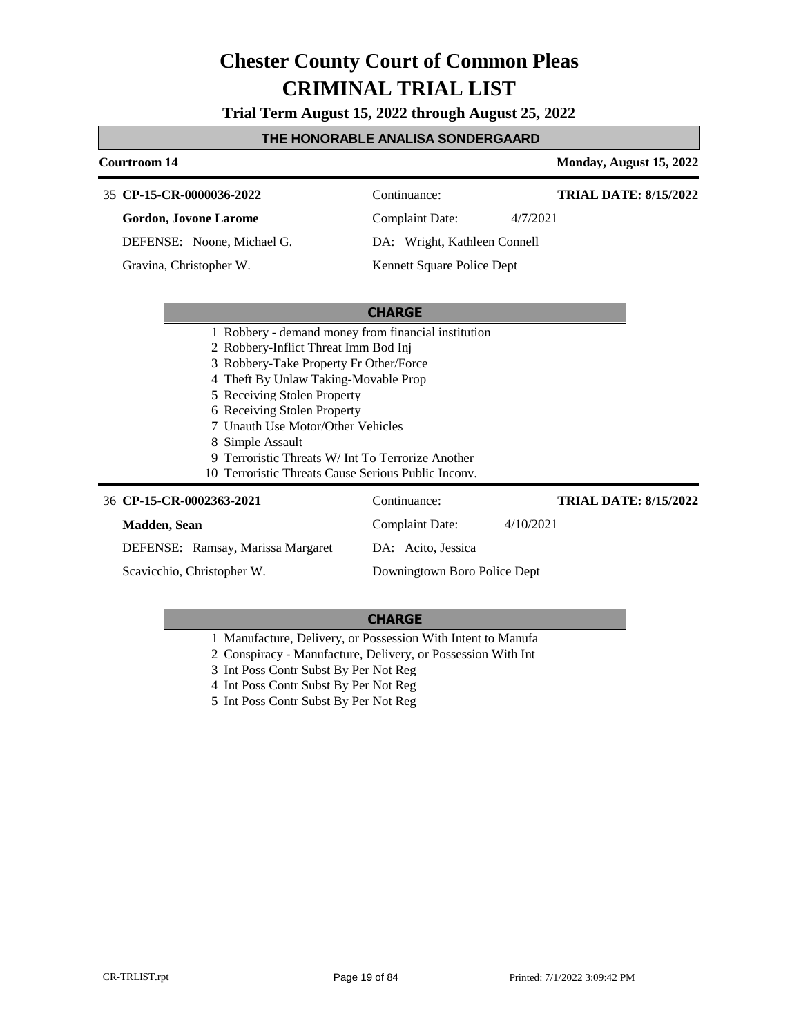**Trial Term August 15, 2022 through August 25, 2022**

#### **THE HONORABLE ANALISA SONDERGAARD**

| Courtroom 14                                                        |                              | Monday, August 15, 2022      |
|---------------------------------------------------------------------|------------------------------|------------------------------|
| 35 CP-15-CR-0000036-2022                                            | Continuance:                 | <b>TRIAL DATE: 8/15/2022</b> |
| <b>Gordon, Jovone Larome</b>                                        | <b>Complaint Date:</b>       | 4/7/2021                     |
| DEFENSE: Noone, Michael G.                                          | DA: Wright, Kathleen Connell |                              |
| Gravina, Christopher W.                                             | Kennett Square Police Dept   |                              |
|                                                                     |                              |                              |
|                                                                     | <b>CHARGE</b>                |                              |
| 1 Robbery - demand money from financial institution                 |                              |                              |
| 2 Robbery-Inflict Threat Imm Bod Inj                                |                              |                              |
| 3 Robbery-Take Property Fr Other/Force                              |                              |                              |
| 4 Theft By Unlaw Taking-Movable Prop<br>5 Receiving Stolen Property |                              |                              |
| 6 Receiving Stolen Property                                         |                              |                              |
| 7 Unauth Use Motor/Other Vehicles                                   |                              |                              |
| 8 Simple Assault                                                    |                              |                              |
| Terroristic Threats W/ Int To Terrorize Another                     |                              |                              |
| 10 Terroristic Threats Cause Serious Public Inconv.                 |                              |                              |
| 36 CP-15-CR-0002363-2021                                            | Continuance:                 | <b>TRIAL DATE: 8/15/2022</b> |
| <b>Madden</b> , Sean                                                | <b>Complaint Date:</b>       | 4/10/2021                    |
| DEFENSE: Ramsay, Marissa Margaret                                   | DA: Acito, Jessica           |                              |
| Scavicchio, Christopher W.                                          | Downingtown Boro Police Dept |                              |

#### **CHARGE**

1 Manufacture, Delivery, or Possession With Intent to Manufa

2 Conspiracy - Manufacture, Delivery, or Possession With Int

3 Int Poss Contr Subst By Per Not Reg

4 Int Poss Contr Subst By Per Not Reg

5 Int Poss Contr Subst By Per Not Reg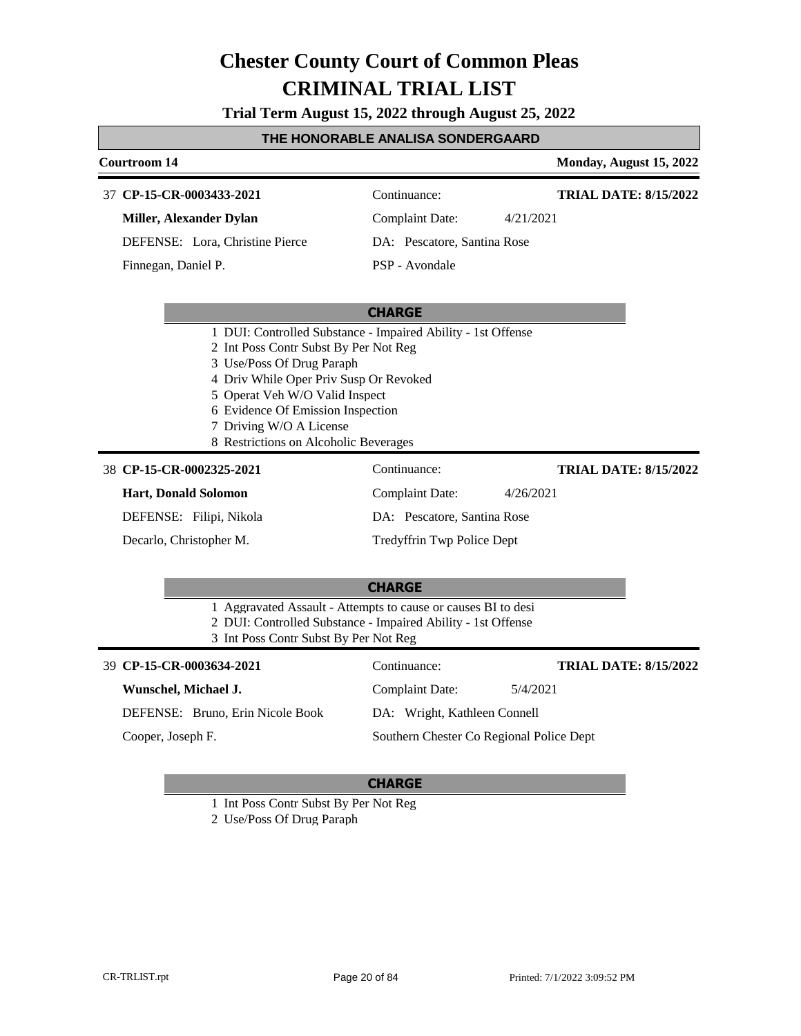**Trial Term August 15, 2022 through August 25, 2022**

#### **THE HONORABLE ANALISA SONDERGAARD**

#### **Courtroom 14 Monday, August 15, 2022 CP-15-CR-0003433-2021** 37 Continuance: **Miller, Alexander Dylan** DEFENSE: Lora, Christine Pierce Complaint Date: 4/21/2021 DA: Pescatore, Santina Rose PSP - Avondale **TRIAL DATE: 8/15/2022** Finnegan, Daniel P.

#### **CHARGE**

- 1 DUI: Controlled Substance Impaired Ability 1st Offense
- 2 Int Poss Contr Subst By Per Not Reg
- 3 Use/Poss Of Drug Paraph
- 4 Driv While Oper Priv Susp Or Revoked
- 5 Operat Veh W/O Valid Inspect
- 6 Evidence Of Emission Inspection
- 7 Driving W/O A License
- 8 Restrictions on Alcoholic Beverages

#### **CP-15-CR-0002325-2021** 38 Continuance:

### **Hart, Donald Solomon**

DEFENSE: Filipi, Nikola

Decarlo, Christopher M.

Complaint Date: 4/26/2021 DA: Pescatore, Santina Rose

Tredyffrin Twp Police Dept

#### **CHARGE**

- 1 Aggravated Assault Attempts to cause or causes BI to desi
- 2 DUI: Controlled Substance Impaired Ability 1st Offense
- 3 Int Poss Contr Subst By Per Not Reg

| 39 CP-15-CR-0003634-2021         | Continuance:                             | <b>TRIAL DATE: 8/15/2022</b> |
|----------------------------------|------------------------------------------|------------------------------|
| Wunschel, Michael J.             | Complaint Date:                          | 5/4/2021                     |
| DEFENSE: Bruno, Erin Nicole Book | DA: Wright, Kathleen Connell             |                              |
| Cooper, Joseph F.                | Southern Chester Co Regional Police Dept |                              |

#### **CHARGE**

1 Int Poss Contr Subst By Per Not Reg

2 Use/Poss Of Drug Paraph

**TRIAL DATE: 8/15/2022**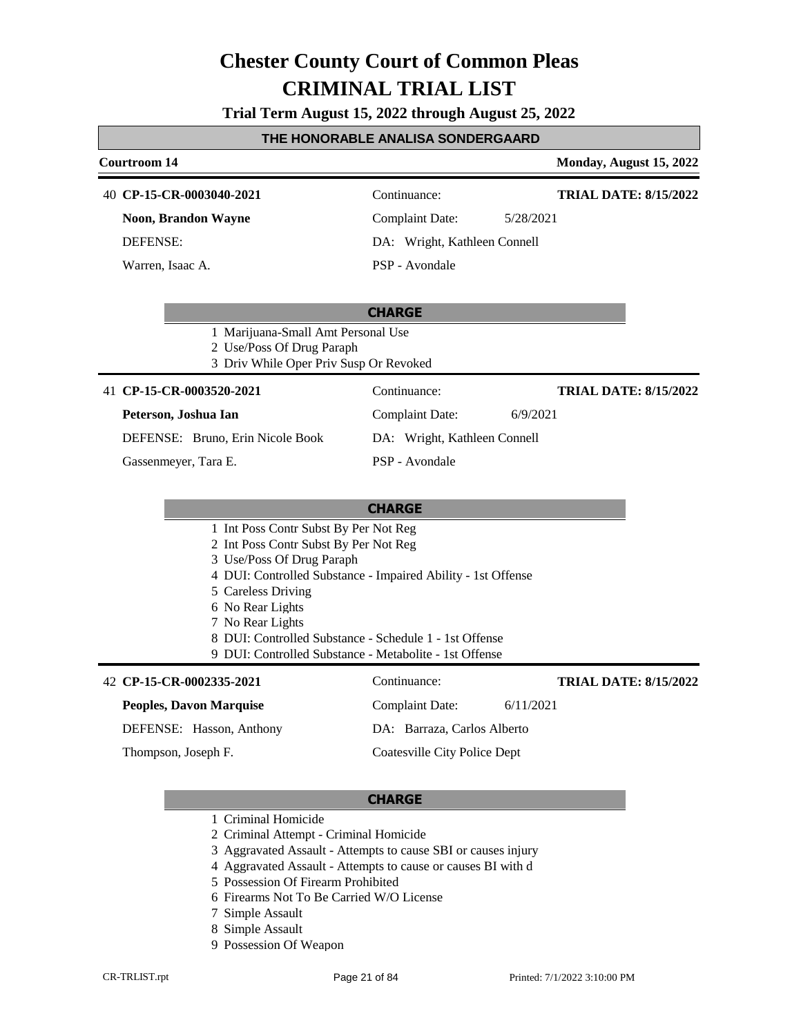**Trial Term August 15, 2022 through August 25, 2022**

#### **THE HONORABLE ANALISA SONDERGAARD**

| Courtroom 14                                                                                                                                                                                                |                                                              | Monday, August 15, 2022      |  |
|-------------------------------------------------------------------------------------------------------------------------------------------------------------------------------------------------------------|--------------------------------------------------------------|------------------------------|--|
| 40 CP-15-CR-0003040-2021                                                                                                                                                                                    | Continuance:                                                 | <b>TRIAL DATE: 8/15/2022</b> |  |
| <b>Noon, Brandon Wayne</b>                                                                                                                                                                                  | <b>Complaint Date:</b><br>5/28/2021                          |                              |  |
| <b>DEFENSE:</b>                                                                                                                                                                                             | DA: Wright, Kathleen Connell                                 |                              |  |
| Warren, Isaac A.                                                                                                                                                                                            | PSP - Avondale                                               |                              |  |
|                                                                                                                                                                                                             | <b>CHARGE</b>                                                |                              |  |
| 1 Marijuana-Small Amt Personal Use<br>2 Use/Poss Of Drug Paraph<br>3 Driv While Oper Priv Susp Or Revoked                                                                                                   |                                                              |                              |  |
| 41 CP-15-CR-0003520-2021                                                                                                                                                                                    | Continuance:                                                 | <b>TRIAL DATE: 8/15/2022</b> |  |
| Peterson, Joshua Ian                                                                                                                                                                                        | <b>Complaint Date:</b><br>6/9/2021                           |                              |  |
| DEFENSE: Bruno, Erin Nicole Book                                                                                                                                                                            | DA: Wright, Kathleen Connell                                 |                              |  |
| Gassenmeyer, Tara E.                                                                                                                                                                                        | PSP - Avondale                                               |                              |  |
|                                                                                                                                                                                                             | <b>CHARGE</b>                                                |                              |  |
| 1 Int Poss Contr Subst By Per Not Reg<br>2 Int Poss Contr Subst By Per Not Reg                                                                                                                              |                                                              |                              |  |
| 3 Use/Poss Of Drug Paraph<br>5 Careless Driving<br>6 No Rear Lights<br>7 No Rear Lights<br>8 DUI: Controlled Substance - Schedule 1 - 1st Offense<br>9 DUI: Controlled Substance - Metabolite - 1st Offense | 4 DUI: Controlled Substance - Impaired Ability - 1st Offense |                              |  |
| 42 CP-15-CR-0002335-2021                                                                                                                                                                                    | Continuance:                                                 | <b>TRIAL DATE: 8/15/2022</b> |  |
| <b>Peoples, Davon Marquise</b>                                                                                                                                                                              | Complaint Date:<br>6/11/2021                                 |                              |  |
| DEFENSE: Hasson, Anthony                                                                                                                                                                                    | DA: Barraza, Carlos Alberto                                  |                              |  |
| Thompson, Joseph F.                                                                                                                                                                                         | Coatesville City Police Dept                                 |                              |  |

- 1 Criminal Homicide
- 2 Criminal Attempt Criminal Homicide
- 3 Aggravated Assault Attempts to cause SBI or causes injury
- 4 Aggravated Assault Attempts to cause or causes BI with d
- 5 Possession Of Firearm Prohibited
- 6 Firearms Not To Be Carried W/O License
- 7 Simple Assault
- 8 Simple Assault
- 9 Possession Of Weapon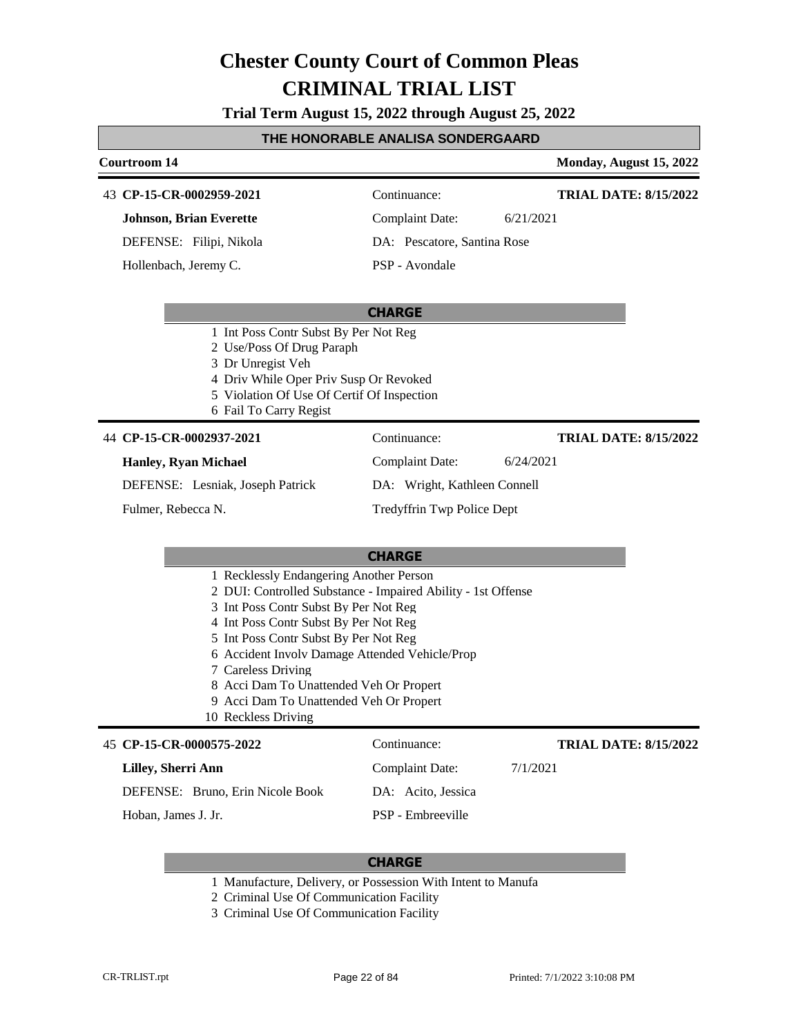**Trial Term August 15, 2022 through August 25, 2022**

### **THE HONORABLE ANALISA SONDERGAARD**

| <u>I NE HUNURABLE ANALISA SUNDERGAARD</u>                                                                                                                                                                                                                                                                                                                                                                                                |                              |                              |  |
|------------------------------------------------------------------------------------------------------------------------------------------------------------------------------------------------------------------------------------------------------------------------------------------------------------------------------------------------------------------------------------------------------------------------------------------|------------------------------|------------------------------|--|
| <b>Courtroom 14</b>                                                                                                                                                                                                                                                                                                                                                                                                                      |                              | Monday, August 15, 2022      |  |
| 43 CP-15-CR-0002959-2021                                                                                                                                                                                                                                                                                                                                                                                                                 | Continuance:                 | <b>TRIAL DATE: 8/15/2022</b> |  |
| <b>Johnson, Brian Everette</b>                                                                                                                                                                                                                                                                                                                                                                                                           | <b>Complaint Date:</b>       | 6/21/2021                    |  |
| DEFENSE: Filipi, Nikola                                                                                                                                                                                                                                                                                                                                                                                                                  | DA: Pescatore, Santina Rose  |                              |  |
| Hollenbach, Jeremy C.                                                                                                                                                                                                                                                                                                                                                                                                                    | PSP - Avondale               |                              |  |
|                                                                                                                                                                                                                                                                                                                                                                                                                                          | <b>CHARGE</b>                |                              |  |
| 1 Int Poss Contr Subst By Per Not Reg<br>2 Use/Poss Of Drug Paraph<br>3 Dr Unregist Veh<br>4 Driv While Oper Priv Susp Or Revoked<br>5 Violation Of Use Of Certif Of Inspection<br>6 Fail To Carry Regist                                                                                                                                                                                                                                |                              |                              |  |
| 44 CP-15-CR-0002937-2021                                                                                                                                                                                                                                                                                                                                                                                                                 | Continuance:                 | <b>TRIAL DATE: 8/15/2022</b> |  |
| <b>Hanley, Ryan Michael</b>                                                                                                                                                                                                                                                                                                                                                                                                              | <b>Complaint Date:</b>       | 6/24/2021                    |  |
| DEFENSE: Lesniak, Joseph Patrick                                                                                                                                                                                                                                                                                                                                                                                                         | DA: Wright, Kathleen Connell |                              |  |
| Fulmer, Rebecca N.                                                                                                                                                                                                                                                                                                                                                                                                                       | Tredyffrin Twp Police Dept   |                              |  |
| <b>CHARGE</b><br>1 Recklessly Endangering Another Person<br>2 DUI: Controlled Substance - Impaired Ability - 1st Offense<br>3 Int Poss Contr Subst By Per Not Reg<br>4 Int Poss Contr Subst By Per Not Reg<br>5 Int Poss Contr Subst By Per Not Reg<br>6 Accident Involv Damage Attended Vehicle/Prop<br>7 Careless Driving<br>8 Acci Dam To Unattended Veh Or Propert<br>9 Acci Dam To Unattended Veh Or Propert<br>10 Reckless Driving |                              |                              |  |
|                                                                                                                                                                                                                                                                                                                                                                                                                                          |                              |                              |  |
| Lilley, Sherri Ann                                                                                                                                                                                                                                                                                                                                                                                                                       | Complaint Date:              | 7/1/2021                     |  |
| DEFENSE: Bruno, Erin Nicole Book                                                                                                                                                                                                                                                                                                                                                                                                         | DA: Acito, Jessica           |                              |  |
| Hoban, James J. Jr.                                                                                                                                                                                                                                                                                                                                                                                                                      | PSP - Embreeville            |                              |  |

#### **CHARGE**

- 1 Manufacture, Delivery, or Possession With Intent to Manufa
- 2 Criminal Use Of Communication Facility
- 3 Criminal Use Of Communication Facility

Г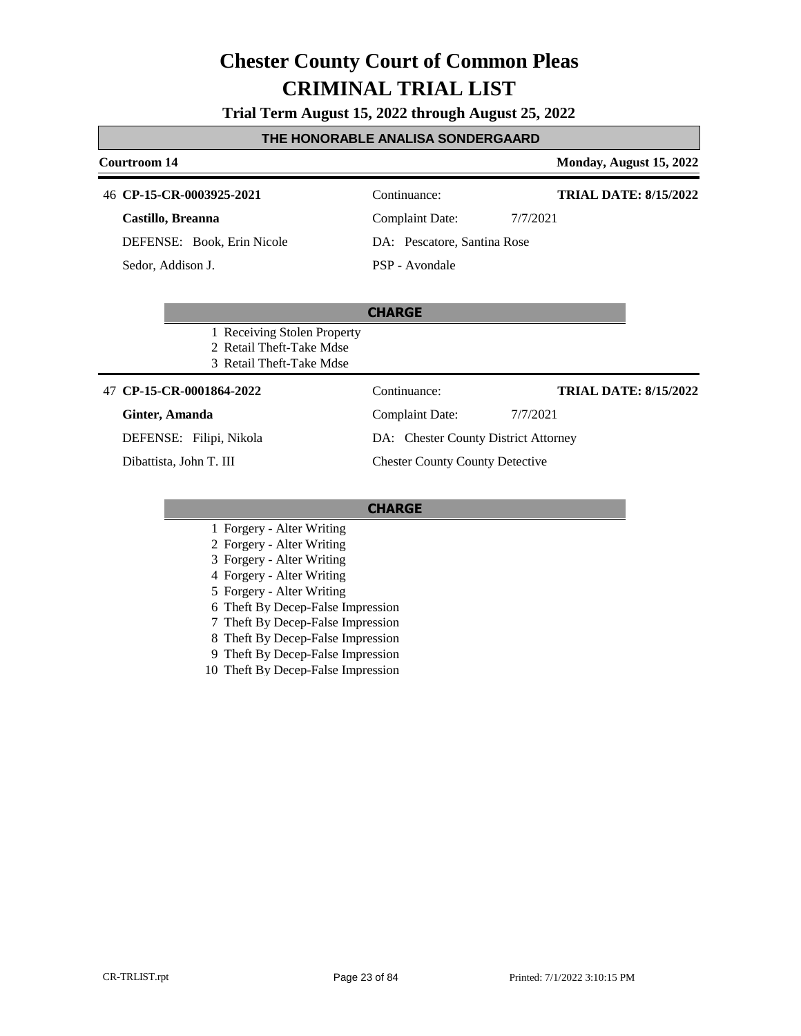#### **Trial Term August 15, 2022 through August 25, 2022**

#### **THE HONORABLE ANALISA SONDERGAARD**

#### **Courtroom 14 Monday, August 15, 2022 CP-15-CR-0003925-2021** 46 Continuance: **Castillo, Breanna** DEFENSE: Book, Erin Nicole Complaint Date: 7/7/2021 DA: Pescatore, Santina Rose **TRIAL DATE: 8/15/2022**

Sedor, Addison J.

PSP - Avondale

#### **CHARGE**

- 1 Receiving Stolen Property
- 2 Retail Theft-Take Mdse
- 3 Retail Theft-Take Mdse

#### **CP-15-CR-0001864-2022** 47 Continuance:

#### **Ginter, Amanda**

DEFENSE: Filipi, Nikola

Dibattista, John T. III

**TRIAL DATE: 8/15/2022**

Complaint Date: 7/7/2021 DA: Chester County District Attorney

Chester County County Detective

- 1 Forgery Alter Writing
- 2 Forgery Alter Writing
- 3 Forgery Alter Writing
- 4 Forgery Alter Writing
- 5 Forgery Alter Writing
- 6 Theft By Decep-False Impression
- 7 Theft By Decep-False Impression
- 8 Theft By Decep-False Impression
- 9 Theft By Decep-False Impression
- 10 Theft By Decep-False Impression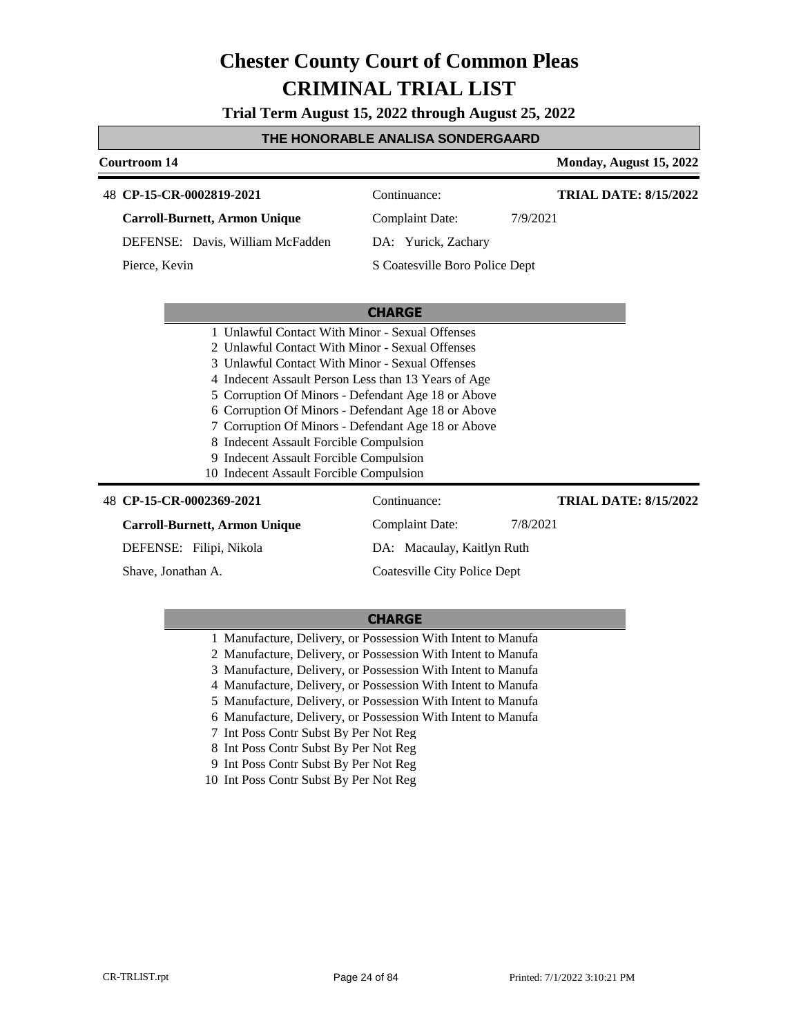**Trial Term August 15, 2022 through August 25, 2022**

#### **THE HONORABLE ANALISA SONDERGAARD**

| <b>Courtroom 14</b>                                                                                                                                                                                                                                                                                                                                                                                                                                                                                           |                                | Monday, August 15, 2022      |  |
|---------------------------------------------------------------------------------------------------------------------------------------------------------------------------------------------------------------------------------------------------------------------------------------------------------------------------------------------------------------------------------------------------------------------------------------------------------------------------------------------------------------|--------------------------------|------------------------------|--|
| 48 CP-15-CR-0002819-2021                                                                                                                                                                                                                                                                                                                                                                                                                                                                                      | Continuance:                   | <b>TRIAL DATE: 8/15/2022</b> |  |
| <b>Carroll-Burnett, Armon Unique</b>                                                                                                                                                                                                                                                                                                                                                                                                                                                                          | <b>Complaint Date:</b>         | 7/9/2021                     |  |
| DEFENSE: Davis, William McFadden                                                                                                                                                                                                                                                                                                                                                                                                                                                                              | DA: Yurick, Zachary            |                              |  |
| Pierce, Kevin                                                                                                                                                                                                                                                                                                                                                                                                                                                                                                 | S Coatesville Boro Police Dept |                              |  |
|                                                                                                                                                                                                                                                                                                                                                                                                                                                                                                               | <b>CHARGE</b>                  |                              |  |
| 1 Unlawful Contact With Minor - Sexual Offenses<br>2 Unlawful Contact With Minor - Sexual Offenses<br>3 Unlawful Contact With Minor - Sexual Offenses<br>4 Indecent Assault Person Less than 13 Years of Age<br>5 Corruption Of Minors - Defendant Age 18 or Above<br>6 Corruption Of Minors - Defendant Age 18 or Above<br>7 Corruption Of Minors - Defendant Age 18 or Above<br>8 Indecent Assault Forcible Compulsion<br>9 Indecent Assault Forcible Compulsion<br>10 Indecent Assault Forcible Compulsion |                                |                              |  |
| 48 CP-15-CR-0002369-2021                                                                                                                                                                                                                                                                                                                                                                                                                                                                                      | Continuance:                   | <b>TRIAL DATE: 8/15/2022</b> |  |
| Carroll-Burnett, Armon Unique                                                                                                                                                                                                                                                                                                                                                                                                                                                                                 | <b>Complaint Date:</b>         | 7/8/2021                     |  |
| DEFENSE: Filipi, Nikola                                                                                                                                                                                                                                                                                                                                                                                                                                                                                       | DA: Macaulay, Kaitlyn Ruth     |                              |  |

Shave, Jonathan A.

#### **CHARGE**

Coatesville City Police Dept

- 1 Manufacture, Delivery, or Possession With Intent to Manufa
- 2 Manufacture, Delivery, or Possession With Intent to Manufa
- 3 Manufacture, Delivery, or Possession With Intent to Manufa
- 4 Manufacture, Delivery, or Possession With Intent to Manufa
- 5 Manufacture, Delivery, or Possession With Intent to Manufa
- 6 Manufacture, Delivery, or Possession With Intent to Manufa
- 7 Int Poss Contr Subst By Per Not Reg
- 8 Int Poss Contr Subst By Per Not Reg
- 9 Int Poss Contr Subst By Per Not Reg
- 10 Int Poss Contr Subst By Per Not Reg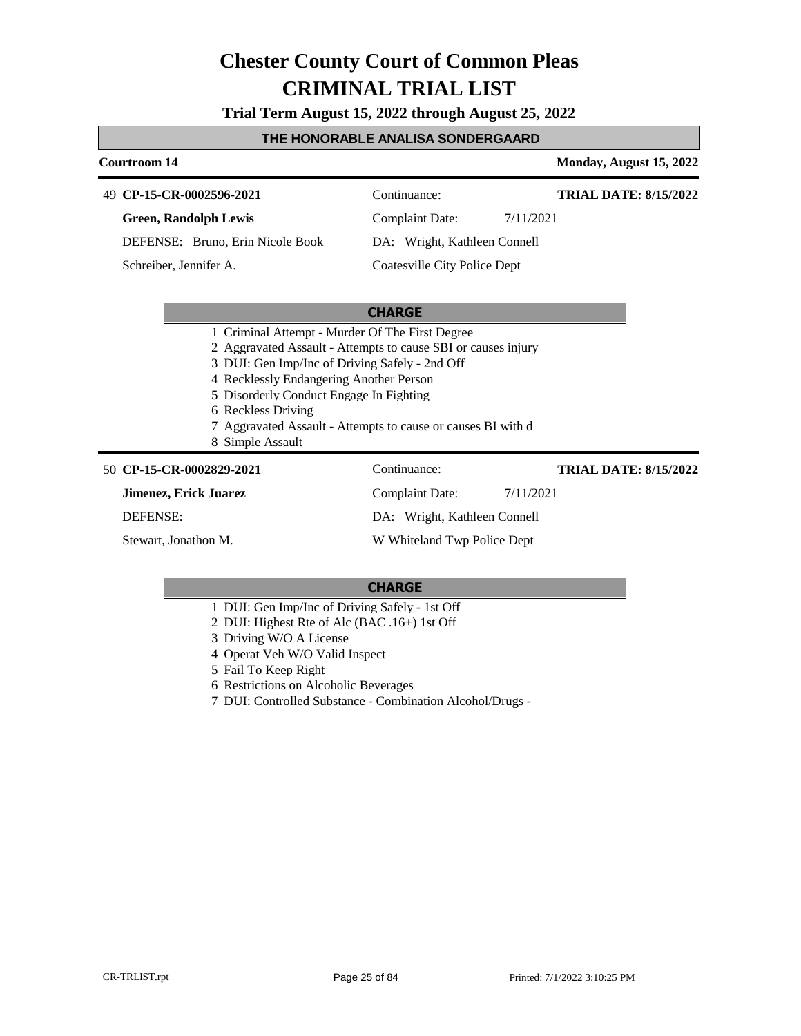**Trial Term August 15, 2022 through August 25, 2022**

#### **THE HONORABLE ANALISA SONDERGAARD**

#### **Courtroom 14 Monday, August 15, 2022 CP-15-CR-0002596-2021** 49 Continuance: **Green, Randolph Lewis** DEFENSE: Bruno, Erin Nicole Book Complaint Date: 7/11/2021 DA: Wright, Kathleen Connell Coatesville City Police Dept **TRIAL DATE: 8/15/2022** Schreiber, Jennifer A.

#### **CHARGE**

- 1 Criminal Attempt Murder Of The First Degree
- 2 Aggravated Assault Attempts to cause SBI or causes injury
- 3 DUI: Gen Imp/Inc of Driving Safely 2nd Off
- 4 Recklessly Endangering Another Person
- 5 Disorderly Conduct Engage In Fighting
- 6 Reckless Driving
- 7 Aggravated Assault Attempts to cause or causes BI with d
- 8 Simple Assault

#### **CP-15-CR-0002829-2021** 50 Continuance:

**Jimenez, Erick Juarez**

DEFENSE:

Stewart, Jonathon M.

Complaint Date: 7/11/2021 DA: Wright, Kathleen Connell W Whiteland Twp Police Dept

#### **CHARGE**

- 1 DUI: Gen Imp/Inc of Driving Safely 1st Off
- 2 DUI: Highest Rte of Alc (BAC .16+) 1st Off
- 3 Driving W/O A License
- 4 Operat Veh W/O Valid Inspect
- 5 Fail To Keep Right
- 6 Restrictions on Alcoholic Beverages
- 7 DUI: Controlled Substance Combination Alcohol/Drugs -

**TRIAL DATE: 8/15/2022**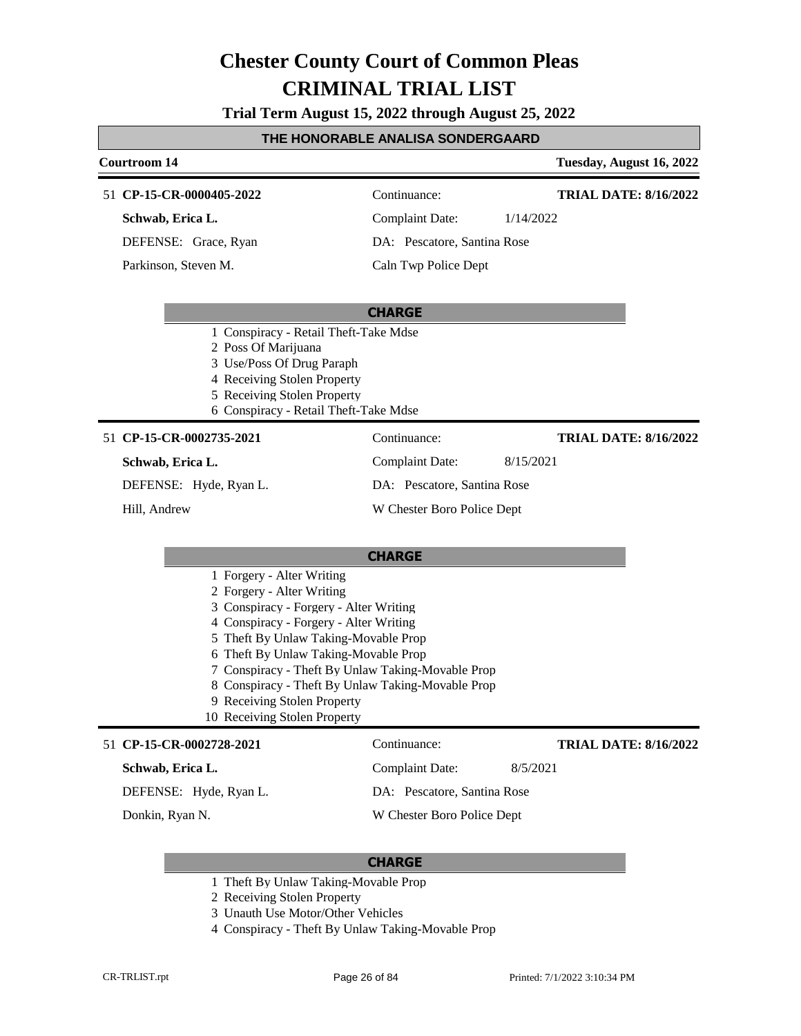**Trial Term August 15, 2022 through August 25, 2022**

#### **THE HONORABLE ANALISA SONDERGAARD**

|                                                                                                                                                                                                                                                                                                                                                                                                     | Courtroom 14                                                                                                                                                                                     |                             | Tuesday, August 16, 2022     |
|-----------------------------------------------------------------------------------------------------------------------------------------------------------------------------------------------------------------------------------------------------------------------------------------------------------------------------------------------------------------------------------------------------|--------------------------------------------------------------------------------------------------------------------------------------------------------------------------------------------------|-----------------------------|------------------------------|
|                                                                                                                                                                                                                                                                                                                                                                                                     | 51 CP-15-CR-0000405-2022                                                                                                                                                                         | Continuance:                | <b>TRIAL DATE: 8/16/2022</b> |
|                                                                                                                                                                                                                                                                                                                                                                                                     | Schwab, Erica L.                                                                                                                                                                                 | <b>Complaint Date:</b>      | 1/14/2022                    |
|                                                                                                                                                                                                                                                                                                                                                                                                     | DEFENSE: Grace, Ryan                                                                                                                                                                             | DA: Pescatore, Santina Rose |                              |
|                                                                                                                                                                                                                                                                                                                                                                                                     | Parkinson, Steven M.                                                                                                                                                                             | Caln Twp Police Dept        |                              |
|                                                                                                                                                                                                                                                                                                                                                                                                     | 1 Conspiracy - Retail Theft-Take Mdse<br>2 Poss Of Marijuana<br>3 Use/Poss Of Drug Paraph<br>4 Receiving Stolen Property<br>5 Receiving Stolen Property<br>6 Conspiracy - Retail Theft-Take Mdse | <b>CHARGE</b>               |                              |
|                                                                                                                                                                                                                                                                                                                                                                                                     | 51 CP-15-CR-0002735-2021                                                                                                                                                                         | Continuance:                | <b>TRIAL DATE: 8/16/2022</b> |
|                                                                                                                                                                                                                                                                                                                                                                                                     | Schwab, Erica L.                                                                                                                                                                                 | <b>Complaint Date:</b>      | 8/15/2021                    |
|                                                                                                                                                                                                                                                                                                                                                                                                     | DEFENSE: Hyde, Ryan L.                                                                                                                                                                           | DA: Pescatore, Santina Rose |                              |
|                                                                                                                                                                                                                                                                                                                                                                                                     | Hill, Andrew                                                                                                                                                                                     | W Chester Boro Police Dept  |                              |
| 1 Forgery - Alter Writing<br>2 Forgery - Alter Writing<br>3 Conspiracy - Forgery - Alter Writing<br>4 Conspiracy - Forgery - Alter Writing<br>5 Theft By Unlaw Taking-Movable Prop<br>6 Theft By Unlaw Taking-Movable Prop<br>7 Conspiracy - Theft By Unlaw Taking-Movable Prop<br>8 Conspiracy - Theft By Unlaw Taking-Movable Prop<br>9 Receiving Stolen Property<br>10 Receiving Stolen Property |                                                                                                                                                                                                  | <b>CHARGE</b>               |                              |
|                                                                                                                                                                                                                                                                                                                                                                                                     |                                                                                                                                                                                                  |                             |                              |
|                                                                                                                                                                                                                                                                                                                                                                                                     | 51 CP-15-CR-0002728-2021                                                                                                                                                                         | Continuance:                | <b>TRIAL DATE: 8/16/2022</b> |
|                                                                                                                                                                                                                                                                                                                                                                                                     | Schwab, Erica L.                                                                                                                                                                                 | <b>Complaint Date:</b>      | 8/5/2021                     |
|                                                                                                                                                                                                                                                                                                                                                                                                     | DEFENSE: Hyde, Ryan L.                                                                                                                                                                           | DA: Pescatore, Santina Rose |                              |
|                                                                                                                                                                                                                                                                                                                                                                                                     | Donkin, Ryan N.                                                                                                                                                                                  | W Chester Boro Police Dept  |                              |

- 1 Theft By Unlaw Taking-Movable Prop
- 2 Receiving Stolen Property
- 3 Unauth Use Motor/Other Vehicles
- 4 Conspiracy Theft By Unlaw Taking-Movable Prop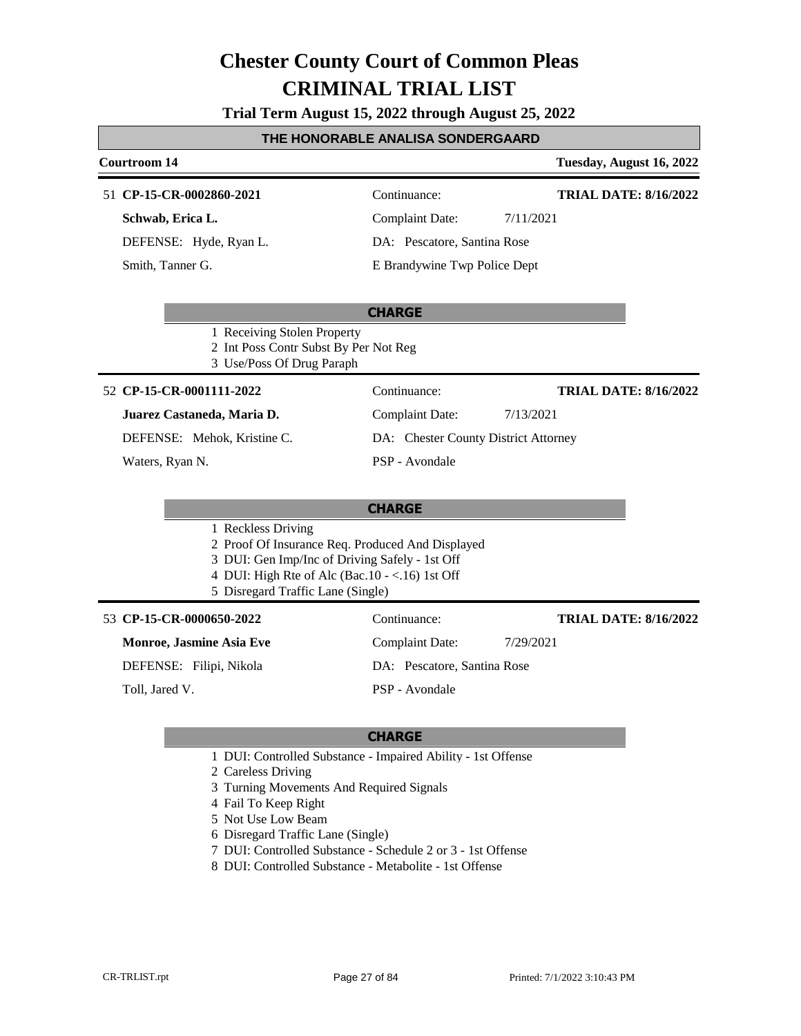**Trial Term August 15, 2022 through August 25, 2022**

#### **THE HONORABLE ANALISA SONDERGAARD**

#### **Courtroom 14 Tuesday, August 16, 2022 CHARGE CP-15-CR-0002860-2021** 51 Continuance: **Schwab, Erica L.** DEFENSE: Hyde, Ryan L. Complaint Date: 7/11/2021 DA: Pescatore, Santina Rose E Brandywine Twp Police Dept **TRIAL DATE: 8/16/2022** Smith, Tanner G. 1 Receiving Stolen Property 2 Int Poss Contr Subst By Per Not Reg 3 Use/Poss Of Drug Paraph **CP-15-CR-0001111-2022** 52 Continuance: **Juarez Castaneda, Maria D.** DEFENSE: Mehok, Kristine C. Complaint Date: 7/13/2021 DA: Chester County District Attorney PSP - Avondale **TRIAL DATE: 8/16/2022** Waters, Ryan N.

#### **CHARGE**

- 1 Reckless Driving
- 2 Proof Of Insurance Req. Produced And Displayed
- 3 DUI: Gen Imp/Inc of Driving Safely 1st Off
- 4 DUI: High Rte of Alc (Bac.10 <.16) 1st Off
- 5 Disregard Traffic Lane (Single)

#### 53 **CP-15-CR-0000650-2022** Continuance:

#### **Monroe, Jasmine Asia Eve**

DEFENSE: Filipi, Nikola

Toll, Jared V.

### DA: Pescatore, Santina Rose

Complaint Date: 7/29/2021

PSP - Avondale

#### **CHARGE**

- 1 DUI: Controlled Substance Impaired Ability 1st Offense
- 2 Careless Driving
- 3 Turning Movements And Required Signals
- 4 Fail To Keep Right
- 5 Not Use Low Beam
- 6 Disregard Traffic Lane (Single)
- 7 DUI: Controlled Substance Schedule 2 or 3 1st Offense
- 8 DUI: Controlled Substance Metabolite 1st Offense

**TRIAL DATE: 8/16/2022**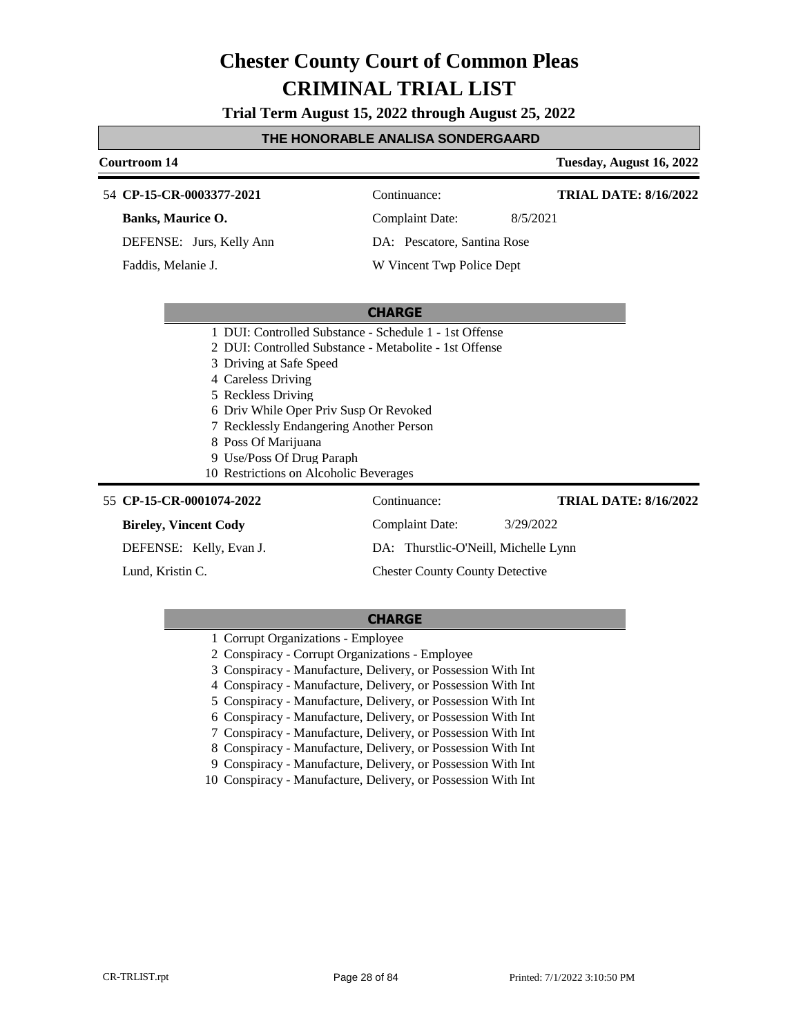**Trial Term August 15, 2022 through August 25, 2022**

#### **THE HONORABLE ANALISA SONDERGAARD**

| <b>Courtroom 14</b>                                                                                                                                                                                                                                    |                                                                                                                  | Tuesday, August 16, 2022     |
|--------------------------------------------------------------------------------------------------------------------------------------------------------------------------------------------------------------------------------------------------------|------------------------------------------------------------------------------------------------------------------|------------------------------|
| 54 CP-15-CR-0003377-2021                                                                                                                                                                                                                               | Continuance:                                                                                                     | <b>TRIAL DATE: 8/16/2022</b> |
| Banks, Maurice O.                                                                                                                                                                                                                                      | <b>Complaint Date:</b><br>8/5/2021                                                                               |                              |
| DEFENSE: Jurs, Kelly Ann                                                                                                                                                                                                                               | DA: Pescatore, Santina Rose                                                                                      |                              |
| Faddis, Melanie J.                                                                                                                                                                                                                                     | W Vincent Twp Police Dept                                                                                        |                              |
|                                                                                                                                                                                                                                                        |                                                                                                                  |                              |
|                                                                                                                                                                                                                                                        | <b>CHARGE</b>                                                                                                    |                              |
| 3 Driving at Safe Speed<br>4 Careless Driving<br>5 Reckless Driving<br>6 Driv While Oper Priv Susp Or Revoked<br>7 Recklessly Endangering Another Person<br>8 Poss Of Marijuana<br>9 Use/Poss Of Drug Paraph<br>10 Restrictions on Alcoholic Beverages | 1 DUI: Controlled Substance - Schedule 1 - 1st Offense<br>2 DUI: Controlled Substance - Metabolite - 1st Offense |                              |
| 55 CP-15-CR-0001074-2022                                                                                                                                                                                                                               | Continuance:                                                                                                     | <b>TRIAL DATE: 8/16/2022</b> |
| <b>Bireley, Vincent Cody</b>                                                                                                                                                                                                                           | <b>Complaint Date:</b><br>3/29/2022                                                                              |                              |
| DEFENSE: Kelly, Evan J.                                                                                                                                                                                                                                | DA: Thurstlic-O'Neill, Michelle Lynn                                                                             |                              |
| Lund. Kristin C.                                                                                                                                                                                                                                       | <b>Chester County County Detective</b>                                                                           |                              |

|  | 1 Corrupt Organizations - Employee |  |
|--|------------------------------------|--|
|--|------------------------------------|--|

- 2 Conspiracy Corrupt Organizations Employee
- 3 Conspiracy Manufacture, Delivery, or Possession With Int
- 4 Conspiracy Manufacture, Delivery, or Possession With Int
- 5 Conspiracy Manufacture, Delivery, or Possession With Int
- 6 Conspiracy Manufacture, Delivery, or Possession With Int
- 7 Conspiracy Manufacture, Delivery, or Possession With Int
- 8 Conspiracy Manufacture, Delivery, or Possession With Int
- 9 Conspiracy Manufacture, Delivery, or Possession With Int
- 10 Conspiracy Manufacture, Delivery, or Possession With Int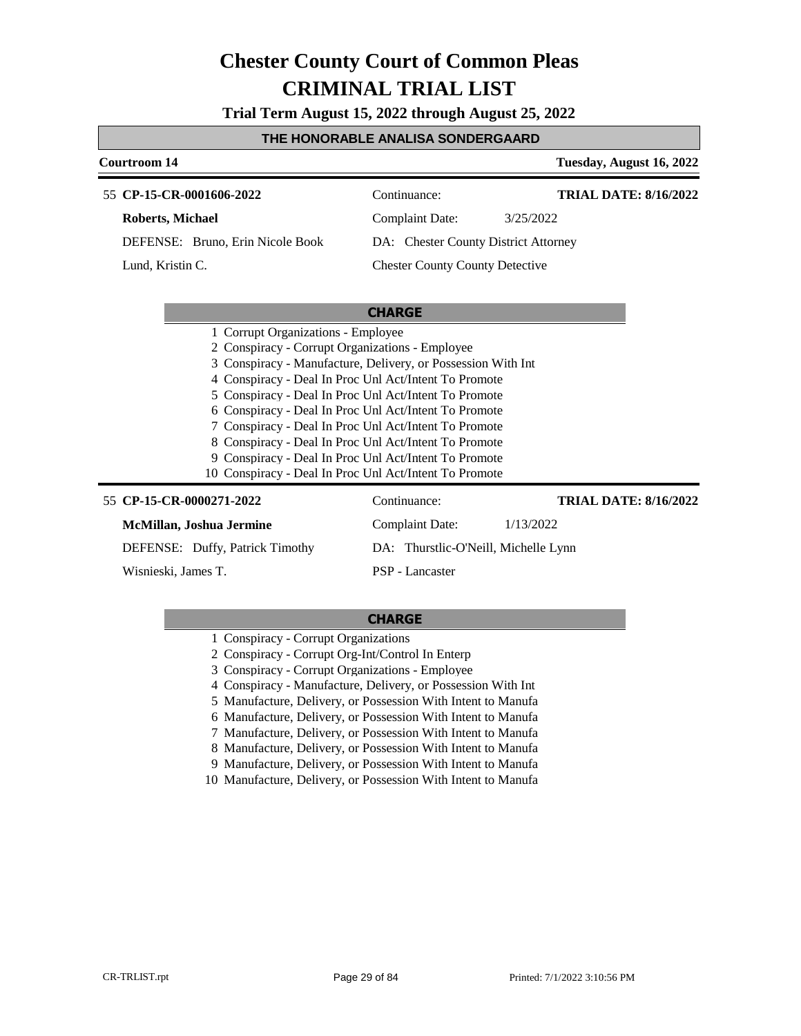**Trial Term August 15, 2022 through August 25, 2022**

#### **THE HONORABLE ANALISA SONDERGAARD**

### **Courtroom 14 Tuesday, August 16, 2022 CHARGE** 55 **CP-15-CR-0001606-2022** Continuance: **Roberts, Michael** DEFENSE: Bruno, Erin Nicole Book Complaint Date: 3/25/2022 DA: Chester County District Attorney Chester County County Detective **TRIAL DATE: 8/16/2022** Lund, Kristin C. 1 Corrupt Organizations - Employee 2 Conspiracy - Corrupt Organizations - Employee 3 Conspiracy - Manufacture, Delivery, or Possession With Int 4 Conspiracy - Deal In Proc Unl Act/Intent To Promote 5 Conspiracy - Deal In Proc Unl Act/Intent To Promote 6 Conspiracy - Deal In Proc Unl Act/Intent To Promote 7 Conspiracy - Deal In Proc Unl Act/Intent To Promote

- 8 Conspiracy Deal In Proc Unl Act/Intent To Promote
- 9 Conspiracy Deal In Proc Unl Act/Intent To Promote
- 10 Conspiracy Deal In Proc Unl Act/Intent To Promote

| 55 CP-15-CR-0000271-2022        | Continuance:                         | <b>TRIAL DATE: 8/16/2022</b> |
|---------------------------------|--------------------------------------|------------------------------|
| McMillan, Joshua Jermine        | Complaint Date:                      | 1/13/2022                    |
| DEFENSE: Duffy, Patrick Timothy | DA: Thurstlic-O'Neill, Michelle Lynn |                              |
| Wisnieski, James T.             | PSP - Lancaster                      |                              |

- 1 Conspiracy Corrupt Organizations
- 2 Conspiracy Corrupt Org-Int/Control In Enterp
- 3 Conspiracy Corrupt Organizations Employee
- 4 Conspiracy Manufacture, Delivery, or Possession With Int
- 5 Manufacture, Delivery, or Possession With Intent to Manufa
- 6 Manufacture, Delivery, or Possession With Intent to Manufa
- 7 Manufacture, Delivery, or Possession With Intent to Manufa
- 8 Manufacture, Delivery, or Possession With Intent to Manufa
- 9 Manufacture, Delivery, or Possession With Intent to Manufa
- 10 Manufacture, Delivery, or Possession With Intent to Manufa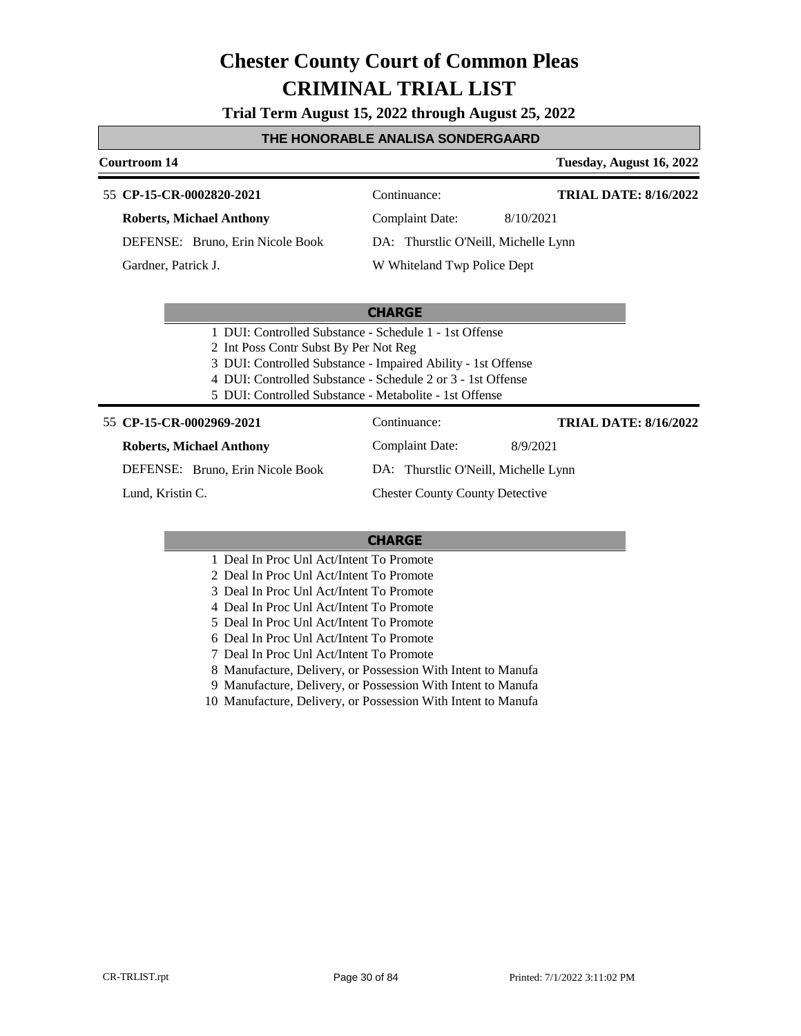**Trial Term August 15, 2022 through August 25, 2022**

#### **THE HONORABLE ANALISA SONDERGAARD**

#### **Courtroom 14 Tuesday, August 16, 2022**

#### 55 **CP-15-CR-0002820-2021** Continuance: **Roberts, Michael Anthony** DEFENSE: Bruno, Erin Nicole Book Complaint Date: 8/10/2021 DA: Thurstlic O'Neill, Michelle Lynn **TRIAL DATE: 8/16/2022**

Gardner, Patrick J.

#### W Whiteland Twp Police Dept

#### **CHARGE**

- 1 DUI: Controlled Substance Schedule 1 1st Offense
- 2 Int Poss Contr Subst By Per Not Reg
- 3 DUI: Controlled Substance Impaired Ability 1st Offense
- 4 DUI: Controlled Substance Schedule 2 or 3 1st Offense
- 5 DUI: Controlled Substance Metabolite 1st Offense

#### 55 **CP-15-CR-0002969-2021** Continuance:

**Roberts, Michael Anthony**

DEFENSE: Bruno, Erin Nicole Book

Lund, Kristin C.

DA: Thurstlic O'Neill, Michelle Lynn

Chester County County Detective

#### **CHARGE**

- 1 Deal In Proc Unl Act/Intent To Promote
- 2 Deal In Proc Unl Act/Intent To Promote
- 3 Deal In Proc Unl Act/Intent To Promote
- 4 Deal In Proc Unl Act/Intent To Promote
- 5 Deal In Proc Unl Act/Intent To Promote
- 6 Deal In Proc Unl Act/Intent To Promote
- 7 Deal In Proc Unl Act/Intent To Promote
- 8 Manufacture, Delivery, or Possession With Intent to Manufa
- 9 Manufacture, Delivery, or Possession With Intent to Manufa
- 10 Manufacture, Delivery, or Possession With Intent to Manufa

Complaint Date: 8/9/2021 **TRIAL DATE: 8/16/2022**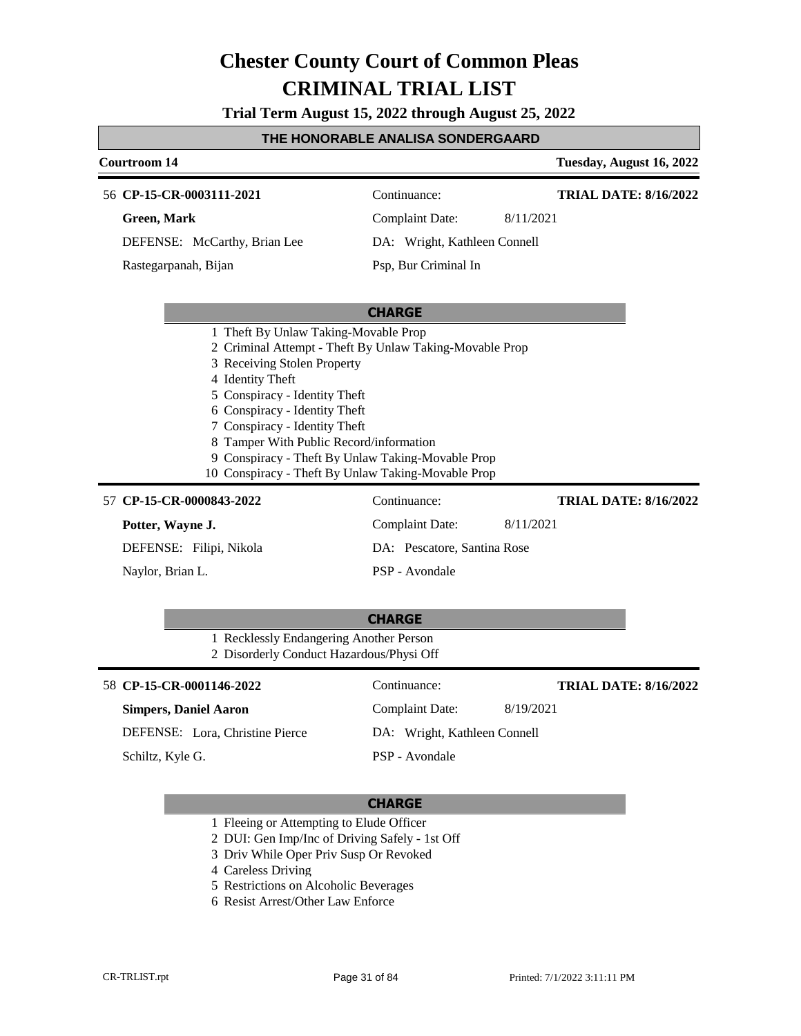**Trial Term August 15, 2022 through August 25, 2022**

### **THE HONORABLE ANALISA SONDERGAARD**

| <b>Courtroom 14</b>                                                                                                                                                                                                                                                                                                                                                                                         |                              | Tuesday, August 16, 2022     |
|-------------------------------------------------------------------------------------------------------------------------------------------------------------------------------------------------------------------------------------------------------------------------------------------------------------------------------------------------------------------------------------------------------------|------------------------------|------------------------------|
| 56 CP-15-CR-0003111-2021                                                                                                                                                                                                                                                                                                                                                                                    | Continuance:                 | <b>TRIAL DATE: 8/16/2022</b> |
| <b>Green, Mark</b>                                                                                                                                                                                                                                                                                                                                                                                          | <b>Complaint Date:</b>       | 8/11/2021                    |
| DEFENSE: McCarthy, Brian Lee                                                                                                                                                                                                                                                                                                                                                                                | DA: Wright, Kathleen Connell |                              |
| Rastegarpanah, Bijan                                                                                                                                                                                                                                                                                                                                                                                        | Psp, Bur Criminal In         |                              |
|                                                                                                                                                                                                                                                                                                                                                                                                             | <b>CHARGE</b>                |                              |
| 1 Theft By Unlaw Taking-Movable Prop<br>2 Criminal Attempt - Theft By Unlaw Taking-Movable Prop<br>3 Receiving Stolen Property<br>4 Identity Theft<br>5 Conspiracy - Identity Theft<br>6 Conspiracy - Identity Theft<br>7 Conspiracy - Identity Theft<br>8 Tamper With Public Record/information<br>9 Conspiracy - Theft By Unlaw Taking-Movable Prop<br>10 Conspiracy - Theft By Unlaw Taking-Movable Prop |                              |                              |
| 57 CP-15-CR-0000843-2022                                                                                                                                                                                                                                                                                                                                                                                    | Continuance:                 | <b>TRIAL DATE: 8/16/2022</b> |
| Potter, Wayne J.                                                                                                                                                                                                                                                                                                                                                                                            | <b>Complaint Date:</b>       | 8/11/2021                    |
| DEFENSE: Filipi, Nikola                                                                                                                                                                                                                                                                                                                                                                                     | DA: Pescatore, Santina Rose  |                              |
| Naylor, Brian L.                                                                                                                                                                                                                                                                                                                                                                                            | PSP - Avondale               |                              |
|                                                                                                                                                                                                                                                                                                                                                                                                             | <b>CHARGE</b>                |                              |
| 1 Recklessly Endangering Another Person<br>2 Disorderly Conduct Hazardous/Physi Off                                                                                                                                                                                                                                                                                                                         |                              |                              |
| 58 CP-15-CR-0001146-2022                                                                                                                                                                                                                                                                                                                                                                                    | Continuance:                 | <b>TRIAL DATE: 8/16/2022</b> |
| <b>Simpers, Daniel Aaron</b>                                                                                                                                                                                                                                                                                                                                                                                | <b>Complaint Date:</b>       | 8/19/2021                    |
| DEFENSE: Lora, Christine Pierce                                                                                                                                                                                                                                                                                                                                                                             | DA: Wright, Kathleen Connell |                              |

Schiltz, Kyle G.

#### **CHARGE**

PSP - Avondale

- 1 Fleeing or Attempting to Elude Officer
- 2 DUI: Gen Imp/Inc of Driving Safely 1st Off
- 3 Driv While Oper Priv Susp Or Revoked
- 4 Careless Driving
- 5 Restrictions on Alcoholic Beverages
- 6 Resist Arrest/Other Law Enforce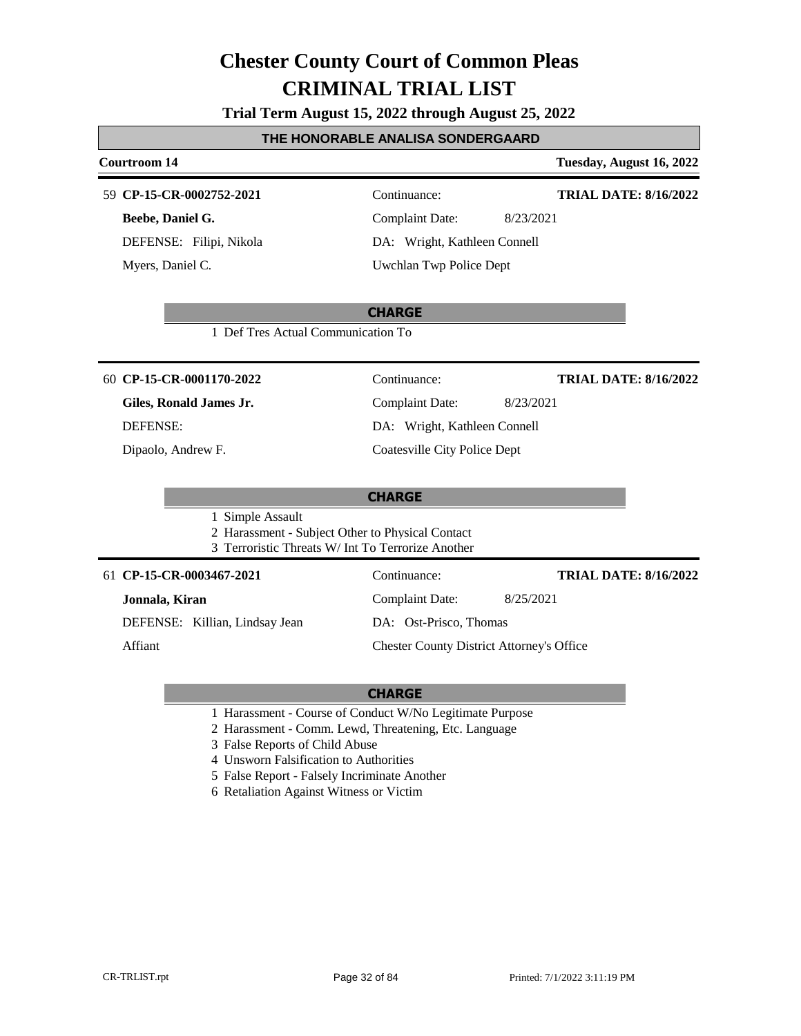**Trial Term August 15, 2022 through August 25, 2022**

#### **THE HONORABLE ANALISA SONDERGAARD**

#### **Courtroom 14 Tuesday, August 16, 2022**

#### **CP-15-CR-0002752-2021** 59 Continuance:

**Beebe, Daniel G.** DEFENSE: Filipi, Nikola Myers, Daniel C.

## Complaint Date: 8/23/2021 DA: Wright, Kathleen Connell

Uwchlan Twp Police Dept

#### **CHARGE**

1 Def Tres Actual Communication To

#### **CP-15-CR-0001170-2022** 60 Continuance:

### **Giles, Ronald James Jr.**

DEFENSE:

Dipaolo, Andrew F.

### Complaint Date: 8/23/2021 DA: Wright, Kathleen Connell Coatesville City Police Dept

#### **CHARGE**

1 Simple Assault

2 Harassment - Subject Other to Physical Contact

3 Terroristic Threats W/ Int To Terrorize Another

#### **CP-15-CR-0003467-2021** 61 Continuance:

#### **Jonnala, Kiran**

DEFENSE: Killian, Lindsay Jean

Affiant

### DA: Ost-Prisco, Thomas

Complaint Date: 8/25/2021

Chester County District Attorney's Office

#### **CHARGE**

- 1 Harassment Course of Conduct W/No Legitimate Purpose
- 2 Harassment Comm. Lewd, Threatening, Etc. Language
- 3 False Reports of Child Abuse
- 4 Unsworn Falsification to Authorities
- 5 False Report Falsely Incriminate Another
- 6 Retaliation Against Witness or Victim

**TRIAL DATE: 8/16/2022**

**TRIAL DATE: 8/16/2022**

**TRIAL DATE: 8/16/2022**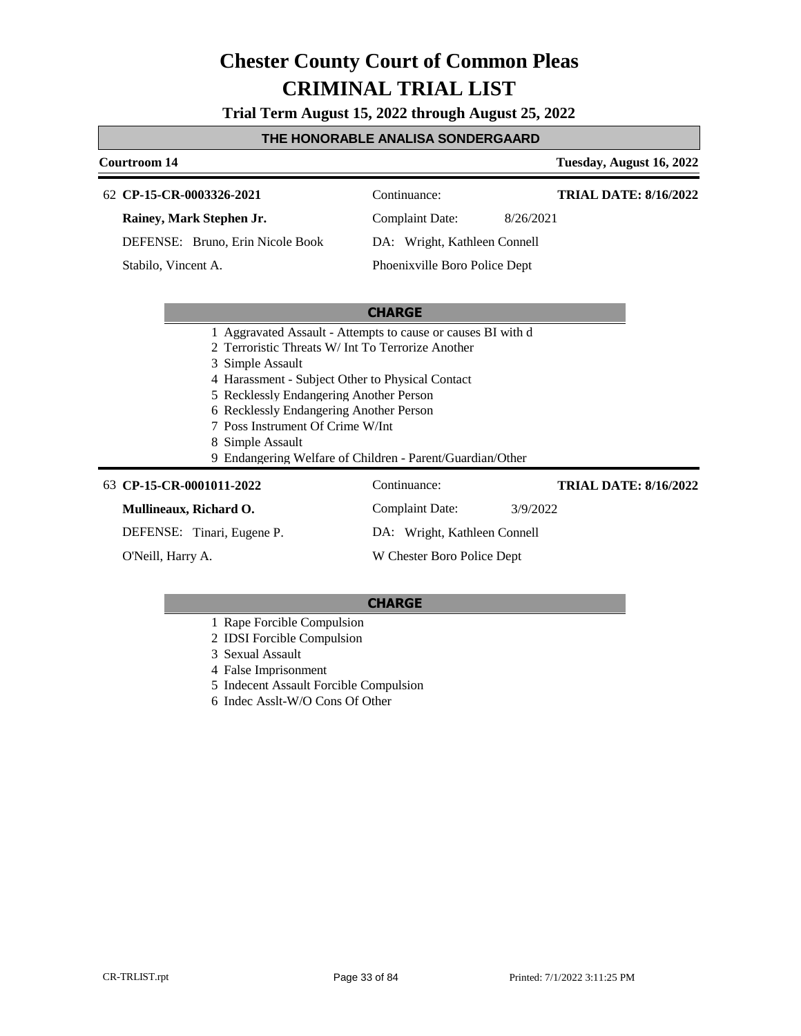**Trial Term August 15, 2022 through August 25, 2022**

#### **THE HONORABLE ANALISA SONDERGAARD**

#### **Courtroom 14 Tuesday, August 16, 2022 CP-15-CR-0003326-2021** 62 Continuance: **Rainey, Mark Stephen Jr.** DEFENSE: Bruno, Erin Nicole Book Complaint Date: 8/26/2021 DA: Wright, Kathleen Connell Phoenixville Boro Police Dept **TRIAL DATE: 8/16/2022** Stabilo, Vincent A.

#### **CHARGE**

- 1 Aggravated Assault Attempts to cause or causes BI with d
- 2 Terroristic Threats W/ Int To Terrorize Another
- 3 Simple Assault
- 4 Harassment Subject Other to Physical Contact
- 5 Recklessly Endangering Another Person
- 6 Recklessly Endangering Another Person
- 7 Poss Instrument Of Crime W/Int
- 8 Simple Assault
- 9 Endangering Welfare of Children Parent/Guardian/Other

| 63 CP-15-CR-0001011-2022   | Continuance:                 | <b>TRIAL DATE: 8/16/2022</b> |
|----------------------------|------------------------------|------------------------------|
| Mullineaux, Richard O.     | Complaint Date:              | 3/9/2022                     |
| DEFENSE: Tinari, Eugene P. | DA: Wright, Kathleen Connell |                              |
| O'Neill, Harry A.          | W Chester Boro Police Dept   |                              |

- 1 Rape Forcible Compulsion
- 2 IDSI Forcible Compulsion
- 3 Sexual Assault
- 4 False Imprisonment
- 5 Indecent Assault Forcible Compulsion
- 6 Indec Asslt-W/O Cons Of Other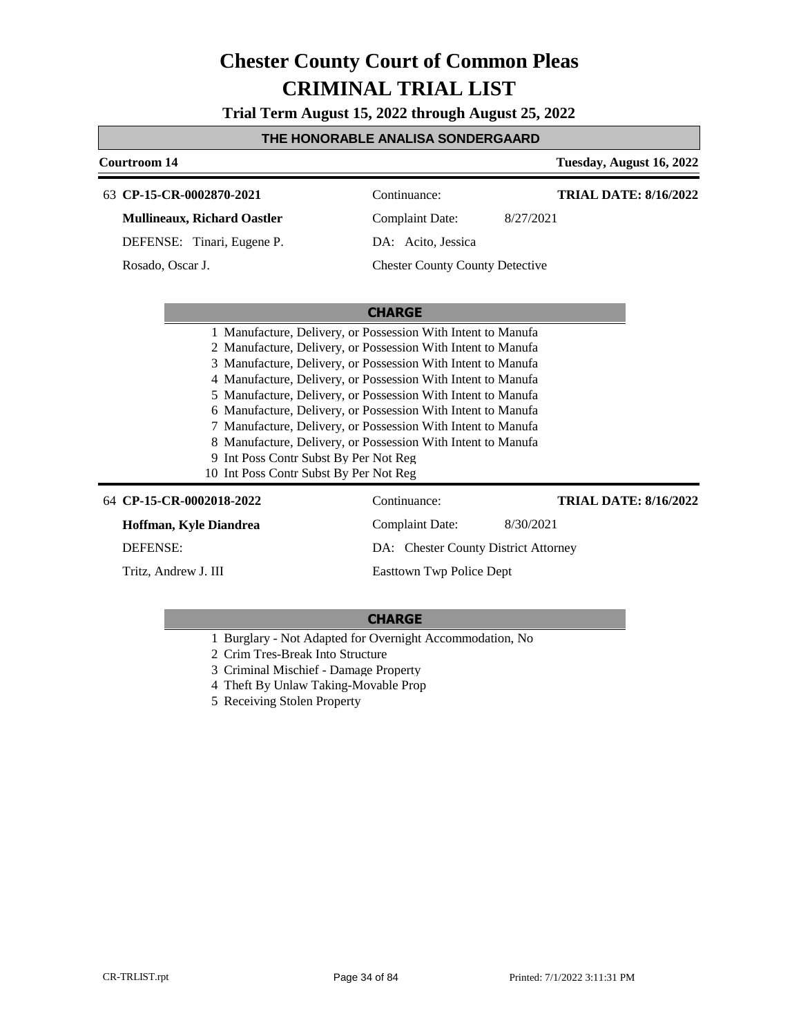**Trial Term August 15, 2022 through August 25, 2022**

#### **THE HONORABLE ANALISA SONDERGAARD**

| Courtroom 14                                                                                                                                                                                                                                                                                                                                                                                                                                                                                                                                                                                                    |                                        | Tuesday, August 16, 2022     |
|-----------------------------------------------------------------------------------------------------------------------------------------------------------------------------------------------------------------------------------------------------------------------------------------------------------------------------------------------------------------------------------------------------------------------------------------------------------------------------------------------------------------------------------------------------------------------------------------------------------------|----------------------------------------|------------------------------|
| 63 CP-15-CR-0002870-2021                                                                                                                                                                                                                                                                                                                                                                                                                                                                                                                                                                                        | Continuance:                           | <b>TRIAL DATE: 8/16/2022</b> |
| <b>Mullineaux, Richard Oastler</b>                                                                                                                                                                                                                                                                                                                                                                                                                                                                                                                                                                              | <b>Complaint Date:</b><br>8/27/2021    |                              |
| DEFENSE: Tinari, Eugene P.                                                                                                                                                                                                                                                                                                                                                                                                                                                                                                                                                                                      | DA: Acito, Jessica                     |                              |
| Rosado, Oscar J.                                                                                                                                                                                                                                                                                                                                                                                                                                                                                                                                                                                                | <b>Chester County County Detective</b> |                              |
|                                                                                                                                                                                                                                                                                                                                                                                                                                                                                                                                                                                                                 |                                        |                              |
|                                                                                                                                                                                                                                                                                                                                                                                                                                                                                                                                                                                                                 | <b>CHARGE</b>                          |                              |
| 1 Manufacture, Delivery, or Possession With Intent to Manufa<br>2 Manufacture, Delivery, or Possession With Intent to Manufa<br>3 Manufacture, Delivery, or Possession With Intent to Manufa<br>4 Manufacture, Delivery, or Possession With Intent to Manufa<br>5 Manufacture, Delivery, or Possession With Intent to Manufa<br>6 Manufacture, Delivery, or Possession With Intent to Manufa<br>7 Manufacture, Delivery, or Possession With Intent to Manufa<br>8 Manufacture, Delivery, or Possession With Intent to Manufa<br>9 Int Poss Contr Subst By Per Not Reg<br>10 Int Poss Contr Subst By Per Not Reg |                                        |                              |
| 64 CP-15-CR-0002018-2022                                                                                                                                                                                                                                                                                                                                                                                                                                                                                                                                                                                        | Continuance:                           | <b>TRIAL DATE: 8/16/2022</b> |
| Hoffman, Kyle Diandrea                                                                                                                                                                                                                                                                                                                                                                                                                                                                                                                                                                                          | Complaint Date:<br>8/30/2021           |                              |
| <b>DEFENSE:</b>                                                                                                                                                                                                                                                                                                                                                                                                                                                                                                                                                                                                 | DA: Chester County District Attorney   |                              |
| Tritz, Andrew J. III<br>Eastrown Twp Police Dept                                                                                                                                                                                                                                                                                                                                                                                                                                                                                                                                                                |                                        |                              |

- 1 Burglary Not Adapted for Overnight Accommodation, No
- 2 Crim Tres-Break Into Structure
- 3 Criminal Mischief Damage Property
- 4 Theft By Unlaw Taking-Movable Prop
- 5 Receiving Stolen Property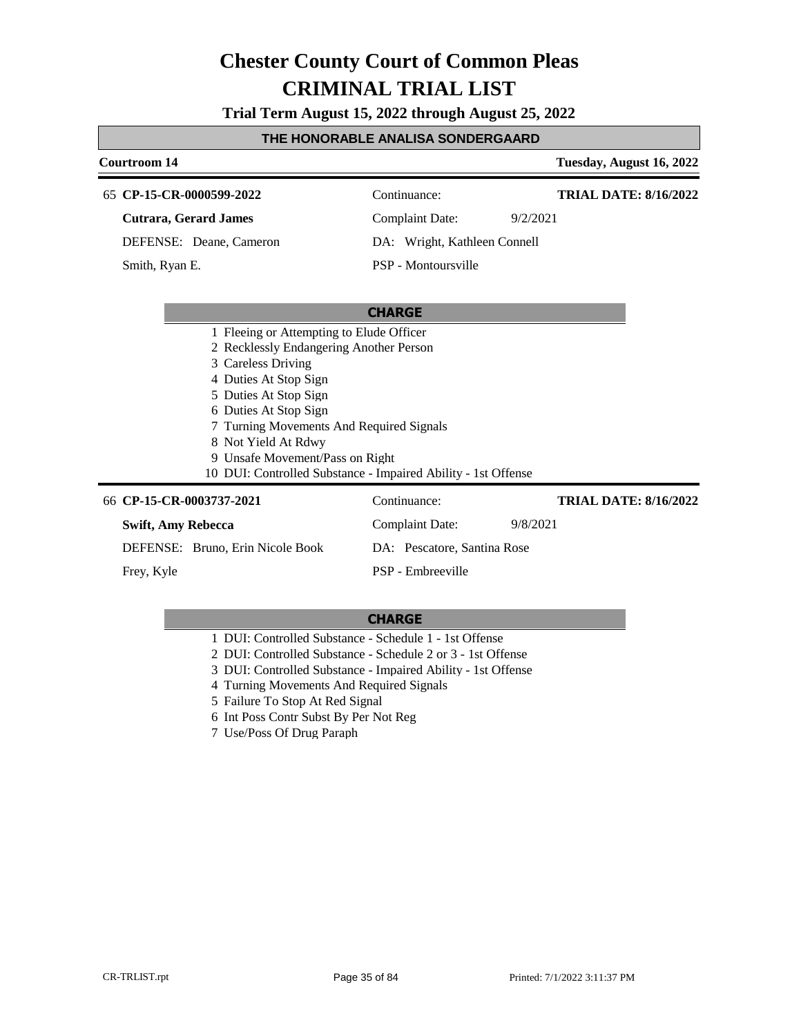**Trial Term August 15, 2022 through August 25, 2022**

#### **THE HONORABLE ANALISA SONDERGAARD**

### **Courtroom 14 Tuesday, August 16, 2022 CHARGE CP-15-CR-0000599-2022** 65 Continuance: **Cutrara, Gerard James** DEFENSE: Deane, Cameron Complaint Date: 9/2/2021 DA: Wright, Kathleen Connell PSP - Montoursville **TRIAL DATE: 8/16/2022** Smith, Ryan E. 1 Fleeing or Attempting to Elude Officer 2 Recklessly Endangering Another Person 3 Careless Driving 4 Duties At Stop Sign

5 Duties At Stop Sign 6 Duties At Stop Sign 7 Turning Movements And Required Signals 8 Not Yield At Rdwy 9 Unsafe Movement/Pass on Right 10 DUI: Controlled Substance - Impaired Ability - 1st Offense 66 CP-15-CR-0003737-2021 Continuance: **Swift, Amy Rebecca** Complaint Date: 9/8/2021 **TRIAL DATE: 8/16/2022**

DEFENSE: Bruno, Erin Nicole Book DA: Pescatore, Santina Rose PSP - Embreeville Frey, Kyle

- 1 DUI: Controlled Substance Schedule 1 1st Offense
- 2 DUI: Controlled Substance Schedule 2 or 3 1st Offense
- 3 DUI: Controlled Substance Impaired Ability 1st Offense
- 4 Turning Movements And Required Signals
- 5 Failure To Stop At Red Signal
- 6 Int Poss Contr Subst By Per Not Reg
- 7 Use/Poss Of Drug Paraph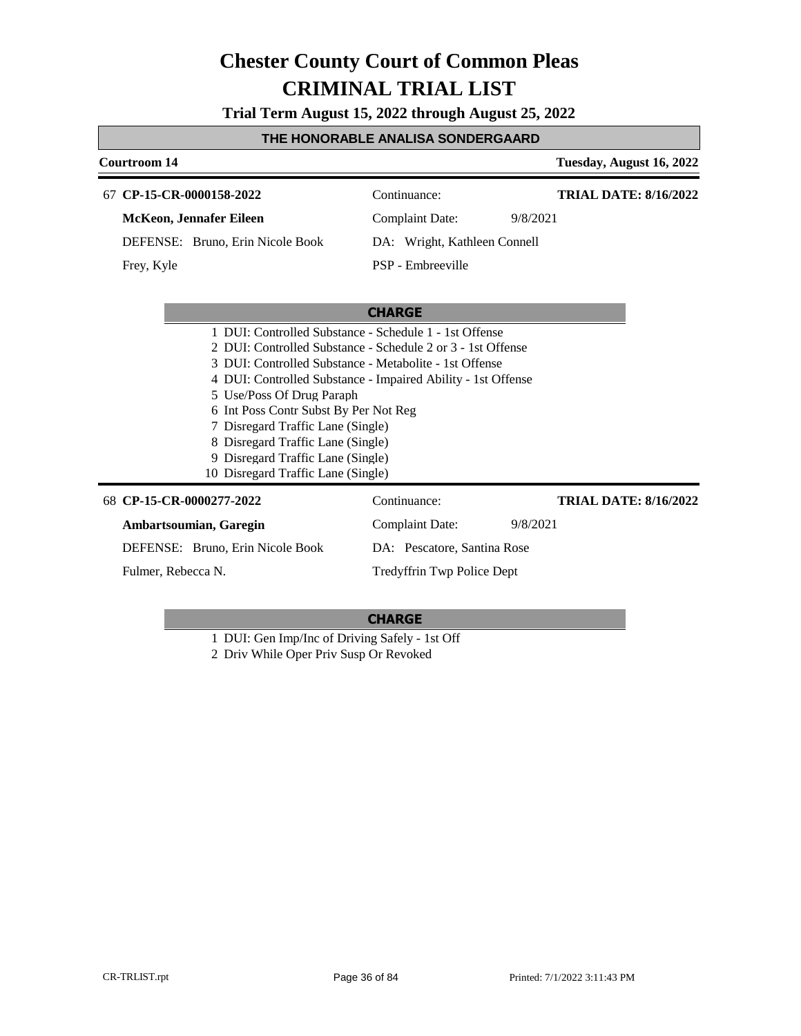**Trial Term August 15, 2022 through August 25, 2022**

#### **THE HONORABLE ANALISA SONDERGAARD**

### **Courtroom 14 Tuesday, August 16, 2022 CHARGE CP-15-CR-0000158-2022** 67 Continuance: **McKeon, Jennafer Eileen** DEFENSE: Bruno, Erin Nicole Book Complaint Date: 9/8/2021 DA: Wright, Kathleen Connell PSP - Embreeville **TRIAL DATE: 8/16/2022** Frey, Kyle 1 DUI: Controlled Substance - Schedule 1 - 1st Offense 2 DUI: Controlled Substance - Schedule 2 or 3 - 1st Offense 3 DUI: Controlled Substance - Metabolite - 1st Offense 4 DUI: Controlled Substance - Impaired Ability - 1st Offense 5 Use/Poss Of Drug Paraph 6 Int Poss Contr Subst By Per Not Reg

- 7 Disregard Traffic Lane (Single)
- 8 Disregard Traffic Lane (Single)
- 9 Disregard Traffic Lane (Single)
- 10 Disregard Traffic Lane (Single)

#### **CP-15-CR-0000277-2022** 68 Continuance: **Ambartsoumian, Garegin** DEFENSE: Bruno, Erin Nicole Book Complaint Date: 9/8/2021 DA: Pescatore, Santina Rose Tredyffrin Twp Police Dept **TRIAL DATE: 8/16/2022** Fulmer, Rebecca N.

#### **CHARGE**

1 DUI: Gen Imp/Inc of Driving Safely - 1st Off

2 Driv While Oper Priv Susp Or Revoked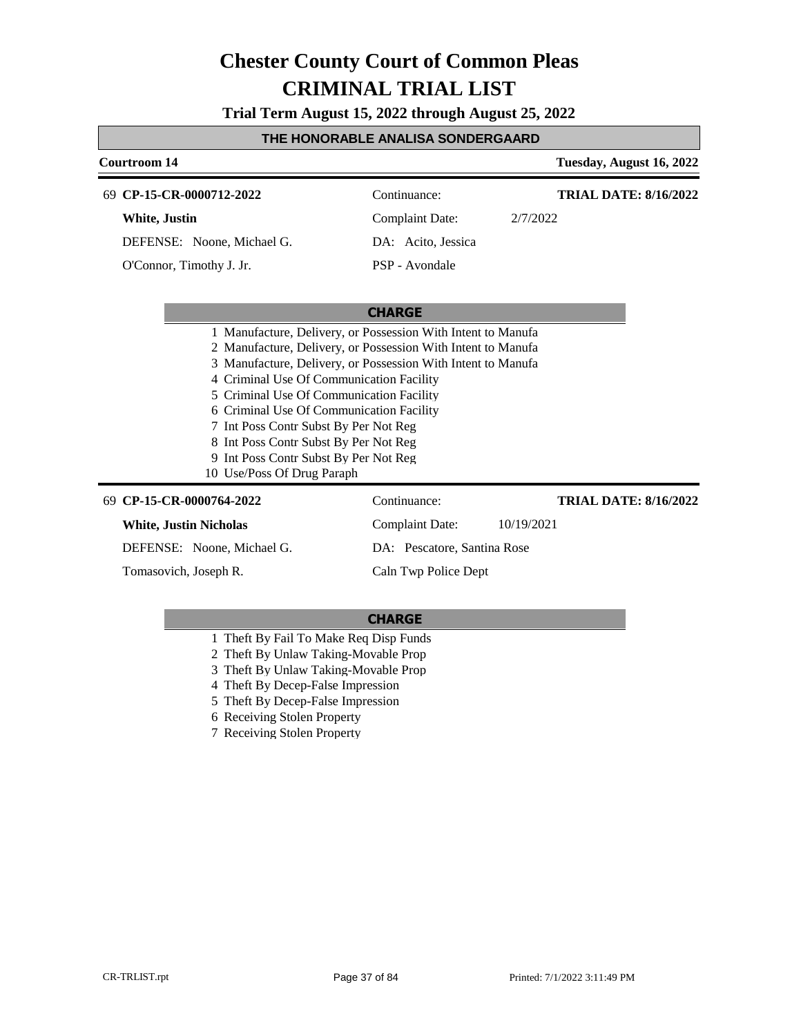**Trial Term August 15, 2022 through August 25, 2022**

#### **THE HONORABLE ANALISA SONDERGAARD**

| <b>Courtroom 14</b>                                                                                                                                                                                                                                                                                                                                                                                                       |                             | Tuesday, August 16, 2022     |
|---------------------------------------------------------------------------------------------------------------------------------------------------------------------------------------------------------------------------------------------------------------------------------------------------------------------------------------------------------------------------------------------------------------------------|-----------------------------|------------------------------|
| 69 CP-15-CR-0000712-2022                                                                                                                                                                                                                                                                                                                                                                                                  | Continuance:                | <b>TRIAL DATE: 8/16/2022</b> |
| White, Justin                                                                                                                                                                                                                                                                                                                                                                                                             | Complaint Date:             | 2/7/2022                     |
| DEFENSE: Noone, Michael G.                                                                                                                                                                                                                                                                                                                                                                                                | DA: Acito, Jessica          |                              |
| O'Connor, Timothy J. Jr.                                                                                                                                                                                                                                                                                                                                                                                                  | PSP - Avondale              |                              |
|                                                                                                                                                                                                                                                                                                                                                                                                                           |                             |                              |
|                                                                                                                                                                                                                                                                                                                                                                                                                           | <b>CHARGE</b>               |                              |
| 2 Manufacture, Delivery, or Possession With Intent to Manufa<br>3 Manufacture, Delivery, or Possession With Intent to Manufa<br>4 Criminal Use Of Communication Facility<br>5 Criminal Use Of Communication Facility<br>6 Criminal Use Of Communication Facility<br>7 Int Poss Contr Subst By Per Not Reg<br>8 Int Poss Contr Subst By Per Not Reg<br>9 Int Poss Contr Subst By Per Not Reg<br>10 Use/Poss Of Drug Paraph |                             |                              |
| 69 CP-15-CR-0000764-2022                                                                                                                                                                                                                                                                                                                                                                                                  | Continuance:                | <b>TRIAL DATE: 8/16/2022</b> |
| <b>White, Justin Nicholas</b>                                                                                                                                                                                                                                                                                                                                                                                             | Complaint Date:             | 10/19/2021                   |
| DEFENSE: Noone, Michael G.                                                                                                                                                                                                                                                                                                                                                                                                | DA: Pescatore, Santina Rose |                              |
| Tomasovich, Joseph R.                                                                                                                                                                                                                                                                                                                                                                                                     | Caln Twp Police Dept        |                              |

- 1 Theft By Fail To Make Req Disp Funds
- 2 Theft By Unlaw Taking-Movable Prop
- 3 Theft By Unlaw Taking-Movable Prop
- 4 Theft By Decep-False Impression
- 5 Theft By Decep-False Impression
- 6 Receiving Stolen Property
- 7 Receiving Stolen Property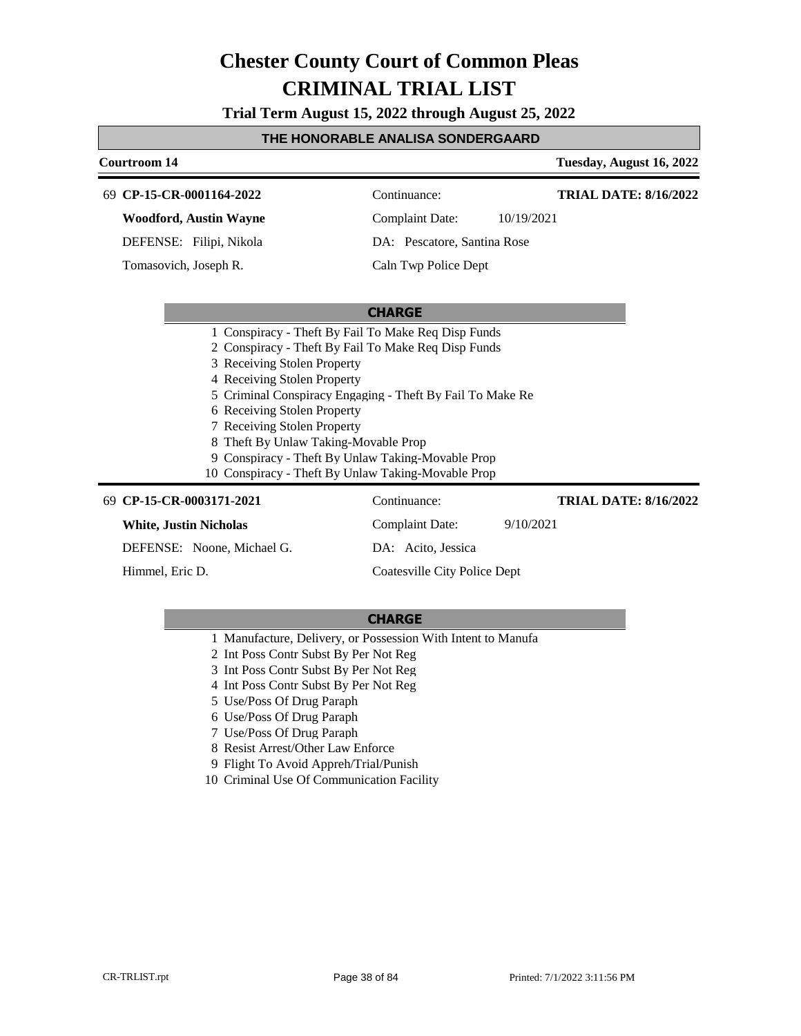**Trial Term August 15, 2022 through August 25, 2022**

#### **THE HONORABLE ANALISA SONDERGAARD**

|    | <b>Courtroom 14</b>                                                                                                                                                                                                                                                                                                                                                                       |                                                           | Tuesday, August 16, 2022     |
|----|-------------------------------------------------------------------------------------------------------------------------------------------------------------------------------------------------------------------------------------------------------------------------------------------------------------------------------------------------------------------------------------------|-----------------------------------------------------------|------------------------------|
| 69 | CP-15-CR-0001164-2022                                                                                                                                                                                                                                                                                                                                                                     | Continuance:                                              | <b>TRIAL DATE: 8/16/2022</b> |
|    | <b>Woodford, Austin Wayne</b>                                                                                                                                                                                                                                                                                                                                                             | <b>Complaint Date:</b>                                    | 10/19/2021                   |
|    | DEFENSE: Filipi, Nikola                                                                                                                                                                                                                                                                                                                                                                   | DA: Pescatore, Santina Rose                               |                              |
|    | Tomasovich, Joseph R.                                                                                                                                                                                                                                                                                                                                                                     | Caln Twp Police Dept                                      |                              |
|    |                                                                                                                                                                                                                                                                                                                                                                                           |                                                           |                              |
|    |                                                                                                                                                                                                                                                                                                                                                                                           | <b>CHARGE</b>                                             |                              |
|    | 1 Conspiracy - Theft By Fail To Make Req Disp Funds<br>2 Conspiracy - Theft By Fail To Make Req Disp Funds<br>3 Receiving Stolen Property<br>4 Receiving Stolen Property<br>6 Receiving Stolen Property<br>7 Receiving Stolen Property<br>8 Theft By Unlaw Taking-Movable Prop<br>9 Conspiracy - Theft By Unlaw Taking-Movable Prop<br>10 Conspiracy - Theft By Unlaw Taking-Movable Prop | 5 Criminal Conspiracy Engaging - Theft By Fail To Make Re |                              |
|    | 69 CP-15-CR-0003171-2021                                                                                                                                                                                                                                                                                                                                                                  | Continuance:                                              | <b>TRIAL DATE: 8/16/2022</b> |
|    | <b>White, Justin Nicholas</b>                                                                                                                                                                                                                                                                                                                                                             | Complaint Date:                                           | 9/10/2021                    |
|    | DEFENSE: Noone, Michael G.                                                                                                                                                                                                                                                                                                                                                                | DA: Acito, Jessica                                        |                              |
|    | Himmel, Eric D.                                                                                                                                                                                                                                                                                                                                                                           | Coatesville City Police Dept                              |                              |

- 1 Manufacture, Delivery, or Possession With Intent to Manufa
- 2 Int Poss Contr Subst By Per Not Reg
- 3 Int Poss Contr Subst By Per Not Reg
- 4 Int Poss Contr Subst By Per Not Reg
- 5 Use/Poss Of Drug Paraph
- 6 Use/Poss Of Drug Paraph
- 7 Use/Poss Of Drug Paraph
- 8 Resist Arrest/Other Law Enforce
- 9 Flight To Avoid Appreh/Trial/Punish
- 10 Criminal Use Of Communication Facility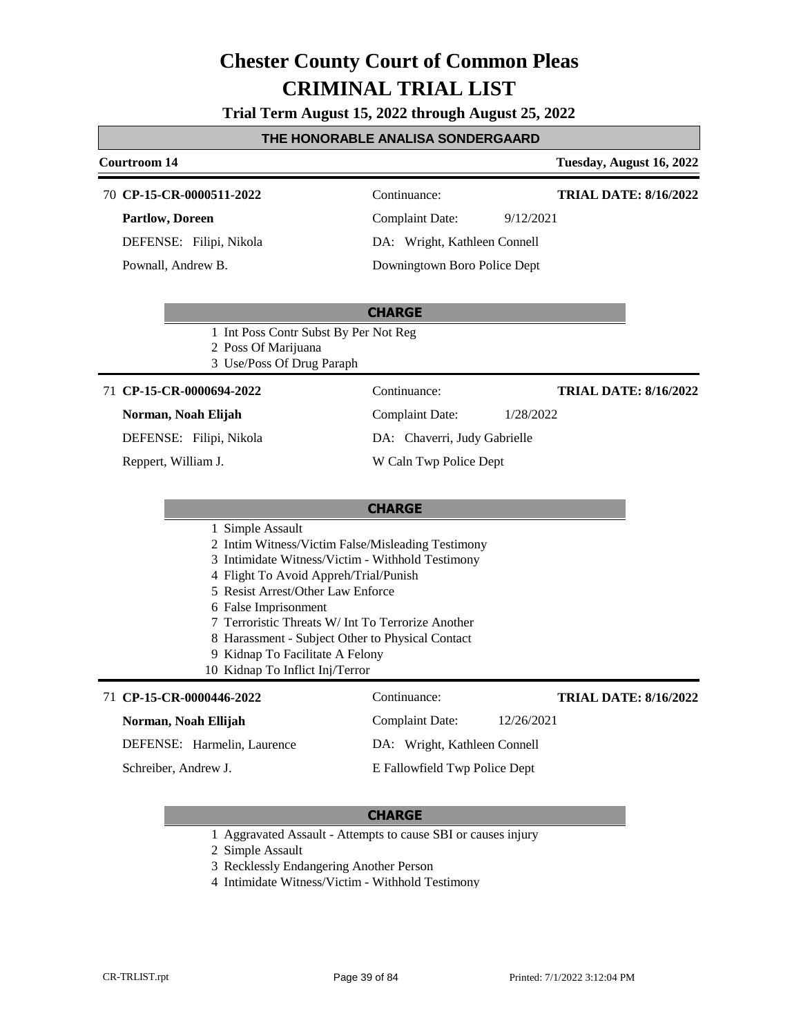**Trial Term August 15, 2022 through August 25, 2022**

#### **THE HONORABLE ANALISA SONDERGAARD**

# **Courtroom 14 Tuesday, August 16, 2022**

**TRIAL DATE: 8/16/2022**

**CP-15-CR-0000511-2022** 70 Continuance:

**Partlow, Doreen**

DEFENSE: Filipi, Nikola Pownall, Andrew B.

Complaint Date: 9/12/2021 DA: Wright, Kathleen Connell Downingtown Boro Police Dept

**CHARGE**

- 1 Int Poss Contr Subst By Per Not Reg
- 2 Poss Of Marijuana
- 3 Use/Poss Of Drug Paraph

#### 71 **CP-15-CR-0000694-2022** Continuance:

**Norman, Noah Elijah**

DEFENSE: Filipi, Nikola

Reppert, William J.

**TRIAL DATE: 8/16/2022**

Complaint Date: 1/28/2022

#### DA: Chaverri, Judy Gabrielle

#### W Caln Twp Police Dept

### **CHARGE**

- 1 Simple Assault
- 2 Intim Witness/Victim False/Misleading Testimony
- 3 Intimidate Witness/Victim Withhold Testimony
- 4 Flight To Avoid Appreh/Trial/Punish
- 5 Resist Arrest/Other Law Enforce
- 6 False Imprisonment
- 7 Terroristic Threats W/ Int To Terrorize Another
- 8 Harassment Subject Other to Physical Contact
- 9 Kidnap To Facilitate A Felony
- 10 Kidnap To Inflict Inj/Terror

### 71 **CP-15-CR-0000446-2022** Continuance: **Norman, Noah Ellijah**

Complaint Date: 12/26/2021

E Fallowfield Twp Police Dept

**TRIAL DATE: 8/16/2022**

DEFENSE: Harmelin, Laurence DA: Wright, Kathleen Connell

Schreiber, Andrew J.

- 1 Aggravated Assault Attempts to cause SBI or causes injury
- 2 Simple Assault
- 3 Recklessly Endangering Another Person
- 4 Intimidate Witness/Victim Withhold Testimony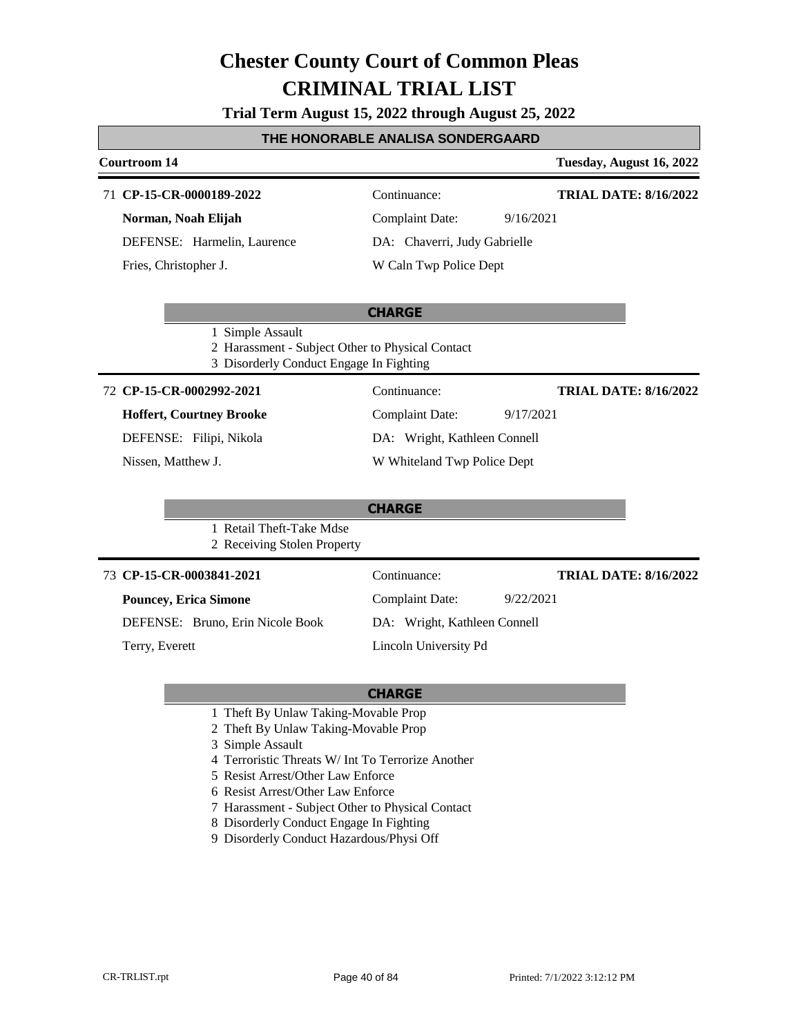#### **Trial Term August 15, 2022 through August 25, 2022**

#### **THE HONORABLE ANALISA SONDERGAARD**

#### 71 **CP-15-CR-0000189-2022** Continuance:

**Norman, Noah Elijah** DEFENSE: Harmelin, Laurence

Fries, Christopher J.

### **Courtroom 14 Tuesday, August 16, 2022**

#### **TRIAL DATE: 8/16/2022**

**TRIAL DATE: 8/16/2022**

**TRIAL DATE: 8/16/2022**

Complaint Date: 9/16/2021 DA: Chaverri, Judy Gabrielle

Complaint Date: 9/17/2021 DA: Wright, Kathleen Connell W Whiteland Twp Police Dept

### W Caln Twp Police Dept

#### **CHARGE**

- 1 Simple Assault
- 2 Harassment Subject Other to Physical Contact
- 3 Disorderly Conduct Engage In Fighting

#### **CP-15-CR-0002992-2021** 72 Continuance:

#### **Hoffert, Courtney Brooke**

DEFENSE: Filipi, Nikola

Nissen, Matthew J.

### **CHARGE**

#### 1 Retail Theft-Take Mdse 2 Receiving Stolen Property

#### **CP-15-CR-0003841-2021** 73 Continuance:

### **Pouncey, Erica Simone**

DEFENSE: Bruno, Erin Nicole Book

Terry, Everett

### DA: Wright, Kathleen Connell

Complaint Date: 9/22/2021

Lincoln University Pd

- 1 Theft By Unlaw Taking-Movable Prop
- 2 Theft By Unlaw Taking-Movable Prop
- 3 Simple Assault
- 4 Terroristic Threats W/ Int To Terrorize Another
- 5 Resist Arrest/Other Law Enforce
- 6 Resist Arrest/Other Law Enforce
- 7 Harassment Subject Other to Physical Contact
- 8 Disorderly Conduct Engage In Fighting
- 9 Disorderly Conduct Hazardous/Physi Off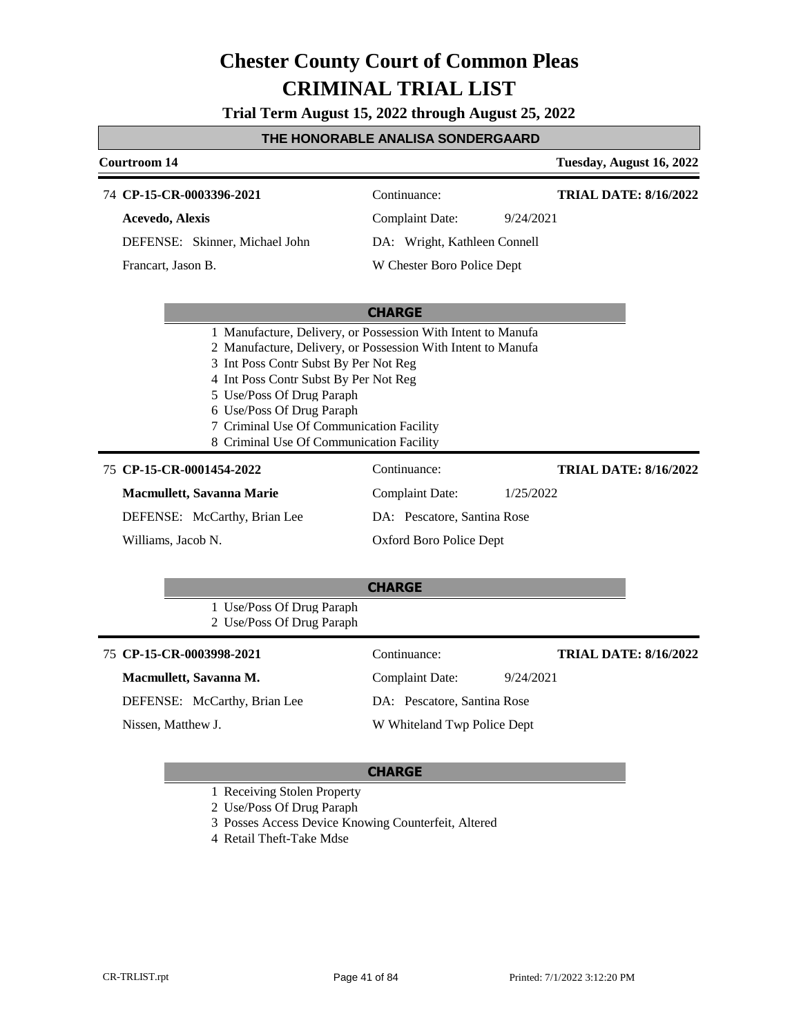**Trial Term August 15, 2022 through August 25, 2022**

#### **THE HONORABLE ANALISA SONDERGAARD**

| Courtroom 14           |                                |                              | Tuesday, August 16, 2022 |
|------------------------|--------------------------------|------------------------------|--------------------------|
|                        | 74 CP-15-CR-0003396-2021       | Continuance:                 | TRIAL DATE: 8/16/2022    |
| <b>Acevedo, Alexis</b> |                                | Complaint Date:              | 9/24/2021                |
|                        | DEFENSE: Skinner, Michael John | DA: Wright, Kathleen Connell |                          |
| Francart, Jason B.     |                                | W Chester Boro Police Dept   |                          |
|                        |                                |                              |                          |

#### **CHARGE**

- 1 Manufacture, Delivery, or Possession With Intent to Manufa
- 2 Manufacture, Delivery, or Possession With Intent to Manufa
- 3 Int Poss Contr Subst By Per Not Reg
- 4 Int Poss Contr Subst By Per Not Reg
- 5 Use/Poss Of Drug Paraph
- 6 Use/Poss Of Drug Paraph
- 7 Criminal Use Of Communication Facility
- 8 Criminal Use Of Communication Facility

#### **CP-15-CR-0001454-2022** 75 Continuance:

**Macmullett, Savanna Marie**

DEFENSE: McCarthy, Brian Lee

Williams, Jacob N.

Complaint Date: 1/25/2022 DA: Pescatore, Santina Rose Oxford Boro Police Dept

### **CHARGE**

1 Use/Poss Of Drug Paraph 2 Use/Poss Of Drug Paraph

75 **CP-15-CR-0003998-2021** Continuance: **Macmullett, Savanna M.** DEFENSE: McCarthy, Brian Lee Complaint Date: 9/24/2021 DA: Pescatore, Santina Rose W Whiteland Twp Police Dept **TRIAL DATE: 8/16/2022** Nissen, Matthew J.

#### **CHARGE**

- 1 Receiving Stolen Property
- 2 Use/Poss Of Drug Paraph

3 Posses Access Device Knowing Counterfeit, Altered

4 Retail Theft-Take Mdse

**TRIAL DATE: 8/16/2022**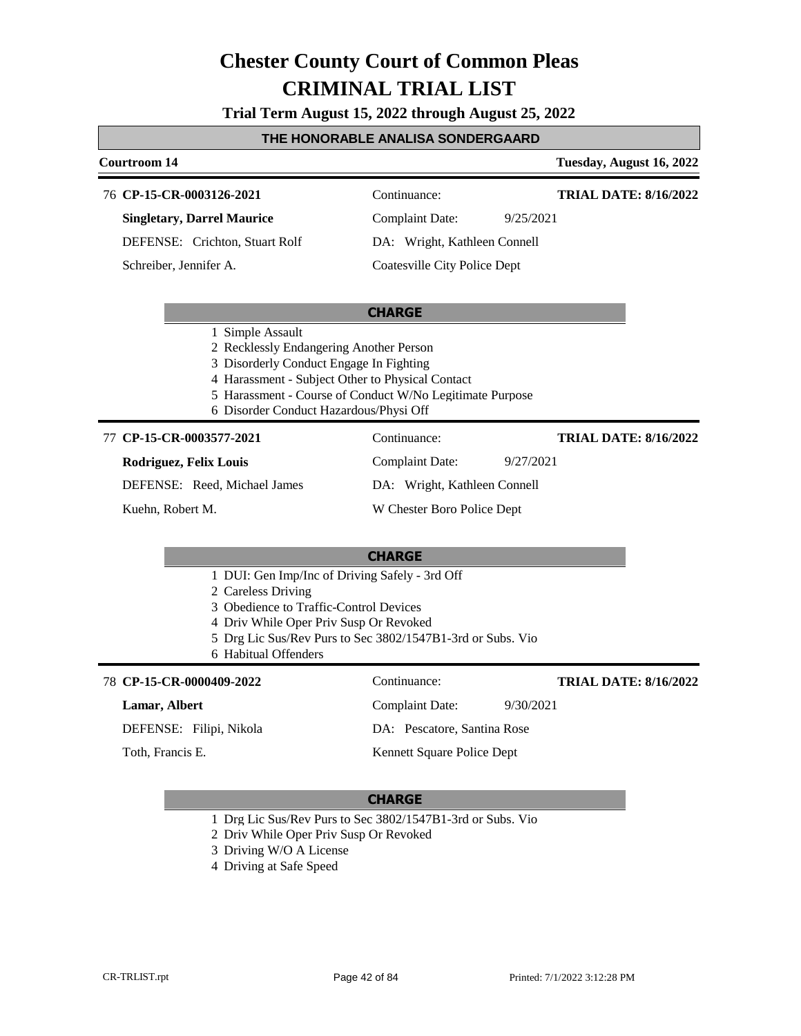**Trial Term August 15, 2022 through August 25, 2022**

#### **THE HONORABLE ANALISA SONDERGAARD**

#### **Courtroom 14 Tuesday, August 16, 2022 CHARGE CP-15-CR-0003126-2021** 76 Continuance: **Singletary, Darrel Maurice** DEFENSE: Crichton, Stuart Rolf Complaint Date: 9/25/2021 DA: Wright, Kathleen Connell Coatesville City Police Dept **TRIAL DATE: 8/16/2022** Schreiber, Jennifer A. 1 Simple Assault 2 Recklessly Endangering Another Person 3 Disorderly Conduct Engage In Fighting 4 Harassment - Subject Other to Physical Contact 5 Harassment - Course of Conduct W/No Legitimate Purpose 6 Disorder Conduct Hazardous/Physi Off **CHARGE** 77 **CP-15-CR-0003577-2021** Continuance: **Rodriguez, Felix Louis** DEFENSE: Reed, Michael James Complaint Date: 9/27/2021 DA: Wright, Kathleen Connell W Chester Boro Police Dept **TRIAL DATE: 8/16/2022** Kuehn, Robert M. 1 DUI: Gen Imp/Inc of Driving Safely - 3rd Off 2 Careless Driving 3 Obedience to Traffic-Control Devices 4 Driv While Oper Priv Susp Or Revoked 5 Drg Lic Sus/Rev Purs to Sec 3802/1547B1-3rd or Subs. Vio 6 Habitual Offenders **CP-15-CR-0000409-2022** 78 Continuance: **Lamar, Albert** DEFENSE: Filipi, Nikola Complaint Date: 9/30/2021 DA: Pescatore, Santina Rose Kennett Square Police Dept **TRIAL DATE: 8/16/2022** Toth, Francis E.

- 1 Drg Lic Sus/Rev Purs to Sec 3802/1547B1-3rd or Subs. Vio
- 2 Driv While Oper Priv Susp Or Revoked
- 3 Driving W/O A License
- 4 Driving at Safe Speed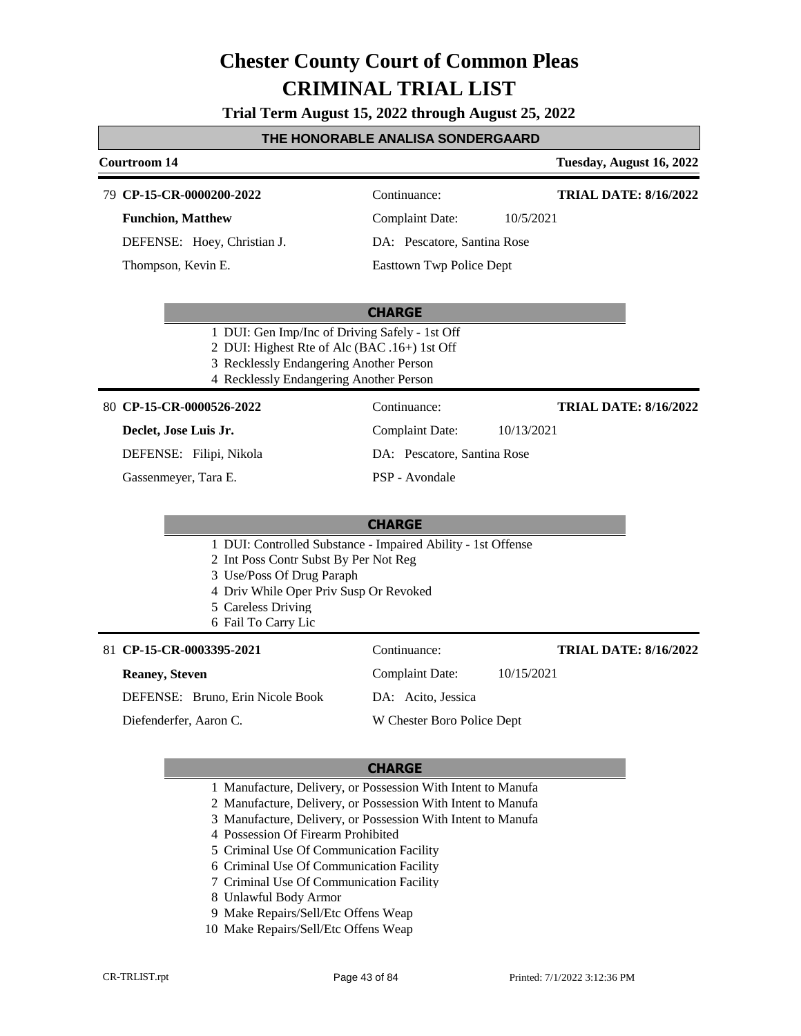**Trial Term August 15, 2022 through August 25, 2022**

#### **THE HONORABLE ANALISA SONDERGAARD**

#### **Courtroom 14 Tuesday, August 16, 2022 CP-15-CR-0000200-2022** 79 Continuance: **Funchion, Matthew** DEFENSE: Hoey, Christian J. Complaint Date: 10/5/2021 DA: Pescatore, Santina Rose Easttown Twp Police Dept **TRIAL DATE: 8/16/2022** Thompson, Kevin E.

#### **CHARGE**

- 1 DUI: Gen Imp/Inc of Driving Safely 1st Off
- 2 DUI: Highest Rte of Alc (BAC .16+) 1st Off
- 3 Recklessly Endangering Another Person
- 4 Recklessly Endangering Another Person

#### **CP-15-CR-0000526-2022** 80 Continuance:

#### **Declet, Jose Luis Jr.**

DEFENSE: Filipi, Nikola

Gassenmeyer, Tara E.

PSP - Avondale

Complaint Date: 10/13/2021

DA: Pescatore, Santina Rose

#### **CHARGE**

- 1 DUI: Controlled Substance Impaired Ability 1st Offense
- 2 Int Poss Contr Subst By Per Not Reg
- 3 Use/Poss Of Drug Paraph
- 4 Driv While Oper Priv Susp Or Revoked
- 5 Careless Driving
- 6 Fail To Carry Lic

#### **CP-15-CR-0003395-2021** 81 Continuance:

#### **Reaney, Steven**

DEFENSE: Bruno, Erin Nicole Book

Diefenderfer, Aaron C.

DA: Acito, Jessica

W Chester Boro Police Dept

#### **CHARGE**

- 1 Manufacture, Delivery, or Possession With Intent to Manufa
- 2 Manufacture, Delivery, or Possession With Intent to Manufa
- 3 Manufacture, Delivery, or Possession With Intent to Manufa
- 4 Possession Of Firearm Prohibited
- 5 Criminal Use Of Communication Facility
- 6 Criminal Use Of Communication Facility
- 7 Criminal Use Of Communication Facility
- 8 Unlawful Body Armor
- 9 Make Repairs/Sell/Etc Offens Weap
- 10 Make Repairs/Sell/Etc Offens Weap

**TRIAL DATE: 8/16/2022**

**TRIAL DATE: 8/16/2022**

Complaint Date: 10/15/2021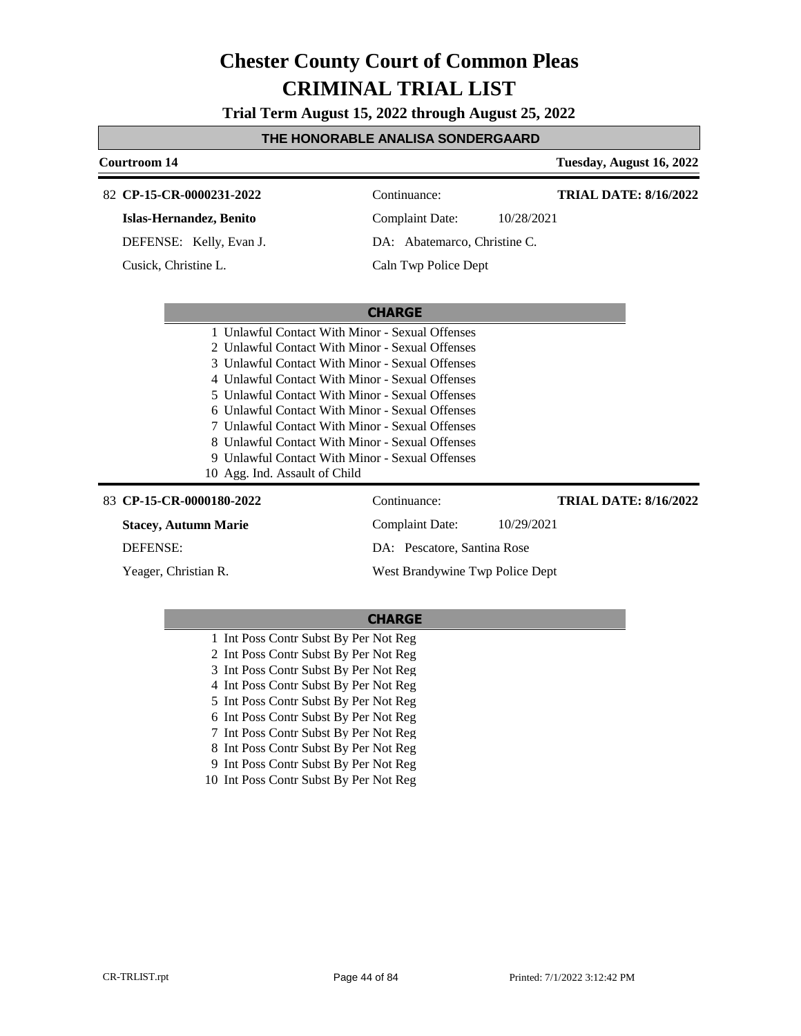**Trial Term August 15, 2022 through August 25, 2022**

#### **THE HONORABLE ANALISA SONDERGAARD**

| <b>Courtroom 14</b>                             |                                 |            | Tuesday, August 16, 2022     |
|-------------------------------------------------|---------------------------------|------------|------------------------------|
| 82 CP-15-CR-0000231-2022                        | Continuance:                    |            | <b>TRIAL DATE: 8/16/2022</b> |
| Islas-Hernandez, Benito                         | Complaint Date:                 | 10/28/2021 |                              |
| DEFENSE: Kelly, Evan J.                         | DA: Abatemarco, Christine C.    |            |                              |
| Cusick, Christine L.                            | Caln Twp Police Dept            |            |                              |
|                                                 |                                 |            |                              |
|                                                 | <b>CHARGE</b>                   |            |                              |
| 1 Unlawful Contact With Minor - Sexual Offenses |                                 |            |                              |
| 2 Unlawful Contact With Minor - Sexual Offenses |                                 |            |                              |
| 3 Unlawful Contact With Minor - Sexual Offenses |                                 |            |                              |
| 4 Unlawful Contact With Minor - Sexual Offenses |                                 |            |                              |
| 5 Unlawful Contact With Minor - Sexual Offenses |                                 |            |                              |
| 6 Unlawful Contact With Minor - Sexual Offenses |                                 |            |                              |
| 7 Unlawful Contact With Minor - Sexual Offenses |                                 |            |                              |
| 8 Unlawful Contact With Minor - Sexual Offenses |                                 |            |                              |
| 9 Unlawful Contact With Minor - Sexual Offenses |                                 |            |                              |
| 10 Agg. Ind. Assault of Child                   |                                 |            |                              |
| 83 CP-15-CR-0000180-2022                        | Continuance:                    |            | <b>TRIAL DATE: 8/16/2022</b> |
| <b>Stacey, Autumn Marie</b>                     | <b>Complaint Date:</b>          | 10/29/2021 |                              |
| <b>DEFENSE:</b>                                 | DA: Pescatore, Santina Rose     |            |                              |
| Yeager, Christian R.                            | West Brandywine Twp Police Dept |            |                              |

- 1 Int Poss Contr Subst By Per Not Reg 2 Int Poss Contr Subst By Per Not Reg 3 Int Poss Contr Subst By Per Not Reg 4 Int Poss Contr Subst By Per Not Reg 5 Int Poss Contr Subst By Per Not Reg 6 Int Poss Contr Subst By Per Not Reg 7 Int Poss Contr Subst By Per Not Reg 8 Int Poss Contr Subst By Per Not Reg
	- 9 Int Poss Contr Subst By Per Not Reg
- 10 Int Poss Contr Subst By Per Not Reg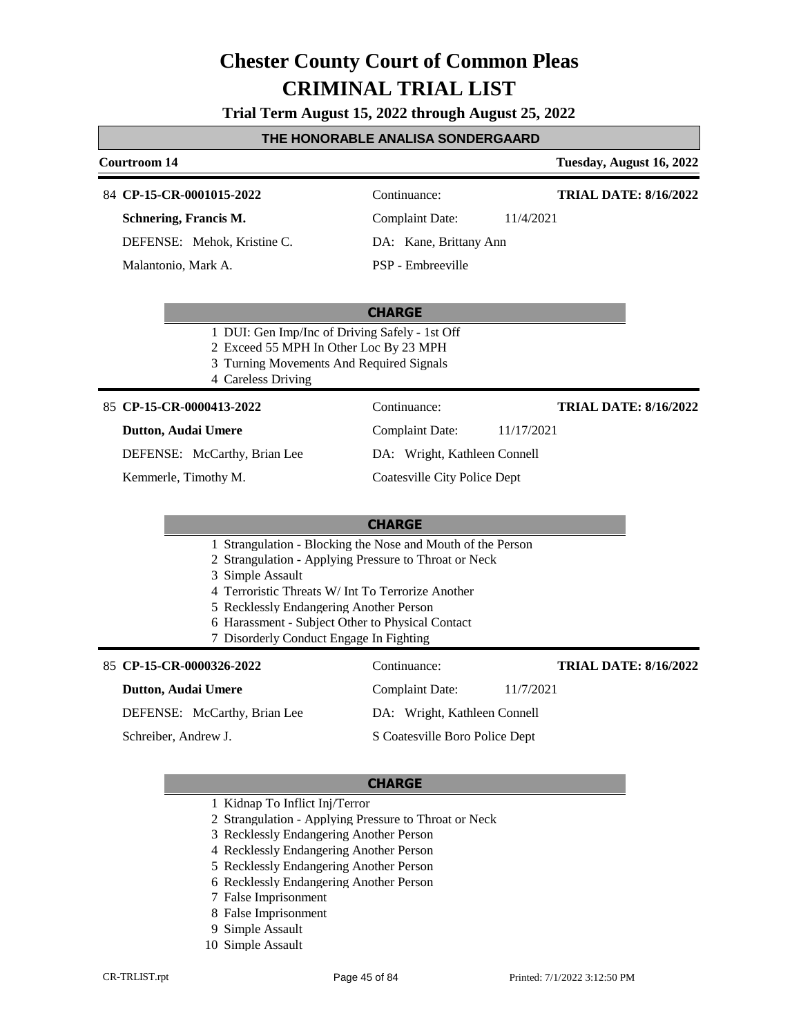**Trial Term August 15, 2022 through August 25, 2022**

#### **THE HONORABLE ANALISA SONDERGAARD**

#### **Courtroom 14 Tuesday, August 16, 2022**

#### 84 **CP-15-CR-0001015-2022** Continuance:

**Schnering, Francis M.**

DEFENSE: Mehok, Kristine C.

Malantonio, Mark A.

Complaint Date: 11/4/2021

**TRIAL DATE: 8/16/2022**

**TRIAL DATE: 8/16/2022**

PSP - Embreeville

DA: Kane, Brittany Ann

#### **CHARGE**

- 1 DUI: Gen Imp/Inc of Driving Safely 1st Off
- 2 Exceed 55 MPH In Other Loc By 23 MPH
- 3 Turning Movements And Required Signals
- 4 Careless Driving

#### 85 **CP-15-CR-0000413-2022** Continuance:

#### **Dutton, Audai Umere**

DEFENSE: McCarthy, Brian Lee

Kemmerle, Timothy M.

Complaint Date: 11/17/2021 DA: Wright, Kathleen Connell

Coatesville City Police Dept

#### **CHARGE**

- 1 Strangulation Blocking the Nose and Mouth of the Person
- 2 Strangulation Applying Pressure to Throat or Neck
- 3 Simple Assault
- 4 Terroristic Threats W/ Int To Terrorize Another
- 5 Recklessly Endangering Another Person
- 6 Harassment Subject Other to Physical Contact
- 7 Disorderly Conduct Engage In Fighting

#### 85 **CP-15-CR-0000326-2022** Continuance:

#### **Dutton, Audai Umere**

DEFENSE: McCarthy, Brian Lee

Schreiber, Andrew J.

#### **CHARGE**

- 1 Kidnap To Inflict Inj/Terror
- 2 Strangulation Applying Pressure to Throat or Neck
- 3 Recklessly Endangering Another Person
- 4 Recklessly Endangering Another Person
- 5 Recklessly Endangering Another Person
- 6 Recklessly Endangering Another Person
- 7 False Imprisonment
- 8 False Imprisonment
- 9 Simple Assault
- 10 Simple Assault

Complaint Date: 11/7/2021 **TRIAL DATE: 8/16/2022**

DA: Wright, Kathleen Connell

S Coatesville Boro Police Dept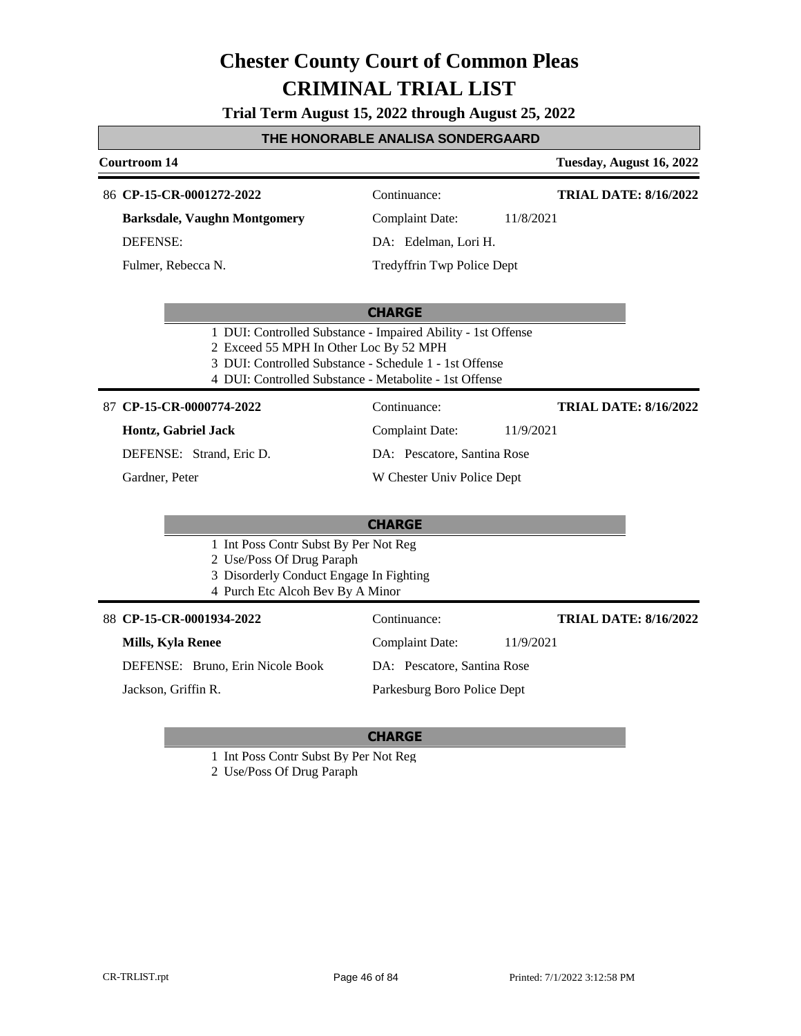**Trial Term August 15, 2022 through August 25, 2022**

#### **THE HONORABLE ANALISA SONDERGAARD**

#### **Courtroom 14 Tuesday, August 16, 2022 CHARGE** 86 **CP-15-CR-0001272-2022** Continuance: **Barksdale, Vaughn Montgomery** DEFENSE: Complaint Date: 11/8/2021 DA: Edelman, Lori H. Tredyffrin Twp Police Dept **TRIAL DATE: 8/16/2022** Fulmer, Rebecca N. 1 DUI: Controlled Substance - Impaired Ability - 1st Offense 2 Exceed 55 MPH In Other Loc By 52 MPH 3 DUI: Controlled Substance - Schedule 1 - 1st Offense 4 DUI: Controlled Substance - Metabolite - 1st Offense **CHARGE CP-15-CR-0000774-2022** 87 Continuance: **Hontz, Gabriel Jack** DEFENSE: Strand, Eric D. Complaint Date: 11/9/2021 DA: Pescatore, Santina Rose W Chester Univ Police Dept **TRIAL DATE: 8/16/2022** Gardner, Peter 1 Int Poss Contr Subst By Per Not Reg 2 Use/Poss Of Drug Paraph 3 Disorderly Conduct Engage In Fighting 4 Purch Etc Alcoh Bev By A Minor 88 **CP-15-CR-0001934-2022** Continuance: **Mills, Kyla Renee** DEFENSE: Bruno, Erin Nicole Book Complaint Date: 11/9/2021 DA: Pescatore, Santina Rose Parkesburg Boro Police Dept **TRIAL DATE: 8/16/2022** Jackson, Griffin R.

- 1 Int Poss Contr Subst By Per Not Reg
- 2 Use/Poss Of Drug Paraph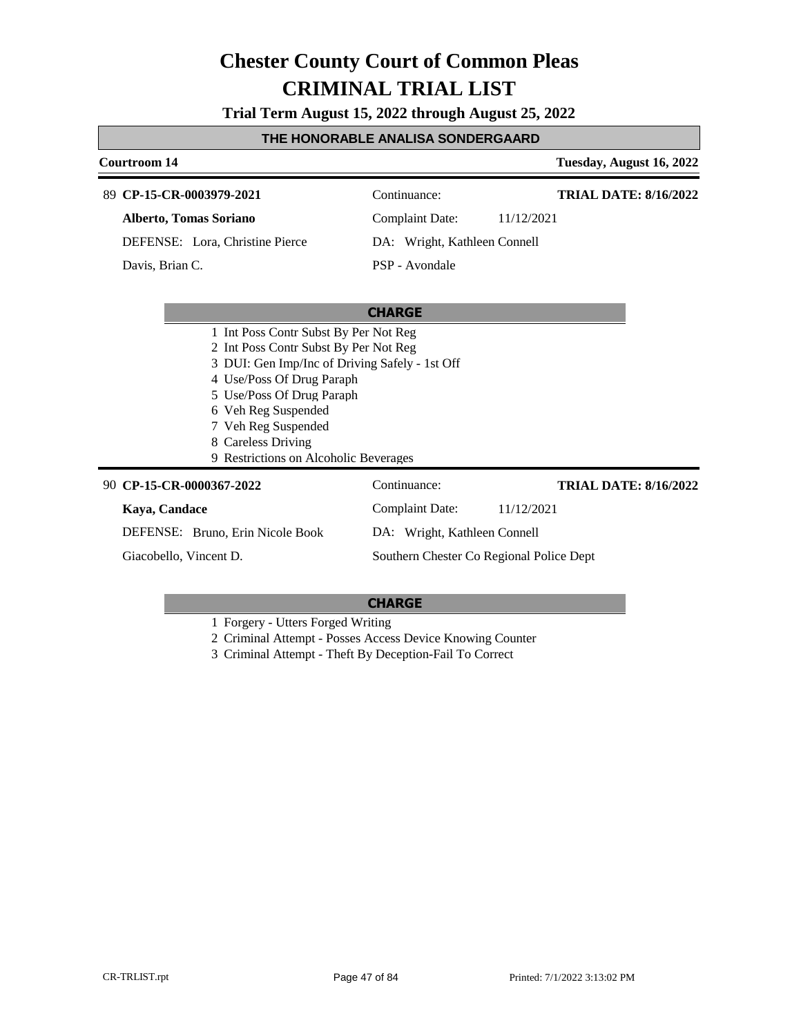**Trial Term August 15, 2022 through August 25, 2022**

#### **THE HONORABLE ANALISA SONDERGAARD**

### **Courtroom 14 Tuesday, August 16, 2022 CHARGE CP-15-CR-0003979-2021** 89 Continuance: **Alberto, Tomas Soriano** DEFENSE: Lora, Christine Pierce Complaint Date: 11/12/2021 DA: Wright, Kathleen Connell PSP - Avondale **TRIAL DATE: 8/16/2022** Davis, Brian C. 1 Int Poss Contr Subst By Per Not Reg 2 Int Poss Contr Subst By Per Not Reg 3 DUI: Gen Imp/Inc of Driving Safely - 1st Off 4 Use/Poss Of Drug Paraph 5 Use/Poss Of Drug Paraph

- 6 Veh Reg Suspended
- 7 Veh Reg Suspended
- 8 Careless Driving
- 9 Restrictions on Alcoholic Beverages

| 90 CP-15-CR-0000367-2022         | Continuance:                             | <b>TRIAL DATE: 8/16/2022</b> |
|----------------------------------|------------------------------------------|------------------------------|
| Kaya, Candace                    | <b>Complaint Date:</b>                   | 11/12/2021                   |
| DEFENSE: Bruno, Erin Nicole Book | DA: Wright, Kathleen Connell             |                              |
| Giacobello, Vincent D.           | Southern Chester Co Regional Police Dept |                              |

#### **CHARGE**

1 Forgery - Utters Forged Writing

2 Criminal Attempt - Posses Access Device Knowing Counter

3 Criminal Attempt - Theft By Deception-Fail To Correct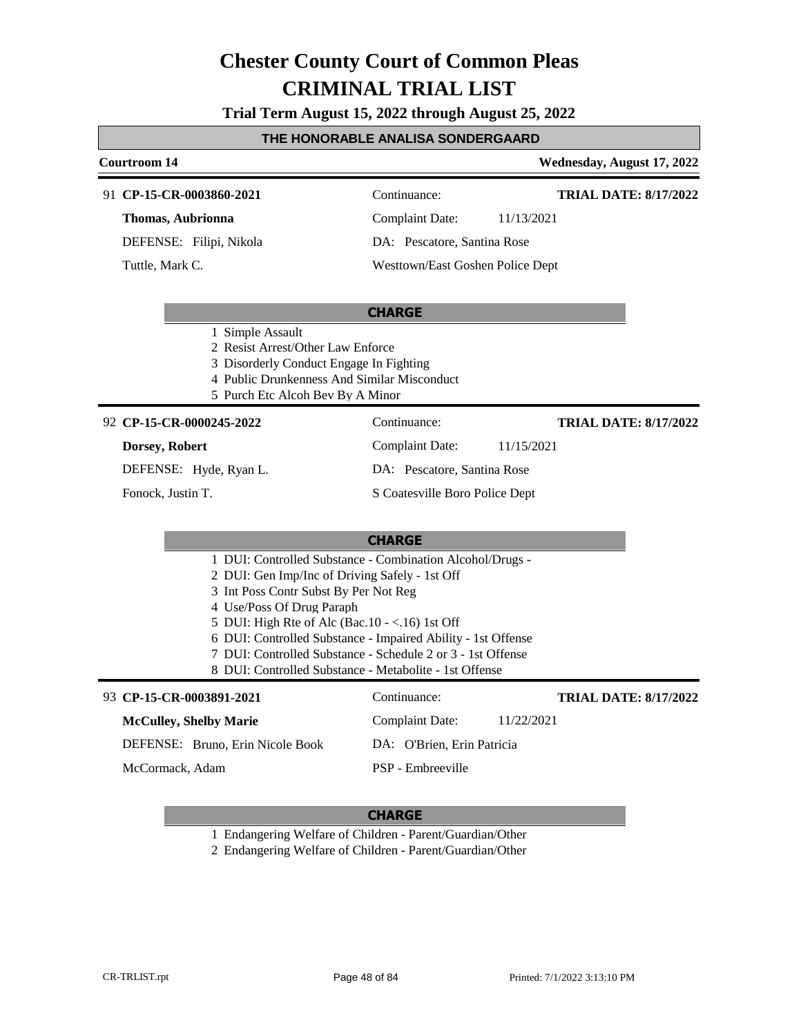**Trial Term August 15, 2022 through August 25, 2022**

#### **THE HONORABLE ANALISA SONDERGAARD**

### **Courtroom 14 Wednesday, August 17, 2022 CP-15-CR-0003860-2021** 91 Continuance: **TRIAL DATE: 8/17/2022**

**Thomas, Aubrionna**

DEFENSE: Filipi, Nikola

Tuttle, Mark C.

Complaint Date: 11/13/2021

DA: Pescatore, Santina Rose

Westtown/East Goshen Police Dept

#### **CHARGE**

- 1 Simple Assault
- 2 Resist Arrest/Other Law Enforce
- 3 Disorderly Conduct Engage In Fighting
- 4 Public Drunkenness And Similar Misconduct
- 5 Purch Etc Alcoh Bev By A Minor

#### **CP-15-CR-0000245-2022** 92 Continuance:

#### **Dorsey, Robert**

DEFENSE: Hyde, Ryan L.

Fonock, Justin T.

**TRIAL DATE: 8/17/2022**

Complaint Date: 11/15/2021

DA: Pescatore, Santina Rose

S Coatesville Boro Police Dept

#### **CHARGE**

- 1 DUI: Controlled Substance Combination Alcohol/Drugs -
- 2 DUI: Gen Imp/Inc of Driving Safely 1st Off
- 3 Int Poss Contr Subst By Per Not Reg
- 4 Use/Poss Of Drug Paraph
- 5 DUI: High Rte of Alc (Bac.10 <.16) 1st Off
- 6 DUI: Controlled Substance Impaired Ability 1st Offense
- 7 DUI: Controlled Substance Schedule 2 or 3 1st Offense
- 8 DUI: Controlled Substance Metabolite 1st Offense

#### **CP-15-CR-0003891-2021** 93 Continuance:

**McCulley, Shelby Marie**

DEFENSE: Bruno, Erin Nicole Book

**TRIAL DATE: 8/17/2022**

Complaint Date: 11/22/2021

DA: O'Brien, Erin Patricia

PSP - Embreeville

McCormack, Adam

#### **CHARGE**

1 Endangering Welfare of Children - Parent/Guardian/Other

2 Endangering Welfare of Children - Parent/Guardian/Other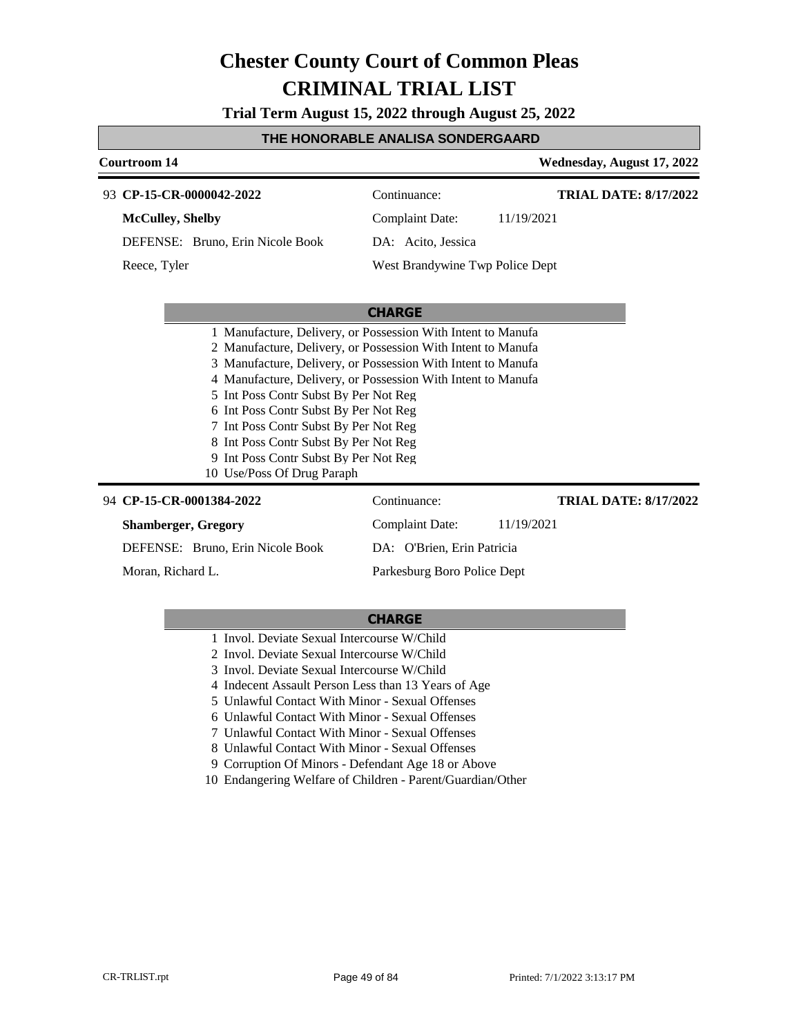**Trial Term August 15, 2022 through August 25, 2022**

#### **THE HONORABLE ANALISA SONDERGAARD**

#### **Courtroom 14 Wednesday, August 17, 2022 CP-15-CR-0000042-2022** 93 Continuance: **McCulley, Shelby** DEFENSE: Bruno, Erin Nicole Book Complaint Date: 11/19/2021 DA: Acito, Jessica West Brandywine Twp Police Dept **TRIAL DATE: 8/17/2022** Reece, Tyler

#### **CHARGE**

|                            |                                       | 1 Manufacture, Delivery, or Possession With Intent to Manufa |  |
|----------------------------|---------------------------------------|--------------------------------------------------------------|--|
|                            |                                       | 2 Manufacture, Delivery, or Possession With Intent to Manufa |  |
|                            |                                       | 3 Manufacture, Delivery, or Possession With Intent to Manufa |  |
|                            |                                       | 4 Manufacture, Delivery, or Possession With Intent to Manufa |  |
|                            | 5 Int Poss Contr Subst By Per Not Reg |                                                              |  |
|                            | 6 Int Poss Contr Subst By Per Not Reg |                                                              |  |
|                            | 7 Int Poss Contr Subst By Per Not Reg |                                                              |  |
|                            | 8 Int Poss Contr Subst By Per Not Reg |                                                              |  |
|                            | 9 Int Poss Contr Subst By Per Not Reg |                                                              |  |
| 10 Use/Poss Of Drug Paraph |                                       |                                                              |  |
| 1384_2022                  | '`ontinuance'                         |                                                              |  |

#### **CP-15-CR-0001384-2022** 94 Continuance: **Shamberger, Gregory** DEFENSE: Bruno, Erin Nicole Book Complaint Date: 11/19/2021 DA: O'Brien, Erin Patricia Parkesburg Boro Police Dept **TRIAL DATE: 8/17/2022** Moran, Richard L.

- 1 Invol. Deviate Sexual Intercourse W/Child
- 2 Invol. Deviate Sexual Intercourse W/Child
- 3 Invol. Deviate Sexual Intercourse W/Child
- 4 Indecent Assault Person Less than 13 Years of Age
- 5 Unlawful Contact With Minor Sexual Offenses
- 6 Unlawful Contact With Minor Sexual Offenses
- 7 Unlawful Contact With Minor Sexual Offenses
- 8 Unlawful Contact With Minor Sexual Offenses
- 9 Corruption Of Minors Defendant Age 18 or Above
- 10 Endangering Welfare of Children Parent/Guardian/Other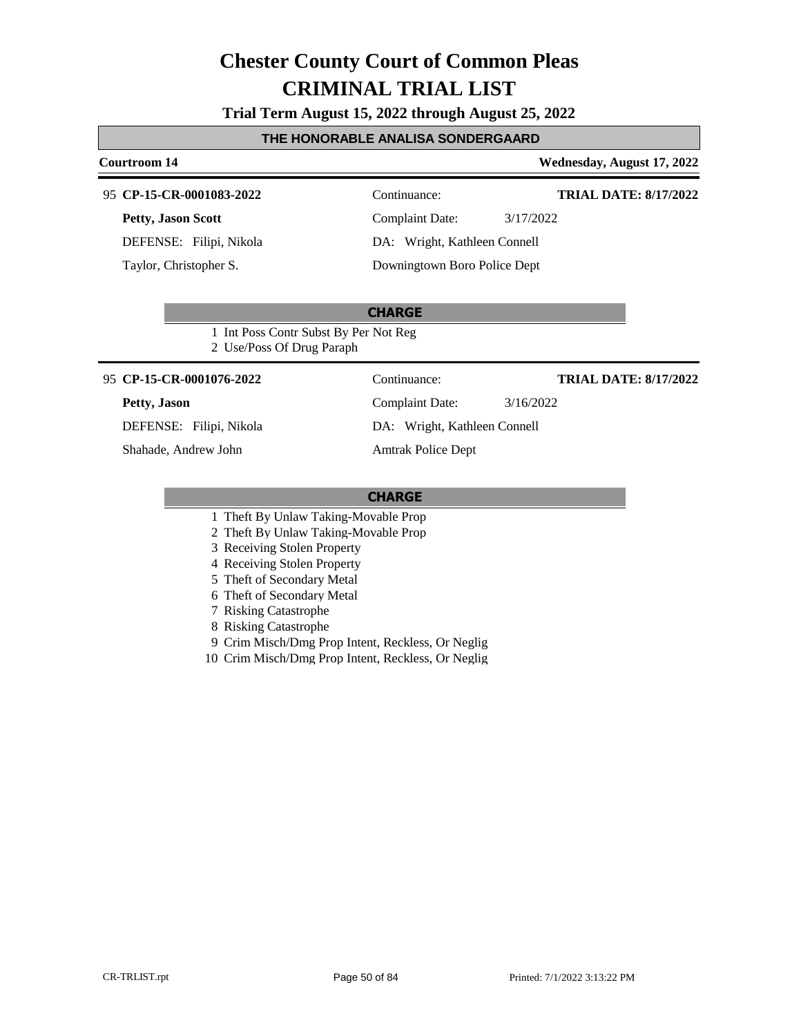**Trial Term August 15, 2022 through August 25, 2022**

#### **THE HONORABLE ANALISA SONDERGAARD**

#### **Courtroom 14 Wednesday, August 17, 2022**

#### **CP-15-CR-0001083-2022** 95 Continuance:

**Petty, Jason Scott**

DEFENSE: Filipi, Nikola

Taylor, Christopher S.

**TRIAL DATE: 8/17/2022**

**TRIAL DATE: 8/17/2022**

Complaint Date: 3/17/2022 DA: Wright, Kathleen Connell

Downingtown Boro Police Dept

#### **CHARGE**

1 Int Poss Contr Subst By Per Not Reg 2 Use/Poss Of Drug Paraph

#### **CP-15-CR-0001076-2022** 95 Continuance:

#### **Petty, Jason**

DEFENSE: Filipi, Nikola

Shahade, Andrew John

Complaint Date: 3/16/2022 DA: Wright, Kathleen Connell Amtrak Police Dept

- 1 Theft By Unlaw Taking-Movable Prop
- 2 Theft By Unlaw Taking-Movable Prop
- 3 Receiving Stolen Property
- 4 Receiving Stolen Property
- 5 Theft of Secondary Metal
- 6 Theft of Secondary Metal
- 7 Risking Catastrophe
- 8 Risking Catastrophe
- 9 Crim Misch/Dmg Prop Intent, Reckless, Or Neglig
- 10 Crim Misch/Dmg Prop Intent, Reckless, Or Neglig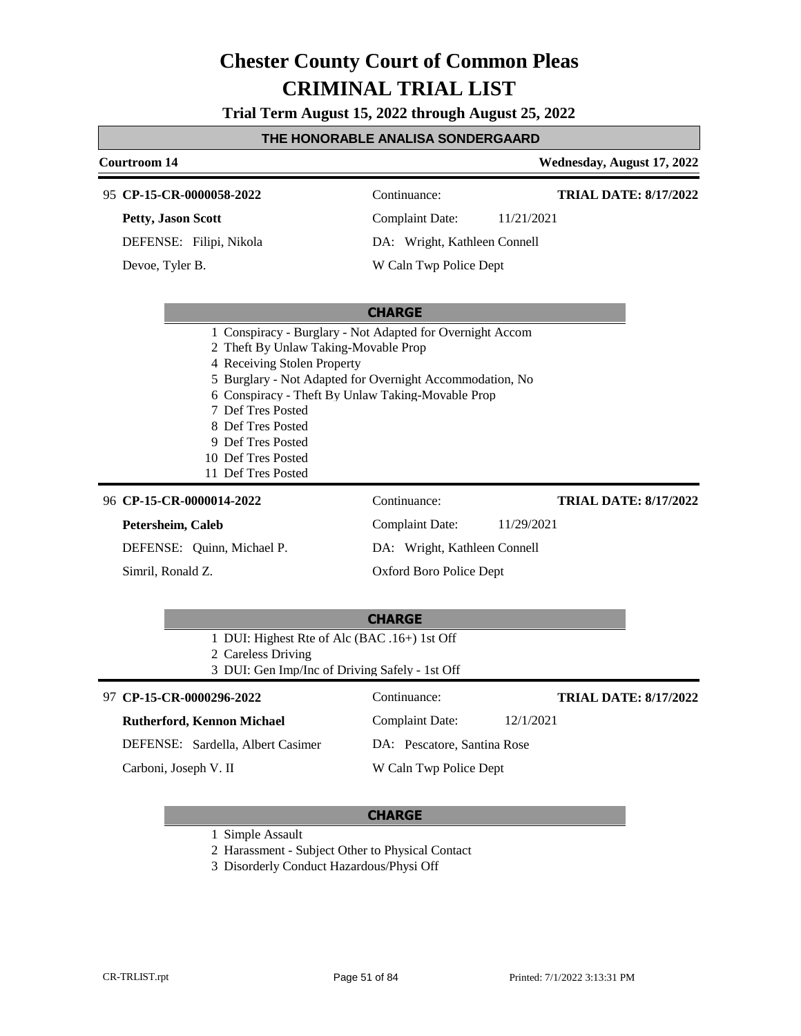**Trial Term August 15, 2022 through August 25, 2022**

#### **THE HONORABLE ANALISA SONDERGAARD**

### **Courtroom 14 Wednesday, August 17, 2022 CHARGE CP-15-CR-0000058-2022** 95 Continuance: **Petty, Jason Scott** DEFENSE: Filipi, Nikola Complaint Date: 11/21/2021 DA: Wright, Kathleen Connell W Caln Twp Police Dept **TRIAL DATE: 8/17/2022** Devoe, Tyler B. 1 Conspiracy - Burglary - Not Adapted for Overnight Accom 2 Theft By Unlaw Taking-Movable Prop 4 Receiving Stolen Property 5 Burglary - Not Adapted for Overnight Accommodation, No 6 Conspiracy - Theft By Unlaw Taking-Movable Prop 7 Def Tres Posted 8 Def Tres Posted 9 Def Tres Posted 10 Def Tres Posted 11 Def Tres Posted **CHARGE** 96 **CP-15-CR-0000014-2022** Continuance: **Petersheim, Caleb** DEFENSE: Quinn, Michael P. Complaint Date: 11/29/2021 DA: Wright, Kathleen Connell Oxford Boro Police Dept **TRIAL DATE: 8/17/2022** Simril, Ronald Z.

- 1 DUI: Highest Rte of Alc (BAC .16+) 1st Off
- 2 Careless Driving
- 3 DUI: Gen Imp/Inc of Driving Safely 1st Off

#### **CP-15-CR-0000296-2022** 97 Continuance:

#### **Rutherford, Kennon Michael**

DEFENSE: Sardella, Albert Casimer

Carboni, Joseph V. II

DA: Pescatore, Santina Rose W Caln Twp Police Dept

Complaint Date: 12/1/2021

#### **CHARGE**

1 Simple Assault

2 Harassment - Subject Other to Physical Contact

3 Disorderly Conduct Hazardous/Physi Off

**TRIAL DATE: 8/17/2022**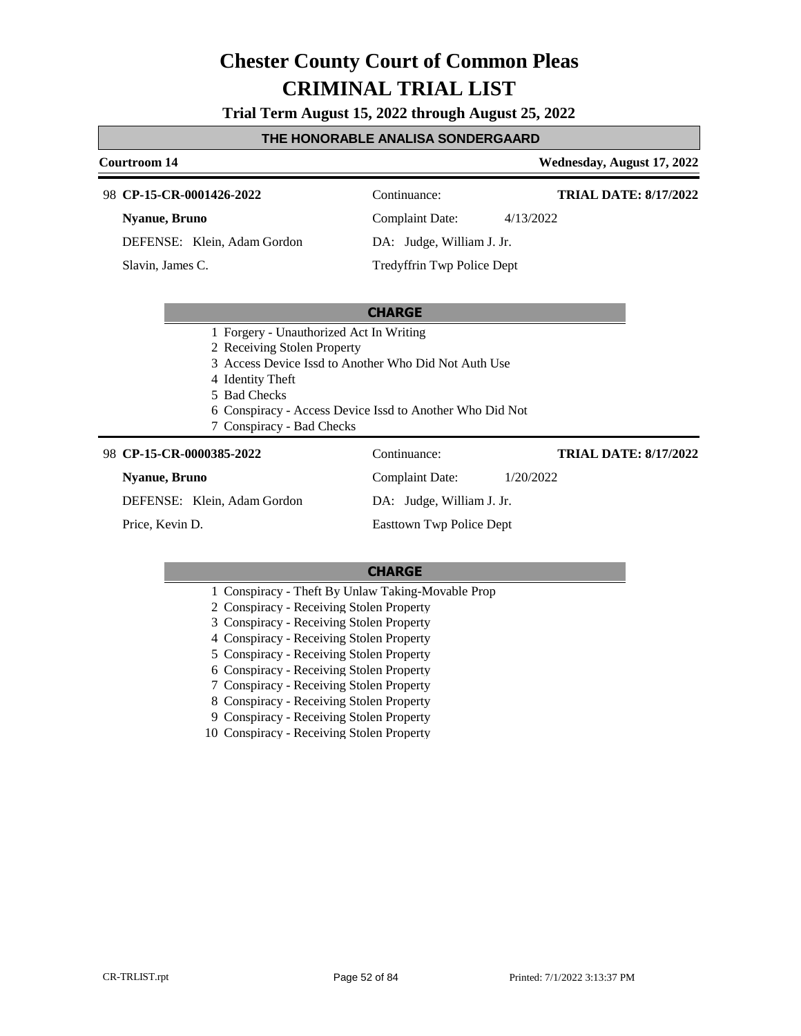**Trial Term August 15, 2022 through August 25, 2022**

#### **THE HONORABLE ANALISA SONDERGAARD**

#### **Courtroom 14 Wednesday, August 17, 2022**

**TRIAL DATE: 8/17/2022**

**TRIAL DATE: 8/17/2022**

**CP-15-CR-0001426-2022** 98 Continuance:

**Nyanue, Bruno**

DEFENSE: Klein, Adam Gordon

Slavin, James C.

Complaint Date: 4/13/2022 DA: Judge, William J. Jr.

Tredyffrin Twp Police Dept

#### **CHARGE**

- 1 Forgery Unauthorized Act In Writing
- 2 Receiving Stolen Property
- 3 Access Device Issd to Another Who Did Not Auth Use
- 4 Identity Theft
- 5 Bad Checks
- 6 Conspiracy Access Device Issd to Another Who Did Not
- 7 Conspiracy Bad Checks

#### **CP-15-CR-0000385-2022** 98 Continuance:

#### **Nyanue, Bruno**

DEFENSE: Klein, Adam Gordon

Price, Kevin D.

DA: Judge, William J. Jr. Easttown Twp Police Dept

Complaint Date: 1/20/2022

#### **CHARGE**

- 1 Conspiracy Theft By Unlaw Taking-Movable Prop
- 2 Conspiracy Receiving Stolen Property
- 3 Conspiracy Receiving Stolen Property
- 4 Conspiracy Receiving Stolen Property
- 5 Conspiracy Receiving Stolen Property
- 6 Conspiracy Receiving Stolen Property
- 7 Conspiracy Receiving Stolen Property
- 8 Conspiracy Receiving Stolen Property
- 9 Conspiracy Receiving Stolen Property

10 Conspiracy - Receiving Stolen Property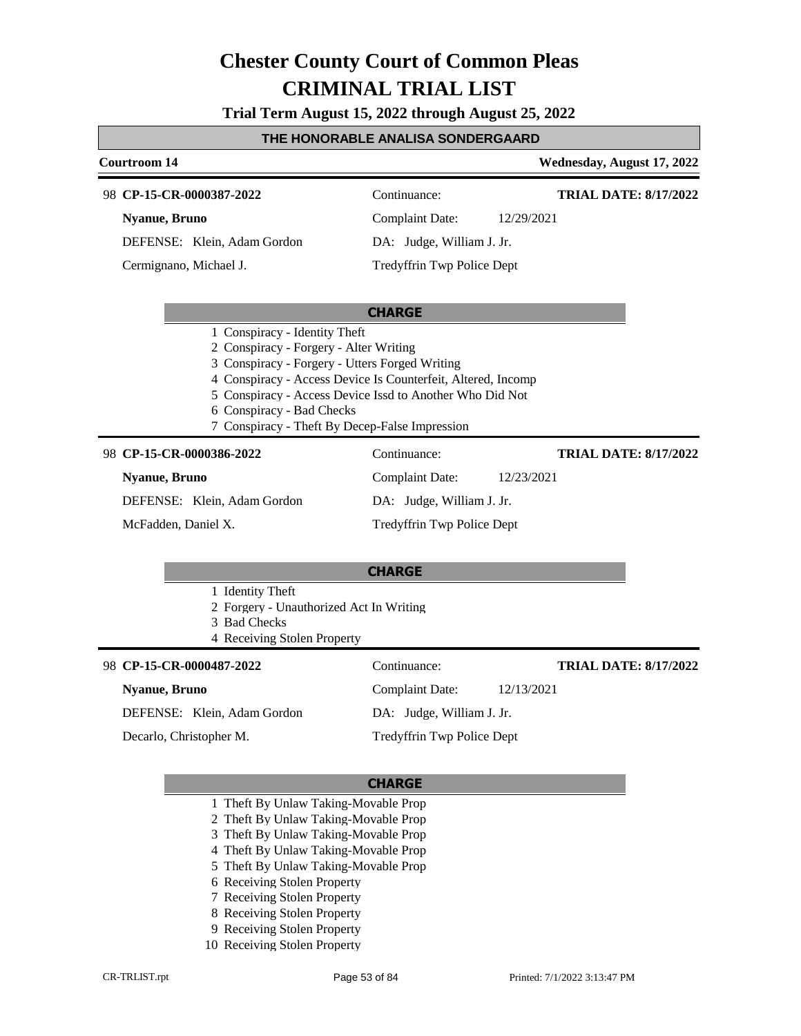**Trial Term August 15, 2022 through August 25, 2022**

#### **THE HONORABLE ANALISA SONDERGAARD**

| Courtroom 14                                                                                                                                                                                             | Wednesday, August 17, 2022                                                                                               |
|----------------------------------------------------------------------------------------------------------------------------------------------------------------------------------------------------------|--------------------------------------------------------------------------------------------------------------------------|
| 98 CP-15-CR-0000387-2022                                                                                                                                                                                 | Continuance:<br><b>TRIAL DATE: 8/17/2022</b>                                                                             |
| <b>Nyanue</b> , Bruno                                                                                                                                                                                    | <b>Complaint Date:</b><br>12/29/2021                                                                                     |
| DEFENSE: Klein, Adam Gordon                                                                                                                                                                              | DA: Judge, William J. Jr.                                                                                                |
| Cermignano, Michael J.                                                                                                                                                                                   | Tredyffrin Twp Police Dept                                                                                               |
|                                                                                                                                                                                                          | <b>CHARGE</b>                                                                                                            |
| 1 Conspiracy - Identity Theft<br>2 Conspiracy - Forgery - Alter Writing<br>3 Conspiracy - Forgery - Utters Forged Writing<br>6 Conspiracy - Bad Checks<br>7 Conspiracy - Theft By Decep-False Impression | 4 Conspiracy - Access Device Is Counterfeit, Altered, Incomp<br>5 Conspiracy - Access Device Issd to Another Who Did Not |
| 98 CP-15-CR-0000386-2022                                                                                                                                                                                 | Continuance:<br><b>TRIAL DATE: 8/17/2022</b>                                                                             |
| <b>Nyanue</b> , Bruno                                                                                                                                                                                    | <b>Complaint Date:</b><br>12/23/2021                                                                                     |
| DEFENSE: Klein, Adam Gordon                                                                                                                                                                              | DA: Judge, William J. Jr.                                                                                                |
| McFadden, Daniel X.                                                                                                                                                                                      | Tredyffrin Twp Police Dept                                                                                               |
|                                                                                                                                                                                                          | <b>CHARGE</b>                                                                                                            |
| 1 Identity Theft<br>2 Forgery - Unauthorized Act In Writing<br>3 Bad Checks<br>4 Receiving Stolen Property                                                                                               |                                                                                                                          |
| 98 CP-15-CR-0000487-2022                                                                                                                                                                                 | Continuance:<br><b>TRIAL DATE: 8/17/2022</b>                                                                             |
| <b>Nyanue</b> , Bruno                                                                                                                                                                                    | <b>Complaint Date:</b><br>12/13/2021                                                                                     |
| DEFENSE: Klein, Adam Gordon                                                                                                                                                                              | DA: Judge, William J. Jr.                                                                                                |
| Decarlo, Christopher M.                                                                                                                                                                                  | Tredyffrin Twp Police Dept                                                                                               |
|                                                                                                                                                                                                          | <b>CHARGE</b>                                                                                                            |

- 1 Theft By Unlaw Taking-Movable Prop
- 2 Theft By Unlaw Taking-Movable Prop
- 3 Theft By Unlaw Taking-Movable Prop
- 4 Theft By Unlaw Taking-Movable Prop
- 5 Theft By Unlaw Taking-Movable Prop
- 6 Receiving Stolen Property
- 7 Receiving Stolen Property
- 8 Receiving Stolen Property
- 9 Receiving Stolen Property
- 10 Receiving Stolen Property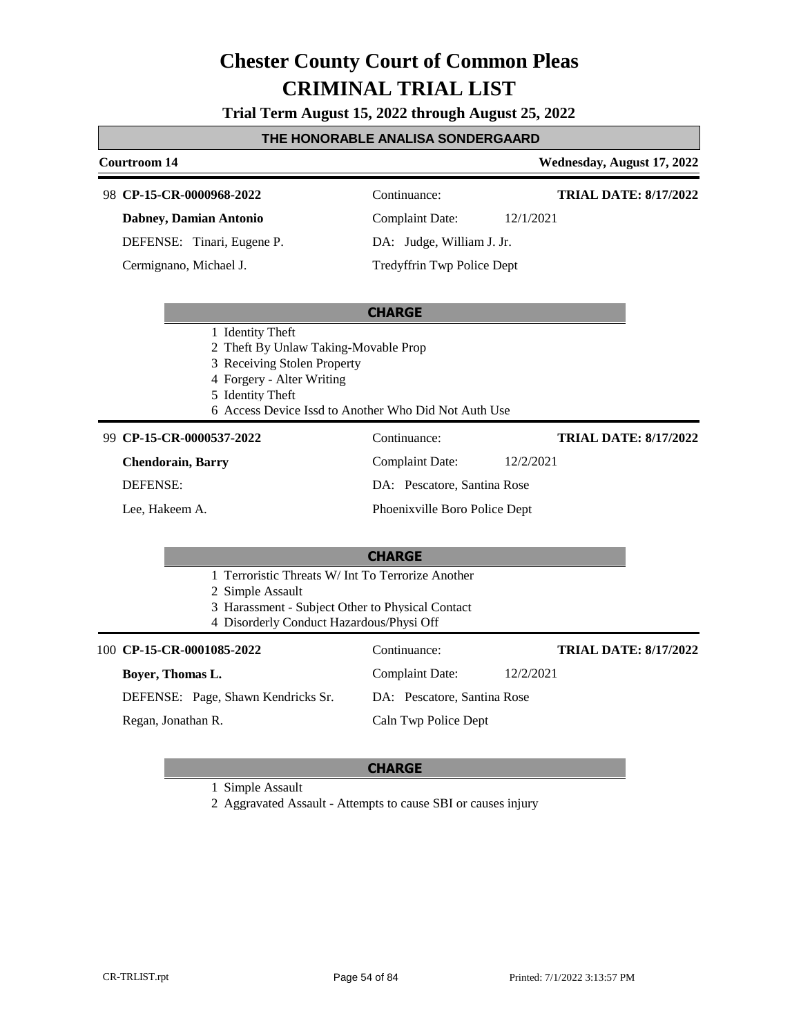**Trial Term August 15, 2022 through August 25, 2022**

#### **THE HONORABLE ANALISA SONDERGAARD**

#### **Courtroom 14 Wednesday, August 17, 2022 CHARGE CP-15-CR-0000968-2022** 98 Continuance: **Dabney, Damian Antonio** DEFENSE: Tinari, Eugene P. Complaint Date: 12/1/2021 DA: Judge, William J. Jr. Tredyffrin Twp Police Dept **TRIAL DATE: 8/17/2022** Cermignano, Michael J. 1 Identity Theft 2 Theft By Unlaw Taking-Movable Prop 3 Receiving Stolen Property 4 Forgery - Alter Writing 5 Identity Theft 6 Access Device Issd to Another Who Did Not Auth Use **CHARGE CP-15-CR-0000537-2022** 99 Continuance: **Chendorain, Barry** DEFENSE: Complaint Date: 12/2/2021 DA: Pescatore, Santina Rose Phoenixville Boro Police Dept **TRIAL DATE: 8/17/2022** Lee, Hakeem A. 1 Terroristic Threats W/ Int To Terrorize Another 2 Simple Assault 3 Harassment - Subject Other to Physical Contact 4 Disorderly Conduct Hazardous/Physi Off 100 **CP-15-CR-0001085-2022** Continuance: **Boyer, Thomas L.** DEFENSE: Page, Shawn Kendricks Sr. Complaint Date: 12/2/2021 DA: Pescatore, Santina Rose Caln Twp Police Dept **TRIAL DATE: 8/17/2022** Regan, Jonathan R.

#### **CHARGE**

1 Simple Assault

2 Aggravated Assault - Attempts to cause SBI or causes injury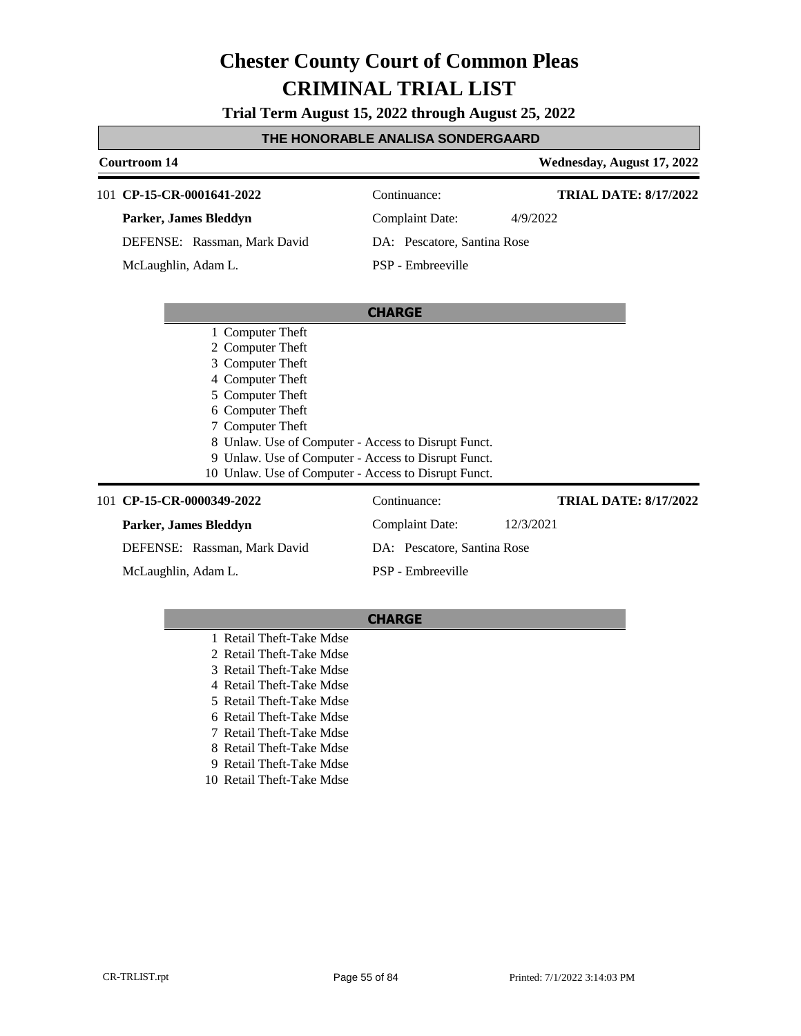**Trial Term August 15, 2022 through August 25, 2022**

#### **THE HONORABLE ANALISA SONDERGAARD**

#### **Courtroom 14 Wednesday, August 17, 2022 CHARGE** 101 **CP-15-CR-0001641-2022** Continuance: **Parker, James Bleddyn** DEFENSE: Rassman, Mark David Complaint Date: 4/9/2022 DA: Pescatore, Santina Rose PSP - Embreeville **TRIAL DATE: 8/17/2022** McLaughlin, Adam L. 1 Computer Theft 2 Computer Theft 3 Computer Theft 4 Computer Theft 5 Computer Theft 6 Computer Theft 7 Computer Theft 8 Unlaw. Use of Computer - Access to Disrupt Funct. 9 Unlaw. Use of Computer - Access to Disrupt Funct. 10 Unlaw. Use of Computer - Access to Disrupt Funct. 101 **CP-15-CR-0000349-2022** Continuance: **Parker, James Bleddyn** DEFENSE: Rassman, Mark David Complaint Date: 12/3/2021 DA: Pescatore, Santina Rose PSP - Embreeville **TRIAL DATE: 8/17/2022** McLaughlin, Adam L.

- 1 Retail Theft-Take Mdse
- 2 Retail Theft-Take Mdse
- 3 Retail Theft-Take Mdse
- 4 Retail Theft-Take Mdse
- 5 Retail Theft-Take Mdse
- 6 Retail Theft-Take Mdse
- 7 Retail Theft-Take Mdse
- 8 Retail Theft-Take Mdse
- 9 Retail Theft-Take Mdse
- 10 Retail Theft-Take Mdse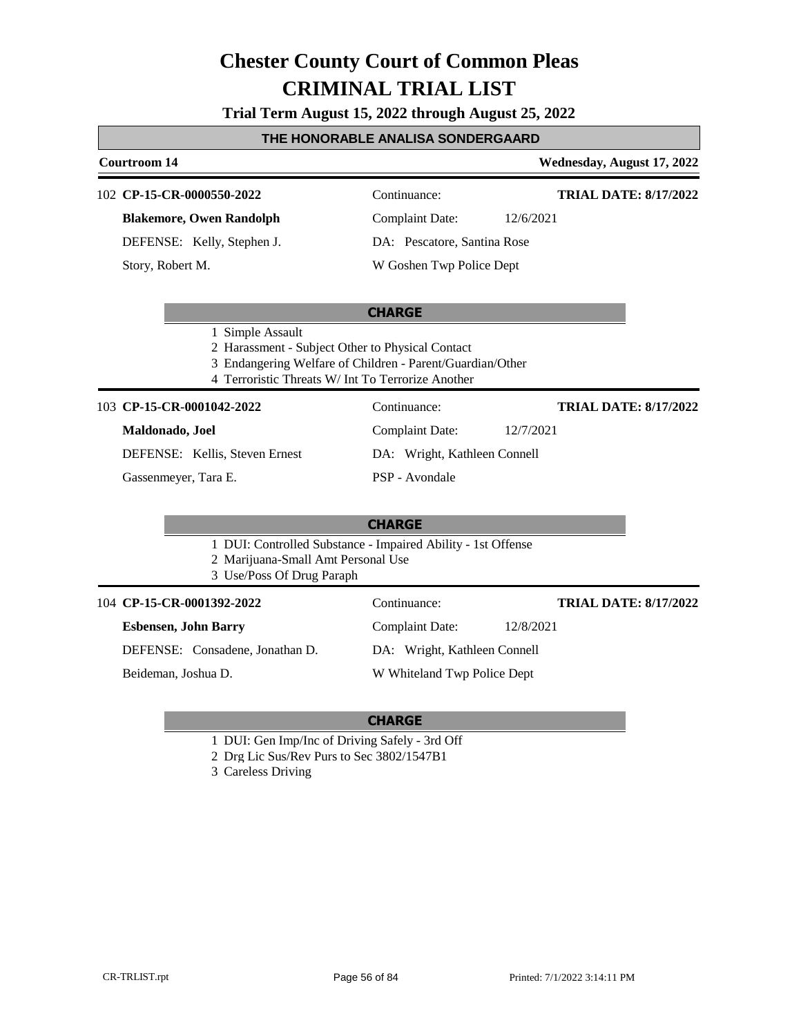**Trial Term August 15, 2022 through August 25, 2022**

#### **THE HONORABLE ANALISA SONDERGAARD**

**Courtroom 14 Wednesday, August 17, 2022**

#### **CP-15-CR-0000550-2022** 102 Continuance:

**Blakemore, Owen Randolph**

DEFENSE: Kelly, Stephen J.

Story, Robert M.

**TRIAL DATE: 8/17/2022**

**TRIAL DATE: 8/17/2022**

Complaint Date: 12/6/2021 DA: Pescatore, Santina Rose

Complaint Date: 12/7/2021

DA: Wright, Kathleen Connell

W Goshen Twp Police Dept

#### **CHARGE**

- 1 Simple Assault
- 2 Harassment Subject Other to Physical Contact
- 3 Endangering Welfare of Children Parent/Guardian/Other
- 4 Terroristic Threats W/ Int To Terrorize Another

#### **CP-15-CR-0001042-2022** 103 Continuance:

#### **Maldonado, Joel**

DEFENSE: Kellis, Steven Ernest

Gassenmeyer, Tara E.

PSP - Avondale

#### **CHARGE**

- 1 DUI: Controlled Substance Impaired Ability 1st Offense
- 2 Marijuana-Small Amt Personal Use
- 3 Use/Poss Of Drug Paraph

104 **CP-15-CR-0001392-2022** Continuance:

| <b>Esbensen, John Barry</b> |  |
|-----------------------------|--|
| $\Gamma$                    |  |

DEFENSE: Consadene, Jonathan D.

Beideman, Joshua D.

- 1 DUI: Gen Imp/Inc of Driving Safely 3rd Off
- 2 Drg Lic Sus/Rev Purs to Sec 3802/1547B1

3 Careless Driving

**TRIAL DATE: 8/17/2022**

DA: Wright, Kathleen Connell

#### W Whiteland Twp Police Dept

Complaint Date: 12/8/2021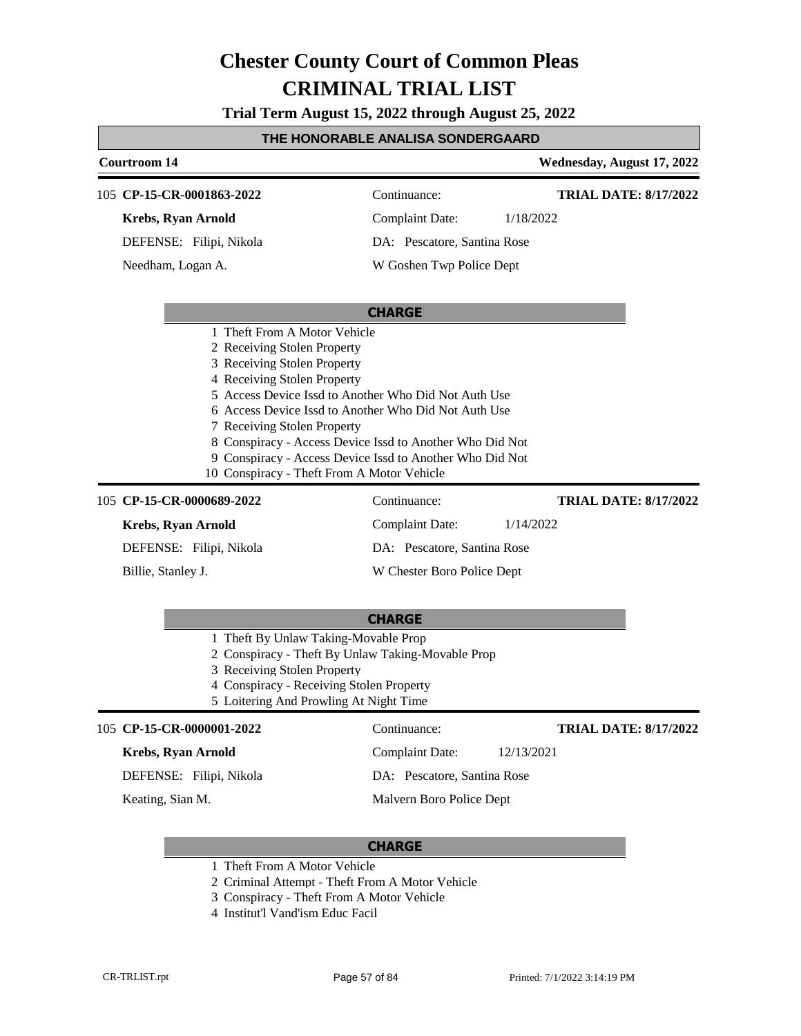**Trial Term August 15, 2022 through August 25, 2022**

### **THE HONORABLE ANALISA SONDERGAARD**

| Courtroom 14                                                                                                                                                                                                                                                                                                           |                                                                                                                      | Wednesday, August 17, 2022   |
|------------------------------------------------------------------------------------------------------------------------------------------------------------------------------------------------------------------------------------------------------------------------------------------------------------------------|----------------------------------------------------------------------------------------------------------------------|------------------------------|
| 105 CP-15-CR-0001863-2022                                                                                                                                                                                                                                                                                              | Continuance:                                                                                                         | <b>TRIAL DATE: 8/17/2022</b> |
| <b>Krebs, Ryan Arnold</b>                                                                                                                                                                                                                                                                                              | <b>Complaint Date:</b>                                                                                               | 1/18/2022                    |
|                                                                                                                                                                                                                                                                                                                        |                                                                                                                      |                              |
| DEFENSE: Filipi, Nikola                                                                                                                                                                                                                                                                                                | DA: Pescatore, Santina Rose                                                                                          |                              |
| Needham, Logan A.                                                                                                                                                                                                                                                                                                      | W Goshen Twp Police Dept                                                                                             |                              |
|                                                                                                                                                                                                                                                                                                                        | <b>CHARGE</b>                                                                                                        |                              |
| 1 Theft From A Motor Vehicle<br>2 Receiving Stolen Property<br>3 Receiving Stolen Property<br>4 Receiving Stolen Property<br>5 Access Device Issd to Another Who Did Not Auth Use<br>6 Access Device Issd to Another Who Did Not Auth Use<br>7 Receiving Stolen Property<br>10 Conspiracy - Theft From A Motor Vehicle | 8 Conspiracy - Access Device Issd to Another Who Did Not<br>9 Conspiracy - Access Device Issd to Another Who Did Not |                              |
| 105 CP-15-CR-0000689-2022                                                                                                                                                                                                                                                                                              | Continuance:                                                                                                         | <b>TRIAL DATE: 8/17/2022</b> |
| <b>Krebs, Ryan Arnold</b>                                                                                                                                                                                                                                                                                              | <b>Complaint Date:</b>                                                                                               | 1/14/2022                    |
| DEFENSE: Filipi, Nikola                                                                                                                                                                                                                                                                                                | DA: Pescatore, Santina Rose                                                                                          |                              |
| Billie, Stanley J.                                                                                                                                                                                                                                                                                                     | W Chester Boro Police Dept                                                                                           |                              |
| 1 Theft By Unlaw Taking-Movable Prop<br>2 Conspiracy - Theft By Unlaw Taking-Movable Prop<br>3 Receiving Stolen Property<br>4 Conspiracy - Receiving Stolen Property<br>5 Loitering And Prowling At Night Time                                                                                                         | <b>CHARGE</b>                                                                                                        |                              |
| 105 CP-15-CR-0000001-2022                                                                                                                                                                                                                                                                                              | Continuance:                                                                                                         | <b>TRIAL DATE: 8/17/2022</b> |
| <b>Krebs, Ryan Arnold</b>                                                                                                                                                                                                                                                                                              | <b>Complaint Date:</b>                                                                                               | 12/13/2021                   |
| DEFENSE: Filipi, Nikola                                                                                                                                                                                                                                                                                                | DA: Pescatore, Santina Rose                                                                                          |                              |
|                                                                                                                                                                                                                                                                                                                        |                                                                                                                      |                              |

- 1 Theft From A Motor Vehicle
- 2 Criminal Attempt Theft From A Motor Vehicle
- 3 Conspiracy Theft From A Motor Vehicle
- 4 Institut'l Vand'ism Educ Facil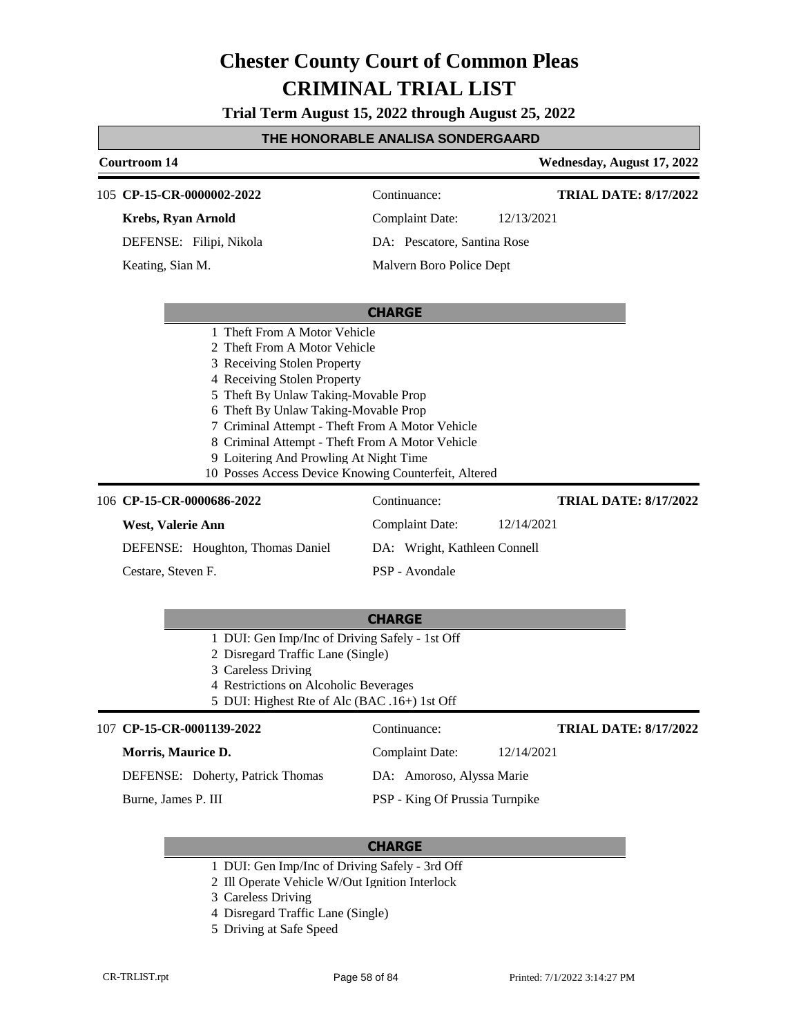**Trial Term August 15, 2022 through August 25, 2022**

#### **THE HONORABLE ANALISA SONDERGAARD**

| Courtroom 14                                                                                                                                                                                                                                                                                                                                                                                                       |                                | Wednesday, August 17, 2022   |
|--------------------------------------------------------------------------------------------------------------------------------------------------------------------------------------------------------------------------------------------------------------------------------------------------------------------------------------------------------------------------------------------------------------------|--------------------------------|------------------------------|
| 105 CP-15-CR-0000002-2022                                                                                                                                                                                                                                                                                                                                                                                          | Continuance:                   | <b>TRIAL DATE: 8/17/2022</b> |
| <b>Krebs, Ryan Arnold</b>                                                                                                                                                                                                                                                                                                                                                                                          | <b>Complaint Date:</b>         | 12/13/2021                   |
| DEFENSE: Filipi, Nikola                                                                                                                                                                                                                                                                                                                                                                                            | DA: Pescatore, Santina Rose    |                              |
| Keating, Sian M.                                                                                                                                                                                                                                                                                                                                                                                                   | Malvern Boro Police Dept       |                              |
|                                                                                                                                                                                                                                                                                                                                                                                                                    | <b>CHARGE</b>                  |                              |
| 1 Theft From A Motor Vehicle<br>2 Theft From A Motor Vehicle<br>3 Receiving Stolen Property<br>4 Receiving Stolen Property<br>5 Theft By Unlaw Taking-Movable Prop<br>6 Theft By Unlaw Taking-Movable Prop<br>7 Criminal Attempt - Theft From A Motor Vehicle<br>8 Criminal Attempt - Theft From A Motor Vehicle<br>9 Loitering And Prowling At Night Time<br>10 Posses Access Device Knowing Counterfeit, Altered |                                |                              |
| 106 CP-15-CR-0000686-2022                                                                                                                                                                                                                                                                                                                                                                                          | Continuance:                   | <b>TRIAL DATE: 8/17/2022</b> |
| West, Valerie Ann                                                                                                                                                                                                                                                                                                                                                                                                  | <b>Complaint Date:</b>         | 12/14/2021                   |
| DEFENSE: Houghton, Thomas Daniel                                                                                                                                                                                                                                                                                                                                                                                   | DA: Wright, Kathleen Connell   |                              |
| Cestare, Steven F.                                                                                                                                                                                                                                                                                                                                                                                                 | PSP - Avondale                 |                              |
|                                                                                                                                                                                                                                                                                                                                                                                                                    | <b>CHARGE</b>                  |                              |
| 1 DUI: Gen Imp/Inc of Driving Safely - 1st Off<br>2 Disregard Traffic Lane (Single)<br>3 Careless Driving<br>4 Restrictions on Alcoholic Beverages<br>5 DUI: Highest Rte of Alc (BAC .16+) 1st Off                                                                                                                                                                                                                 |                                |                              |
| 107 CP-15-CR-0001139-2022                                                                                                                                                                                                                                                                                                                                                                                          | Continuance:                   | <b>TRIAL DATE: 8/17/2022</b> |
| Morris, Maurice D.                                                                                                                                                                                                                                                                                                                                                                                                 | <b>Complaint Date:</b>         | 12/14/2021                   |
| DEFENSE: Doherty, Patrick Thomas                                                                                                                                                                                                                                                                                                                                                                                   | DA: Amoroso, Alyssa Marie      |                              |
| Burne, James P. III                                                                                                                                                                                                                                                                                                                                                                                                | PSP - King Of Prussia Turnpike |                              |

- 1 DUI: Gen Imp/Inc of Driving Safely 3rd Off
- 2 Ill Operate Vehicle W/Out Ignition Interlock
- 3 Careless Driving
- 4 Disregard Traffic Lane (Single)
- 5 Driving at Safe Speed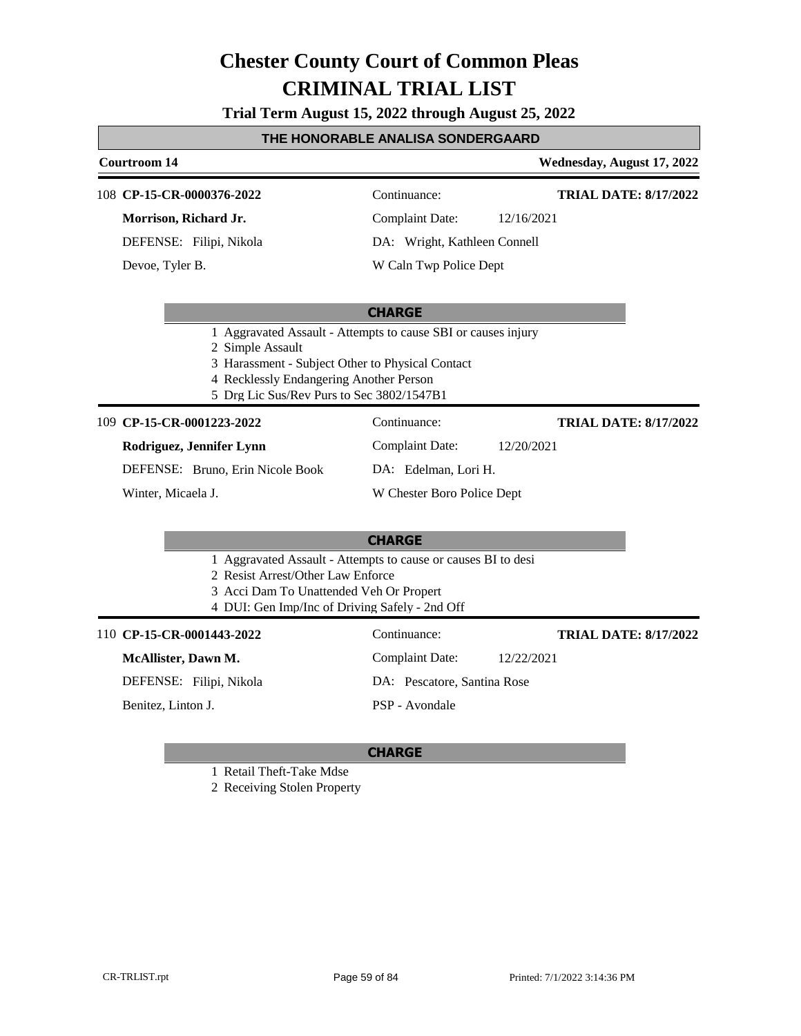**Trial Term August 15, 2022 through August 25, 2022**

#### **THE HONORABLE ANALISA SONDERGAARD**

### **Courtroom 14 Wednesday, August 17, 2022 CP-15-CR-0000376-2022** 108 Continuance: **Morrison, Richard Jr.** Complaint Date: 12/16/2021 **TRIAL DATE: 8/17/2022**

DEFENSE: Filipi, Nikola

Devoe, Tyler B.

DA: Wright, Kathleen Connell

W Caln Twp Police Dept

#### **CHARGE**

- 1 Aggravated Assault Attempts to cause SBI or causes injury
- 2 Simple Assault
- 3 Harassment Subject Other to Physical Contact
- 4 Recklessly Endangering Another Person
- 5 Drg Lic Sus/Rev Purs to Sec 3802/1547B1

#### **CP-15-CR-0001223-2022** 109 Continuance:

**Rodriguez, Jennifer Lynn**

DEFENSE: Bruno, Erin Nicole Book

Winter, Micaela J.

### W Chester Boro Police Dept

#### **CHARGE**

- 1 Aggravated Assault Attempts to cause or causes BI to desi
- 2 Resist Arrest/Other Law Enforce
- 3 Acci Dam To Unattended Veh Or Propert
- 4 DUI: Gen Imp/Inc of Driving Safely 2nd Off

110 **CP-15-CR-0001443-2022** Continuance:

**McAllister, Dawn M.**

DEFENSE: Filipi, Nikola

Benitez, Linton J.

Complaint Date: 12/22/2021 DA: Pescatore, Santina Rose PSP - Avondale

#### **CHARGE**

1 Retail Theft-Take Mdse

2 Receiving Stolen Property

Complaint Date: 12/20/2021 DA: Edelman, Lori H.

**TRIAL DATE: 8/17/2022**

**TRIAL DATE: 8/17/2022**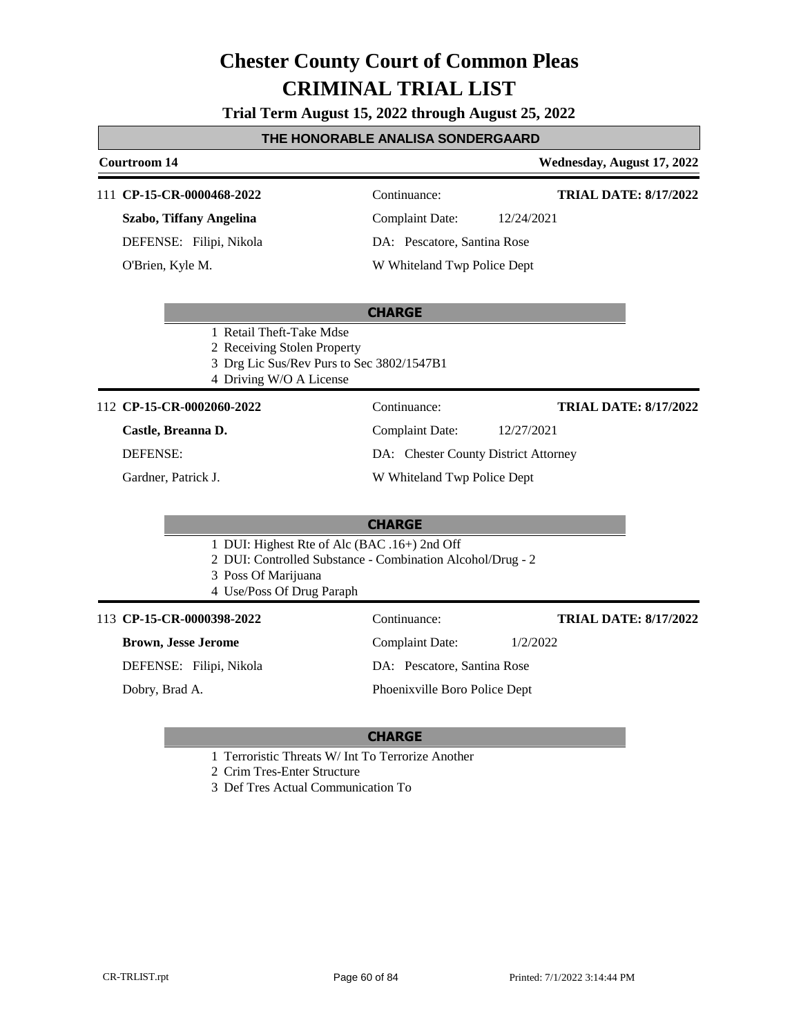**Trial Term August 15, 2022 through August 25, 2022**

#### **THE HONORABLE ANALISA SONDERGAARD**

#### **Courtroom 14 Wednesday, August 17, 2022 CHARGE** 111 **CP-15-CR-0000468-2022** Continuance: **Szabo, Tiffany Angelina** DEFENSE: Filipi, Nikola Complaint Date: 12/24/2021 DA: Pescatore, Santina Rose W Whiteland Twp Police Dept **TRIAL DATE: 8/17/2022** O'Brien, Kyle M. 1 Retail Theft-Take Mdse 2 Receiving Stolen Property 3 Drg Lic Sus/Rev Purs to Sec 3802/1547B1 4 Driving W/O A License 112 **CP-15-CR-0002060-2022** Continuance: **Castle, Breanna D.** DEFENSE: Complaint Date: 12/27/2021 DA: Chester County District Attorney W Whiteland Twp Police Dept **TRIAL DATE: 8/17/2022** Gardner, Patrick J.

#### **CHARGE**

- 1 DUI: Highest Rte of Alc (BAC .16+) 2nd Off
- 2 DUI: Controlled Substance Combination Alcohol/Drug 2
- 3 Poss Of Marijuana
- 4 Use/Poss Of Drug Paraph

#### 113 **CP-15-CR-0000398-2022** Continuance:

#### **Brown, Jesse Jerome**

DEFENSE: Filipi, Nikola

Dobry, Brad A.

## Complaint Date: 1/2/2022

DA: Pescatore, Santina Rose

Phoenixville Boro Police Dept

#### **CHARGE**

- 1 Terroristic Threats W/ Int To Terrorize Another
- 2 Crim Tres-Enter Structure
- 3 Def Tres Actual Communication To

**TRIAL DATE: 8/17/2022**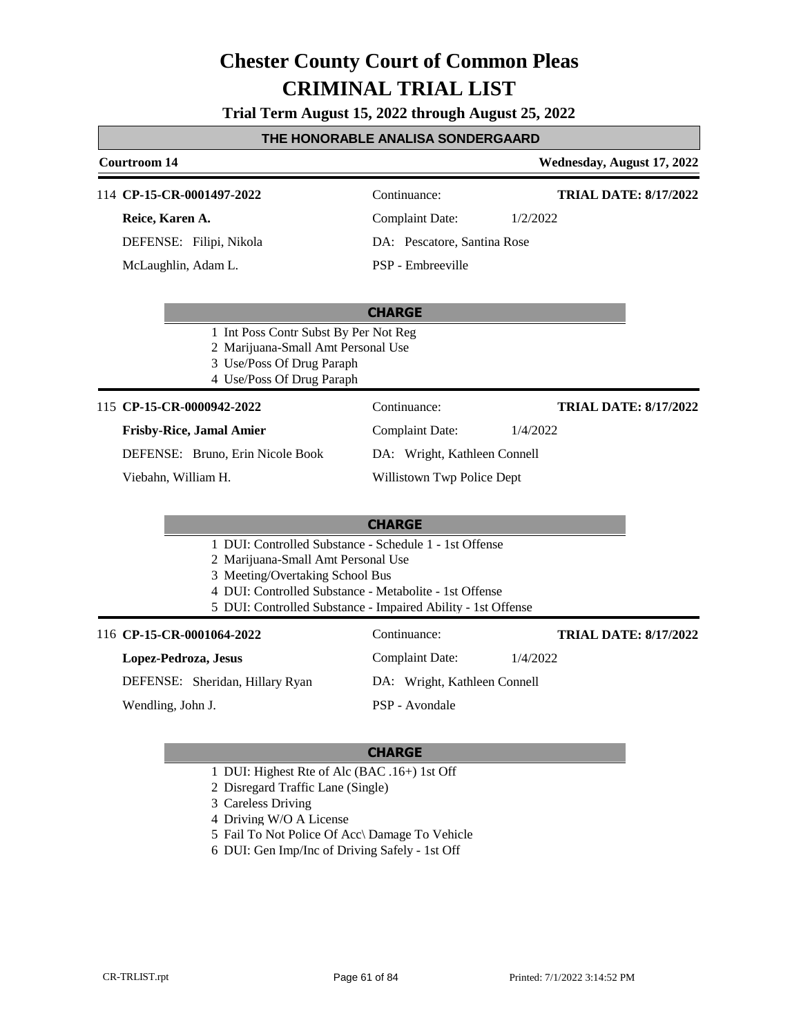**Trial Term August 15, 2022 through August 25, 2022**

#### **THE HONORABLE ANALISA SONDERGAARD**

#### **Courtroom 14 Wednesday, August 17, 2022 CHARGE** 114 **CP-15-CR-0001497-2022** Continuance: **Reice, Karen A.** DEFENSE: Filipi, Nikola Complaint Date: 1/2/2022 DA: Pescatore, Santina Rose PSP - Embreeville **TRIAL DATE: 8/17/2022** McLaughlin, Adam L. 1 Int Poss Contr Subst By Per Not Reg 2 Marijuana-Small Amt Personal Use 3 Use/Poss Of Drug Paraph 4 Use/Poss Of Drug Paraph **CHARGE** 115 **CP-15-CR-0000942-2022** Continuance: **Frisby-Rice, Jamal Amier** DEFENSE: Bruno, Erin Nicole Book Complaint Date: 1/4/2022 DA: Wright, Kathleen Connell Willistown Twp Police Dept **TRIAL DATE: 8/17/2022** Viebahn, William H. 1 DUI: Controlled Substance - Schedule 1 - 1st Offense 2 Marijuana-Small Amt Personal Use 3 Meeting/Overtaking School Bus 4 DUI: Controlled Substance - Metabolite - 1st Offense 5 DUI: Controlled Substance - Impaired Ability - 1st Offense 116 **CP-15-CR-0001064-2022** Continuance: **Lopez-Pedroza, Jesus** DEFENSE: Sheridan, Hillary Ryan Complaint Date: 1/4/2022 DA: Wright, Kathleen Connell PSP - Avondale **TRIAL DATE: 8/17/2022** Wendling, John J.

- 1 DUI: Highest Rte of Alc (BAC .16+) 1st Off
- 2 Disregard Traffic Lane (Single)
- 3 Careless Driving
- 4 Driving W/O A License
- 5 Fail To Not Police Of Acc\ Damage To Vehicle
- 6 DUI: Gen Imp/Inc of Driving Safely 1st Off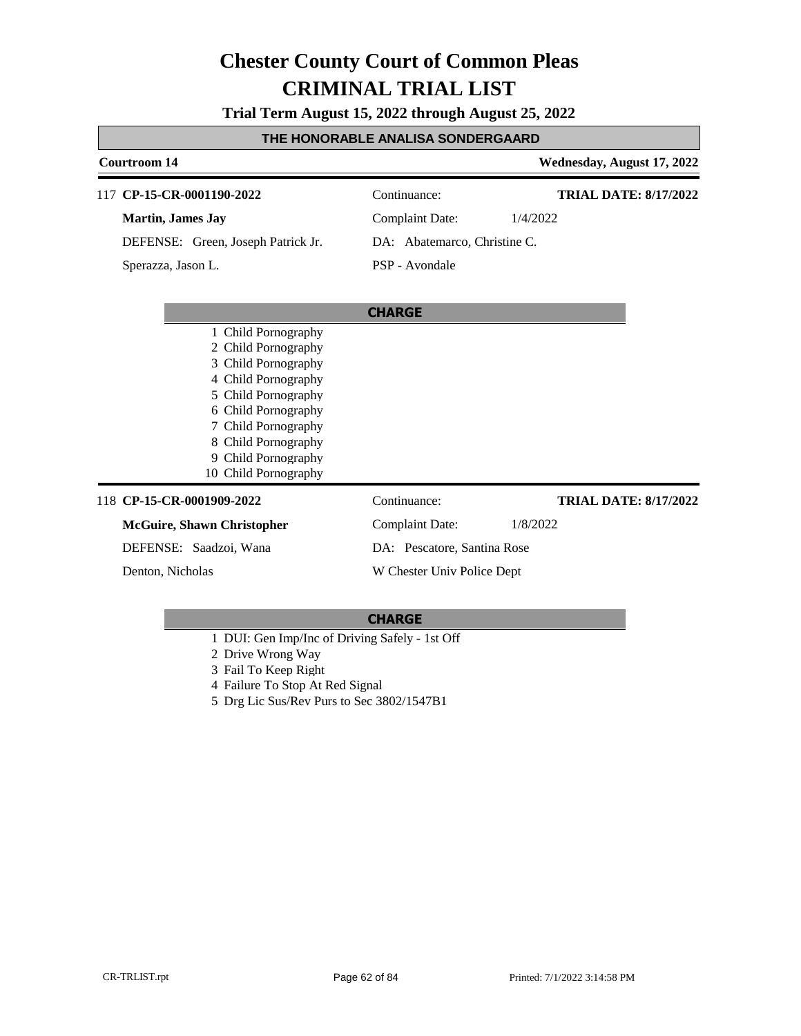**Trial Term August 15, 2022 through August 25, 2022**

#### **THE HONORABLE ANALISA SONDERGAARD**

#### **Courtroom 14 Wednesday, August 17, 2022 CHARGE** 117 **CP-15-CR-0001190-2022** Continuance: **Martin, James Jay** DEFENSE: Green, Joseph Patrick Jr. Complaint Date: 1/4/2022 DA: Abatemarco, Christine C. PSP - Avondale **TRIAL DATE: 8/17/2022** Sperazza, Jason L. 1 Child Pornography 2 Child Pornography 3 Child Pornography 4 Child Pornography 5 Child Pornography 6 Child Pornography 7 Child Pornography 8 Child Pornography 9 Child Pornography 10 Child Pornography 118 **CP-15-CR-0001909-2022** Continuance: **McGuire, Shawn Christopher** DEFENSE: Saadzoi, Wana Complaint Date: 1/8/2022 DA: Pescatore, Santina Rose W Chester Univ Police Dept **TRIAL DATE: 8/17/2022** Denton, Nicholas

- 1 DUI: Gen Imp/Inc of Driving Safely 1st Off
- 2 Drive Wrong Way
- 3 Fail To Keep Right
- 4 Failure To Stop At Red Signal
- 5 Drg Lic Sus/Rev Purs to Sec 3802/1547B1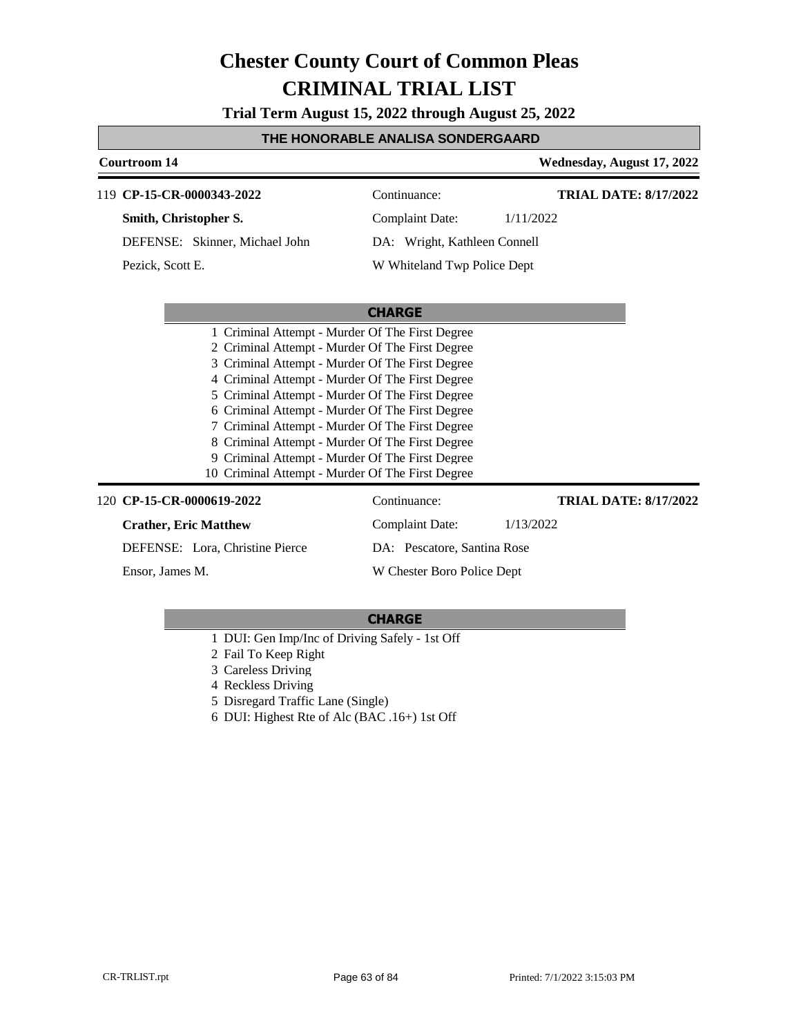**Trial Term August 15, 2022 through August 25, 2022**

#### **THE HONORABLE ANALISA SONDERGAARD**

| <b>Courtroom 14</b>                                |                              | Wednesday, August 17, 2022   |
|----------------------------------------------------|------------------------------|------------------------------|
| 119 CP-15-CR-0000343-2022                          | Continuance:                 | <b>TRIAL DATE: 8/17/2022</b> |
| Smith, Christopher S.                              | <b>Complaint Date:</b>       | 1/11/2022                    |
| DEFENSE: Skinner, Michael John                     | DA: Wright, Kathleen Connell |                              |
| Pezick, Scott E.                                   | W Whiteland Twp Police Dept  |                              |
|                                                    | <b>CHARGE</b>                |                              |
| 1 Criminal Attempt - Murder Of The First Degree    |                              |                              |
| 2 Criminal Attempt - Murder Of The First Degree    |                              |                              |
| Criminal Attempt - Murder Of The First Degree<br>3 |                              |                              |
| 4 Criminal Attempt - Murder Of The First Degree    |                              |                              |
| 5 Criminal Attempt - Murder Of The First Degree    |                              |                              |
| 6 Criminal Attempt - Murder Of The First Degree    |                              |                              |
| 7 Criminal Attempt - Murder Of The First Degree    |                              |                              |
| 8 Criminal Attempt - Murder Of The First Degree    |                              |                              |
| 9 Criminal Attempt - Murder Of The First Degree    |                              |                              |
| 10 Criminal Attempt - Murder Of The First Degree   |                              |                              |
| 120 CP-15-CR-0000619-2022                          | Continuance:                 | <b>TRIAL DATE: 8/17/2022</b> |

#### **Crather, Eric Matthew**

DEFENSE: Lora, Christine Pierce

Ensor, James M.

#### **CHARGE**

Complaint Date: 1/13/2022

DA: Pescatore, Santina Rose W Chester Boro Police Dept

- 1 DUI: Gen Imp/Inc of Driving Safely 1st Off
- 2 Fail To Keep Right
- 3 Careless Driving
- 4 Reckless Driving
- 5 Disregard Traffic Lane (Single)
- 6 DUI: Highest Rte of Alc (BAC .16+) 1st Off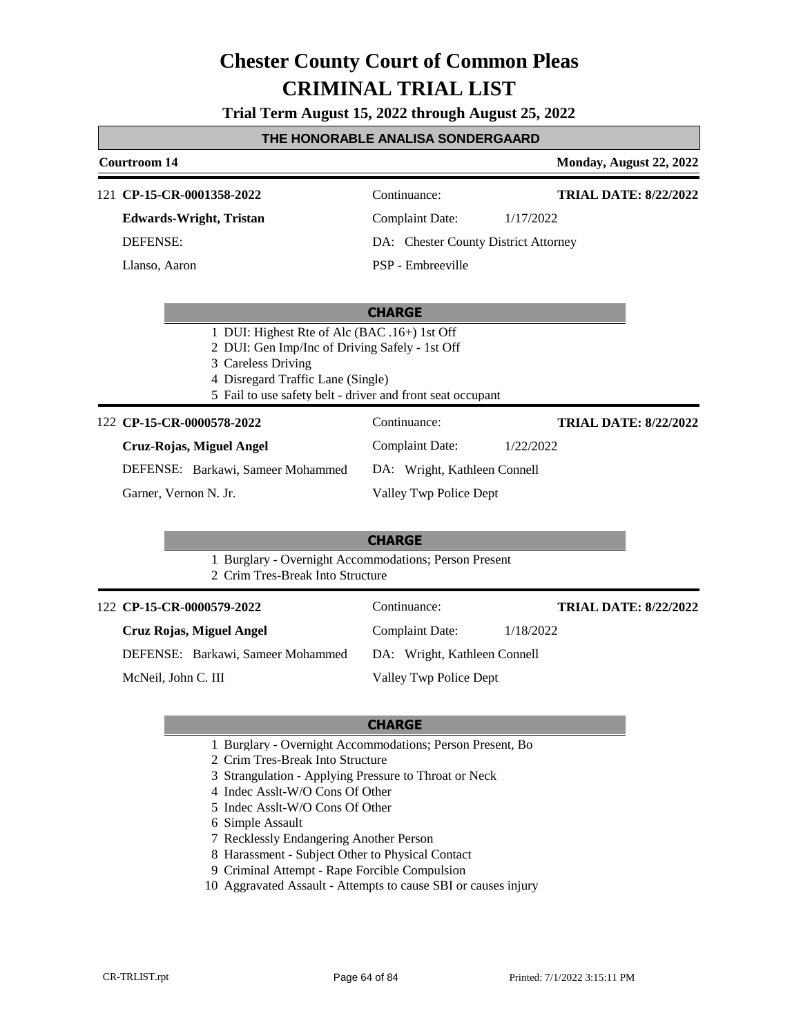**Trial Term August 15, 2022 through August 25, 2022**

#### **THE HONORABLE ANALISA SONDERGAARD**

**Courtroom 14 Monday, August 22, 2022** 

**TRIAL DATE: 8/22/2022**

121 **CP-15-CR-0001358-2022** Continuance: **Edwards-Wright, Tristan** DEFENSE: Complaint Date: 1/17/2022 DA: Chester County District Attorney PSP - Embreeville **TRIAL DATE: 8/22/2022** Llanso, Aaron

#### **CHARGE**

- 1 DUI: Highest Rte of Alc (BAC .16+) 1st Off
- 2 DUI: Gen Imp/Inc of Driving Safely 1st Off
- 3 Careless Driving
- 4 Disregard Traffic Lane (Single)
- 5 Fail to use safety belt driver and front seat occupant

#### 122 **CP-15-CR-0000578-2022** Continuance:

DA: Wright, Kathleen Connell

Valley Twp Police Dept

Complaint Date: 1/22/2022

DEFENSE: Barkawi, Sameer Mohammed

Garner, Vernon N. Jr.

**Cruz-Rojas, Miguel Angel**

#### **CHARGE**

- 1 Burglary Overnight Accommodations; Person Present
- 2 Crim Tres-Break Into Structure

| 122 CP-15-CR-0000579-2022         | Continuance:                 | <b>TRIAL DATE: 8/22/2022</b> |
|-----------------------------------|------------------------------|------------------------------|
| Cruz Rojas, Miguel Angel          | Complaint Date:              | 1/18/2022                    |
| DEFENSE: Barkawi, Sameer Mohammed | DA: Wright, Kathleen Connell |                              |
| McNeil, John C. III               | Valley Twp Police Dept       |                              |

- 1 Burglary Overnight Accommodations; Person Present, Bo
- 2 Crim Tres-Break Into Structure
- 3 Strangulation Applying Pressure to Throat or Neck
- 4 Indec Asslt-W/O Cons Of Other
- 5 Indec Asslt-W/O Cons Of Other
- 6 Simple Assault
- 7 Recklessly Endangering Another Person
- 8 Harassment Subject Other to Physical Contact
- 9 Criminal Attempt Rape Forcible Compulsion
- 10 Aggravated Assault Attempts to cause SBI or causes injury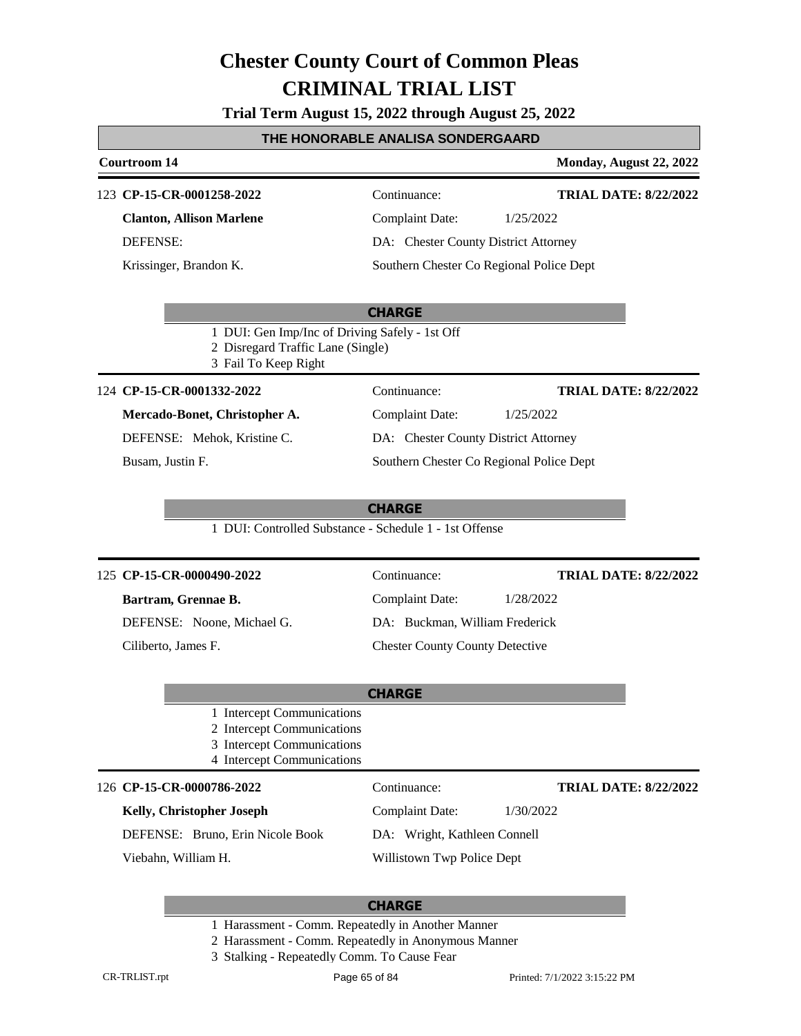**Trial Term August 15, 2022 through August 25, 2022**

#### **THE HONORABLE ANALISA SONDERGAARD**

### **Courtroom 14 Monday, August 22, 2022 CHARGE** 123 **CP-15-CR-0001258-2022** Continuance: **Clanton, Allison Marlene** DEFENSE: Complaint Date: 1/25/2022 DA: Chester County District Attorney Southern Chester Co Regional Police Dept **TRIAL DATE: 8/22/2022** Krissinger, Brandon K. 1 DUI: Gen Imp/Inc of Driving Safely - 1st Off 2 Disregard Traffic Lane (Single) 3 Fail To Keep Right **CHARGE** 124 **CP-15-CR-0001332-2022** Continuance: **Mercado-Bonet, Christopher A.** DEFENSE: Mehok, Kristine C. Complaint Date: 1/25/2022 DA: Chester County District Attorney Southern Chester Co Regional Police Dept **TRIAL DATE: 8/22/2022** Busam, Justin F. 1 DUI: Controlled Substance - Schedule 1 - 1st Offense **CHARGE** 125 **CP-15-CR-0000490-2022** Continuance: **Bartram, Grennae B.** DEFENSE: Noone, Michael G. Complaint Date: 1/28/2022 DA: Buckman, William Frederick Chester County County Detective **TRIAL DATE: 8/22/2022** Ciliberto, James F. 1 Intercept Communications 2 Intercept Communications 3 Intercept Communications 4 Intercept Communications

#### **CP-15-CR-0000786-2022** 126 Continuance:

### **Kelly, Christopher Joseph**

DEFENSE: Bruno, Erin Nicole Book

Viebahn, William H.

Complaint Date: 1/30/2022

**TRIAL DATE: 8/22/2022**

DA: Wright, Kathleen Connell

Willistown Twp Police Dept

- 1 Harassment Comm. Repeatedly in Another Manner
- 2 Harassment Comm. Repeatedly in Anonymous Manner
- 3 Stalking Repeatedly Comm. To Cause Fear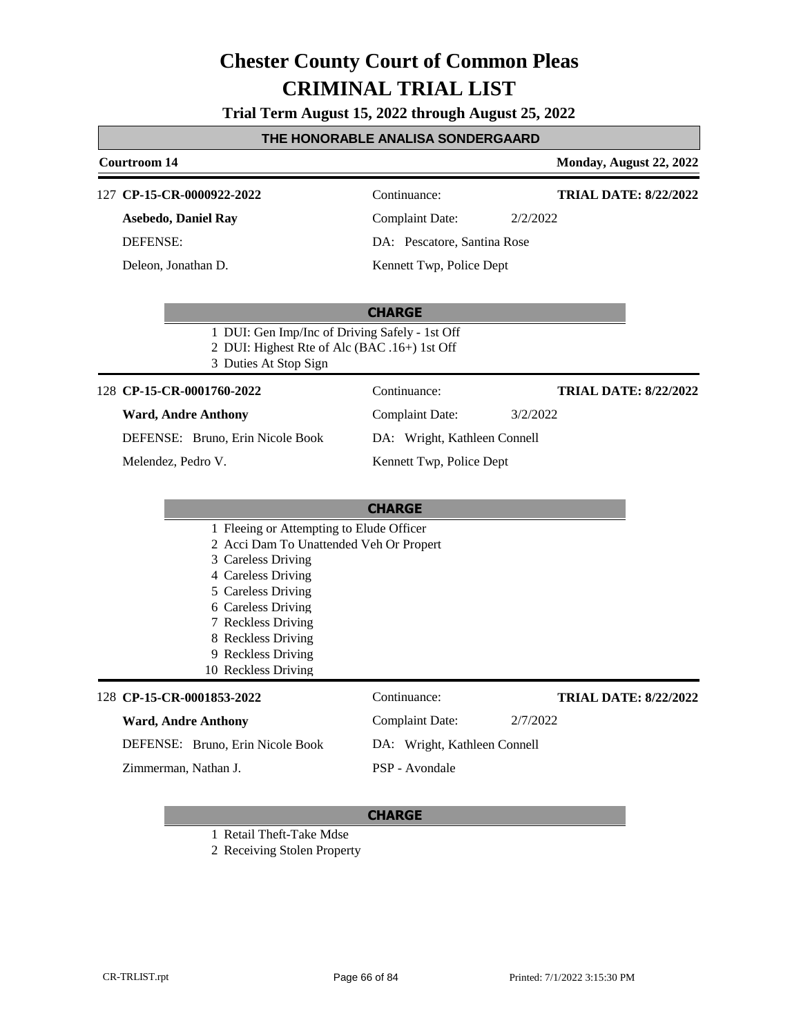**Trial Term August 15, 2022 through August 25, 2022**

### **THE HONORABLE ANALISA SONDERGAARD**

| Courtroom 14                                                                                                                                                                                                                                                         |                              | Monday, August 22, 2022      |
|----------------------------------------------------------------------------------------------------------------------------------------------------------------------------------------------------------------------------------------------------------------------|------------------------------|------------------------------|
| 127 CP-15-CR-0000922-2022                                                                                                                                                                                                                                            | Continuance:                 | <b>TRIAL DATE: 8/22/2022</b> |
| <b>Asebedo, Daniel Ray</b>                                                                                                                                                                                                                                           | <b>Complaint Date:</b>       | 2/2/2022                     |
| <b>DEFENSE:</b>                                                                                                                                                                                                                                                      | DA: Pescatore, Santina Rose  |                              |
| Deleon, Jonathan D.                                                                                                                                                                                                                                                  | Kennett Twp, Police Dept     |                              |
| 1 DUI: Gen Imp/Inc of Driving Safely - 1st Off<br>2 DUI: Highest Rte of Alc (BAC .16+) 1st Off<br>3 Duties At Stop Sign                                                                                                                                              | <b>CHARGE</b>                |                              |
| 128 CP-15-CR-0001760-2022                                                                                                                                                                                                                                            | Continuance:                 | <b>TRIAL DATE: 8/22/2022</b> |
| <b>Ward, Andre Anthony</b>                                                                                                                                                                                                                                           | <b>Complaint Date:</b>       | 3/2/2022                     |
| DEFENSE: Bruno, Erin Nicole Book                                                                                                                                                                                                                                     | DA: Wright, Kathleen Connell |                              |
| Melendez, Pedro V.                                                                                                                                                                                                                                                   | Kennett Twp, Police Dept     |                              |
|                                                                                                                                                                                                                                                                      |                              |                              |
|                                                                                                                                                                                                                                                                      | <b>CHARGE</b>                |                              |
| 1 Fleeing or Attempting to Elude Officer<br>2 Acci Dam To Unattended Veh Or Propert<br>3 Careless Driving<br>4 Careless Driving<br>5 Careless Driving<br>6 Careless Driving<br>7 Reckless Driving<br>8 Reckless Driving<br>9 Reckless Driving<br>10 Reckless Driving |                              |                              |
| 128 CP-15-CR-0001853-2022                                                                                                                                                                                                                                            | Continuance:                 | <b>TRIAL DATE: 8/22/2022</b> |
| <b>Ward, Andre Anthony</b>                                                                                                                                                                                                                                           | <b>Complaint Date:</b>       | 2/7/2022                     |
| DEFENSE: Bruno, Erin Nicole Book                                                                                                                                                                                                                                     | DA: Wright, Kathleen Connell |                              |
| Zimmerman, Nathan J.                                                                                                                                                                                                                                                 | PSP - Avondale               |                              |
|                                                                                                                                                                                                                                                                      |                              |                              |

#### **CHARGE**

1 Retail Theft-Take Mdse

2 Receiving Stolen Property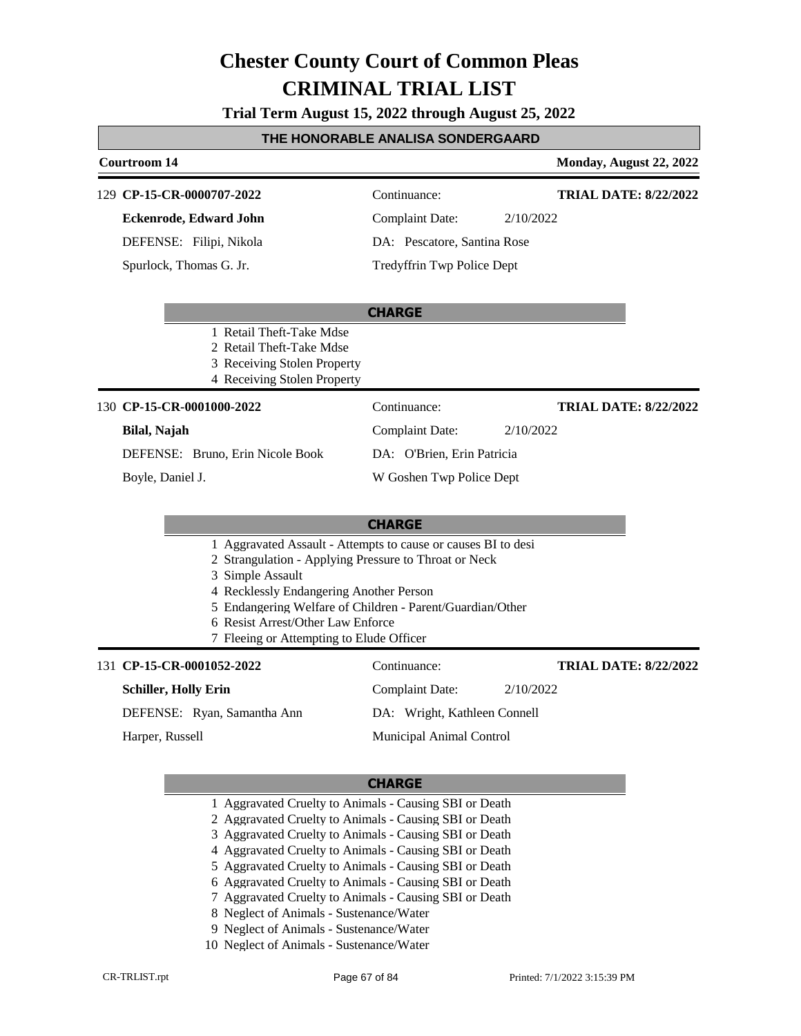**Trial Term August 15, 2022 through August 25, 2022**

### **THE HONORABLE ANALISA SONDERGAARD**

### **Courtroom 14 Monday, August 22, 2022 CHARGE CP-15-CR-0000707-2022** 129 Continuance: **Eckenrode, Edward John** DEFENSE: Filipi, Nikola Complaint Date: 2/10/2022 DA: Pescatore, Santina Rose Tredyffrin Twp Police Dept **TRIAL DATE: 8/22/2022** Spurlock, Thomas G. Jr. 1 Retail Theft-Take Mdse 2 Retail Theft-Take Mdse 3 Receiving Stolen Property 4 Receiving Stolen Property **CHARGE CP-15-CR-0001000-2022** 130 Continuance: **Bilal, Najah** DEFENSE: Bruno, Erin Nicole Book Complaint Date: 2/10/2022 DA: O'Brien, Erin Patricia W Goshen Twp Police Dept **TRIAL DATE: 8/22/2022** Boyle, Daniel J. 1 Aggravated Assault - Attempts to cause or causes BI to desi 2 Strangulation - Applying Pressure to Throat or Neck 3 Simple Assault 4 Recklessly Endangering Another Person 5 Endangering Welfare of Children - Parent/Guardian/Other 6 Resist Arrest/Other Law Enforce 7 Fleeing or Attempting to Elude Officer 131 **CP-15-CR-0001052-2022** Continuance: **Schiller, Holly Erin** DEFENSE: Ryan, Samantha Ann Complaint Date: 2/10/2022 DA: Wright, Kathleen Connell Municipal Animal Control **TRIAL DATE: 8/22/2022** Harper, Russell

- 1 Aggravated Cruelty to Animals Causing SBI or Death
- 2 Aggravated Cruelty to Animals Causing SBI or Death
- 3 Aggravated Cruelty to Animals Causing SBI or Death
- 4 Aggravated Cruelty to Animals Causing SBI or Death
- 5 Aggravated Cruelty to Animals Causing SBI or Death
- 6 Aggravated Cruelty to Animals Causing SBI or Death
- 7 Aggravated Cruelty to Animals Causing SBI or Death
- 8 Neglect of Animals Sustenance/Water
- 9 Neglect of Animals Sustenance/Water
- 10 Neglect of Animals Sustenance/Water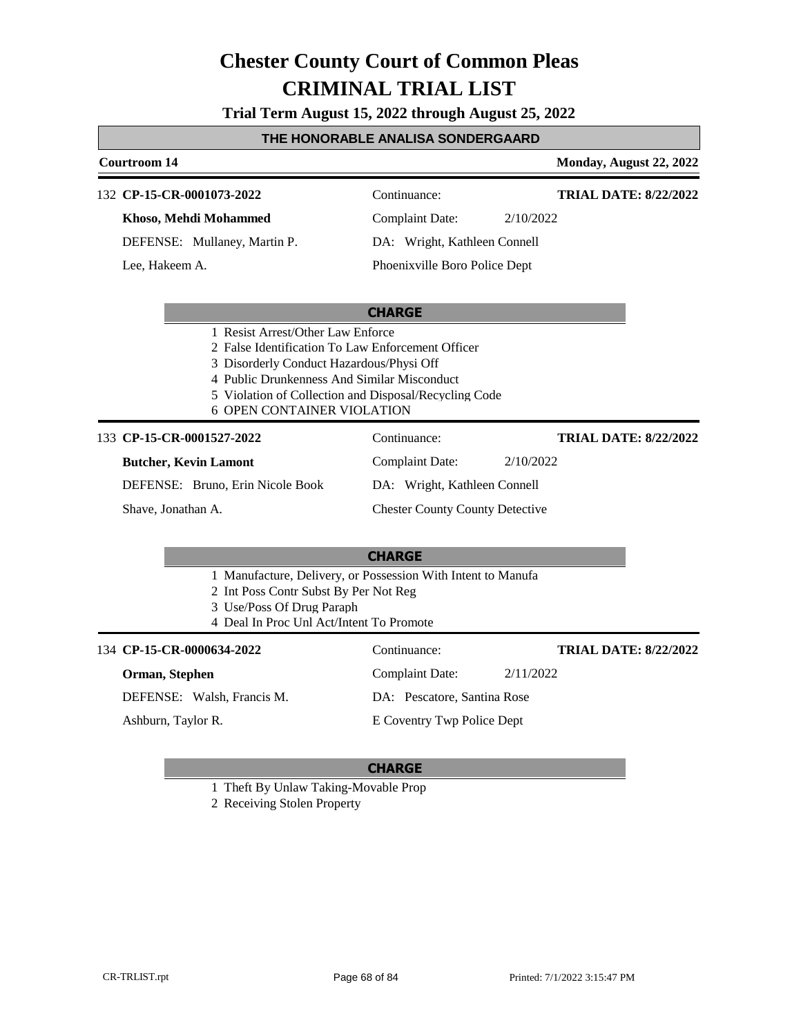**Trial Term August 15, 2022 through August 25, 2022**

### **THE HONORABLE ANALISA SONDERGAARD**

### **Courtroom 14 Monday, August 22, 2022 CHARGE CP-15-CR-0001073-2022** 132 Continuance: **Khoso, Mehdi Mohammed** DEFENSE: Mullaney, Martin P. Complaint Date: 2/10/2022 DA: Wright, Kathleen Connell Phoenixville Boro Police Dept **TRIAL DATE: 8/22/2022** Lee, Hakeem A. 1 Resist Arrest/Other Law Enforce 2 False Identification To Law Enforcement Officer 3 Disorderly Conduct Hazardous/Physi Off 4 Public Drunkenness And Similar Misconduct 5 Violation of Collection and Disposal/Recycling Code 6 OPEN CONTAINER VIOLATION **CHARGE** 133 **CP-15-CR-0001527-2022** Continuance: **Butcher, Kevin Lamont** DEFENSE: Bruno, Erin Nicole Book Complaint Date: 2/10/2022 DA: Wright, Kathleen Connell Chester County County Detective **TRIAL DATE: 8/22/2022** Shave, Jonathan A. 1 Manufacture, Delivery, or Possession With Intent to Manufa 2 Int Poss Contr Subst By Per Not Reg 3 Use/Poss Of Drug Paraph 4 Deal In Proc Unl Act/Intent To Promote 134 **CP-15-CR-0000634-2022** Continuance: **Orman, Stephen** Complaint Date: 2/11/2022 **TRIAL DATE: 8/22/2022**

DEFENSE: Walsh, Francis M.

Ashburn, Taylor R.

### **CHARGE**

DA: Pescatore, Santina Rose E Coventry Twp Police Dept

1 Theft By Unlaw Taking-Movable Prop

2 Receiving Stolen Property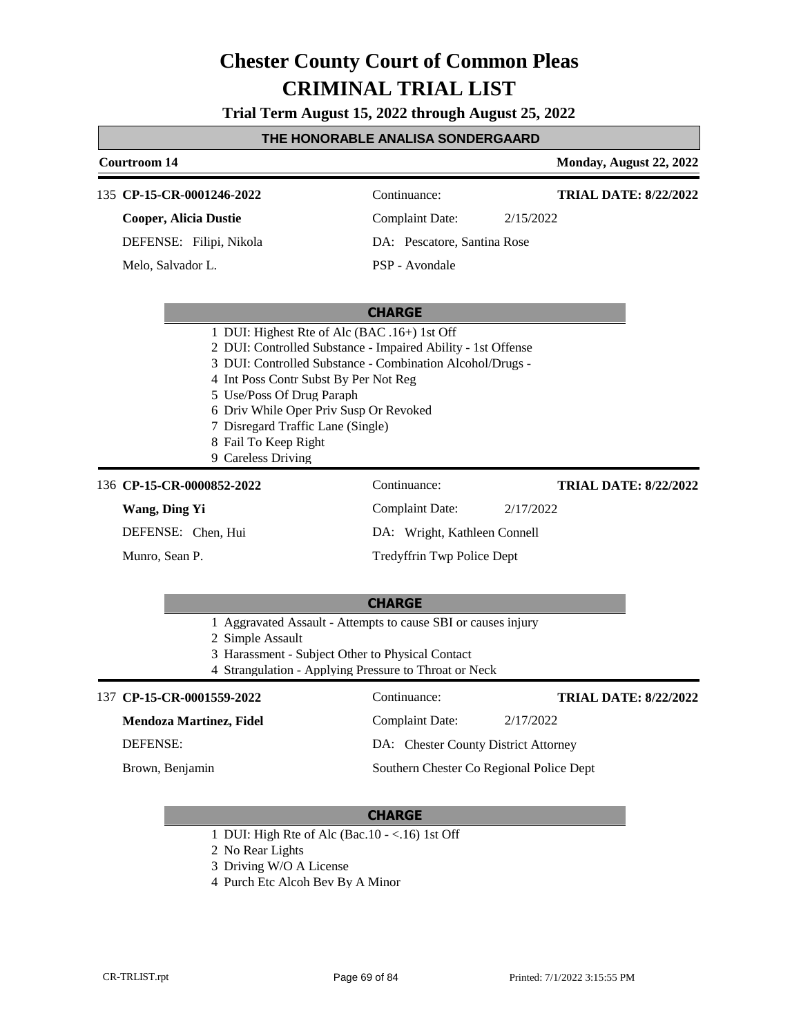**Trial Term August 15, 2022 through August 25, 2022**

### **THE HONORABLE ANALISA SONDERGAARD**

## **Courtroom 14 Monday, August 22, 2022 CHARGE** 135 **CP-15-CR-0001246-2022** Continuance: **Cooper, Alicia Dustie** DEFENSE: Filipi, Nikola Complaint Date: 2/15/2022 DA: Pescatore, Santina Rose PSP - Avondale **TRIAL DATE: 8/22/2022** Melo, Salvador L. 1 DUI: Highest Rte of Alc (BAC .16+) 1st Off 2 DUI: Controlled Substance - Impaired Ability - 1st Offense 3 DUI: Controlled Substance - Combination Alcohol/Drugs - 4 Int Poss Contr Subst By Per Not Reg 5 Use/Poss Of Drug Paraph 6 Driv While Oper Priv Susp Or Revoked 7 Disregard Traffic Lane (Single) 8 Fail To Keep Right 9 Careless Driving **CHARGE** 136 **CP-15-CR-0000852-2022** Continuance: **Wang, Ding Yi** DEFENSE: Chen, Hui Complaint Date: 2/17/2022 DA: Wright, Kathleen Connell Tredyffrin Twp Police Dept **TRIAL DATE: 8/22/2022** Munro, Sean P. 1 Aggravated Assault - Attempts to cause SBI or causes injury 2 Simple Assault 3 Harassment - Subject Other to Physical Contact 4 Strangulation - Applying Pressure to Throat or Neck 137 **CP-15-CR-0001559-2022** Continuance: **TRIAL DATE: 8/22/2022**

**Mendoza Martinez, Fidel** DEFENSE: Complaint Date: 2/17/2022 DA: Chester County District Attorney Southern Chester Co Regional Police Dept Brown, Benjamin

- 1 DUI: High Rte of Alc (Bac.10 <.16) 1st Off
- 2 No Rear Lights
- 3 Driving W/O A License
- 4 Purch Etc Alcoh Bev By A Minor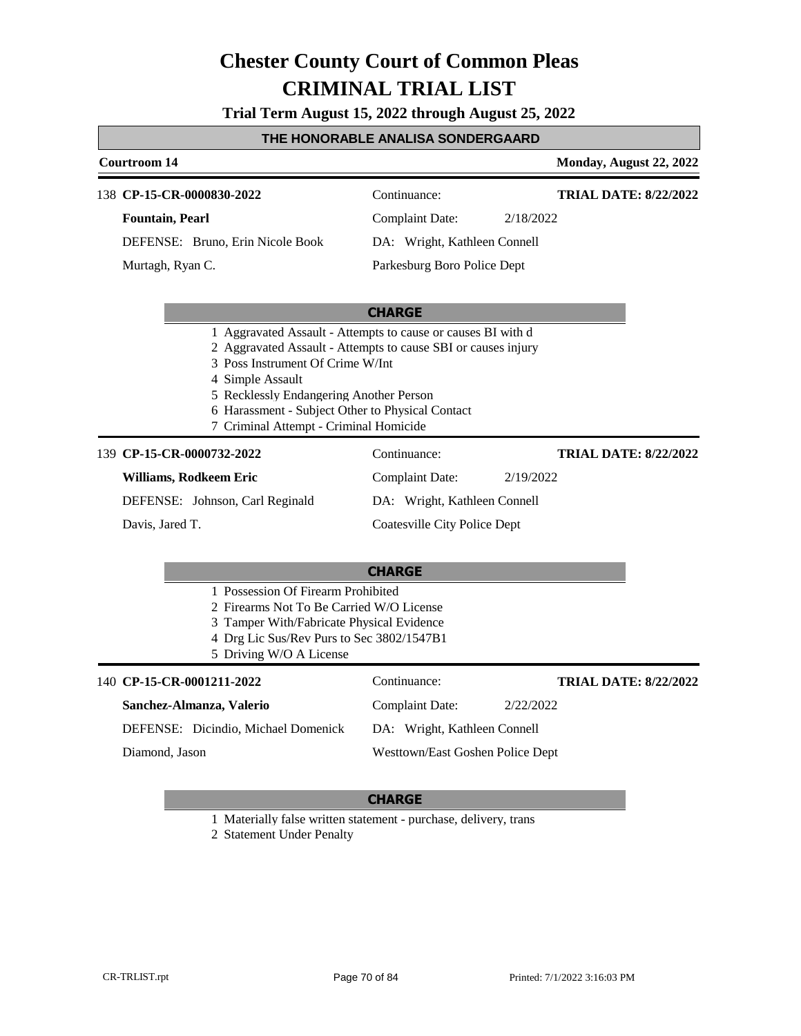**Trial Term August 15, 2022 through August 25, 2022**

## **THE HONORABLE ANALISA SONDERGAARD**

| <b>Courtroom 14</b>                                                                                                                                                                                 |                                                                                                                                                                                   | Monday, August 22, 2022      |
|-----------------------------------------------------------------------------------------------------------------------------------------------------------------------------------------------------|-----------------------------------------------------------------------------------------------------------------------------------------------------------------------------------|------------------------------|
| 138 CP-15-CR-0000830-2022                                                                                                                                                                           | Continuance:                                                                                                                                                                      | <b>TRIAL DATE: 8/22/2022</b> |
| <b>Fountain, Pearl</b>                                                                                                                                                                              | <b>Complaint Date:</b><br>2/18/2022                                                                                                                                               |                              |
| DEFENSE: Bruno, Erin Nicole Book                                                                                                                                                                    | DA: Wright, Kathleen Connell                                                                                                                                                      |                              |
| Murtagh, Ryan C.                                                                                                                                                                                    | Parkesburg Boro Police Dept                                                                                                                                                       |                              |
|                                                                                                                                                                                                     | <b>CHARGE</b>                                                                                                                                                                     |                              |
| 3 Poss Instrument Of Crime W/Int<br>4 Simple Assault<br>5 Recklessly Endangering Another Person<br>7 Criminal Attempt - Criminal Homicide                                                           | 1 Aggravated Assault - Attempts to cause or causes BI with d<br>2 Aggravated Assault - Attempts to cause SBI or causes injury<br>6 Harassment - Subject Other to Physical Contact |                              |
| 139 CP-15-CR-0000732-2022                                                                                                                                                                           | Continuance:                                                                                                                                                                      | <b>TRIAL DATE: 8/22/2022</b> |
| Williams, Rodkeem Eric                                                                                                                                                                              | <b>Complaint Date:</b><br>2/19/2022                                                                                                                                               |                              |
| DEFENSE: Johnson, Carl Reginald                                                                                                                                                                     | DA: Wright, Kathleen Connell                                                                                                                                                      |                              |
| Davis, Jared T.                                                                                                                                                                                     | <b>Coatesville City Police Dept</b>                                                                                                                                               |                              |
|                                                                                                                                                                                                     | <b>CHARGE</b>                                                                                                                                                                     |                              |
| 1 Possession Of Firearm Prohibited<br>2 Firearms Not To Be Carried W/O License<br>3 Tamper With/Fabricate Physical Evidence<br>4 Drg Lic Sus/Rev Purs to Sec 3802/1547B1<br>5 Driving W/O A License |                                                                                                                                                                                   |                              |
| 140 CP-15-CR-0001211-2022                                                                                                                                                                           | Continuance:                                                                                                                                                                      | <b>TRIAL DATE: 8/22/2022</b> |
| Sanchez-Almanza, Valerio                                                                                                                                                                            | <b>Complaint Date:</b><br>2/22/2022                                                                                                                                               |                              |
| DEFENSE: Dicindio, Michael Domenick                                                                                                                                                                 | DA: Wright, Kathleen Connell                                                                                                                                                      |                              |
| Diamond, Jason                                                                                                                                                                                      | Westtown/East Goshen Police Dept                                                                                                                                                  |                              |

### **CHARGE**

1 Materially false written statement - purchase, delivery, trans

2 Statement Under Penalty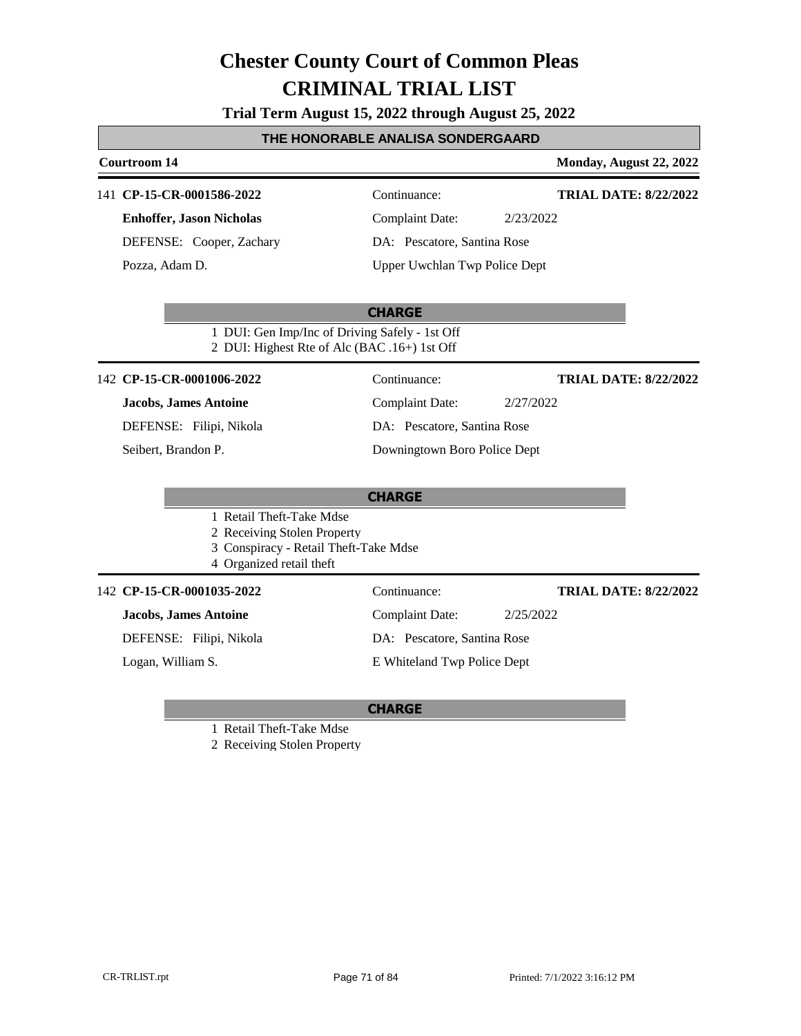**Trial Term August 15, 2022 through August 25, 2022**

### **THE HONORABLE ANALISA SONDERGAARD**

### **Courtroom 14 Monday, August 22, 2022 CHARGE** 141 **CP-15-CR-0001586-2022** Continuance: **Enhoffer, Jason Nicholas** DEFENSE: Cooper, Zachary Complaint Date: 2/23/2022 DA: Pescatore, Santina Rose Upper Uwchlan Twp Police Dept **TRIAL DATE: 8/22/2022** Pozza, Adam D. 1 DUI: Gen Imp/Inc of Driving Safely - 1st Off 2 DUI: Highest Rte of Alc (BAC .16+) 1st Off **CHARGE** 142 **CP-15-CR-0001006-2022** Continuance: **Jacobs, James Antoine** DEFENSE: Filipi, Nikola Complaint Date: 2/27/2022 DA: Pescatore, Santina Rose Downingtown Boro Police Dept **TRIAL DATE: 8/22/2022** Seibert, Brandon P. 1 Retail Theft-Take Mdse 2 Receiving Stolen Property 3 Conspiracy - Retail Theft-Take Mdse 4 Organized retail theft 142 **CP-15-CR-0001035-2022** Continuance: **Jacobs, James Antoine** DEFENSE: Filipi, Nikola Complaint Date: 2/25/2022 DA: Pescatore, Santina Rose E Whiteland Twp Police Dept **TRIAL DATE: 8/22/2022** Logan, William S.

### **CHARGE**

1 Retail Theft-Take Mdse

2 Receiving Stolen Property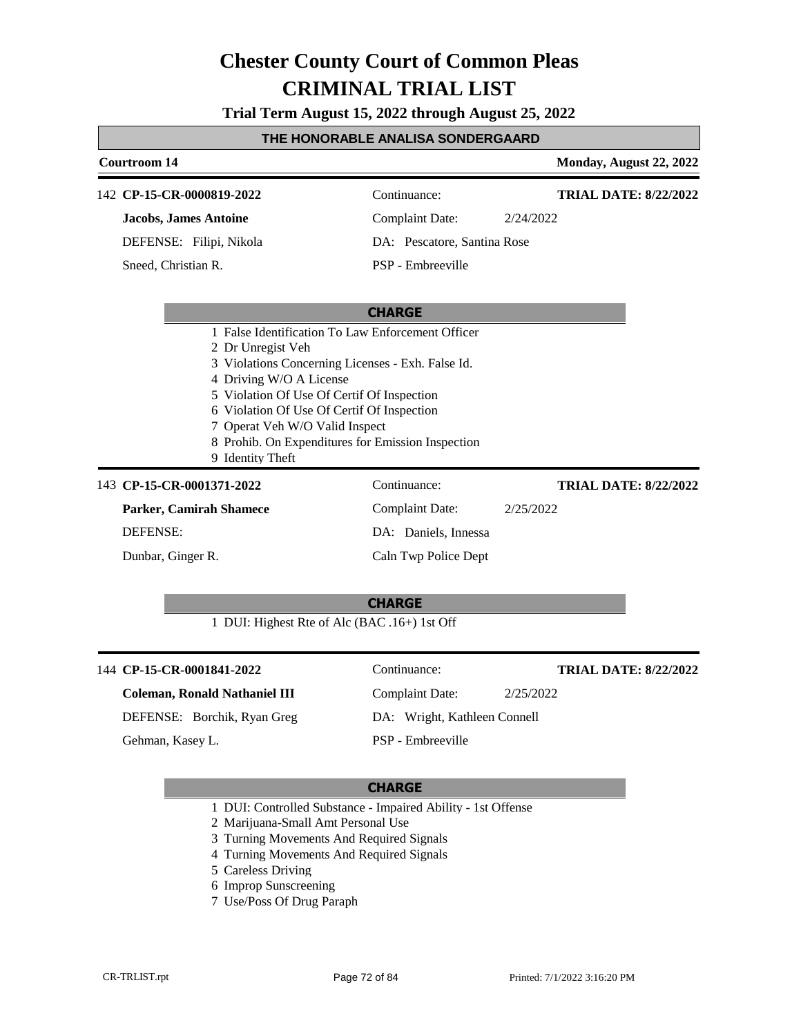**Trial Term August 15, 2022 through August 25, 2022**

### **THE HONORABLE ANALISA SONDERGAARD**

### **Courtroom 14 Monday, August 22, 2022 CHARGE** 142 **CP-15-CR-0000819-2022** Continuance: **Jacobs, James Antoine** DEFENSE: Filipi, Nikola Complaint Date: 2/24/2022 DA: Pescatore, Santina Rose PSP - Embreeville **TRIAL DATE: 8/22/2022** Sneed, Christian R. 1 False Identification To Law Enforcement Officer 2 Dr Unregist Veh 3 Violations Concerning Licenses - Exh. False Id. 4 Driving W/O A License 5 Violation Of Use Of Certif Of Inspection 6 Violation Of Use Of Certif Of Inspection 7 Operat Veh W/O Valid Inspect 8 Prohib. On Expenditures for Emission Inspection 9 Identity Theft 143 **CP-15-CR-0001371-2022** Continuance: **Parker, Camirah Shamece** DEFENSE: Complaint Date: 2/25/2022 DA: Daniels, Innessa Caln Twp Police Dept **TRIAL DATE: 8/22/2022** Dunbar, Ginger R.

## **CHARGE**

1 DUI: Highest Rte of Alc (BAC .16+) 1st Off

| 144 CP-15-CR-0001841-2022            | Continuance:                 | <b>TRIAL DATE: 8/22/2022</b> |
|--------------------------------------|------------------------------|------------------------------|
| <b>Coleman, Ronald Nathaniel III</b> | Complaint Date:              | 2/25/2022                    |
| DEFENSE: Borchik, Ryan Greg          | DA: Wright, Kathleen Connell |                              |
| Gehman, Kasey L.                     | PSP - Embreeville            |                              |

- 1 DUI: Controlled Substance Impaired Ability 1st Offense
- 2 Marijuana-Small Amt Personal Use
- 3 Turning Movements And Required Signals
- 4 Turning Movements And Required Signals
- 5 Careless Driving
- 6 Improp Sunscreening
- 7 Use/Poss Of Drug Paraph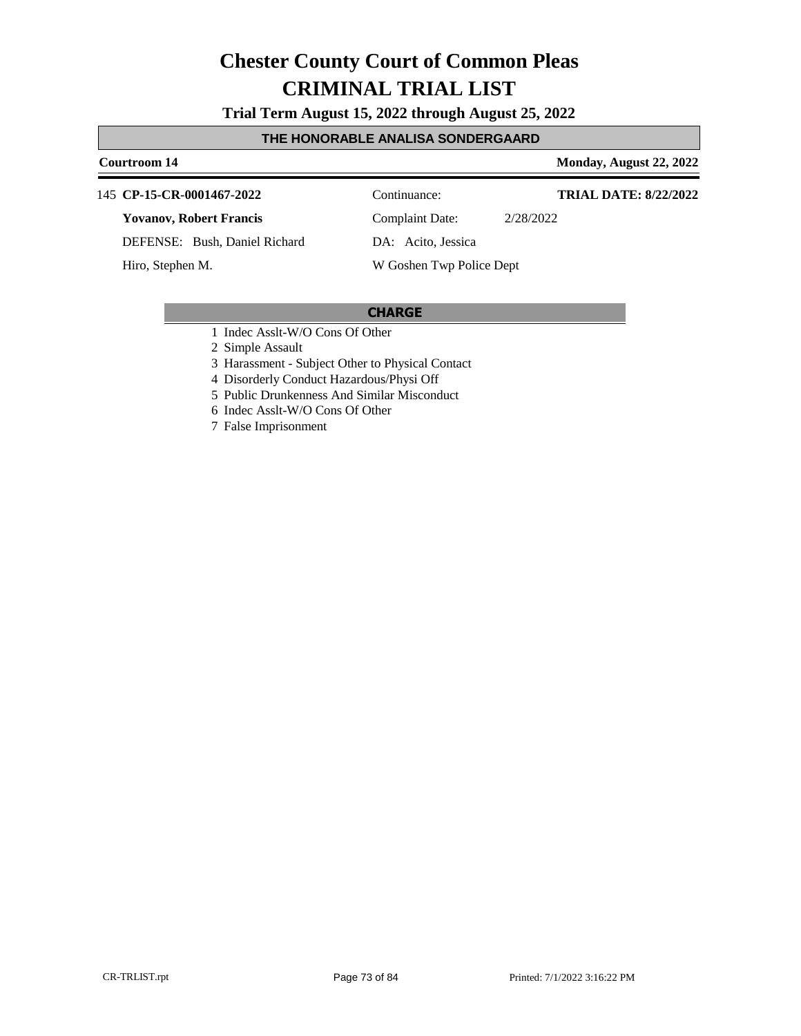**Trial Term August 15, 2022 through August 25, 2022**

### **THE HONORABLE ANALISA SONDERGAARD**

**Courtroom 14 Monday, August 22, 2022** 

### **CP-15-CR-0001467-2022** 145 Continuance:

**Yovanov, Robert Francis**

DEFENSE: Bush, Daniel Richard

Hiro, Stephen M.

Complaint Date: 2/28/2022 DA: Acito, Jessica

**TRIAL DATE: 8/22/2022**

## W Goshen Twp Police Dept

### **CHARGE**

1 Indec Asslt-W/O Cons Of Other

2 Simple Assault

3 Harassment - Subject Other to Physical Contact

4 Disorderly Conduct Hazardous/Physi Off

5 Public Drunkenness And Similar Misconduct

6 Indec Asslt-W/O Cons Of Other

7 False Imprisonment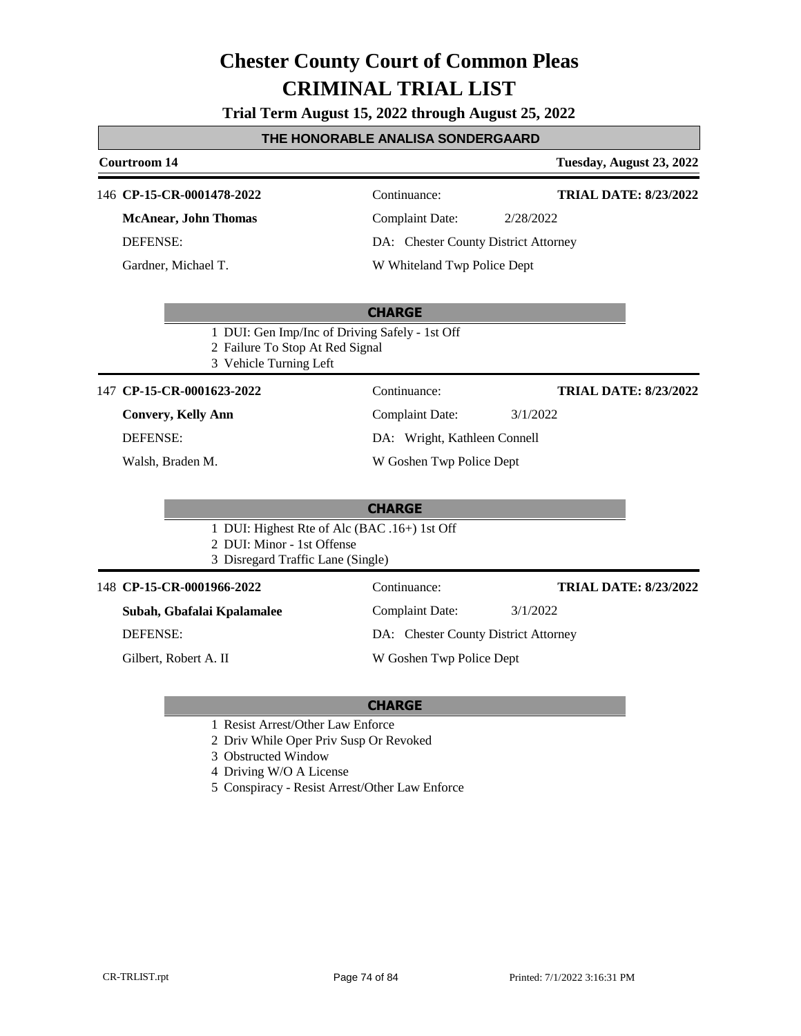**Trial Term August 15, 2022 through August 25, 2022**

### **THE HONORABLE ANALISA SONDERGAARD**

### **Courtroom 14 Tuesday, August 23, 2022 CHARGE** 146 **CP-15-CR-0001478-2022** Continuance: **McAnear, John Thomas** DEFENSE: Complaint Date: 2/28/2022 DA: Chester County District Attorney W Whiteland Twp Police Dept **TRIAL DATE: 8/23/2022** Gardner, Michael T. 1 DUI: Gen Imp/Inc of Driving Safely - 1st Off 2 Failure To Stop At Red Signal 3 Vehicle Turning Left **CHARGE** 147 **CP-15-CR-0001623-2022** Continuance: **Convery, Kelly Ann** DEFENSE: Complaint Date: 3/1/2022 DA: Wright, Kathleen Connell W Goshen Twp Police Dept **TRIAL DATE: 8/23/2022** Walsh, Braden M. 1 DUI: Highest Rte of Alc (BAC .16+) 1st Off 2 DUI: Minor - 1st Offense 3 Disregard Traffic Lane (Single) 148 **CP-15-CR-0001966-2022** Continuance: **Subah, Gbafalai Kpalamalee** DEFENSE: Complaint Date: 3/1/2022 DA: Chester County District Attorney W Goshen Twp Police Dept **TRIAL DATE: 8/23/2022** Gilbert, Robert A. II

- 1 Resist Arrest/Other Law Enforce
- 2 Driv While Oper Priv Susp Or Revoked
- 3 Obstructed Window
- 4 Driving W/O A License
- 5 Conspiracy Resist Arrest/Other Law Enforce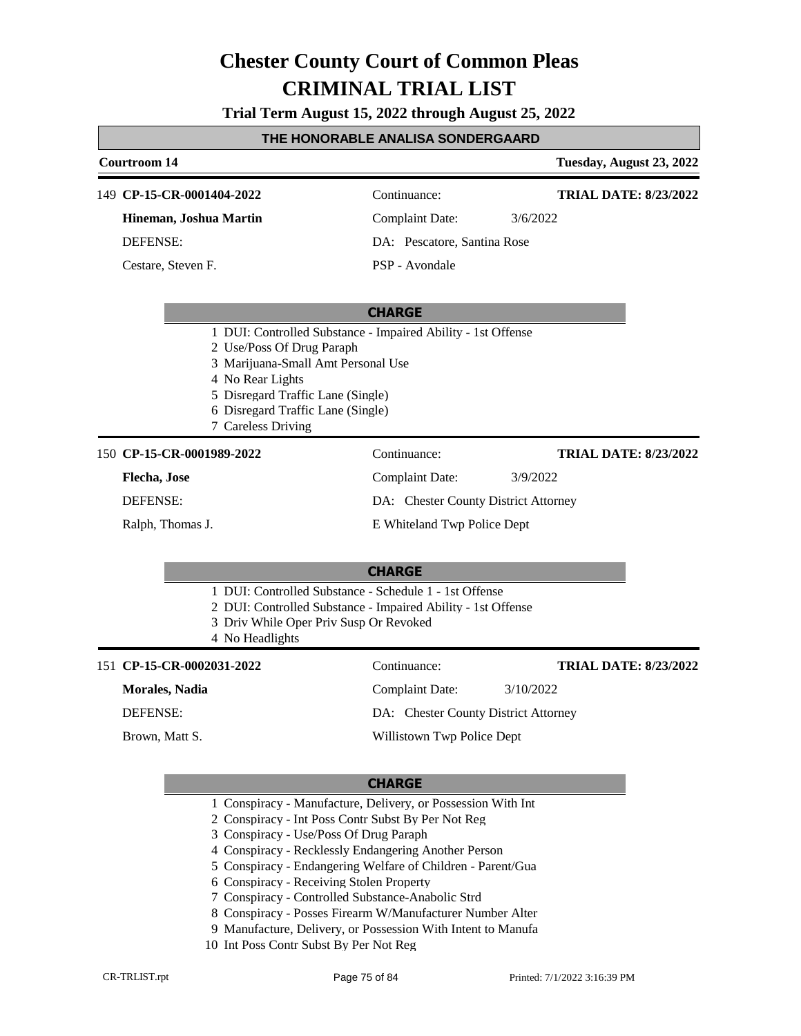**Trial Term August 15, 2022 through August 25, 2022**

### **THE HONORABLE ANALISA SONDERGAARD**

### **Courtroom 14 Tuesday, August 23, 2022 CHARGE CP-15-CR-0001404-2022** 149 Continuance: **Hineman, Joshua Martin** DEFENSE: Complaint Date: 3/6/2022 DA: Pescatore, Santina Rose PSP - Avondale **TRIAL DATE: 8/23/2022** Cestare, Steven F. 1 DUI: Controlled Substance - Impaired Ability - 1st Offense 2 Use/Poss Of Drug Paraph 3 Marijuana-Small Amt Personal Use 4 No Rear Lights 5 Disregard Traffic Lane (Single) 6 Disregard Traffic Lane (Single) 7 Careless Driving **CHARGE CP-15-CR-0001989-2022** 150 Continuance: **Flecha, Jose** DEFENSE: Complaint Date: 3/9/2022 DA: Chester County District Attorney E Whiteland Twp Police Dept **TRIAL DATE: 8/23/2022** Ralph, Thomas J. 1 DUI: Controlled Substance - Schedule 1 - 1st Offense 2 DUI: Controlled Substance - Impaired Ability - 1st Offense 3 Driv While Oper Priv Susp Or Revoked 4 No Headlights **CHARGE** 151 **CP-15-CR-0002031-2022** Continuance: **Morales, Nadia** DEFENSE: Complaint Date: 3/10/2022 DA: Chester County District Attorney Willistown Twp Police Dept **TRIAL DATE: 8/23/2022** Brown, Matt S. 1 Conspiracy - Manufacture, Delivery, or Possession With Int 2 Conspiracy - Int Poss Contr Subst By Per Not Reg 3 Conspiracy - Use/Poss Of Drug Paraph

- 4 Conspiracy Recklessly Endangering Another Person
- 5 Conspiracy Endangering Welfare of Children Parent/Gua
- 6 Conspiracy Receiving Stolen Property
- 7 Conspiracy Controlled Substance-Anabolic Strd
- 8 Conspiracy Posses Firearm W/Manufacturer Number Alter
- 9 Manufacture, Delivery, or Possession With Intent to Manufa
- 10 Int Poss Contr Subst By Per Not Reg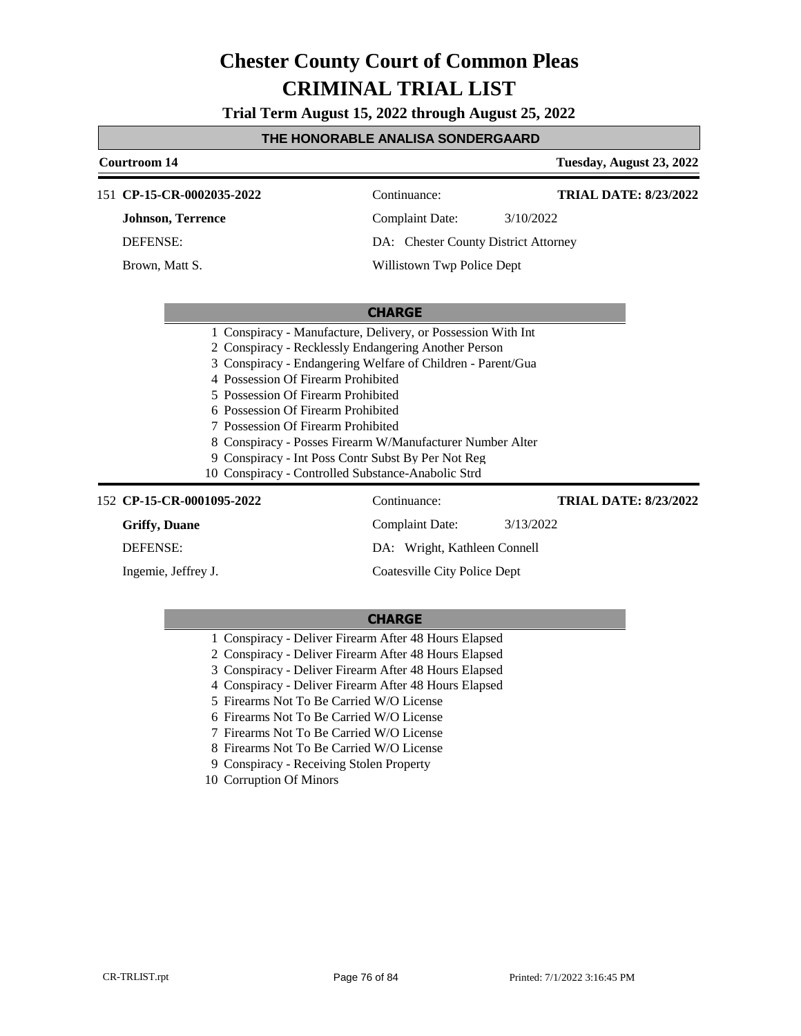**Trial Term August 15, 2022 through August 25, 2022**

### **THE HONORABLE ANALISA SONDERGAARD**

| Courtroom 14                                                                                                                                                                                               |                                                                                                                                                                                                                                                                                                        | Tuesday, August 23, 2022     |  |
|------------------------------------------------------------------------------------------------------------------------------------------------------------------------------------------------------------|--------------------------------------------------------------------------------------------------------------------------------------------------------------------------------------------------------------------------------------------------------------------------------------------------------|------------------------------|--|
| 151 CP-15-CR-0002035-2022                                                                                                                                                                                  | Continuance:                                                                                                                                                                                                                                                                                           | <b>TRIAL DATE: 8/23/2022</b> |  |
| <b>Johnson, Terrence</b>                                                                                                                                                                                   | <b>Complaint Date:</b>                                                                                                                                                                                                                                                                                 | 3/10/2022                    |  |
| <b>DEFENSE:</b>                                                                                                                                                                                            | DA: Chester County District Attorney                                                                                                                                                                                                                                                                   |                              |  |
| Brown, Matt S.                                                                                                                                                                                             | Willistown Twp Police Dept                                                                                                                                                                                                                                                                             |                              |  |
| <b>CHARGE</b>                                                                                                                                                                                              |                                                                                                                                                                                                                                                                                                        |                              |  |
| 4 Possession Of Firearm Prohibited<br>5 Possession Of Firearm Prohibited<br>6 Possession Of Firearm Prohibited<br>7 Possession Of Firearm Prohibited<br>10 Conspiracy - Controlled Substance-Anabolic Strd | 1 Conspiracy - Manufacture, Delivery, or Possession With Int<br>2 Conspiracy - Recklessly Endangering Another Person<br>3 Conspiracy - Endangering Welfare of Children - Parent/Gua<br>8 Conspiracy - Posses Firearm W/Manufacturer Number Alter<br>9 Conspiracy - Int Poss Contr Subst By Per Not Reg |                              |  |
| 152 CP-15-CR-0001095-2022                                                                                                                                                                                  | Continuance:                                                                                                                                                                                                                                                                                           | <b>TRIAL DATE: 8/23/2022</b> |  |
| <b>Griffy</b> , Duane                                                                                                                                                                                      | Complaint Date:                                                                                                                                                                                                                                                                                        | 3/13/2022                    |  |
| <b>DEFENSE:</b>                                                                                                                                                                                            | DA: Wright, Kathleen Connell                                                                                                                                                                                                                                                                           |                              |  |
| Ingemie, Jeffrey J.                                                                                                                                                                                        | Coatesville City Police Dept                                                                                                                                                                                                                                                                           |                              |  |

- 1 Conspiracy Deliver Firearm After 48 Hours Elapsed
- 2 Conspiracy Deliver Firearm After 48 Hours Elapsed
- 3 Conspiracy Deliver Firearm After 48 Hours Elapsed
- 4 Conspiracy Deliver Firearm After 48 Hours Elapsed
- 5 Firearms Not To Be Carried W/O License
- 6 Firearms Not To Be Carried W/O License
- 7 Firearms Not To Be Carried W/O License
- 8 Firearms Not To Be Carried W/O License
- 9 Conspiracy Receiving Stolen Property
- 10 Corruption Of Minors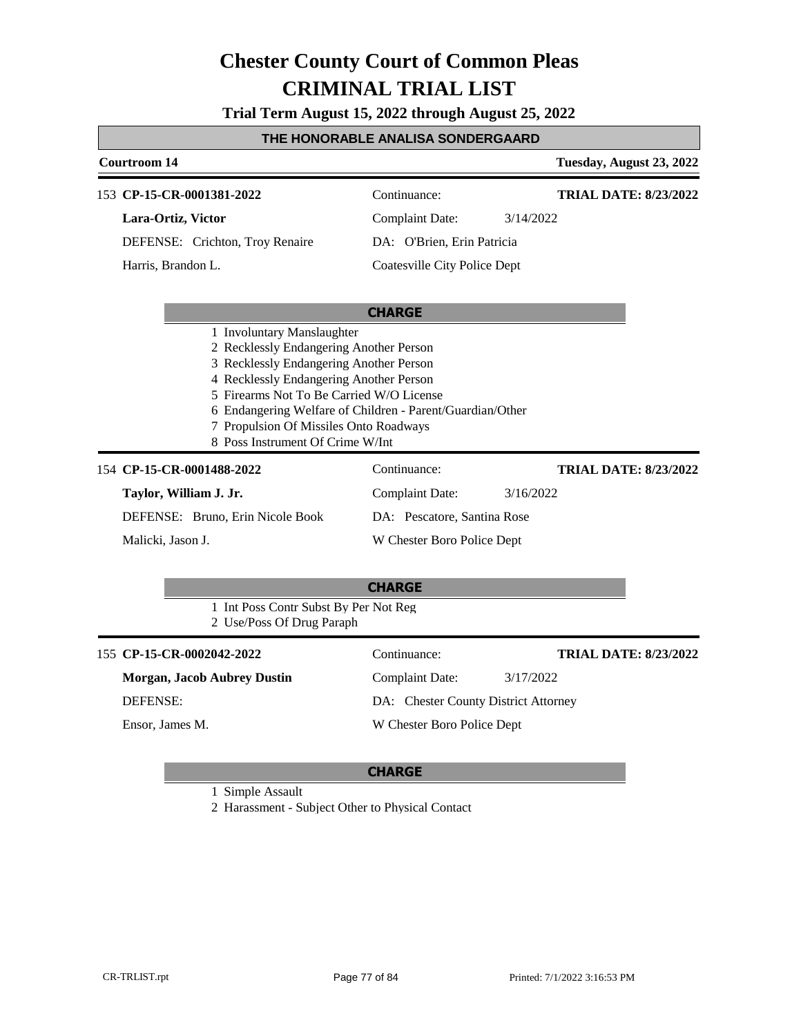**Trial Term August 15, 2022 through August 25, 2022**

### **THE HONORABLE ANALISA SONDERGAARD**

|                                                                                                                                                                                                                                                                                                                                                    | <b>Courtroom 14</b>                                                                                      |                                                                                                             | Tuesday, August 23, 2022                  |
|----------------------------------------------------------------------------------------------------------------------------------------------------------------------------------------------------------------------------------------------------------------------------------------------------------------------------------------------------|----------------------------------------------------------------------------------------------------------|-------------------------------------------------------------------------------------------------------------|-------------------------------------------|
|                                                                                                                                                                                                                                                                                                                                                    | 153 CP-15-CR-0001381-2022<br>Lara-Ortiz, Victor<br>DEFENSE: Crichton, Troy Renaire<br>Harris, Brandon L. | Continuance:<br><b>Complaint Date:</b><br>DA: O'Brien, Erin Patricia<br><b>Coatesville City Police Dept</b> | <b>TRIAL DATE: 8/23/2022</b><br>3/14/2022 |
|                                                                                                                                                                                                                                                                                                                                                    |                                                                                                          | <b>CHARGE</b>                                                                                               |                                           |
| 1 Involuntary Manslaughter<br>2 Recklessly Endangering Another Person<br>3 Recklessly Endangering Another Person<br>4 Recklessly Endangering Another Person<br>5 Firearms Not To Be Carried W/O License<br>6 Endangering Welfare of Children - Parent/Guardian/Other<br>7 Propulsion Of Missiles Onto Roadways<br>8 Poss Instrument Of Crime W/Int |                                                                                                          |                                                                                                             |                                           |
|                                                                                                                                                                                                                                                                                                                                                    | 154 CP-15-CR-0001488-2022                                                                                | Continuance:                                                                                                | <b>TRIAL DATE: 8/23/2022</b>              |
|                                                                                                                                                                                                                                                                                                                                                    | Taylor, William J. Jr.                                                                                   | <b>Complaint Date:</b>                                                                                      | 3/16/2022                                 |
|                                                                                                                                                                                                                                                                                                                                                    | DEFENSE: Bruno, Erin Nicole Book                                                                         | DA: Pescatore, Santina Rose                                                                                 |                                           |
|                                                                                                                                                                                                                                                                                                                                                    | Malicki, Jason J.                                                                                        | W Chester Boro Police Dept                                                                                  |                                           |
|                                                                                                                                                                                                                                                                                                                                                    |                                                                                                          | <b>CHARGE</b>                                                                                               |                                           |
|                                                                                                                                                                                                                                                                                                                                                    | 1 Int Poss Contr Subst By Per Not Reg<br>2 Use/Poss Of Drug Paraph                                       |                                                                                                             |                                           |
|                                                                                                                                                                                                                                                                                                                                                    | 155 CP-15-CR-0002042-2022                                                                                | Continuance:                                                                                                | <b>TRIAL DATE: 8/23/2022</b>              |
|                                                                                                                                                                                                                                                                                                                                                    | <b>Morgan, Jacob Aubrey Dustin</b>                                                                       | <b>Complaint Date:</b>                                                                                      | 3/17/2022                                 |
| <b>DEFENSE:</b>                                                                                                                                                                                                                                                                                                                                    |                                                                                                          | DA: Chester County District Attorney                                                                        |                                           |

Ensor, James M.

W Chester Boro Police Dept

### **CHARGE**

1 Simple Assault

2 Harassment - Subject Other to Physical Contact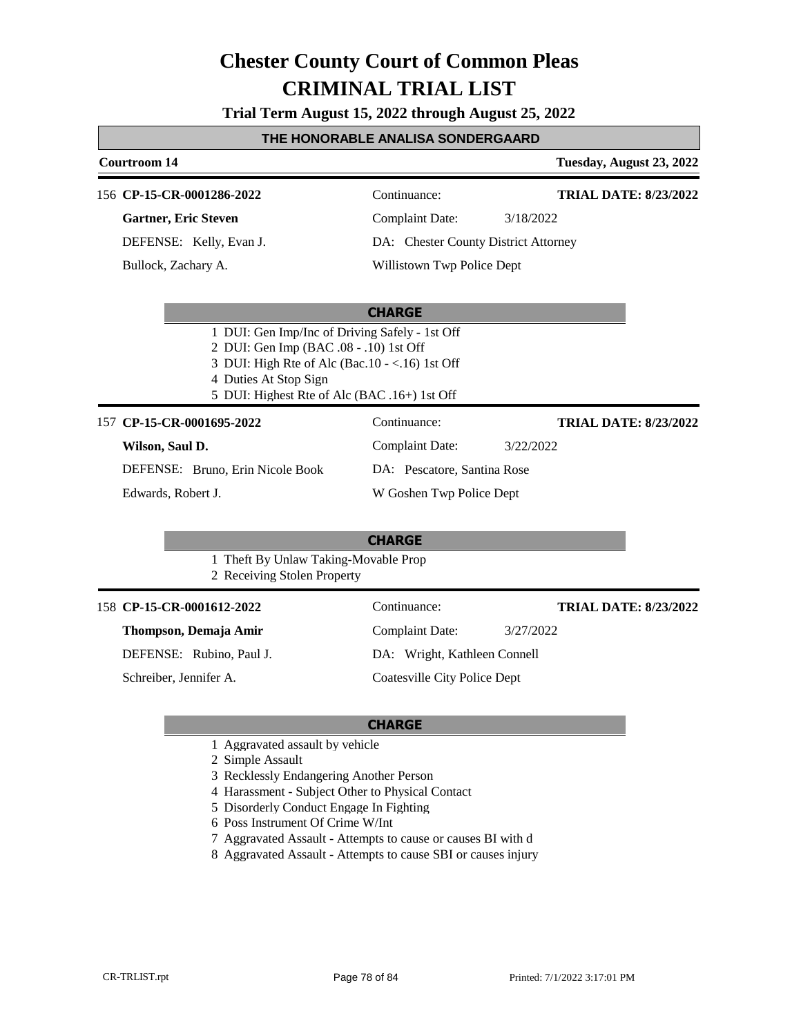**Trial Term August 15, 2022 through August 25, 2022**

### **THE HONORABLE ANALISA SONDERGAARD**

# **Courtroom 14 Tuesday, August 23, 2022**

### 156 **CP-15-CR-0001286-2022** Continuance:

**Gartner, Eric Steven**

DEFENSE: Kelly, Evan J. Bullock, Zachary A.

Complaint Date: 3/18/2022

**TRIAL DATE: 8/23/2022**

**TRIAL DATE: 8/23/2022**

**TRIAL DATE: 8/23/2022**

DA: Chester County District Attorney

Willistown Twp Police Dept

### **CHARGE**

- 1 DUI: Gen Imp/Inc of Driving Safely 1st Off
- 2 DUI: Gen Imp (BAC .08 .10) 1st Off
- 3 DUI: High Rte of Alc (Bac.10 <.16) 1st Off
- 4 Duties At Stop Sign
- 5 DUI: Highest Rte of Alc (BAC .16+) 1st Off

### 157 **CP-15-CR-0001695-2022** Continuance:

| Wilson, Saul D. |  |  |
|-----------------|--|--|
|-----------------|--|--|

Complaint Date: 3/22/2022 DA: Pescatore, Santina Rose W Goshen Twp Police Dept

DEFENSE: Bruno, Erin Nicole Book Edwards, Robert J.

### **CHARGE**

1 Theft By Unlaw Taking-Movable Prop

2 Receiving Stolen Property

### 158 **CP-15-CR-0001612-2022** Continuance:

**Thompson, Demaja Amir**

DEFENSE: Rubino, Paul J.

Schreiber, Jennifer A.

Complaint Date: 3/27/2022 DA: Wright, Kathleen Connell Coatesville City Police Dept

### **CHARGE**

1 Aggravated assault by vehicle

2 Simple Assault

- 3 Recklessly Endangering Another Person
- 4 Harassment Subject Other to Physical Contact
- 5 Disorderly Conduct Engage In Fighting
- 6 Poss Instrument Of Crime W/Int
- 7 Aggravated Assault Attempts to cause or causes BI with d
- 8 Aggravated Assault Attempts to cause SBI or causes injury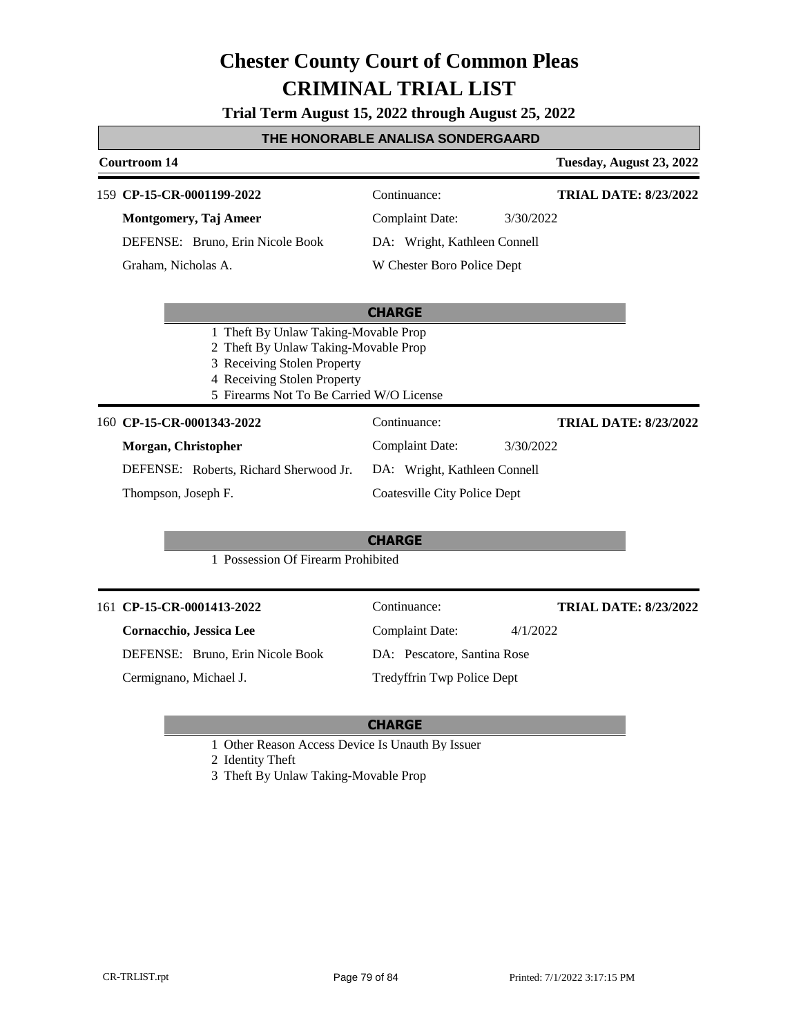**Trial Term August 15, 2022 through August 25, 2022**

### **THE HONORABLE ANALISA SONDERGAARD**

### **Courtroom 14 Tuesday, August 23, 2022 CHARGE CP-15-CR-0001199-2022** 159 Continuance: **Montgomery, Taj Ameer** DEFENSE: Bruno, Erin Nicole Book Complaint Date: 3/30/2022 DA: Wright, Kathleen Connell W Chester Boro Police Dept **TRIAL DATE: 8/23/2022** Graham, Nicholas A. 1 Theft By Unlaw Taking-Movable Prop 2 Theft By Unlaw Taking-Movable Prop 3 Receiving Stolen Property 4 Receiving Stolen Property 5 Firearms Not To Be Carried W/O License **CHARGE** 160 **CP-15-CR-0001343-2022** Continuance: **Morgan, Christopher** DEFENSE: Roberts, Richard Sherwood Jr. Complaint Date: 3/30/2022 DA: Wright, Kathleen Connell Coatesville City Police Dept **TRIAL DATE: 8/23/2022** Thompson, Joseph F.

1 Possession Of Firearm Prohibited

### 161 **CP-15-CR-0001413-2022** Continuance:

Cermignano, Michael J.

**Cornacchio, Jessica Lee** DEFENSE: Bruno, Erin Nicole Book Complaint Date: 4/1/2022 DA: Pescatore, Santina Rose Tredyffrin Twp Police Dept

## **CHARGE**

1 Other Reason Access Device Is Unauth By Issuer

2 Identity Theft

3 Theft By Unlaw Taking-Movable Prop

**TRIAL DATE: 8/23/2022**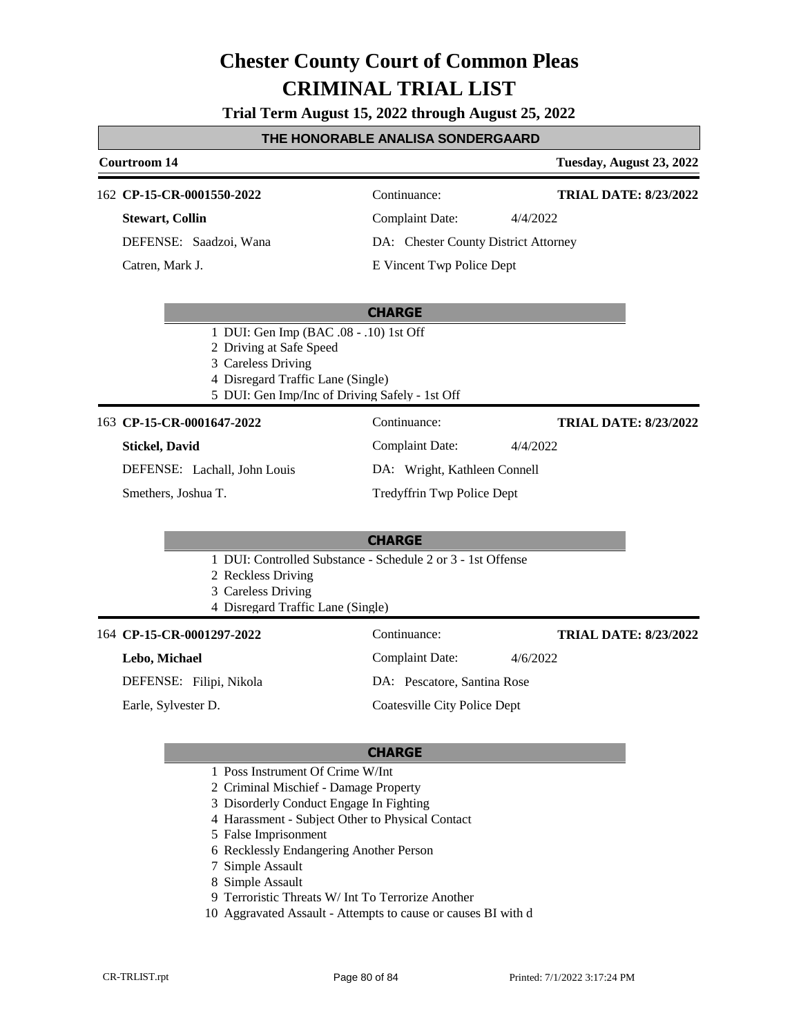**Trial Term August 15, 2022 through August 25, 2022**

### **THE HONORABLE ANALISA SONDERGAARD**

### **Courtroom 14 Tuesday, August 23, 2022 CP-15-CR-0001550-2022** 162 Continuance: **Stewart, Collin** DEFENSE: Saadzoi, Wana Complaint Date: 4/4/2022 DA: Chester County District Attorney E Vincent Twp Police Dept **TRIAL DATE: 8/23/2022** Catren, Mark J.

### **CHARGE**

- 1 DUI: Gen Imp (BAC .08 .10) 1st Off
- 2 Driving at Safe Speed
- 3 Careless Driving
- 4 Disregard Traffic Lane (Single)
- 5 DUI: Gen Imp/Inc of Driving Safely 1st Off

### **CP-15-CR-0001647-2022** 163 Continuance:

### **Stickel, David**

**TRIAL DATE: 8/23/2022**

DEFENSE: Lachall, John Louis

Smethers, Joshua T.

### **CHARGE**

- 1 DUI: Controlled Substance Schedule 2 or 3 1st Offense
- 2 Reckless Driving
- 3 Careless Driving
- 4 Disregard Traffic Lane (Single)

### 164 **CP-15-CR-0001297-2022** Continuance:

### **Lebo, Michael**

DEFENSE: Filipi, Nikola

Earle, Sylvester D.

Complaint Date: 4/6/2022 DA: Pescatore, Santina Rose

Complaint Date: 4/4/2022

DA: Wright, Kathleen Connell Tredyffrin Twp Police Dept

### Coatesville City Police Dept

### **CHARGE**

- 1 Poss Instrument Of Crime W/Int
- 2 Criminal Mischief Damage Property
- 3 Disorderly Conduct Engage In Fighting
- 4 Harassment Subject Other to Physical Contact
- 5 False Imprisonment
- 6 Recklessly Endangering Another Person
- 7 Simple Assault
- 8 Simple Assault
- 9 Terroristic Threats W/ Int To Terrorize Another
- 10 Aggravated Assault Attempts to cause or causes BI with d

**TRIAL DATE: 8/23/2022**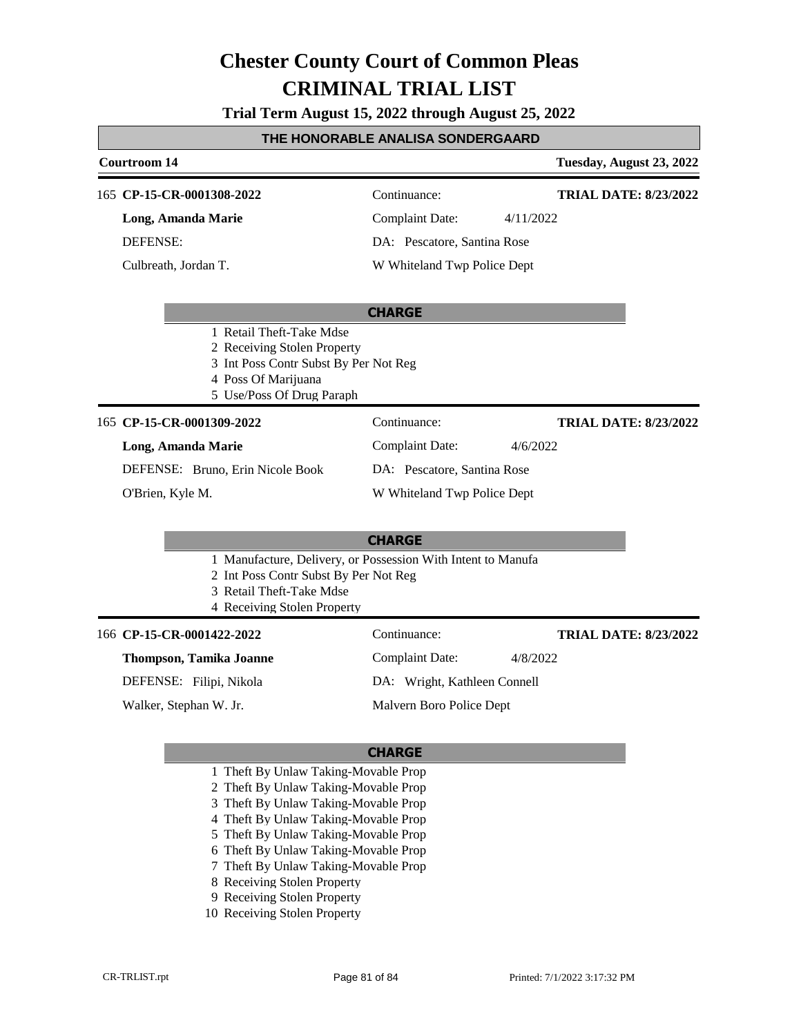**Trial Term August 15, 2022 through August 25, 2022**

### **THE HONORABLE ANALISA SONDERGAARD**

### **Courtroom 14 Tuesday, August 23, 2022 CHARGE** 165 **CP-15-CR-0001308-2022** Continuance: **Long, Amanda Marie** DEFENSE: Complaint Date: 4/11/2022 DA: Pescatore, Santina Rose W Whiteland Twp Police Dept **TRIAL DATE: 8/23/2022** Culbreath, Jordan T. 1 Retail Theft-Take Mdse 2 Receiving Stolen Property 3 Int Poss Contr Subst By Per Not Reg 4 Poss Of Marijuana 5 Use/Poss Of Drug Paraph **CHARGE** 165 **CP-15-CR-0001309-2022** Continuance: **Long, Amanda Marie** DEFENSE: Bruno, Erin Nicole Book Complaint Date: 4/6/2022 DA: Pescatore, Santina Rose W Whiteland Twp Police Dept **TRIAL DATE: 8/23/2022** O'Brien, Kyle M. 1 Manufacture, Delivery, or Possession With Intent to Manufa 2 Int Poss Contr Subst By Per Not Reg 3 Retail Theft-Take Mdse 4 Receiving Stolen Property 166 **CP-15-CR-0001422-2022** Continuance: **TRIAL DATE: 8/23/2022**

### **Thompson, Tamika Joanne**

DEFENSE: Filipi, Nikola

Walker, Stephan W. Jr.

Complaint Date: 4/8/2022 DA: Wright, Kathleen Connell

Malvern Boro Police Dept

- 1 Theft By Unlaw Taking-Movable Prop
- 2 Theft By Unlaw Taking-Movable Prop
- 3 Theft By Unlaw Taking-Movable Prop
- 4 Theft By Unlaw Taking-Movable Prop
- 5 Theft By Unlaw Taking-Movable Prop
- 6 Theft By Unlaw Taking-Movable Prop
- 7 Theft By Unlaw Taking-Movable Prop
- 8 Receiving Stolen Property
- 9 Receiving Stolen Property
- 10 Receiving Stolen Property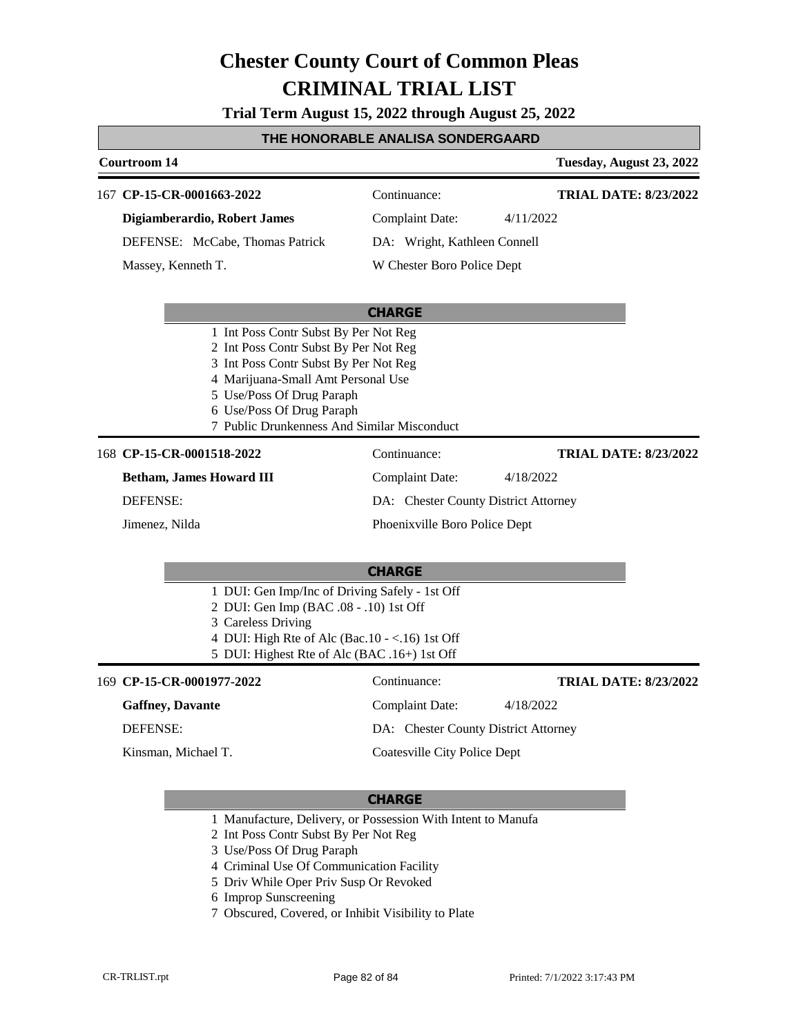**Trial Term August 15, 2022 through August 25, 2022**

### **THE HONORABLE ANALISA SONDERGAARD**

|                                                                                                                                                                                                                  | Courtroom 14                                                                                                                                                                                                                                                           |                                      | Tuesday, August 23, 2022     |
|------------------------------------------------------------------------------------------------------------------------------------------------------------------------------------------------------------------|------------------------------------------------------------------------------------------------------------------------------------------------------------------------------------------------------------------------------------------------------------------------|--------------------------------------|------------------------------|
|                                                                                                                                                                                                                  | 167 CP-15-CR-0001663-2022                                                                                                                                                                                                                                              | Continuance:                         | <b>TRIAL DATE: 8/23/2022</b> |
|                                                                                                                                                                                                                  | Digiamberardio, Robert James                                                                                                                                                                                                                                           | <b>Complaint Date:</b>               | 4/11/2022                    |
|                                                                                                                                                                                                                  | DEFENSE: McCabe, Thomas Patrick                                                                                                                                                                                                                                        | DA: Wright, Kathleen Connell         |                              |
|                                                                                                                                                                                                                  | Massey, Kenneth T.                                                                                                                                                                                                                                                     | W Chester Boro Police Dept           |                              |
|                                                                                                                                                                                                                  |                                                                                                                                                                                                                                                                        | <b>CHARGE</b>                        |                              |
|                                                                                                                                                                                                                  | 1 Int Poss Contr Subst By Per Not Reg<br>2 Int Poss Contr Subst By Per Not Reg<br>3 Int Poss Contr Subst By Per Not Reg<br>4 Marijuana-Small Amt Personal Use<br>5 Use/Poss Of Drug Paraph<br>6 Use/Poss Of Drug Paraph<br>7 Public Drunkenness And Similar Misconduct |                                      |                              |
|                                                                                                                                                                                                                  | 168 CP-15-CR-0001518-2022                                                                                                                                                                                                                                              | Continuance:                         | <b>TRIAL DATE: 8/23/2022</b> |
|                                                                                                                                                                                                                  | <b>Betham, James Howard III</b>                                                                                                                                                                                                                                        | <b>Complaint Date:</b>               | 4/18/2022                    |
|                                                                                                                                                                                                                  | <b>DEFENSE:</b>                                                                                                                                                                                                                                                        | DA: Chester County District Attorney |                              |
|                                                                                                                                                                                                                  | Jimenez, Nilda                                                                                                                                                                                                                                                         | Phoenixville Boro Police Dept        |                              |
| <b>CHARGE</b>                                                                                                                                                                                                    |                                                                                                                                                                                                                                                                        |                                      |                              |
| 1 DUI: Gen Imp/Inc of Driving Safely - 1st Off<br>2 DUI: Gen Imp (BAC .08 - .10) 1st Off<br>3 Careless Driving<br>4 DUI: High Rte of Alc (Bac.10 - <.16) 1st Off<br>5 DUI: Highest Rte of Alc (BAC .16+) 1st Off |                                                                                                                                                                                                                                                                        |                                      |                              |
|                                                                                                                                                                                                                  | 169 CP-15-CR-0001977-2022                                                                                                                                                                                                                                              | Continuance:                         | <b>TRIAL DATE: 8/23/2022</b> |
|                                                                                                                                                                                                                  | <b>Gaffney</b> , Davante                                                                                                                                                                                                                                               | <b>Complaint Date:</b>               | 4/18/2022                    |
|                                                                                                                                                                                                                  | <b>DEFENSE:</b>                                                                                                                                                                                                                                                        | DA: Chester County District Attorney |                              |
|                                                                                                                                                                                                                  | Kinsman, Michael T.                                                                                                                                                                                                                                                    | <b>Coatesville City Police Dept</b>  |                              |

- 1 Manufacture, Delivery, or Possession With Intent to Manufa
- 2 Int Poss Contr Subst By Per Not Reg
- 3 Use/Poss Of Drug Paraph
- 4 Criminal Use Of Communication Facility
- 5 Driv While Oper Priv Susp Or Revoked
- 6 Improp Sunscreening
- 7 Obscured, Covered, or Inhibit Visibility to Plate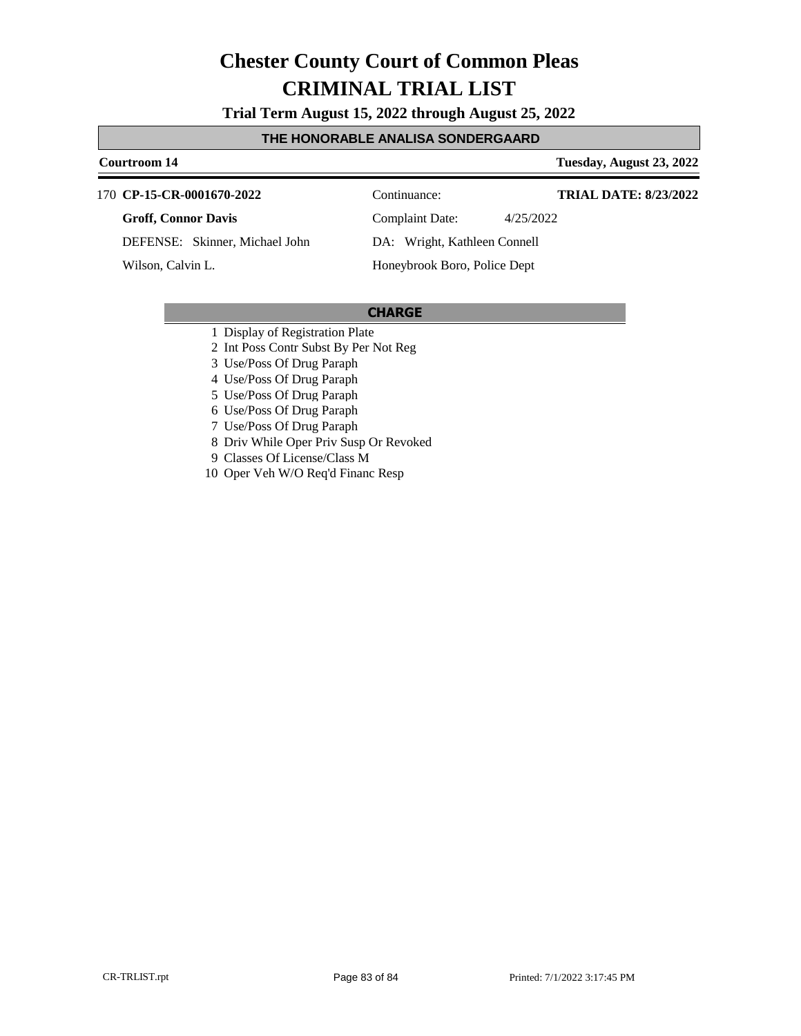**Trial Term August 15, 2022 through August 25, 2022**

### **THE HONORABLE ANALISA SONDERGAARD**

**Courtroom 14 Tuesday, August 23, 2022**

### **CP-15-CR-0001670-2022** 170 Continuance:

### **Groff, Connor Davis**

DEFENSE: Skinner, Michael John

Wilson, Calvin L.

Complaint Date: 4/25/2022

**TRIAL DATE: 8/23/2022**

DA: Wright, Kathleen Connell

Honeybrook Boro, Police Dept

- 1 Display of Registration Plate
- 2 Int Poss Contr Subst By Per Not Reg
- 3 Use/Poss Of Drug Paraph
- 4 Use/Poss Of Drug Paraph
- 5 Use/Poss Of Drug Paraph
- 6 Use/Poss Of Drug Paraph
- 7 Use/Poss Of Drug Paraph
- 8 Driv While Oper Priv Susp Or Revoked
- 9 Classes Of License/Class M
- 10 Oper Veh W/O Req'd Financ Resp